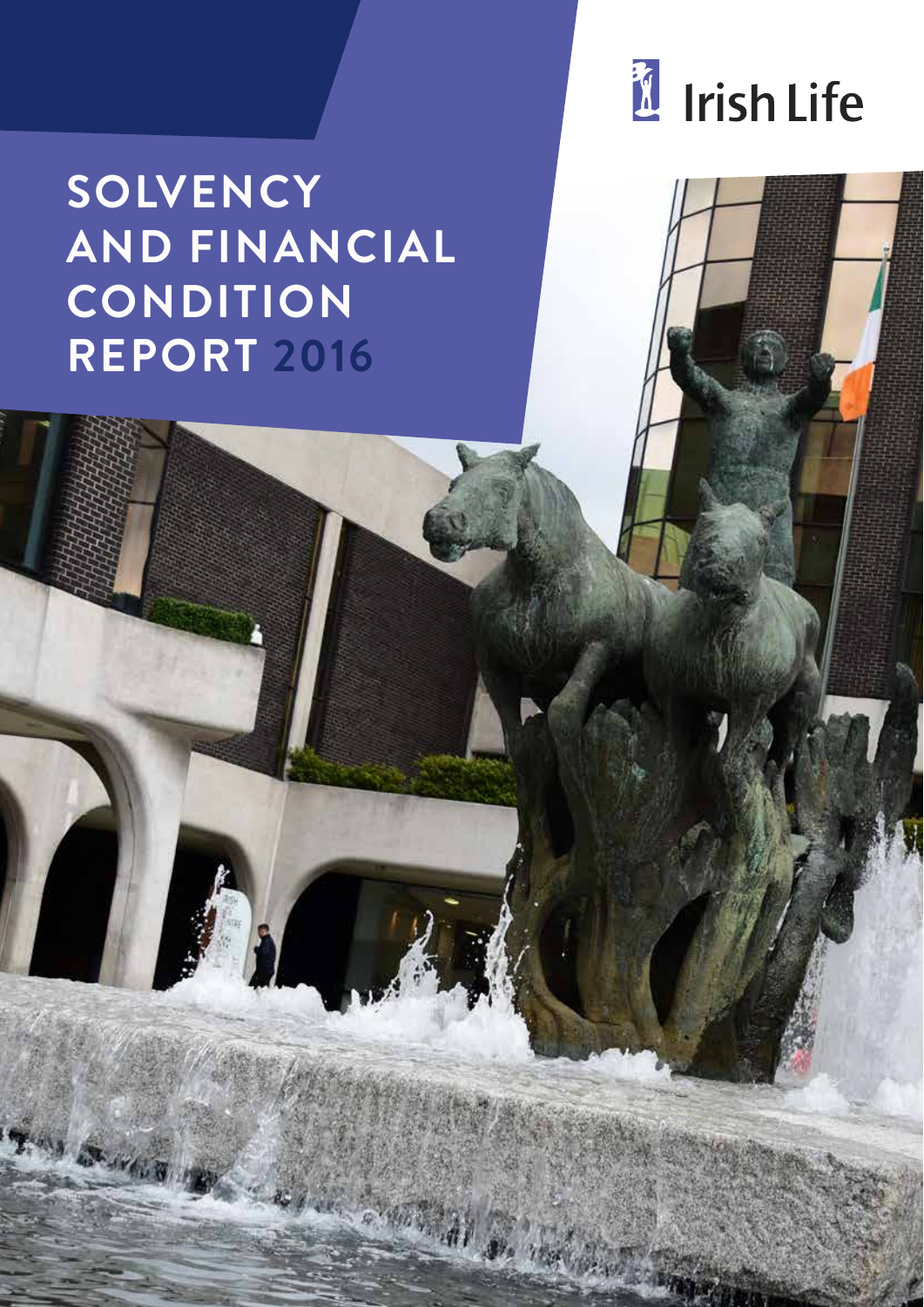

# **SOLVENCY AND FINANCIAL CONDITION REPORT 2016**

ST-17618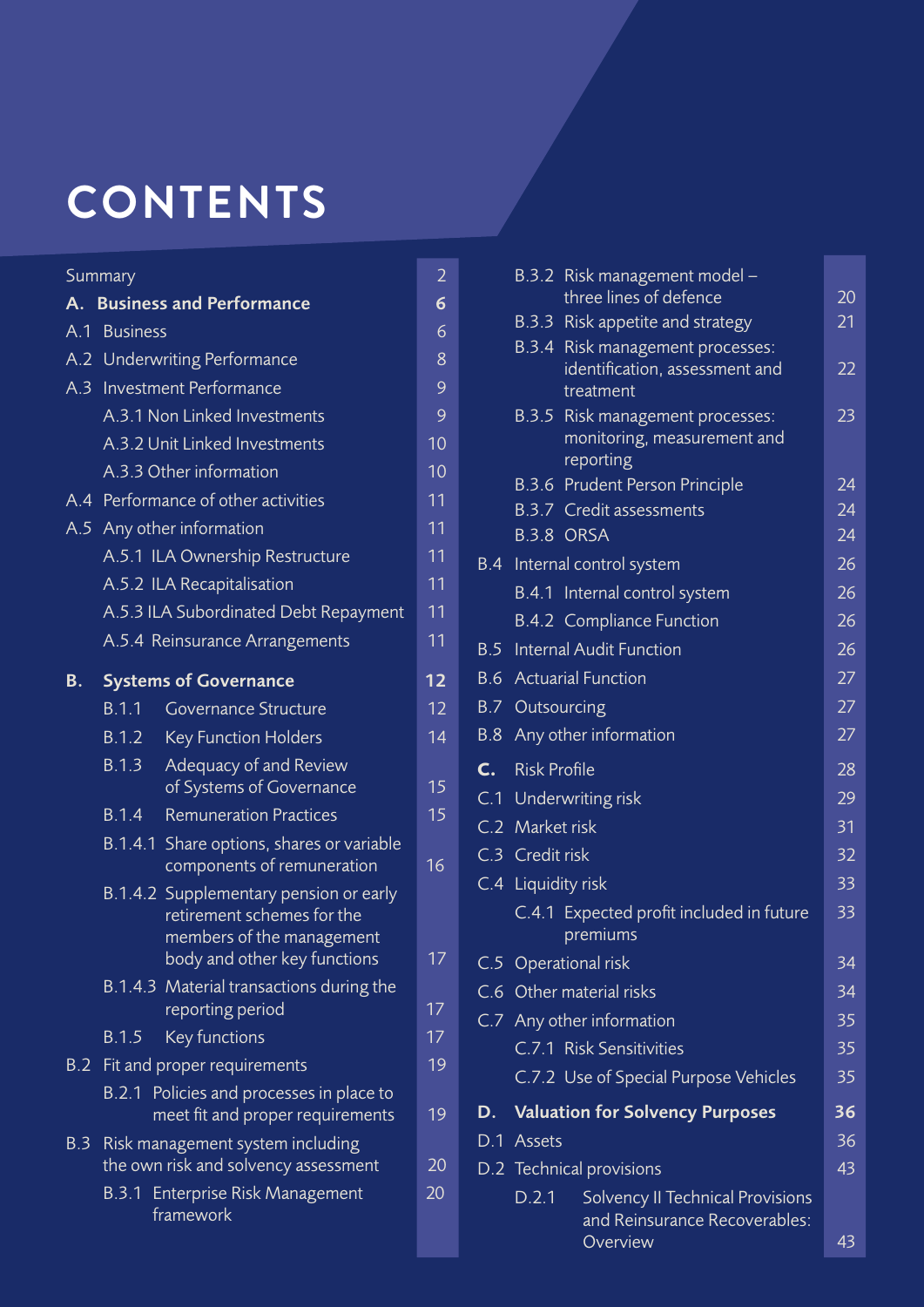# **CONTENTS**

## Summary 2012 and 2014 and 2014 and 2014 and 2014 and 2014 and 2014 and 2014 and 2014 and 2014 and 2014 and 201

| $A_{\cdot}$ |                               | <b>Business and Performance</b>                                                                   | 6      |  |  |
|-------------|-------------------------------|---------------------------------------------------------------------------------------------------|--------|--|--|
|             | A.1 Business                  |                                                                                                   | 6<br>8 |  |  |
|             | A.2 Underwriting Performance  |                                                                                                   |        |  |  |
| A.3         | <b>Investment Performance</b> |                                                                                                   |        |  |  |
|             |                               | A.3.1 Non Linked Investments                                                                      | 9      |  |  |
|             |                               | A.3.2 Unit Linked Investments                                                                     | 10     |  |  |
|             |                               | A.3.3 Other information                                                                           | 10     |  |  |
|             |                               | A.4 Performance of other activities                                                               | 11     |  |  |
|             |                               | A.5 Any other information                                                                         | 11     |  |  |
|             |                               | A.5.1 ILA Ownership Restructure                                                                   | 11     |  |  |
|             |                               | A.5.2 ILA Recapitalisation                                                                        | 11     |  |  |
|             |                               | A.5.3 ILA Subordinated Debt Repayment                                                             | 11     |  |  |
|             |                               | A.5.4 Reinsurance Arrangements                                                                    | 11     |  |  |
| В.          |                               | <b>Systems of Governance</b>                                                                      | 12     |  |  |
|             | B.1.1                         | Governance Structure                                                                              | 12     |  |  |
|             | B.1.2                         | <b>Key Function Holders</b>                                                                       | 14     |  |  |
|             | B.1.3                         | Adequacy of and Review<br>of Systems of Governance                                                | 15     |  |  |
|             | <b>B.1.4</b>                  | <b>Remuneration Practices</b>                                                                     | 15     |  |  |
|             |                               | B.1.4.1 Share options, shares or variable<br>components of remuneration                           | 16     |  |  |
|             |                               | B.1.4.2 Supplementary pension or early<br>retirement schemes for the<br>members of the management | 17     |  |  |
|             |                               | body and other key functions                                                                      |        |  |  |
|             |                               | B.1.4.3 Material transactions during the<br>reporting period                                      | 17     |  |  |
|             | B.1.5                         | Key functions                                                                                     | 17     |  |  |
| B.2         |                               | Fit and proper requirements                                                                       | 19     |  |  |
|             |                               | B.2.1 Policies and processes in place to<br>meet fit and proper requirements                      | 19     |  |  |
| B.3         |                               | Risk management system including<br>the own risk and solvency assessment                          | 20     |  |  |
|             | B.3.1                         | Enterprise Risk Management<br>framework                                                           | 20     |  |  |

|                 | B.3.2 Risk management model -                                                   |    |
|-----------------|---------------------------------------------------------------------------------|----|
|                 | three lines of defence                                                          | 20 |
|                 | B.3.3 Risk appetite and strategy                                                | 21 |
|                 | B.3.4 Risk management processes:<br>identification, assessment and<br>treatment | 22 |
|                 | B.3.5 Risk management processes:<br>monitoring, measurement and<br>reporting    | 23 |
|                 | B.3.6 Prudent Person Principle                                                  | 24 |
|                 | <b>B.3.7</b> Credit assessments                                                 | 24 |
|                 | B.3.8 ORSA                                                                      | 24 |
|                 | B.4 Internal control system                                                     | 26 |
|                 | B.4.1 Internal control system                                                   | 26 |
|                 | <b>B.4.2 Compliance Function</b>                                                | 26 |
|                 | <b>B.5</b> Internal Audit Function                                              | 26 |
|                 | <b>B.6</b> Actuarial Function                                                   | 27 |
|                 | <b>B.7 Outsourcing</b>                                                          | 27 |
|                 | B.8 Any other information                                                       | 27 |
| C. Risk Profile |                                                                                 | 28 |
|                 | C.1 Underwriting risk                                                           | 29 |
| C.2 Market risk |                                                                                 | 31 |
| C.3 Credit risk |                                                                                 | 32 |
|                 | C.4 Liquidity risk                                                              | 33 |
|                 | C.4.1 Expected profit included in future<br>premiums                            | 33 |
|                 | C.5 Operational risk                                                            | 34 |
|                 | C.6 Other material risks                                                        | 34 |
|                 | C.7 Any other information                                                       | 35 |
|                 | C.7.1 Risk Sensitivities                                                        | 35 |
|                 | C.7.2 Use of Special Purpose Vehicles                                           | 35 |
|                 | D. Valuation for Solvency Purposes                                              | 36 |
| D.1 Assets      |                                                                                 | 36 |
|                 | D.2 Technical provisions                                                        | 43 |
| D.2.1           | Solvency II Technical Provisions<br>and Reinsurance Recoverables:<br>Overview   | 43 |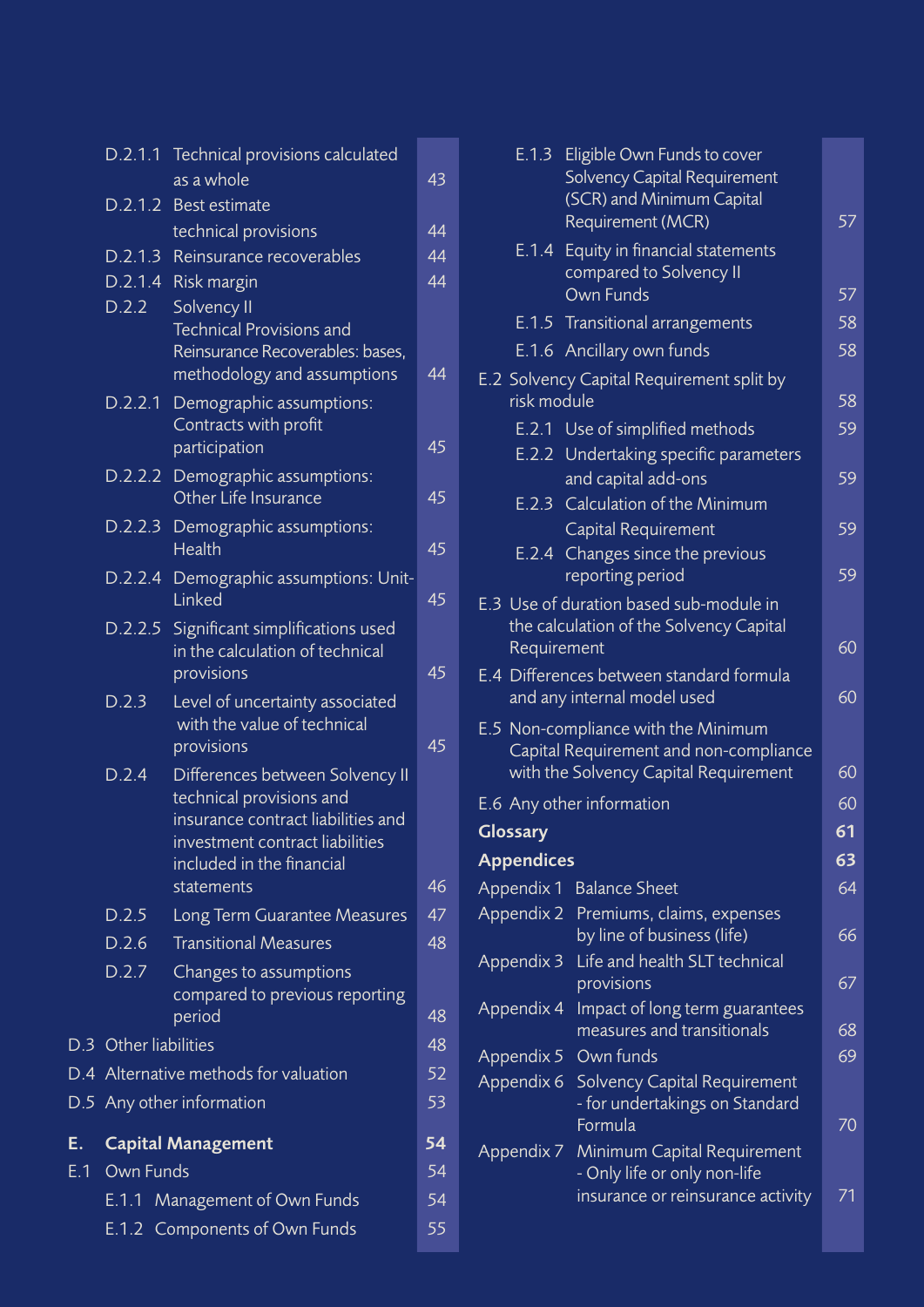|     | D.2.1.1   | Technical provisions calculated                                                                                                                                                 |    |
|-----|-----------|---------------------------------------------------------------------------------------------------------------------------------------------------------------------------------|----|
|     |           | as a whole                                                                                                                                                                      | 43 |
|     |           | D.2.1.2 Best estimate                                                                                                                                                           |    |
|     |           | technical provisions                                                                                                                                                            | 44 |
|     | D.2.1.3   | Reinsurance recoverables                                                                                                                                                        | 44 |
|     | D.2.1.4   | Risk margin                                                                                                                                                                     | 44 |
|     | D.2.2     | Solvency II<br><b>Technical Provisions and</b><br>Reinsurance Recoverables: bases,<br>methodology and assumptions                                                               | 44 |
|     | D.2.2.1   | Demographic assumptions:<br>Contracts with profit<br>participation                                                                                                              | 45 |
|     | D.2.2.2   | Demographic assumptions:<br>Other Life Insurance                                                                                                                                | 45 |
|     | D.2.2.3   | Demographic assumptions:<br><b>Health</b>                                                                                                                                       | 45 |
|     | D.2.2.4   | Demographic assumptions: Unit-<br>Linked                                                                                                                                        | 45 |
|     |           | D.2.2.5 Significant simplifications used<br>in the calculation of technical<br>provisions                                                                                       | 45 |
|     | D.2.3     | Level of uncertainty associated<br>with the value of technical<br>provisions                                                                                                    | 45 |
|     | D.2.4     | Differences between Solvency II<br>technical provisions and<br>insurance contract liabilities and<br>investment contract liabilities<br>included in the financial<br>statements | 46 |
|     | D.2.5     | Long Term Guarantee Measures                                                                                                                                                    | 47 |
|     | D.2.6     | <b>Transitional Measures</b>                                                                                                                                                    | 48 |
|     | D.2.7     | Changes to assumptions<br>compared to previous reporting<br>period                                                                                                              | 48 |
|     |           | D.3 Other liabilities                                                                                                                                                           | 48 |
|     |           | D.4 Alternative methods for valuation                                                                                                                                           | 52 |
|     |           | D.5 Any other information                                                                                                                                                       | 53 |
| Ē.  |           | <b>Capital Management</b>                                                                                                                                                       | 54 |
| E.1 | Own Funds |                                                                                                                                                                                 | 54 |
|     | E.1.1     | Management of Own Funds                                                                                                                                                         | 54 |
|     |           | E.1.2 Components of Own Funds                                                                                                                                                   | 55 |
|     |           |                                                                                                                                                                                 |    |

| E.1.3             | Eligible Own Funds to cover<br><b>Solvency Capital Requirement</b><br>(SCR) and Minimum Capital<br>Requirement (MCR)   | 57 |
|-------------------|------------------------------------------------------------------------------------------------------------------------|----|
|                   | E.1.4 Equity in financial statements<br>compared to Solvency II<br><b>Own Funds</b>                                    | 57 |
|                   | E.1.5 Transitional arrangements                                                                                        | 58 |
|                   | E.1.6 Ancillary own funds                                                                                              | 58 |
| risk module       | E.2 Solvency Capital Requirement split by                                                                              | 58 |
|                   | E.2.1 Use of simplified methods                                                                                        | 59 |
|                   | E.2.2 Undertaking specific parameters<br>and capital add-ons                                                           | 59 |
|                   | <b>E.2.3</b> Calculation of the Minimum<br><b>Capital Requirement</b>                                                  | 59 |
|                   | E.2.4 Changes since the previous<br>reporting period                                                                   | 59 |
| Requirement       | E.3 Use of duration based sub-module in<br>the calculation of the Solvency Capital                                     | 60 |
|                   | E.4 Differences between standard formula<br>and any internal model used                                                | 60 |
|                   | E.5 Non-compliance with the Minimum<br>Capital Requirement and non-compliance<br>with the Solvency Capital Requirement | 60 |
|                   | E.6 Any other information                                                                                              | 60 |
| Glossary          |                                                                                                                        | 61 |
| <b>Appendices</b> |                                                                                                                        | 63 |
| Appendix 1        | <b>Balance Sheet</b>                                                                                                   | 64 |
| Appendix 2        | Premiums, claims, expenses<br>by line of business (life)                                                               | 66 |
| Appendix 3        | Life and health SLT technical<br>provisions                                                                            | 67 |
| Appendix 4        | Impact of long term guarantees<br>measures and transitionals                                                           | 68 |
|                   | Appendix 5 Own funds                                                                                                   | 69 |
| Appendix 6        | <b>Solvency Capital Requirement</b><br>- for undertakings on Standard<br>Formula                                       | 70 |
| Appendix 7        | Minimum Capital Requirement<br>- Only life or only non-life<br>insurance or reinsurance activity                       | 71 |
|                   |                                                                                                                        |    |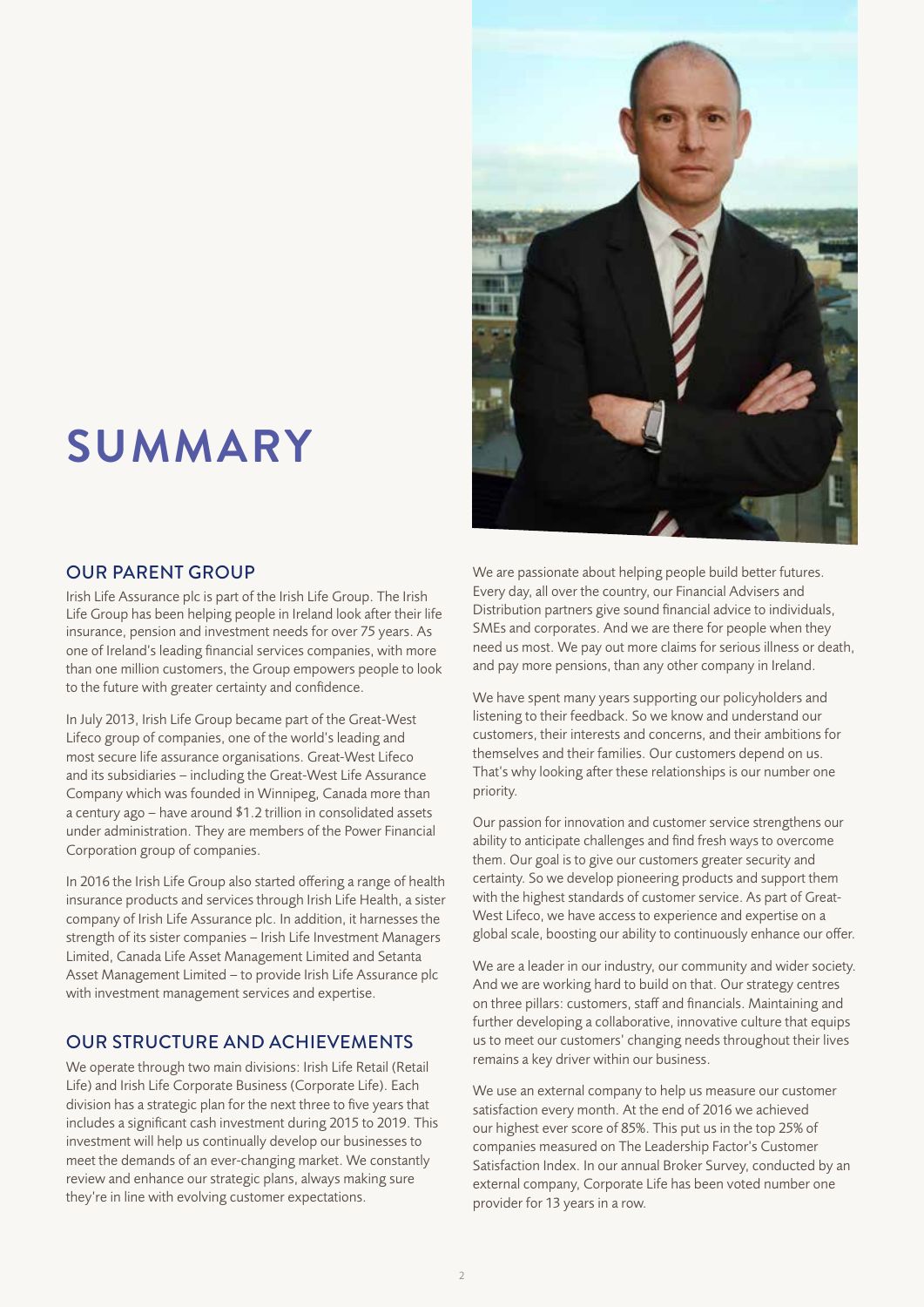# **SUMMARY**

## OUR PARENT GROUP

Irish Life Assurance plc is part of the Irish Life Group. The Irish Life Group has been helping people in Ireland look after their life insurance, pension and investment needs for over 75 years. As one of Ireland's leading financial services companies, with more than one million customers, the Group empowers people to look to the future with greater certainty and confidence.

In July 2013, Irish Life Group became part of the Great-West Lifeco group of companies, one of the world's leading and most secure life assurance organisations. Great-West Lifeco and its subsidiaries – including the Great-West Life Assurance Company which was founded in Winnipeg, Canada more than a century ago – have around \$1.2 trillion in consolidated assets under administration. They are members of the Power Financial Corporation group of companies.

In 2016 the Irish Life Group also started offering a range of health insurance products and services through Irish Life Health, a sister company of Irish Life Assurance plc. In addition, it harnesses the strength of its sister companies – Irish Life Investment Managers Limited, Canada Life Asset Management Limited and Setanta Asset Management Limited – to provide Irish Life Assurance plc with investment management services and expertise.

## OUR STRUCTURE AND ACHIEVEMENTS

We operate through two main divisions: Irish Life Retail (Retail Life) and Irish Life Corporate Business (Corporate Life). Each division has a strategic plan for the next three to five years that includes a significant cash investment during 2015 to 2019. This investment will help us continually develop our businesses to meet the demands of an ever-changing market. We constantly review and enhance our strategic plans, always making sure they're in line with evolving customer expectations.



We are passionate about helping people build better futures. Every day, all over the country, our Financial Advisers and Distribution partners give sound financial advice to individuals, SMEs and corporates. And we are there for people when they need us most. We pay out more claims for serious illness or death, and pay more pensions, than any other company in Ireland.

We have spent many years supporting our policyholders and listening to their feedback. So we know and understand our customers, their interests and concerns, and their ambitions for themselves and their families. Our customers depend on us. That's why looking after these relationships is our number one priority.

Our passion for innovation and customer service strengthens our ability to anticipate challenges and find fresh ways to overcome them. Our goal is to give our customers greater security and certainty. So we develop pioneering products and support them with the highest standards of customer service. As part of Great-West Lifeco, we have access to experience and expertise on a global scale, boosting our ability to continuously enhance our offer.

We are a leader in our industry, our community and wider society. And we are working hard to build on that. Our strategy centres on three pillars: customers, staff and financials. Maintaining and further developing a collaborative, innovative culture that equips us to meet our customers' changing needs throughout their lives remains a key driver within our business.

We use an external company to help us measure our customer satisfaction every month. At the end of 2016 we achieved our highest ever score of 85%. This put us in the top 25% of companies measured on The Leadership Factor's Customer Satisfaction Index. In our annual Broker Survey, conducted by an external company, Corporate Life has been voted number one provider for 13 years in a row.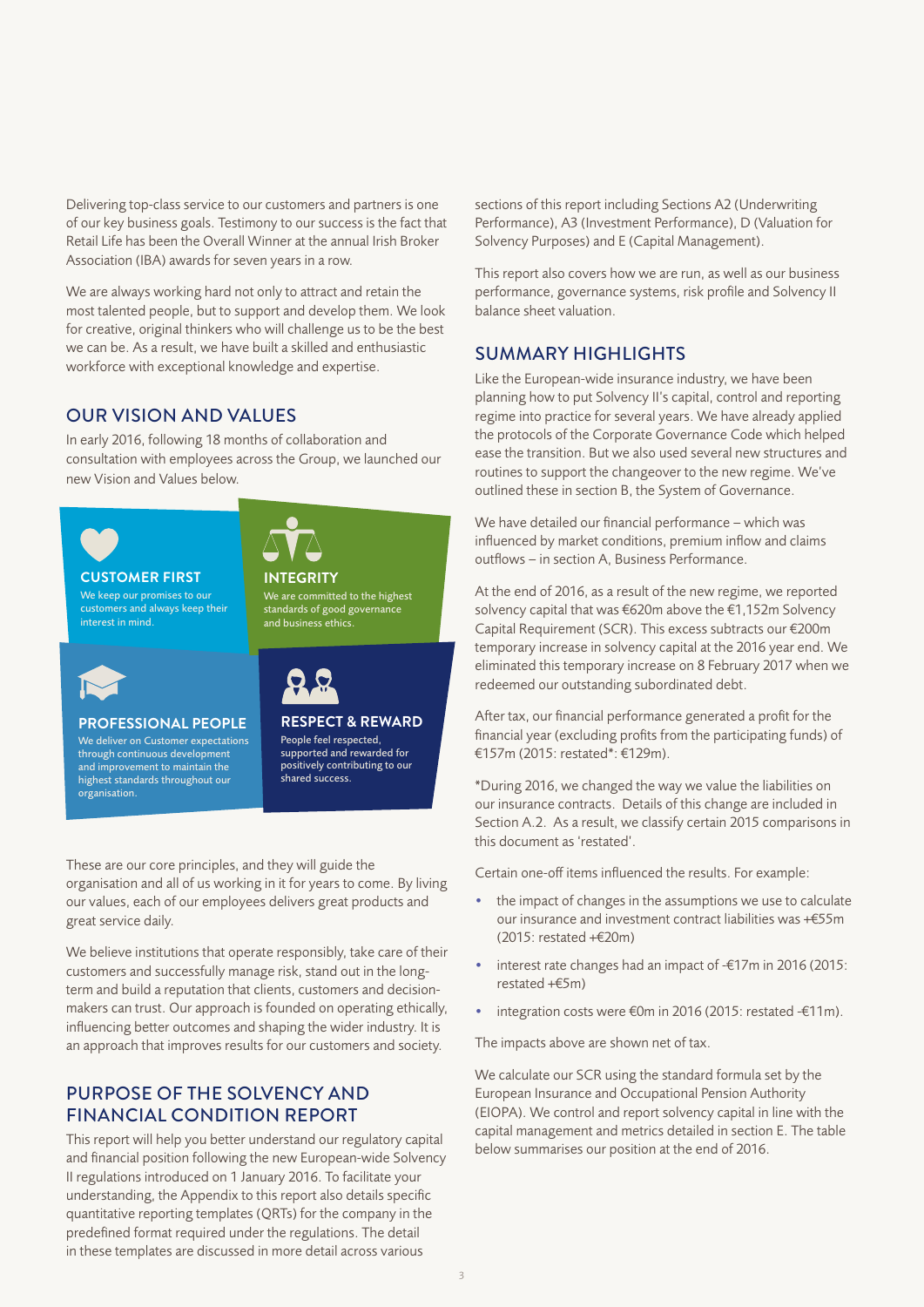Delivering top-class service to our customers and partners is one of our key business goals. Testimony to our success is the fact that Retail Life has been the Overall Winner at the annual Irish Broker Association (IBA) awards for seven years in a row.

We are always working hard not only to attract and retain the most talented people, but to support and develop them. We look for creative, original thinkers who will challenge us to be the best we can be. As a result, we have built a skilled and enthusiastic workforce with exceptional knowledge and expertise.

## OUR VISION AND VALUES

In early 2016, following 18 months of collaboration and consultation with employees across the Group, we launched our new Vision and Values below.



## **CUSTOMER FIRST** We keep our promises to our

customers and always keep their interest in mind.



**INTEGRITY**

#### **PROFESSIONAL PEOPLE**

We deliver on Customer expectations through continuous development and improvement to maintain the highest standards throughout our organisation.

**RESPECT & REWARD** People feel respected, supported and rewarded for

We are committed to the highest standards of good governance and business ethics.

positively contributing to our

shared success.

These are our core principles, and they will guide the organisation and all of us working in it for years to come. By living our values, each of our employees delivers great products and great service daily.

We believe institutions that operate responsibly, take care of their customers and successfully manage risk, stand out in the longterm and build a reputation that clients, customers and decisionmakers can trust. Our approach is founded on operating ethically, influencing better outcomes and shaping the wider industry. It is an approach that improves results for our customers and society.

## PURPOSE OF THE SOLVENCY AND FINANCIAL CONDITION REPORT

This report will help you better understand our regulatory capital and financial position following the new European-wide Solvency II regulations introduced on 1 January 2016. To facilitate your understanding, the Appendix to this report also details specific quantitative reporting templates (QRTs) for the company in the predefined format required under the regulations. The detail in these templates are discussed in more detail across various

sections of this report including Sections A2 (Underwriting Performance), A3 (Investment Performance), D (Valuation for Solvency Purposes) and E (Capital Management).

This report also covers how we are run, as well as our business performance, governance systems, risk profile and Solvency II balance sheet valuation.

## SUMMARY HIGHLIGHTS

Like the European-wide insurance industry, we have been planning how to put Solvency II's capital, control and reporting regime into practice for several years. We have already applied the protocols of the Corporate Governance Code which helped ease the transition. But we also used several new structures and routines to support the changeover to the new regime. We've outlined these in section B, the System of Governance.

We have detailed our financial performance – which was influenced by market conditions, premium inflow and claims outflows – in section A, Business Performance.

At the end of 2016, as a result of the new regime, we reported solvency capital that was €620m above the €1,152m Solvency Capital Requirement (SCR). This excess subtracts our €200m temporary increase in solvency capital at the 2016 year end. We eliminated this temporary increase on 8 February 2017 when we redeemed our outstanding subordinated debt.

After tax, our financial performance generated a profit for the financial year (excluding profits from the participating funds) of €157m (2015: restated\*: €129m).

\*During 2016, we changed the way we value the liabilities on our insurance contracts. Details of this change are included in Section A.2. As a result, we classify certain 2015 comparisons in this document as 'restated'.

Certain one-off items influenced the results. For example:

- the impact of changes in the assumptions we use to calculate our insurance and investment contract liabilities was +€55m (2015: restated +€20m)
- interest rate changes had an impact of -€17m in 2016 (2015: restated +€5m)
- integration costs were €0m in 2016 (2015: restated -€11m).

The impacts above are shown net of tax.

We calculate our SCR using the standard formula set by the European Insurance and Occupational Pension Authority (EIOPA). We control and report solvency capital in line with the capital management and metrics detailed in section E. The table below summarises our position at the end of 2016.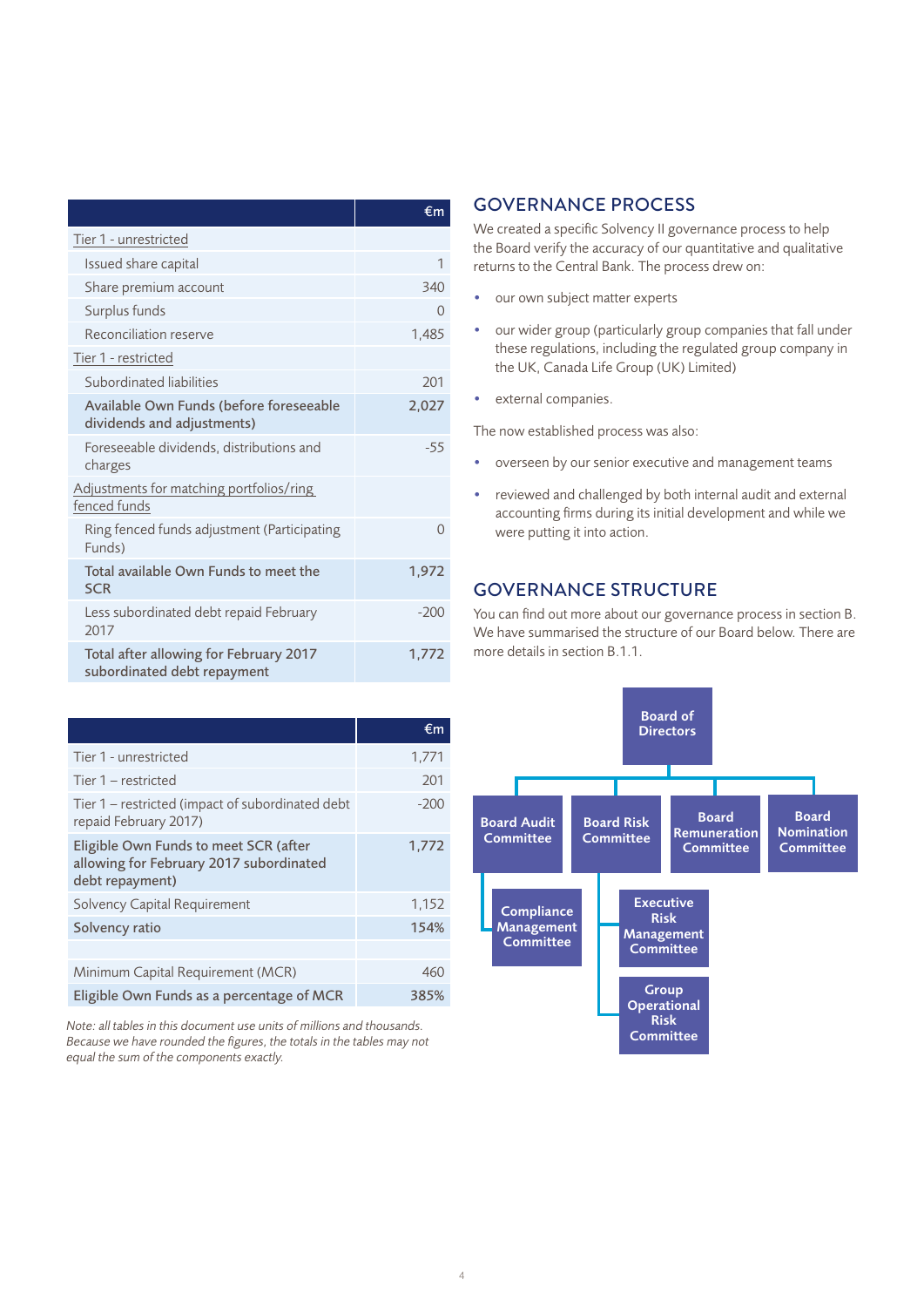|                                                                       | €m       |
|-----------------------------------------------------------------------|----------|
| Tier 1 - unrestricted                                                 |          |
| Issued share capital                                                  | 1        |
| Share premium account                                                 | 340      |
| Surplus funds                                                         | $\Omega$ |
| Reconciliation reserve                                                | 1,485    |
| Tier 1 - restricted                                                   |          |
| Subordinated liabilities                                              | 201      |
| Available Own Funds (before foreseeable<br>dividends and adjustments) | 2,027    |
| Foreseeable dividends, distributions and<br>charges                   | $-55$    |
| Adjustments for matching portfolios/ring<br>fenced funds              |          |
| Ring fenced funds adjustment (Participating<br>Funds)                 | $\Omega$ |
| Total available Own Funds to meet the<br><b>SCR</b>                   | 1,972    |
| Less subordinated debt repaid February<br>2017                        | $-200$   |
| Total after allowing for February 2017<br>subordinated debt repayment | 1,772    |

|                                                                                                     | €m     |
|-----------------------------------------------------------------------------------------------------|--------|
| Tier 1 - unrestricted                                                                               | 1,771  |
| Tier 1 – restricted                                                                                 | 201    |
| Tier 1 – restricted (impact of subordinated debt<br>repaid February 2017)                           | $-200$ |
| Eligible Own Funds to meet SCR (after<br>allowing for February 2017 subordinated<br>debt repayment) | 1,772  |
| Solvency Capital Requirement                                                                        | 1,152  |
| Solvency ratio                                                                                      | 154%   |
|                                                                                                     |        |
| Minimum Capital Requirement (MCR)                                                                   | 460    |
| Eligible Own Funds as a percentage of MCR                                                           | 385%   |

### *Note: all tables in this document use units of millions and thousands. Because we have rounded the figures, the totals in the tables may not equal the sum of the components exactly.*

## GOVERNANCE PROCESS

We created a specific Solvency II governance process to help the Board verify the accuracy of our quantitative and qualitative returns to the Central Bank. The process drew on:

- our own subject matter experts
- our wider group (particularly group companies that fall under these regulations, including the regulated group company in the UK, Canada Life Group (UK) Limited)
- external companies.

The now established process was also:

- overseen by our senior executive and management teams
- reviewed and challenged by both internal audit and external accounting firms during its initial development and while we were putting it into action.

## GOVERNANCE STRUCTURE

You can find out more about our governance process in section B. We have summarised the structure of our Board below. There are more details in section B.1.1.

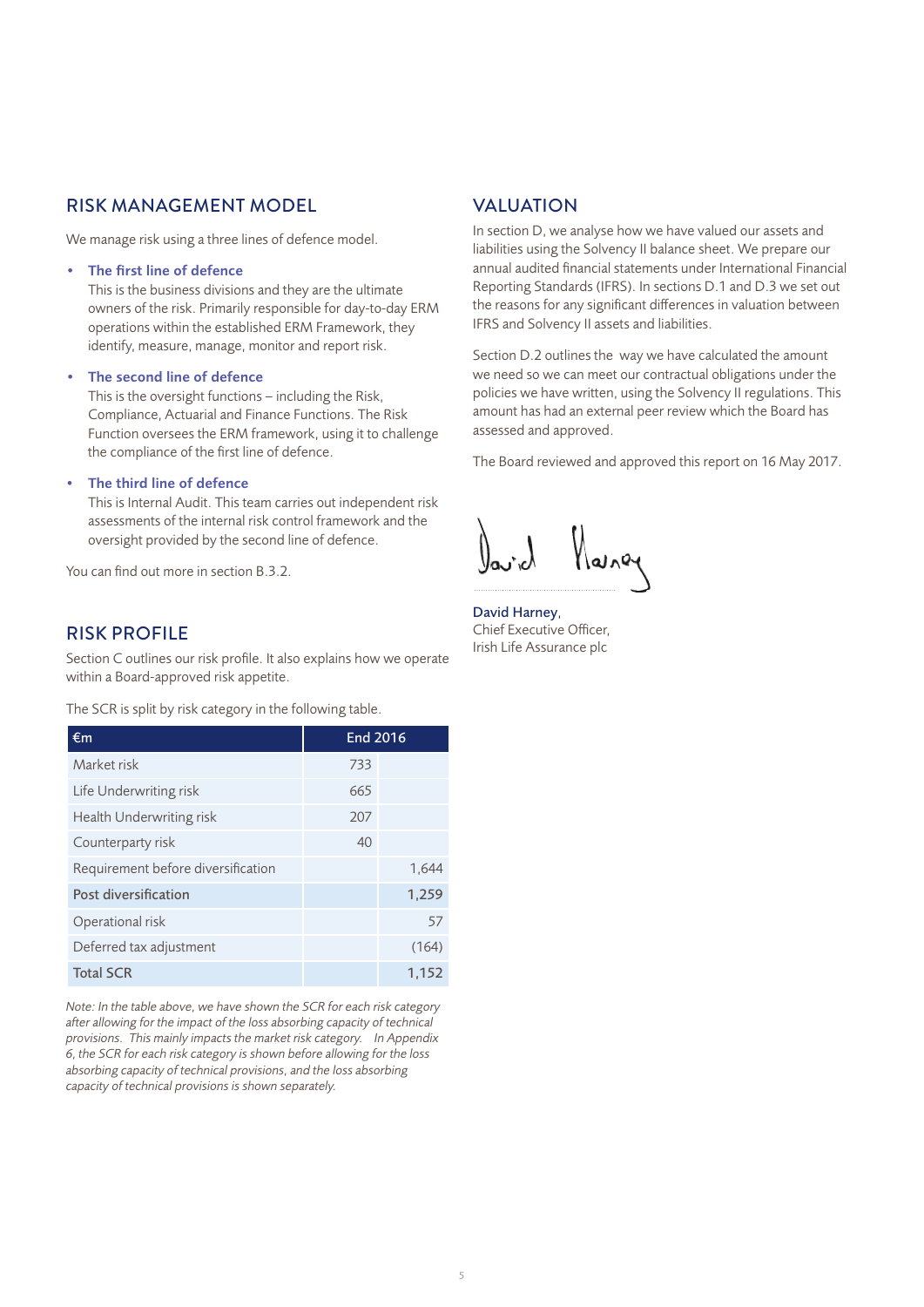## RISK MANAGEMENT MODEL

We manage risk using a three lines of defence model.

#### • The first line of defence

This is the business divisions and they are the ultimate owners of the risk. Primarily responsible for day-to-day ERM operations within the established ERM Framework, they identify, measure, manage, monitor and report risk.

#### • The second line of defence

This is the oversight functions – including the Risk, Compliance, Actuarial and Finance Functions. The Risk Function oversees the ERM framework, using it to challenge the compliance of the first line of defence.

### The third line of defence

This is Internal Audit. This team carries out independent risk assessments of the internal risk control framework and the oversight provided by the second line of defence.

You can find out more in section B.3.2.

## RISK PROFILE

Section C outlines our risk profile. It also explains how we operate within a Board-approved risk appetite.

The SCR is split by risk category in the following table.

| €m                                 | <b>End 2016</b> |       |  |
|------------------------------------|-----------------|-------|--|
| Market risk                        | 733             |       |  |
| Life Underwriting risk             | 665             |       |  |
| Health Underwriting risk           | 207             |       |  |
| Counterparty risk                  | 40              |       |  |
| Requirement before diversification |                 | 1,644 |  |
| Post diversification               |                 | 1,259 |  |
| Operational risk                   |                 | 57    |  |
| Deferred tax adjustment            |                 | (164) |  |
| <b>Total SCR</b>                   |                 | 1.152 |  |

*Note: In the table above, we have shown the SCR for each risk category after allowing for the impact of the loss absorbing capacity of technical provisions. This mainly impacts the market risk category. In Appendix 6, the SCR for each risk category is shown before allowing for the loss absorbing capacity of technical provisions, and the loss absorbing capacity of technical provisions is shown separately.* 

## VALUATION

In section D, we analyse how we have valued our assets and liabilities using the Solvency II balance sheet. We prepare our annual audited financial statements under International Financial Reporting Standards (IFRS). In sections D.1 and D.3 we set out the reasons for any significant differences in valuation between IFRS and Solvency II assets and liabilities.

Section D.2 outlines the way we have calculated the amount we need so we can meet our contractual obligations under the policies we have written, using the Solvency II regulations. This amount has had an external peer review which the Board has assessed and approved.

The Board reviewed and approved this report on 16 May 2017.

David Harney, Chief Executive Officer, Irish Life Assurance plc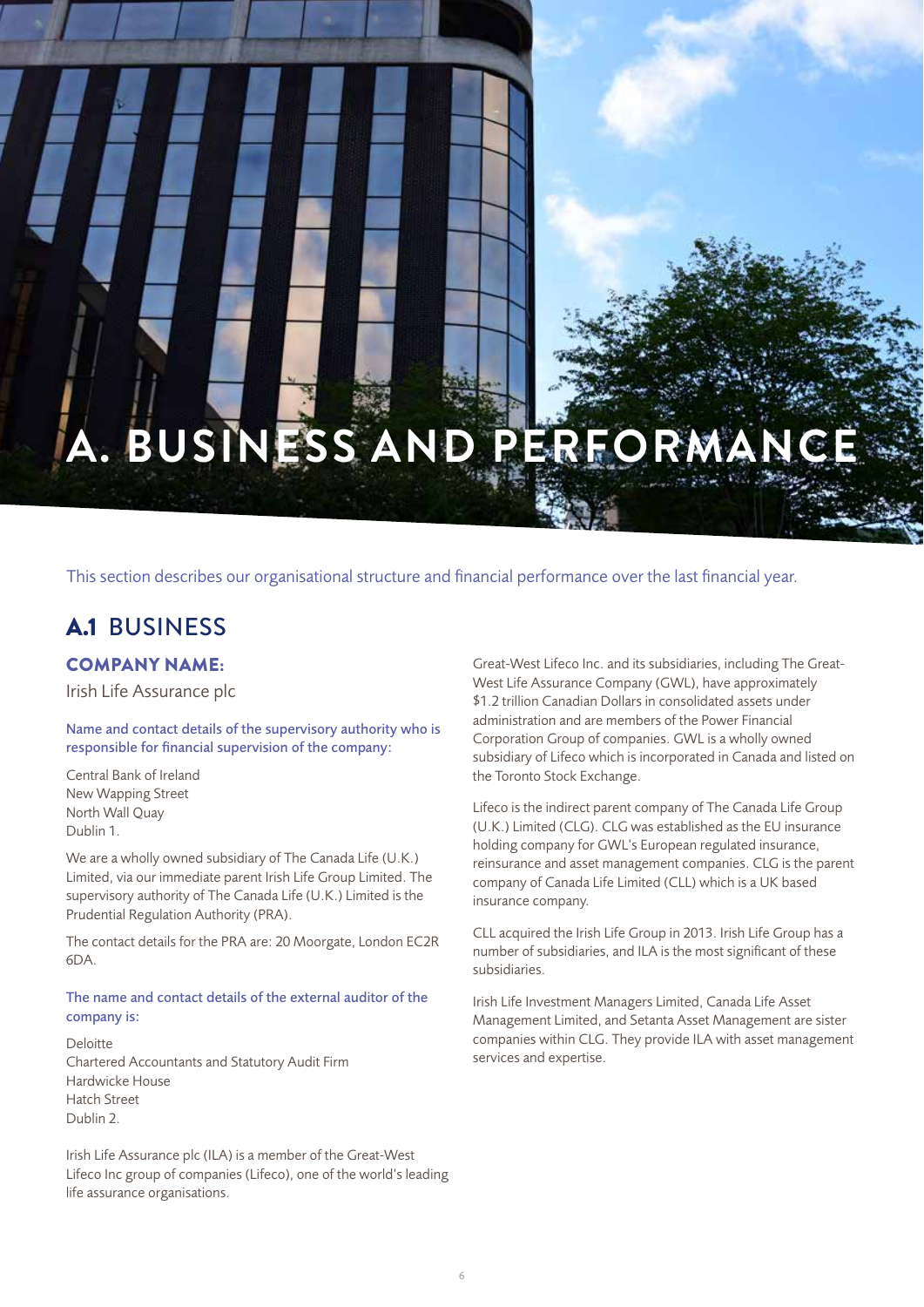# **A. BUSINESS AND PERFORM**

This section describes our organisational structure and financial performance over the last financial year.

# A.1 BUSINESS

## COMPANY NAME:

Irish Life Assurance plc

Name and contact details of the supervisory authority who is responsible for financial supervision of the company:

Central Bank of Ireland New Wapping Street North Wall Quay Dublin 1.

We are a wholly owned subsidiary of The Canada Life (U.K.) Limited, via our immediate parent Irish Life Group Limited. The supervisory authority of The Canada Life (U.K.) Limited is the Prudential Regulation Authority (PRA).

The contact details for the PRA are: 20 Moorgate, London EC2R 6DA.

## The name and contact details of the external auditor of the company is:

Deloitte Chartered Accountants and Statutory Audit Firm Hardwicke House Hatch Street Dublin 2.

Irish Life Assurance plc (ILA) is a member of the Great-West Lifeco Inc group of companies (Lifeco), one of the world's leading life assurance organisations.

Great-West Lifeco Inc. and its subsidiaries, including The Great-West Life Assurance Company (GWL), have approximately \$1.2 trillion Canadian Dollars in consolidated assets under administration and are members of the Power Financial Corporation Group of companies. GWL is a wholly owned subsidiary of Lifeco which is incorporated in Canada and listed on the Toronto Stock Exchange.

Lifeco is the indirect parent company of The Canada Life Group (U.K.) Limited (CLG). CLG was established as the EU insurance holding company for GWL's European regulated insurance, reinsurance and asset management companies. CLG is the parent company of Canada Life Limited (CLL) which is a UK based insurance company.

CLL acquired the Irish Life Group in 2013. Irish Life Group has a number of subsidiaries, and ILA is the most significant of these subsidiaries.

Irish Life Investment Managers Limited, Canada Life Asset Management Limited, and Setanta Asset Management are sister companies within CLG. They provide ILA with asset management services and expertise.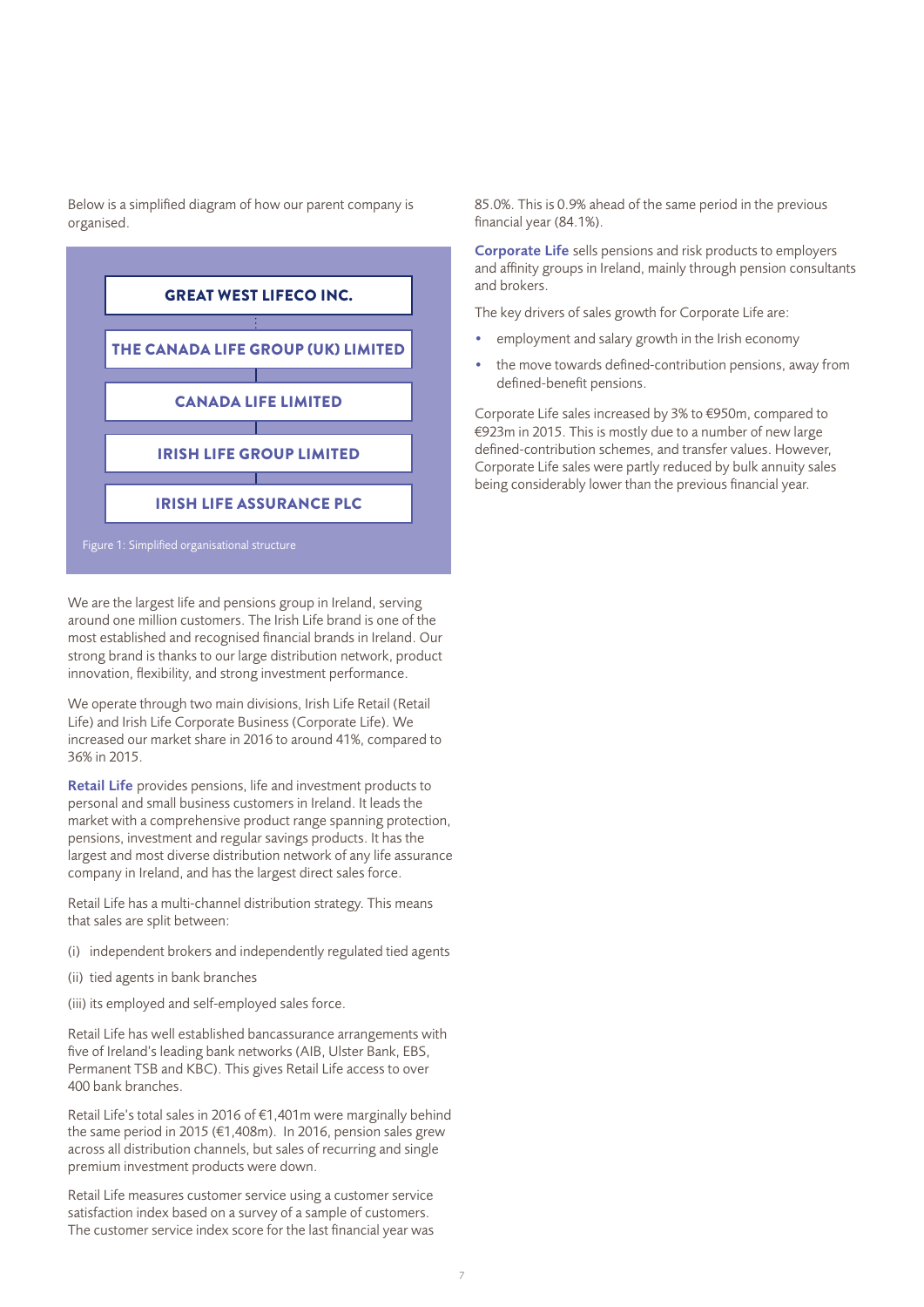Below is a simplified diagram of how our parent company is organised.



We are the largest life and pensions group in Ireland, serving around one million customers. The Irish Life brand is one of the most established and recognised financial brands in Ireland. Our strong brand is thanks to our large distribution network, product innovation, flexibility, and strong investment performance.

We operate through two main divisions, Irish Life Retail (Retail Life) and Irish Life Corporate Business (Corporate Life). We increased our market share in 2016 to around 41%, compared to 36% in 2015.

Retail Life provides pensions, life and investment products to personal and small business customers in Ireland. It leads the market with a comprehensive product range spanning protection, pensions, investment and regular savings products. It has the largest and most diverse distribution network of any life assurance company in Ireland, and has the largest direct sales force.

Retail Life has a multi-channel distribution strategy. This means that sales are split between:

- (i) independent brokers and independently regulated tied agents
- (ii) tied agents in bank branches
- (iii) its employed and self-employed sales force.

Retail Life has well established bancassurance arrangements with five of Ireland's leading bank networks (AIB, Ulster Bank, EBS, Permanent TSB and KBC). This gives Retail Life access to over 400 bank branches.

Retail Life's total sales in 2016 of €1,401m were marginally behind the same period in 2015 (€1,408m). In 2016, pension sales grew across all distribution channels, but sales of recurring and single premium investment products were down.

Retail Life measures customer service using a customer service satisfaction index based on a survey of a sample of customers. The customer service index score for the last financial year was 85.0%. This is 0.9% ahead of the same period in the previous financial year (84.1%).

Corporate Life sells pensions and risk products to employers and affinity groups in Ireland, mainly through pension consultants and brokers.

The key drivers of sales growth for Corporate Life are:

- employment and salary growth in the Irish economy
- the move towards defined-contribution pensions, away from defined-benefit pensions.

Corporate Life sales increased by 3% to €950m, compared to €923m in 2015. This is mostly due to a number of new large defined-contribution schemes, and transfer values. However, Corporate Life sales were partly reduced by bulk annuity sales being considerably lower than the previous financial year.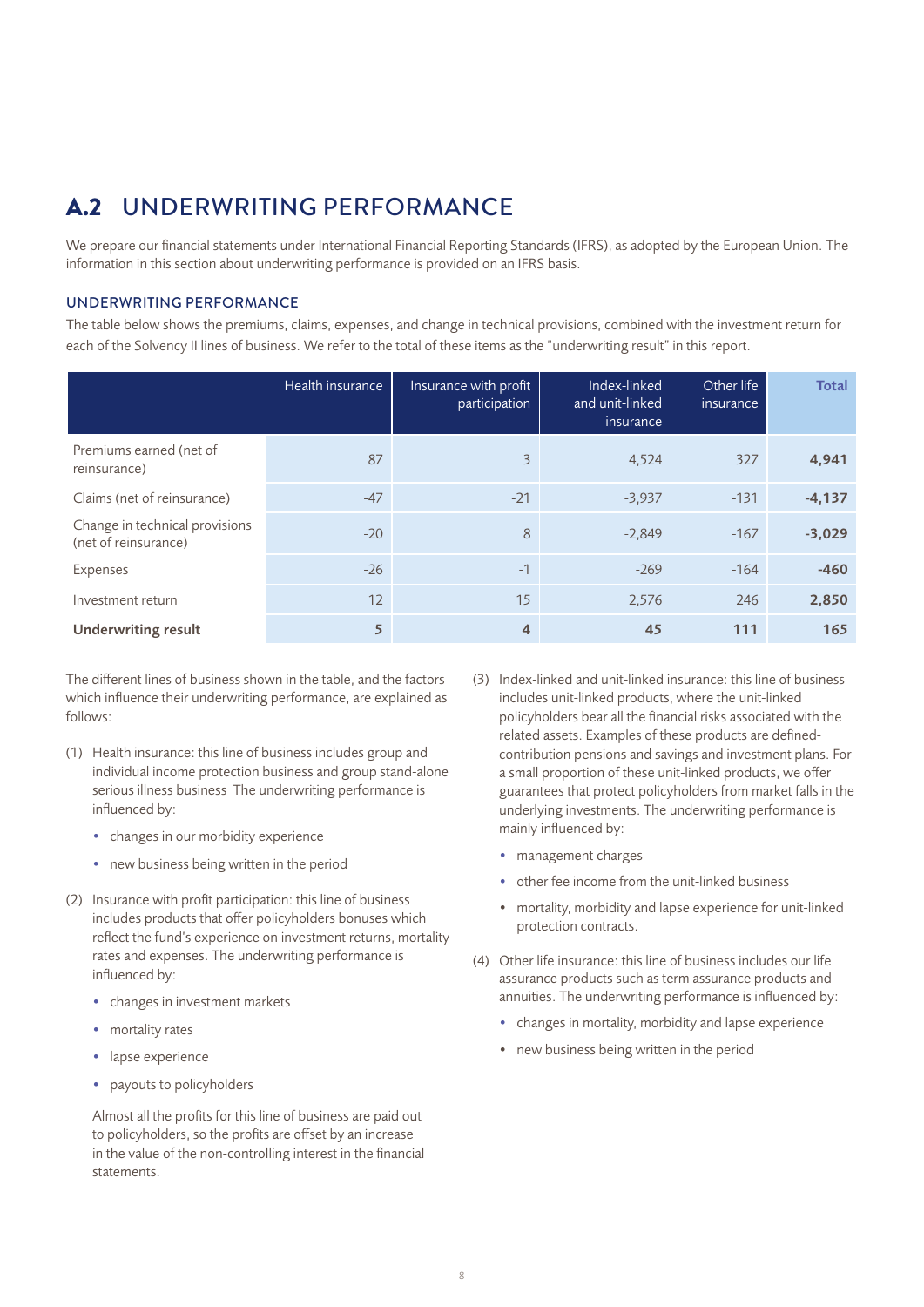# A.2 UNDERWRITING PERFORMANCE

We prepare our financial statements under International Financial Reporting Standards (IFRS), as adopted by the European Union. The information in this section about underwriting performance is provided on an IFRS basis.

## UNDERWRITING PERFORMANCE

The table below shows the premiums, claims, expenses, and change in technical provisions, combined with the investment return for each of the Solvency II lines of business. We refer to the total of these items as the "underwriting result" in this report.

|                                                        | Health insurance | Insurance with profit<br>participation | Index-linked<br>and unit-linked<br>insurance | Other life<br>insurance | <b>Total</b> |
|--------------------------------------------------------|------------------|----------------------------------------|----------------------------------------------|-------------------------|--------------|
| Premiums earned (net of<br>reinsurance)                | 87               | 3                                      | 4.524                                        | 327                     | 4,941        |
| Claims (net of reinsurance)                            | $-47$            | $-21$                                  | $-3,937$                                     | $-131$                  | $-4,137$     |
| Change in technical provisions<br>(net of reinsurance) | $-20$            | 8                                      | $-2.849$                                     | $-167$                  | $-3,029$     |
| Expenses                                               | $-26$            | $-1$                                   | $-269$                                       | $-164$                  | $-460$       |
| Investment return                                      | 12               | 15                                     | 2,576                                        | 246                     | 2,850        |
| <b>Underwriting result</b>                             | 5                | 4                                      | 45                                           | 111                     | 165          |

The different lines of business shown in the table, and the factors which influence their underwriting performance, are explained as follows:

- (1) Health insurance: this line of business includes group and individual income protection business and group stand-alone serious illness business The underwriting performance is influenced by:
	- changes in our morbidity experience
	- new business being written in the period
- (2) Insurance with profit participation: this line of business includes products that offer policyholders bonuses which reflect the fund's experience on investment returns, mortality rates and expenses. The underwriting performance is influenced by:
	- changes in investment markets
	- mortality rates
	- lapse experience
	- payouts to policyholders

Almost all the profits for this line of business are paid out to policyholders, so the profits are offset by an increase in the value of the non-controlling interest in the financial statements.

- (3) Index-linked and unit-linked insurance: this line of business includes unit-linked products, where the unit-linked policyholders bear all the financial risks associated with the related assets. Examples of these products are definedcontribution pensions and savings and investment plans. For a small proportion of these unit-linked products, we offer guarantees that protect policyholders from market falls in the underlying investments. The underwriting performance is mainly influenced by:
	- management charges
	- other fee income from the unit-linked business
	- mortality, morbidity and lapse experience for unit-linked protection contracts.
- (4) Other life insurance: this line of business includes our life assurance products such as term assurance products and annuities. The underwriting performance is influenced by:
	- changes in mortality, morbidity and lapse experience
	- new business being written in the period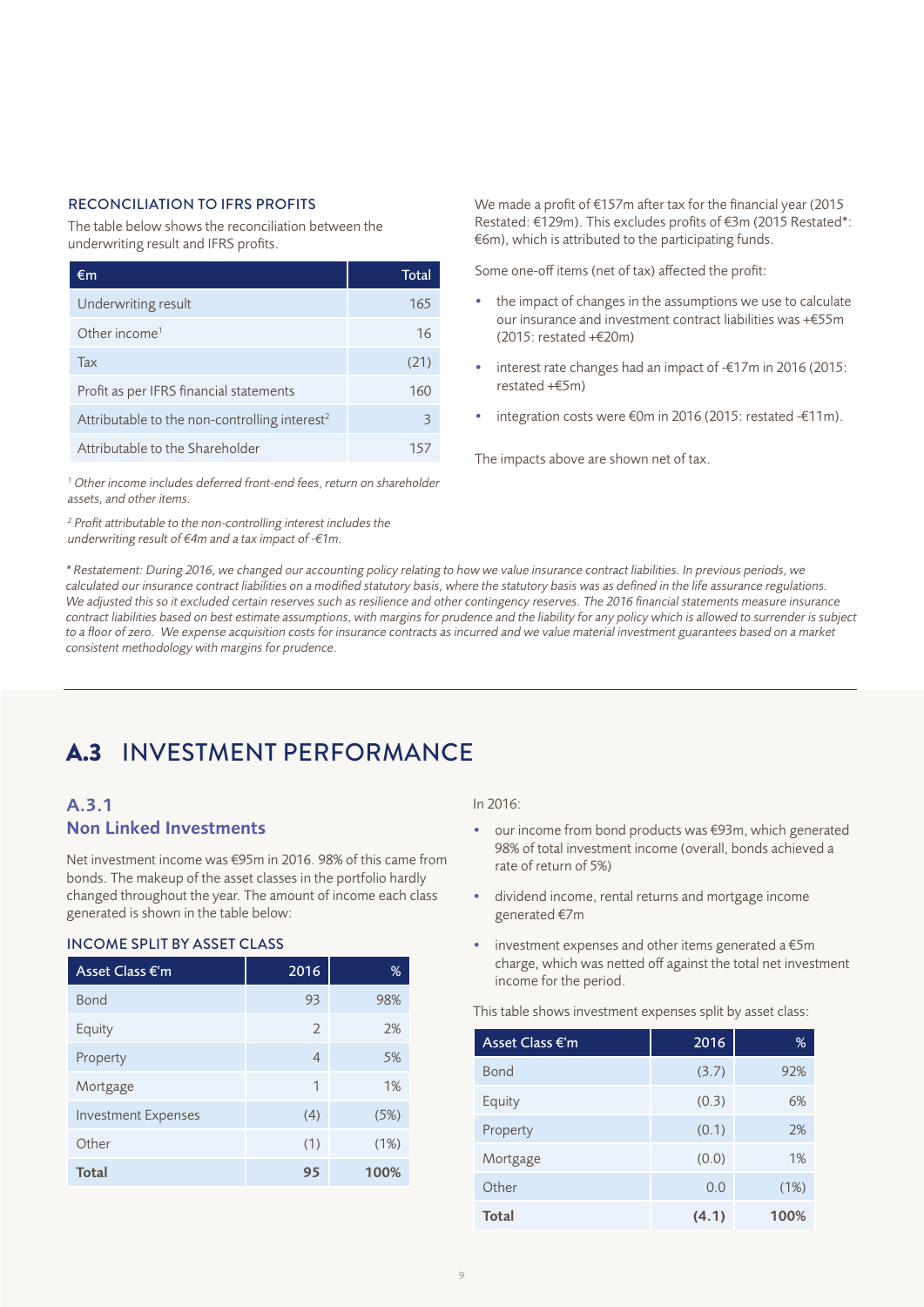The table below shows the reconciliation between the underwriting result and IFRS profits.

| €m                                                        | Total |
|-----------------------------------------------------------|-------|
| Underwriting result                                       | 165   |
| Other income <sup>1</sup>                                 | 16    |
| Tax                                                       | (21)  |
| Profit as per IFRS financial statements                   | 160   |
| Attributable to the non-controlling interest <sup>2</sup> | 3     |
| Attributable to the Shareholder                           |       |

<sup>1</sup> Other income includes deferred front-end fees, return on shareholder *assets, and other items.*

*2 Profit attributable to the non-controlling interest includes the underwriting result of €4m and a tax impact of -€1m.* 

We made a profit of €157m after tax for the financial year (2015 Restated: €129m). This excludes profits of €3m (2015 Restated\*: €6m), which is attributed to the participating funds.

Some one-off items (net of tax) affected the profit:

- the impact of changes in the assumptions we use to calculate our insurance and investment contract liabilities was +€55m (2015: restated +€20m)
- interest rate changes had an impact of -€17m in 2016 (2015: restated +€5m)
- integration costs were €0m in 2016 (2015: restated -€11m).

The impacts above are shown net of tax.

*\* Restatement: During 2016, we changed our accounting policy relating to how we value insurance contract liabilities. In previous periods, we calculated our insurance contract liabilities on a modified statutory basis, where the statutory basis was as defined in the life assurance regulations.*  We adjusted this so it excluded certain reserves such as resilience and other contingency reserves. The 2016 financial statements measure insurance *contract liabilities based on best estimate assumptions, with margins for prudence and the liability for any policy which is allowed to surrender is subject*  to a floor of zero. We expense acquisition costs for insurance contracts as incurred and we value material investment guarantees based on a market *consistent methodology with margins for prudence.* 

# A.3 INVESTMENT PERFORMANCE

## A.3.1 Non Linked Investments

Net investment income was €95m in 2016. 98% of this came from bonds. The makeup of the asset classes in the portfolio hardly changed throughout the year. The amount of income each class generated is shown in the table below:

## INCOME SPLIT BY ASSET CLASS

| Asset Class €'m            | 2016           | %    |
|----------------------------|----------------|------|
| <b>Bond</b>                | 93             | 98%  |
| Equity                     | 2              | 2%   |
| Property                   | $\overline{4}$ | 5%   |
| Mortgage                   | $\mathbf 1$    | 1%   |
| <b>Investment Expenses</b> | (4)            | (5%) |
| Other                      | (1)            | (1%) |
| <b>Total</b>               | 95             | 100% |

#### In 2016:

- our income from bond products was €93m, which generated 98% of total investment income (overall, bonds achieved a rate of return of 5%)
- dividend income, rental returns and mortgage income generated €7m
- investment expenses and other items generated a €5m charge, which was netted off against the total net investment income for the period.

This table shows investment expenses split by asset class:

| Asset Class €'m | 2016  | %    |
|-----------------|-------|------|
| <b>Bond</b>     | (3.7) | 92%  |
| Equity          | (0.3) | 6%   |
| Property        | (0.1) | 2%   |
| Mortgage        | (0.0) | 1%   |
| Other           | 0.0   | (1%) |
| <b>Total</b>    | (4.1) | 100% |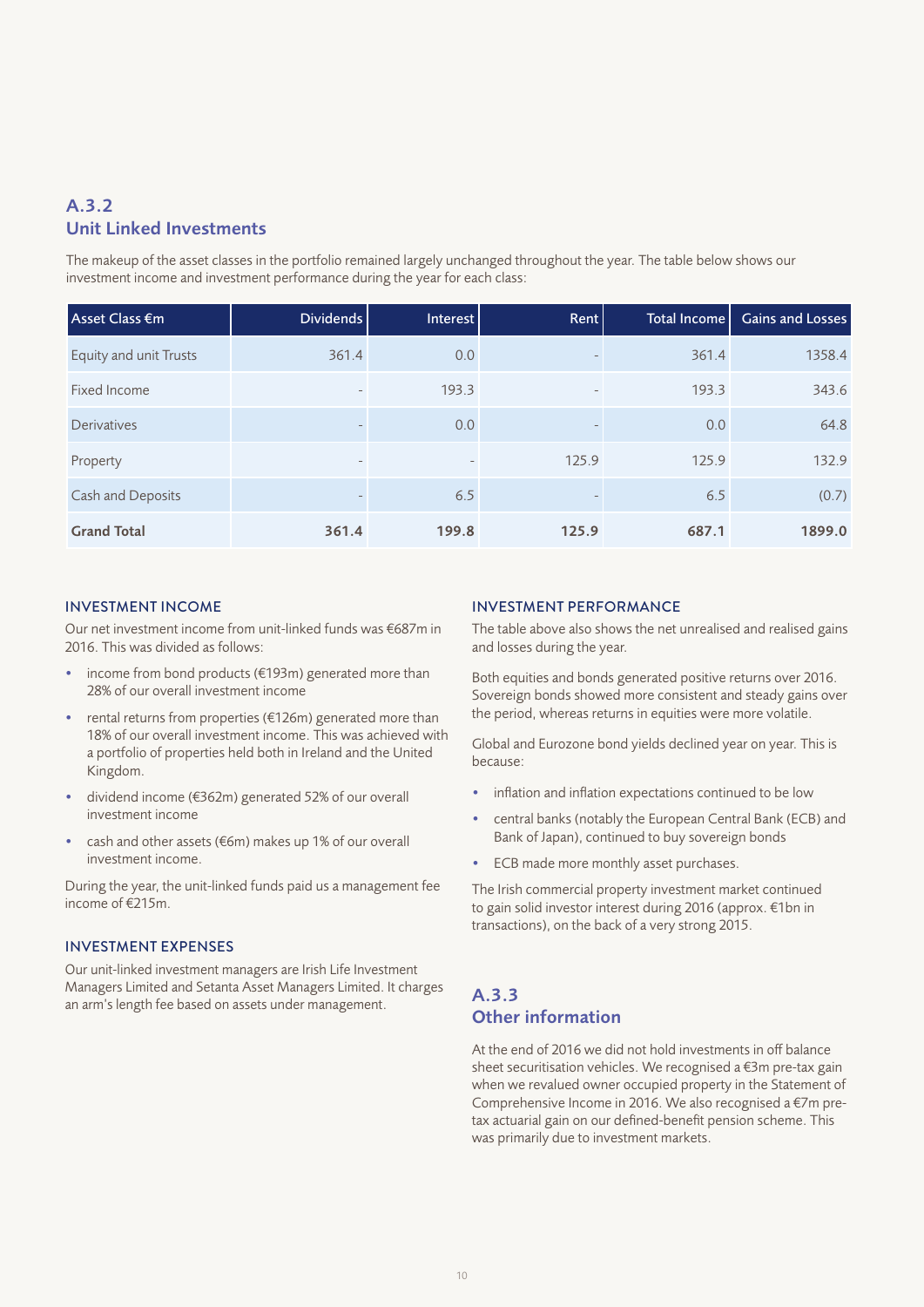## A.3.2 Unit Linked Investments

The makeup of the asset classes in the portfolio remained largely unchanged throughout the year. The table below shows our investment income and investment performance during the year for each class:

| Asset Class €m         | Dividends         | Interest                 | Rent                     | Total Income | Gains and Losses |
|------------------------|-------------------|--------------------------|--------------------------|--------------|------------------|
| Equity and unit Trusts | 361.4             | 0.0                      | $\overline{\phantom{a}}$ | 361.4        | 1358.4           |
| Fixed Income           |                   | 193.3                    | $\overline{\phantom{a}}$ | 193.3        | 343.6            |
| Derivatives            |                   | 0.0                      | $\qquad \qquad =$        | 0.0          | 64.8             |
| Property               | $\qquad \qquad =$ | $\overline{\phantom{a}}$ | 125.9                    | 125.9        | 132.9            |
| Cash and Deposits      |                   | 6.5                      | $\qquad \qquad =$        | 6.5          | (0.7)            |
| <b>Grand Total</b>     | 361.4             | 199.8                    | 125.9                    | 687.1        | 1899.0           |

## INVESTMENT INCOME

Our net investment income from unit-linked funds was €687m in 2016. This was divided as follows:

- income from bond products ( $€193m$ ) generated more than 28% of our overall investment income
- rental returns from properties ( $£126m$ ) generated more than 18% of our overall investment income. This was achieved with a portfolio of properties held both in Ireland and the United Kingdom.
- dividend income (€362m) generated 52% of our overall investment income
- cash and other assets (€6m) makes up 1% of our overall investment income.

During the year, the unit-linked funds paid us a management fee income of €215m.

## INVESTMENT EXPENSES

Our unit-linked investment managers are Irish Life Investment Managers Limited and Setanta Asset Managers Limited. It charges an arm's length fee based on assets under management.

## INVESTMENT PERFORMANCE

The table above also shows the net unrealised and realised gains and losses during the year.

Both equities and bonds generated positive returns over 2016. Sovereign bonds showed more consistent and steady gains over the period, whereas returns in equities were more volatile.

Global and Eurozone bond yields declined year on year. This is because:

- inflation and inflation expectations continued to be low
- central banks (notably the European Central Bank (ECB) and Bank of Japan), continued to buy sovereign bonds
- ECB made more monthly asset purchases.

The Irish commercial property investment market continued to gain solid investor interest during 2016 (approx. €1bn in transactions), on the back of a very strong 2015.

## A.3.3 Other information

At the end of 2016 we did not hold investments in off balance sheet securitisation vehicles. We recognised a €3m pre-tax gain when we revalued owner occupied property in the Statement of Comprehensive Income in 2016. We also recognised a €7m pretax actuarial gain on our defined-benefit pension scheme. This was primarily due to investment markets.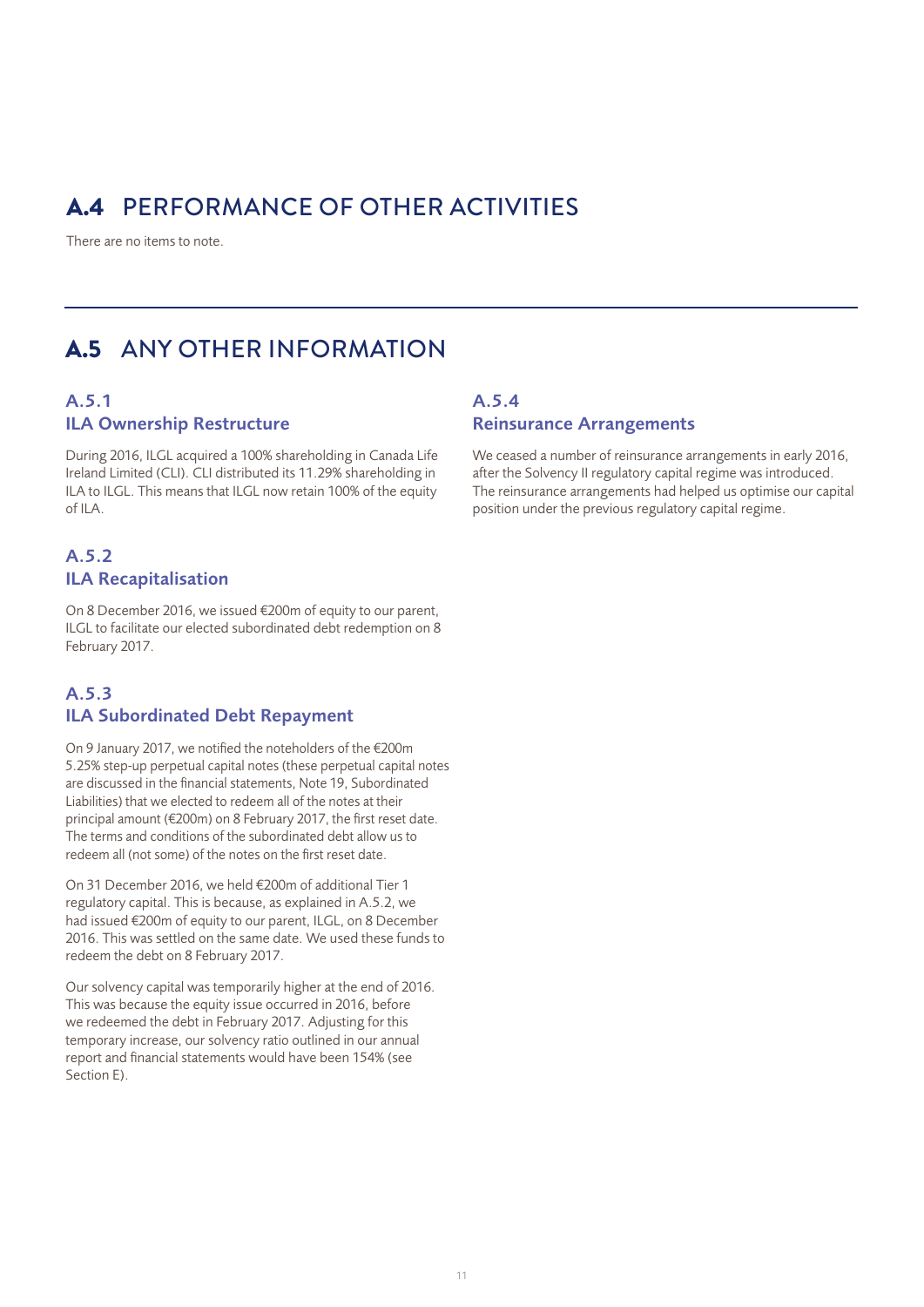# A.4 PERFORMANCE OF OTHER ACTIVITIES

There are no items to note.

# A.5 ANY OTHER INFORMATION

## A.5.1 ILA Ownership Restructure

During 2016, ILGL acquired a 100% shareholding in Canada Life Ireland Limited (CLI). CLI distributed its 11.29% shareholding in ILA to ILGL. This means that ILGL now retain 100% of the equity of ILA.

## A.5.2 ILA Recapitalisation

On 8 December 2016, we issued €200m of equity to our parent, ILGL to facilitate our elected subordinated debt redemption on 8 February 2017.

## A.5.3 ILA Subordinated Debt Repayment

On 9 January 2017, we notified the noteholders of the €200m 5.25% step-up perpetual capital notes (these perpetual capital notes are discussed in the financial statements, Note 19, Subordinated Liabilities) that we elected to redeem all of the notes at their principal amount (€200m) on 8 February 2017, the first reset date. The terms and conditions of the subordinated debt allow us to redeem all (not some) of the notes on the first reset date.

On 31 December 2016, we held €200m of additional Tier 1 regulatory capital. This is because, as explained in A.5.2, we had issued €200m of equity to our parent, ILGL, on 8 December 2016. This was settled on the same date. We used these funds to redeem the debt on 8 February 2017.

Our solvency capital was temporarily higher at the end of 2016. This was because the equity issue occurred in 2016, before we redeemed the debt in February 2017. Adjusting for this temporary increase, our solvency ratio outlined in our annual report and financial statements would have been 154% (see Section E).

## A.5.4 Reinsurance Arrangements

We ceased a number of reinsurance arrangements in early 2016, after the Solvency II regulatory capital regime was introduced. The reinsurance arrangements had helped us optimise our capital position under the previous regulatory capital regime.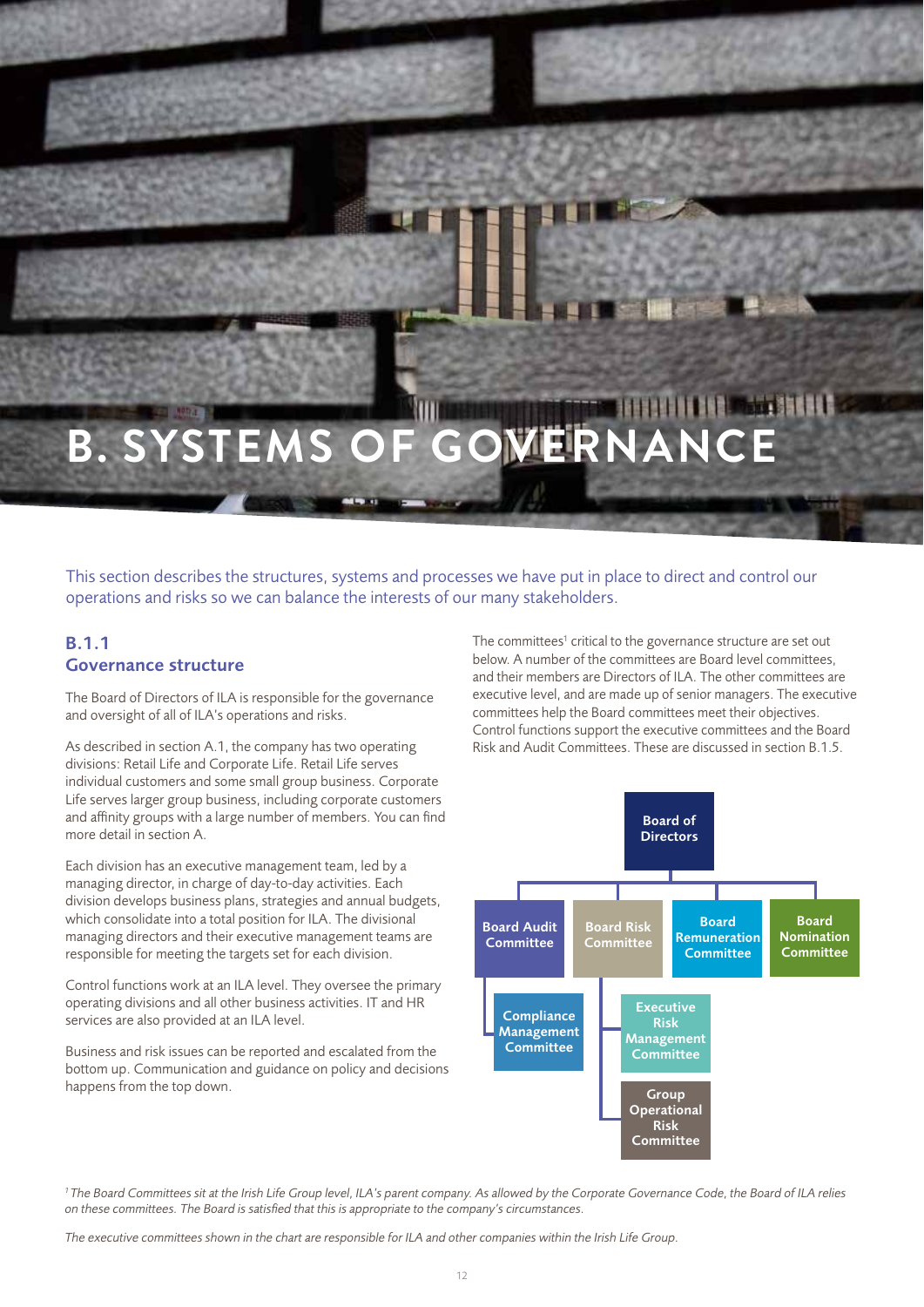# **BELLEVEL MARKETING B. SYSTEMS OF GOVERNANCE**

This section describes the structures, systems and processes we have put in place to direct and control our operations and risks so we can balance the interests of our many stakeholders.

## B.1.1 Governance structure

The Board of Directors of ILA is responsible for the governance and oversight of all of ILA's operations and risks.

As described in section A.1, the company has two operating divisions: Retail Life and Corporate Life. Retail Life serves individual customers and some small group business. Corporate Life serves larger group business, including corporate customers and affinity groups with a large number of members. You can find more detail in section A.

Each division has an executive management team, led by a managing director, in charge of day-to-day activities. Each division develops business plans, strategies and annual budgets, which consolidate into a total position for ILA. The divisional managing directors and their executive management teams are responsible for meeting the targets set for each division.

Control functions work at an ILA level. They oversee the primary operating divisions and all other business activities. IT and HR services are also provided at an ILA level.

Business and risk issues can be reported and escalated from the bottom up. Communication and guidance on policy and decisions happens from the top down.

The committees<sup>1</sup> critical to the governance structure are set out below. A number of the committees are Board level committees, and their members are Directors of ILA. The other committees are executive level, and are made up of senior managers. The executive committees help the Board committees meet their objectives. Control functions support the executive committees and the Board Risk and Audit Committees. These are discussed in section B.1.5.



*1 The Board Committees sit at the Irish Life Group level, ILA's parent company. As allowed by the Corporate Governance Code, the Board of ILA relies on these committees. The Board is satisfied that this is appropriate to the company's circumstances.* 

*The executive committees shown in the chart are responsible for ILA and other companies within the Irish Life Group.*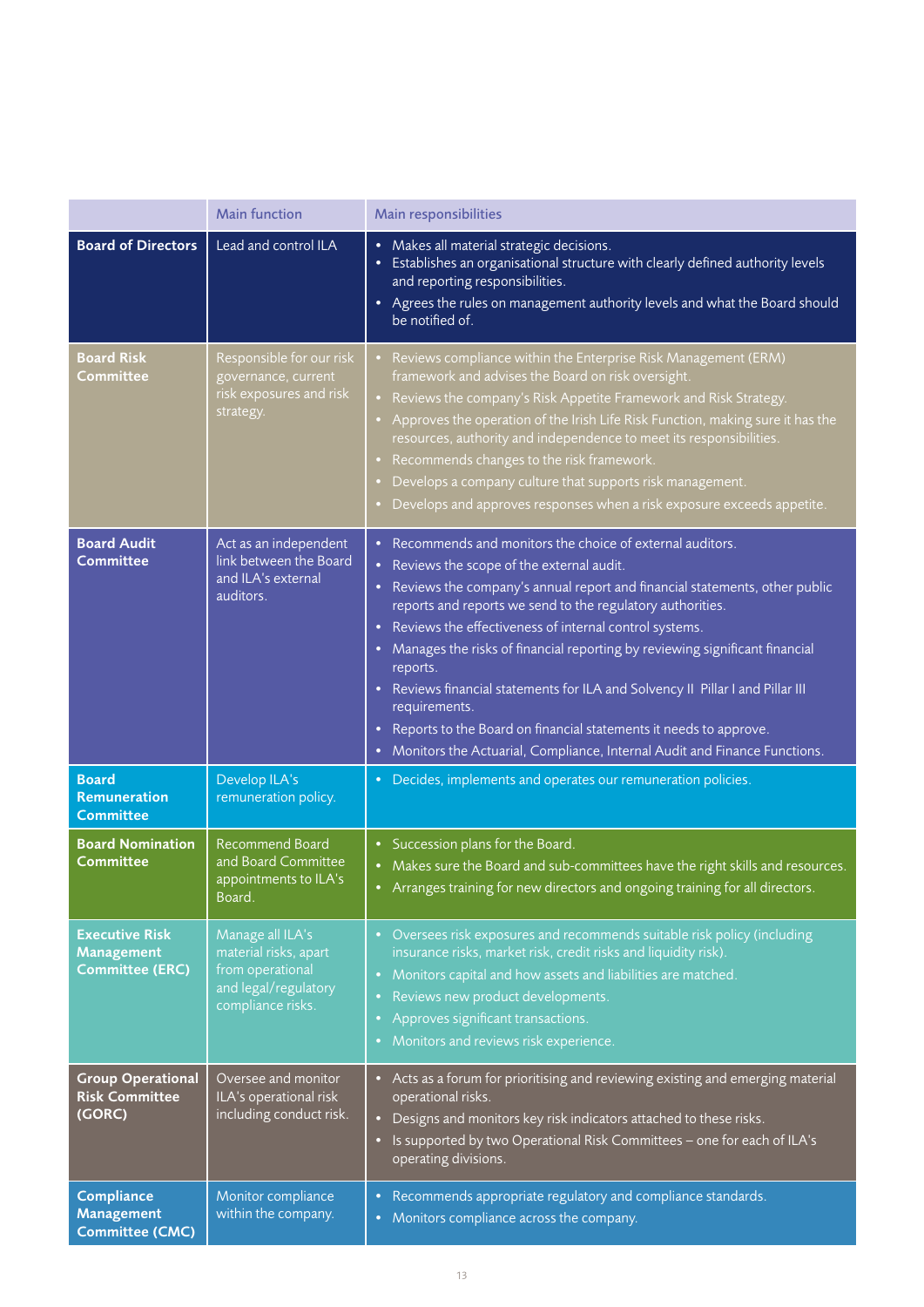|                                                               | <b>Main function</b>                                                                                       | Main responsibilities                                                                                                                                                                                                                                                                                                                                                                                                                                                                                                                                                                                                                                                                                               |
|---------------------------------------------------------------|------------------------------------------------------------------------------------------------------------|---------------------------------------------------------------------------------------------------------------------------------------------------------------------------------------------------------------------------------------------------------------------------------------------------------------------------------------------------------------------------------------------------------------------------------------------------------------------------------------------------------------------------------------------------------------------------------------------------------------------------------------------------------------------------------------------------------------------|
| <b>Board of Directors</b>                                     | Lead and control ILA                                                                                       | • Makes all material strategic decisions.<br>Establishes an organisational structure with clearly defined authority levels<br>$\bullet$<br>and reporting responsibilities.<br>• Agrees the rules on management authority levels and what the Board should<br>be notified of.                                                                                                                                                                                                                                                                                                                                                                                                                                        |
| <b>Board Risk</b><br><b>Committee</b>                         | Responsible for our risk<br>governance, current<br>risk exposures and risk<br>strategy.                    | Reviews compliance within the Enterprise Risk Management (ERM)<br>framework and advises the Board on risk oversight.<br>Reviews the company's Risk Appetite Framework and Risk Strategy.<br>Approves the operation of the Irish Life Risk Function, making sure it has the<br>resources, authority and independence to meet its responsibilities.<br>Recommends changes to the risk framework.<br>Develops a company culture that supports risk management.<br>Develops and approves responses when a risk exposure exceeds appetite.                                                                                                                                                                               |
| <b>Board Audit</b><br><b>Committee</b>                        | Act as an independent<br>link between the Board<br>and ILA's external<br>auditors.                         | • Recommends and monitors the choice of external auditors.<br>Reviews the scope of the external audit.<br>$\bullet$<br>Reviews the company's annual report and financial statements, other public<br>reports and reports we send to the regulatory authorities.<br>Reviews the effectiveness of internal control systems.<br>٠<br>Manages the risks of financial reporting by reviewing significant financial<br>$\bullet$<br>reports.<br>Reviews financial statements for ILA and Solvency II Pillar I and Pillar III<br>requirements.<br>Reports to the Board on financial statements it needs to approve.<br>$\bullet$<br>Monitors the Actuarial, Compliance, Internal Audit and Finance Functions.<br>$\bullet$ |
| <b>Board</b><br><b>Remuneration</b><br><b>Committee</b>       | Develop ILA's<br>remuneration policy.                                                                      | Decides, implements and operates our remuneration policies.<br>$\bullet$                                                                                                                                                                                                                                                                                                                                                                                                                                                                                                                                                                                                                                            |
| <b>Board Nomination</b><br><b>Committee</b>                   | <b>Recommend Board</b><br>and Board Committee<br>appointments to ILA's<br>Board.                           | • Succession plans for the Board.<br>• Makes sure the Board and sub-committees have the right skills and resources.<br>• Arranges training for new directors and ongoing training for all directors.                                                                                                                                                                                                                                                                                                                                                                                                                                                                                                                |
| <b>Executive Risk</b><br>Management<br><b>Committee (ERC)</b> | Manage all ILA's<br>material risks, apart<br>from operational<br>and legal/regulatory<br>compliance risks. | • Oversees risk exposures and recommends suitable risk policy (including<br>insurance risks, market risk, credit risks and liquidity risk).<br>Monitors capital and how assets and liabilities are matched.<br>$\bullet$<br>Reviews new product developments.<br>Approves significant transactions.<br>$\bullet$<br>Monitors and reviews risk experience.                                                                                                                                                                                                                                                                                                                                                           |
| <b>Group Operational</b><br><b>Risk Committee</b><br>(GORC)   | Oversee and monitor<br>ILA's operational risk<br>including conduct risk.                                   | • Acts as a forum for prioritising and reviewing existing and emerging material<br>operational risks.<br>Designs and monitors key risk indicators attached to these risks.<br>$\bullet$<br>Is supported by two Operational Risk Committees - one for each of ILA's<br>$\bullet$<br>operating divisions.                                                                                                                                                                                                                                                                                                                                                                                                             |
| Compliance<br><b>Management</b><br><b>Committee (CMC)</b>     | Monitor compliance<br>within the company.                                                                  | Recommends appropriate regulatory and compliance standards.<br>$\bullet$<br>Monitors compliance across the company.<br>$\bullet$                                                                                                                                                                                                                                                                                                                                                                                                                                                                                                                                                                                    |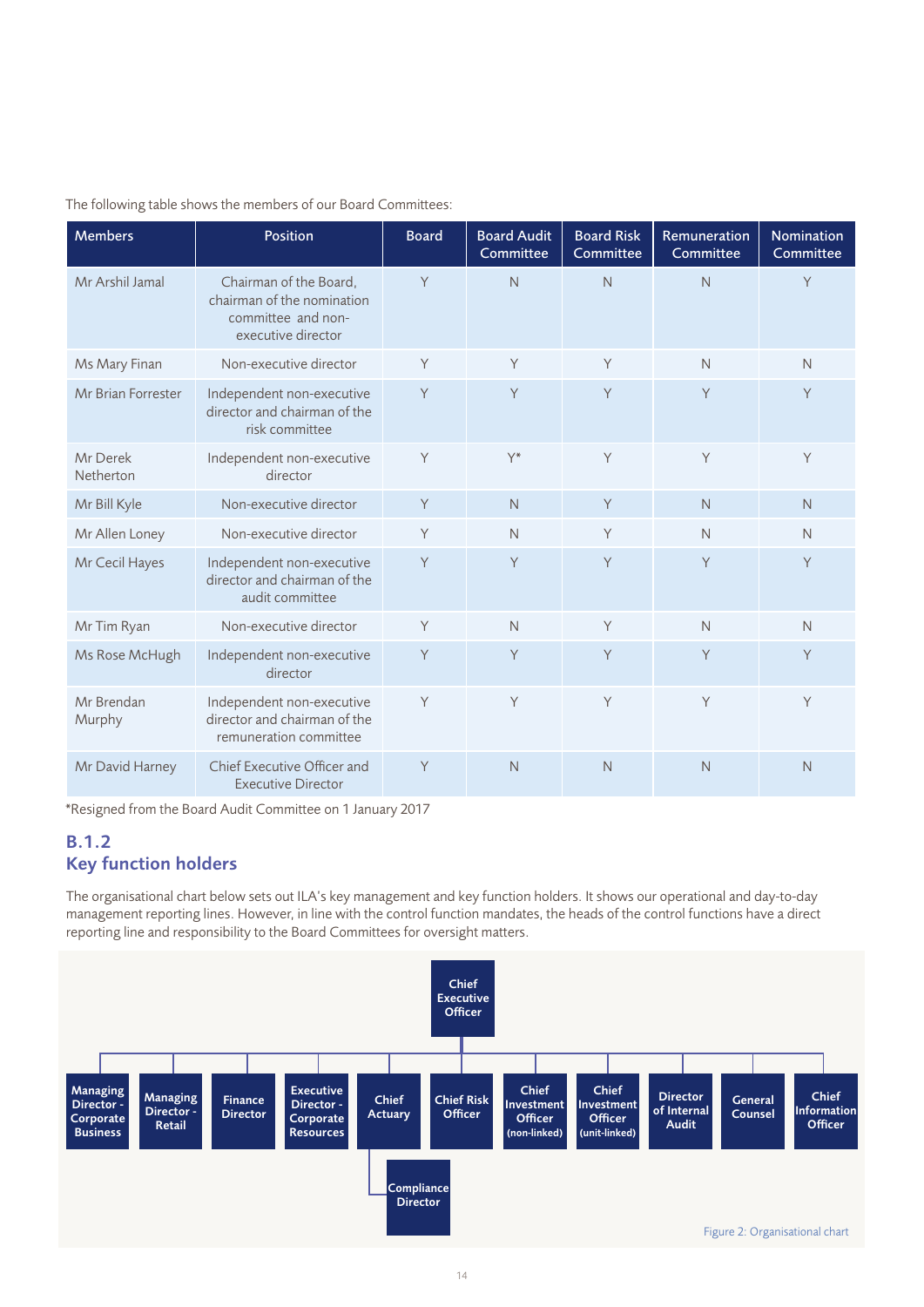| <b>Members</b>        | <b>Position</b>                                                                                  | <b>Board</b> | <b>Board Audit</b><br>Committee | <b>Board Risk</b><br>Committee | Remuneration<br>Committee | Nomination<br>Committee |
|-----------------------|--------------------------------------------------------------------------------------------------|--------------|---------------------------------|--------------------------------|---------------------------|-------------------------|
| Mr Arshil Jamal       | Chairman of the Board,<br>chairman of the nomination<br>committee and non-<br>executive director | Y            | $\mathsf{N}$                    | $\mathsf{N}$                   | $\mathsf{N}$              | Y                       |
| Ms Mary Finan         | Non-executive director                                                                           | Y            | Y                               | Y                              | $\mathsf{N}$              | N                       |
| Mr Brian Forrester    | Independent non-executive<br>director and chairman of the<br>risk committee                      | Y            | Y                               | Y                              | Y                         | Y                       |
| Mr Derek<br>Netherton | Independent non-executive<br>director                                                            | Y            | $Y^*$                           | Y                              | Y                         | Y                       |
| Mr Bill Kyle          | Non-executive director                                                                           | Y            | N                               | Y                              | N                         | N                       |
| Mr Allen Loney        | Non-executive director                                                                           | Y            | $\mathsf{N}$                    | Y                              | $\mathsf{N}$              | N                       |
| Mr Cecil Hayes        | Independent non-executive<br>director and chairman of the<br>audit committee                     | Y            | Y                               | Y                              | Y                         | Y                       |
| Mr Tim Ryan           | Non-executive director                                                                           | Y            | $\mathsf{N}$                    | Y                              | $\mathsf{N}$              | N                       |
| Ms Rose McHugh        | Independent non-executive<br>director                                                            | Y            | Y                               | Y                              | Y                         | Y                       |
| Mr Brendan<br>Murphy  | Independent non-executive<br>director and chairman of the<br>remuneration committee              | Y            | Y                               | Y                              | Y                         | Y                       |
| Mr David Harney       | Chief Executive Officer and<br><b>Executive Director</b>                                         | Y            | N                               | N                              | N                         | N                       |

## The following table shows the members of our Board Committees:

\*Resigned from the Board Audit Committee on 1 January 2017

## B.1.2 Key function holders

The organisational chart below sets out ILA's key management and key function holders. It shows our operational and day-to-day management reporting lines. However, in line with the control function mandates, the heads of the control functions have a direct reporting line and responsibility to the Board Committees for oversight matters.

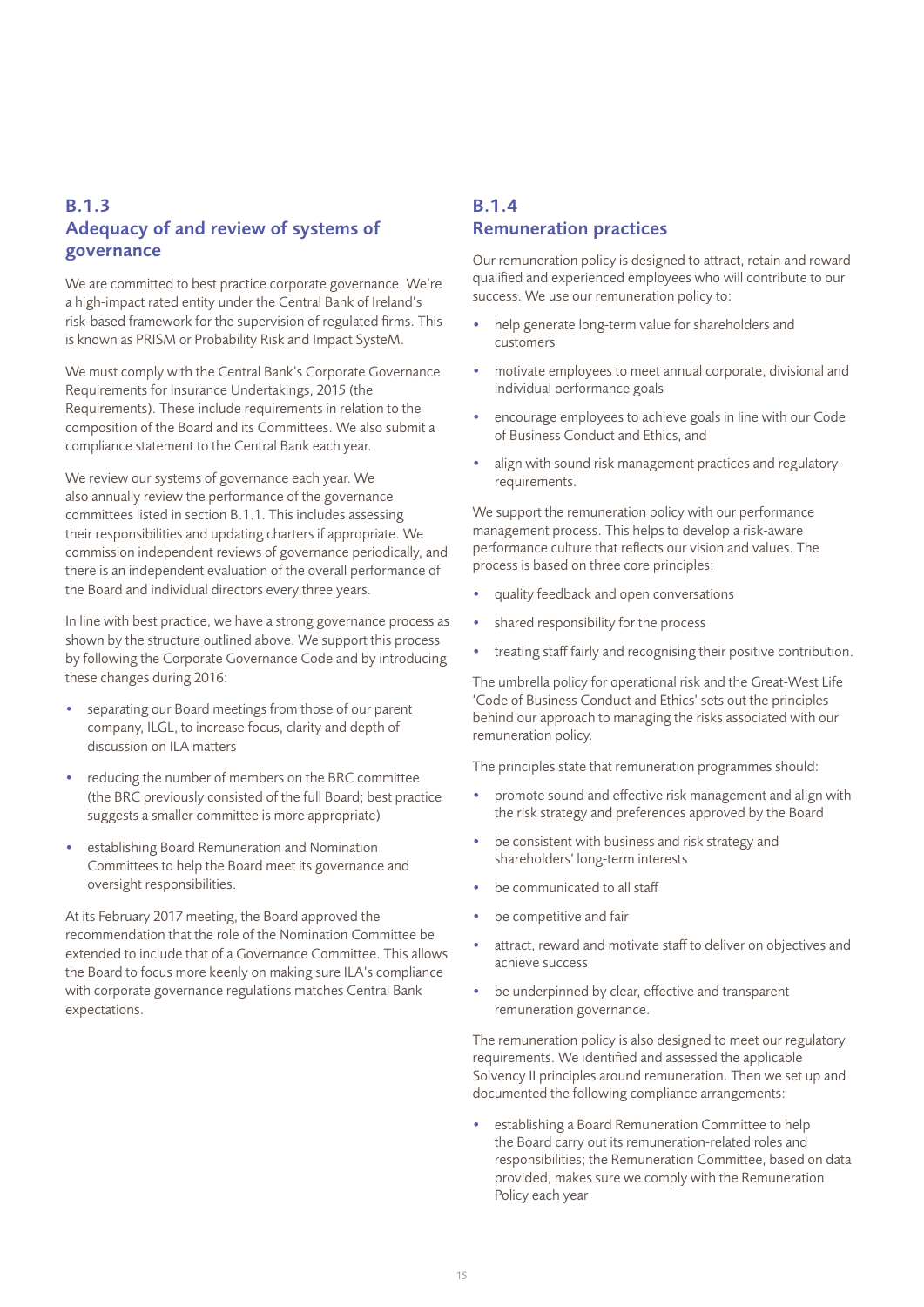## B.1.3 Adequacy of and review of systems of governance

We are committed to best practice corporate governance. We're a high-impact rated entity under the Central Bank of Ireland's risk-based framework for the supervision of regulated firms. This is known as PRISM or Probability Risk and Impact SysteM.

We must comply with the Central Bank's Corporate Governance Requirements for Insurance Undertakings, 2015 (the Requirements). These include requirements in relation to the composition of the Board and its Committees. We also submit a compliance statement to the Central Bank each year.

We review our systems of governance each year. We also annually review the performance of the governance committees listed in section B.1.1. This includes assessing their responsibilities and updating charters if appropriate. We commission independent reviews of governance periodically, and there is an independent evaluation of the overall performance of the Board and individual directors every three years.

In line with best practice, we have a strong governance process as shown by the structure outlined above. We support this process by following the Corporate Governance Code and by introducing these changes during 2016:

- separating our Board meetings from those of our parent company, ILGL, to increase focus, clarity and depth of discussion on ILA matters
- reducing the number of members on the BRC committee (the BRC previously consisted of the full Board; best practice suggests a smaller committee is more appropriate)
- establishing Board Remuneration and Nomination Committees to help the Board meet its governance and oversight responsibilities.

At its February 2017 meeting, the Board approved the recommendation that the role of the Nomination Committee be extended to include that of a Governance Committee. This allows the Board to focus more keenly on making sure ILA's compliance with corporate governance regulations matches Central Bank expectations.

## B.1.4 Remuneration practices

Our remuneration policy is designed to attract, retain and reward qualified and experienced employees who will contribute to our success. We use our remuneration policy to:

- help generate long-term value for shareholders and customers
- motivate employees to meet annual corporate, divisional and individual performance goals
- encourage employees to achieve goals in line with our Code of Business Conduct and Ethics, and
- align with sound risk management practices and regulatory requirements.

We support the remuneration policy with our performance management process. This helps to develop a risk-aware performance culture that reflects our vision and values. The process is based on three core principles:

- quality feedback and open conversations
- shared responsibility for the process
- treating staff fairly and recognising their positive contribution.

The umbrella policy for operational risk and the Great-West Life 'Code of Business Conduct and Ethics' sets out the principles behind our approach to managing the risks associated with our remuneration policy.

The principles state that remuneration programmes should:

- promote sound and effective risk management and align with the risk strategy and preferences approved by the Board
- be consistent with business and risk strategy and shareholders' long-term interests
- be communicated to all staff
- be competitive and fair
- attract, reward and motivate staff to deliver on objectives and achieve success
- be underpinned by clear, effective and transparent remuneration governance.

The remuneration policy is also designed to meet our regulatory requirements. We identified and assessed the applicable Solvency II principles around remuneration. Then we set up and documented the following compliance arrangements:

• establishing a Board Remuneration Committee to help the Board carry out its remuneration-related roles and responsibilities; the Remuneration Committee, based on data provided, makes sure we comply with the Remuneration Policy each year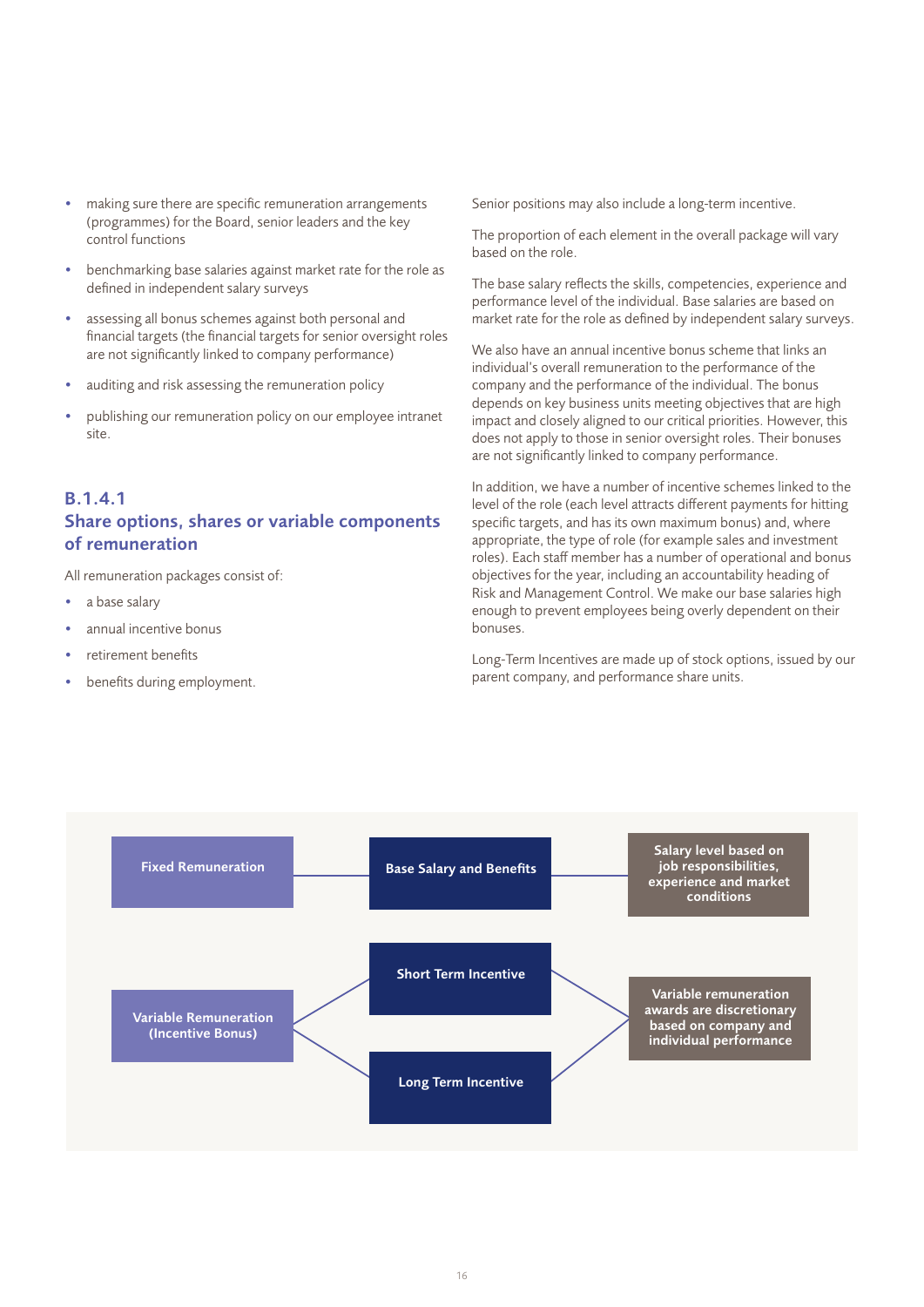- making sure there are specific remuneration arrangements (programmes) for the Board, senior leaders and the key control functions
- benchmarking base salaries against market rate for the role as defined in independent salary surveys
- assessing all bonus schemes against both personal and financial targets (the financial targets for senior oversight roles are not significantly linked to company performance)
- auditing and risk assessing the remuneration policy
- publishing our remuneration policy on our employee intranet site.

## B.1.4.1 Share options, shares or variable components of remuneration

All remuneration packages consist of:

- a base salary
- annual incentive bonus
- retirement benefits
- benefits during employment.

Senior positions may also include a long-term incentive.

The proportion of each element in the overall package will vary based on the role.

The base salary reflects the skills, competencies, experience and performance level of the individual. Base salaries are based on market rate for the role as defined by independent salary surveys.

We also have an annual incentive bonus scheme that links an individual's overall remuneration to the performance of the company and the performance of the individual. The bonus depends on key business units meeting objectives that are high impact and closely aligned to our critical priorities. However, this does not apply to those in senior oversight roles. Their bonuses are not significantly linked to company performance.

In addition, we have a number of incentive schemes linked to the level of the role (each level attracts different payments for hitting specific targets, and has its own maximum bonus) and, where appropriate, the type of role (for example sales and investment roles). Each staff member has a number of operational and bonus objectives for the year, including an accountability heading of Risk and Management Control. We make our base salaries high enough to prevent employees being overly dependent on their bonuses.

Long-Term Incentives are made up of stock options, issued by our parent company, and performance share units.

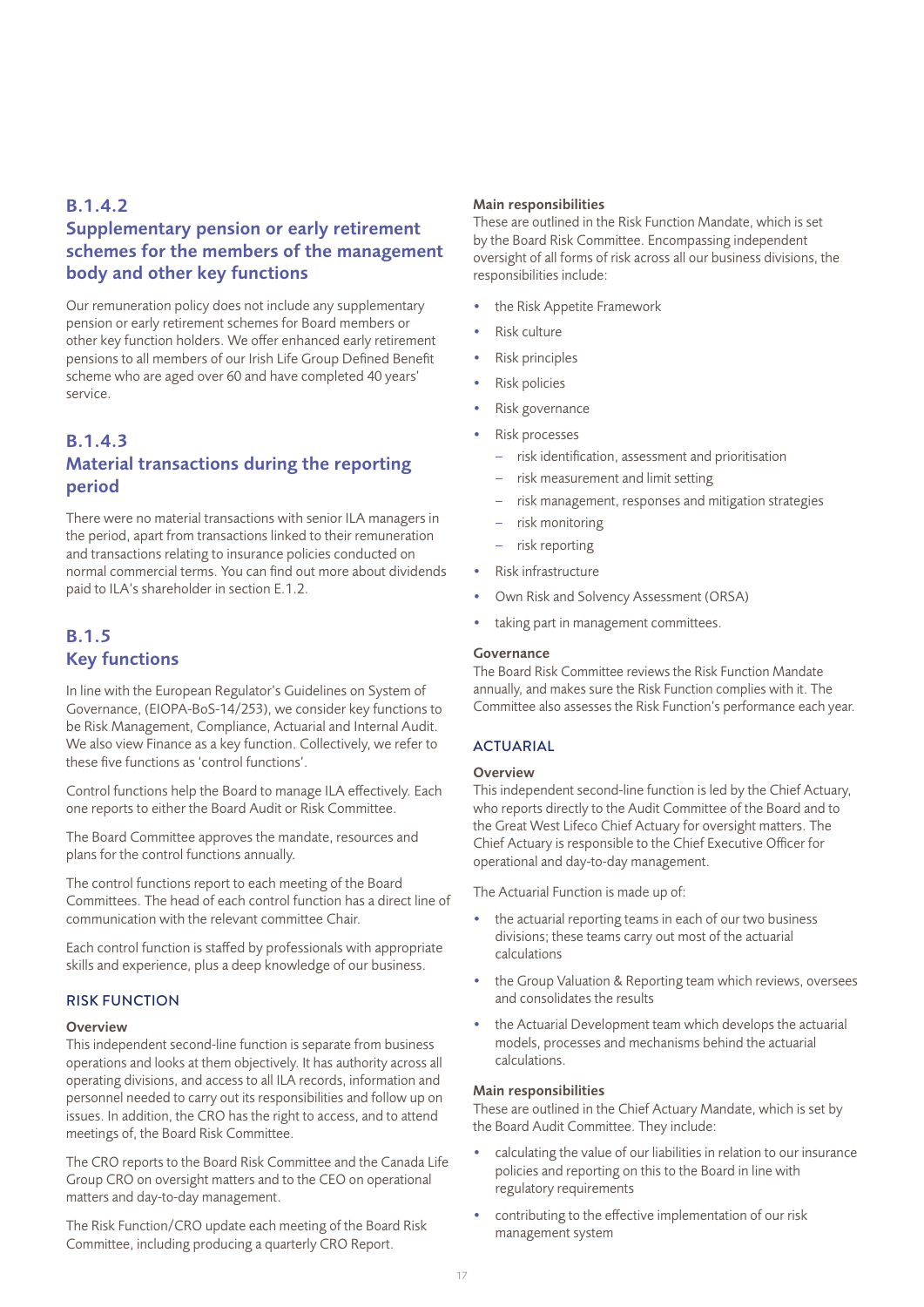## B.1.4.2 Supplementary pension or early retirement schemes for the members of the management body and other key functions

Our remuneration policy does not include any supplementary pension or early retirement schemes for Board members or other key function holders. We offer enhanced early retirement pensions to all members of our Irish Life Group Defined Benefit scheme who are aged over 60 and have completed 40 years' service.

## B.1.4.3 Material transactions during the reporting period

There were no material transactions with senior ILA managers in the period, apart from transactions linked to their remuneration and transactions relating to insurance policies conducted on normal commercial terms. You can find out more about dividends paid to ILA's shareholder in section E.1.2.

## B.1.5 Key functions

In line with the European Regulator's Guidelines on System of Governance, (EIOPA-BoS-14/253), we consider key functions to be Risk Management, Compliance, Actuarial and Internal Audit. We also view Finance as a key function. Collectively, we refer to these five functions as 'control functions'.

Control functions help the Board to manage ILA effectively. Each one reports to either the Board Audit or Risk Committee.

The Board Committee approves the mandate, resources and plans for the control functions annually.

The control functions report to each meeting of the Board Committees. The head of each control function has a direct line of communication with the relevant committee Chair.

Each control function is staffed by professionals with appropriate skills and experience, plus a deep knowledge of our business.

## RISK FUNCTION

#### **Overview**

This independent second-line function is separate from business operations and looks at them objectively. It has authority across all operating divisions, and access to all ILA records, information and personnel needed to carry out its responsibilities and follow up on issues. In addition, the CRO has the right to access, and to attend meetings of, the Board Risk Committee.

The CRO reports to the Board Risk Committee and the Canada Life Group CRO on oversight matters and to the CEO on operational matters and day-to-day management.

The Risk Function/CRO update each meeting of the Board Risk Committee, including producing a quarterly CRO Report.

#### Main responsibilities

These are outlined in the Risk Function Mandate, which is set by the Board Risk Committee. Encompassing independent oversight of all forms of risk across all our business divisions, the responsibilities include:

- the Risk Appetite Framework
- Risk culture
- Risk principles
- Risk policies
- Risk governance
- Risk processes
	- risk identification, assessment and prioritisation
	- risk measurement and limit setting
	- risk management, responses and mitigation strategies
	- risk monitoring
	- risk reporting
- Risk infrastructure
- Own Risk and Solvency Assessment (ORSA)
- taking part in management committees.

#### Governance

The Board Risk Committee reviews the Risk Function Mandate annually, and makes sure the Risk Function complies with it. The Committee also assesses the Risk Function's performance each year.

## **ACTUARIAL**

## Overview

This independent second-line function is led by the Chief Actuary, who reports directly to the Audit Committee of the Board and to the Great West Lifeco Chief Actuary for oversight matters. The Chief Actuary is responsible to the Chief Executive Officer for operational and day-to-day management.

The Actuarial Function is made up of:

- the actuarial reporting teams in each of our two business divisions; these teams carry out most of the actuarial calculations
- the Group Valuation & Reporting team which reviews, oversees and consolidates the results
- the Actuarial Development team which develops the actuarial models, processes and mechanisms behind the actuarial calculations.

#### Main responsibilities

These are outlined in the Chief Actuary Mandate, which is set by the Board Audit Committee. They include:

- calculating the value of our liabilities in relation to our insurance policies and reporting on this to the Board in line with regulatory requirements
- contributing to the effective implementation of our risk management system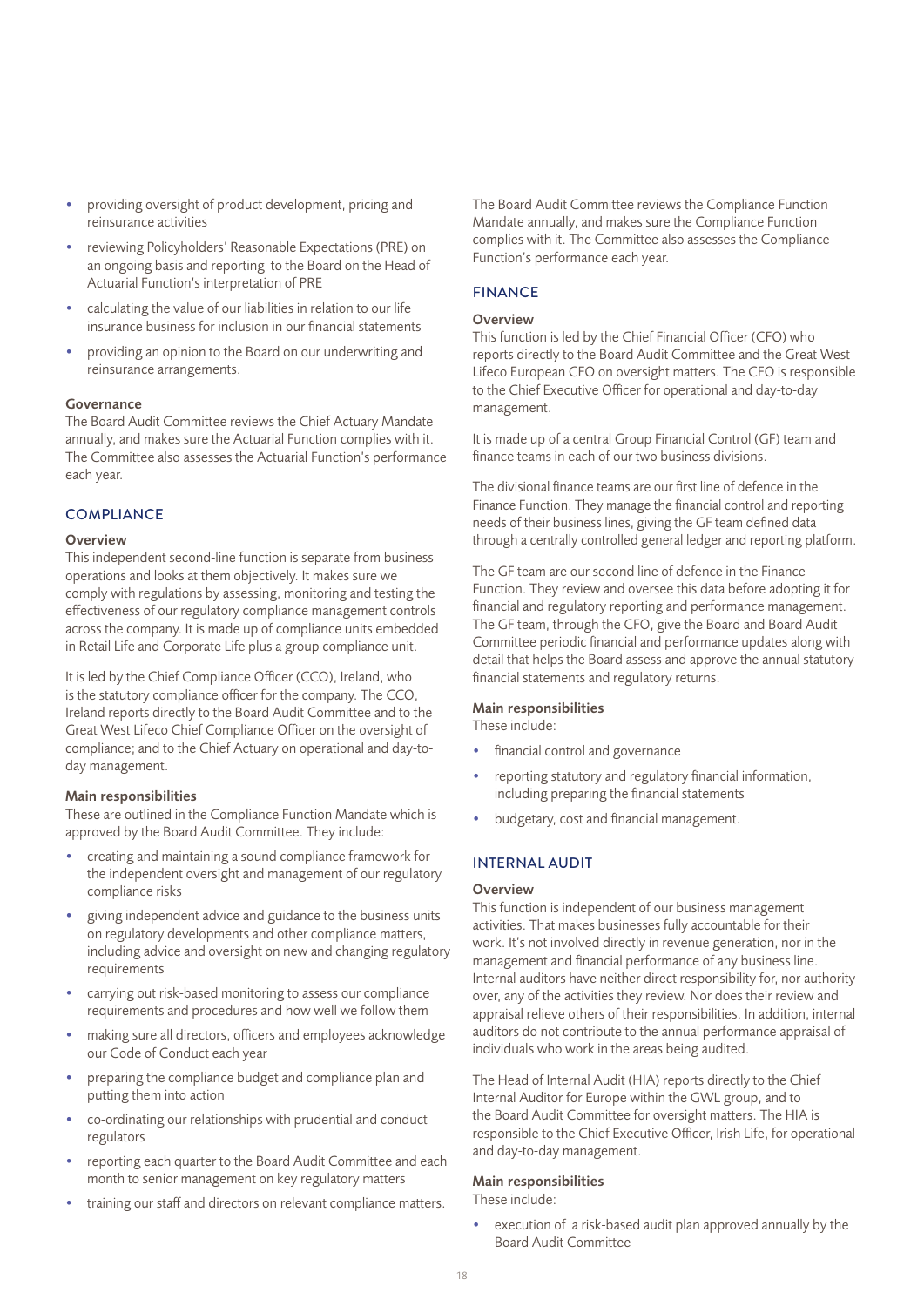- providing oversight of product development, pricing and reinsurance activities
- reviewing Policyholders' Reasonable Expectations (PRE) on an ongoing basis and reporting to the Board on the Head of Actuarial Function's interpretation of PRE
- calculating the value of our liabilities in relation to our life insurance business for inclusion in our financial statements
- providing an opinion to the Board on our underwriting and reinsurance arrangements.

### Governance

The Board Audit Committee reviews the Chief Actuary Mandate annually, and makes sure the Actuarial Function complies with it. The Committee also assesses the Actuarial Function's performance each year.

### **COMPLIANCE**

#### **Overview**

This independent second-line function is separate from business operations and looks at them objectively. It makes sure we comply with regulations by assessing, monitoring and testing the effectiveness of our regulatory compliance management controls across the company. It is made up of compliance units embedded in Retail Life and Corporate Life plus a group compliance unit.

It is led by the Chief Compliance Officer (CCO), Ireland, who is the statutory compliance officer for the company. The CCO, Ireland reports directly to the Board Audit Committee and to the Great West Lifeco Chief Compliance Officer on the oversight of compliance; and to the Chief Actuary on operational and day-today management.

## Main responsibilities

These are outlined in the Compliance Function Mandate which is approved by the Board Audit Committee. They include:

- creating and maintaining a sound compliance framework for the independent oversight and management of our regulatory compliance risks
- giving independent advice and guidance to the business units on regulatory developments and other compliance matters, including advice and oversight on new and changing regulatory requirements
- carrying out risk-based monitoring to assess our compliance requirements and procedures and how well we follow them
- making sure all directors, officers and employees acknowledge our Code of Conduct each year
- preparing the compliance budget and compliance plan and putting them into action
- co-ordinating our relationships with prudential and conduct regulators
- reporting each quarter to the Board Audit Committee and each month to senior management on key regulatory matters
- training our staff and directors on relevant compliance matters.

The Board Audit Committee reviews the Compliance Function Mandate annually, and makes sure the Compliance Function complies with it. The Committee also assesses the Compliance Function's performance each year.

## FINANCE

## **Overview**

This function is led by the Chief Financial Officer (CFO) who reports directly to the Board Audit Committee and the Great West Lifeco European CFO on oversight matters. The CFO is responsible to the Chief Executive Officer for operational and day-to-day management.

It is made up of a central Group Financial Control (GF) team and finance teams in each of our two business divisions.

The divisional finance teams are our first line of defence in the Finance Function. They manage the financial control and reporting needs of their business lines, giving the GF team defined data through a centrally controlled general ledger and reporting platform.

The GF team are our second line of defence in the Finance Function. They review and oversee this data before adopting it for financial and regulatory reporting and performance management. The GF team, through the CFO, give the Board and Board Audit Committee periodic financial and performance updates along with detail that helps the Board assess and approve the annual statutory financial statements and regulatory returns.

#### Main responsibilities

These include:

- financial control and governance
- reporting statutory and regulatory financial information, including preparing the financial statements
- budgetary, cost and financial management.

## INTERNAL AUDIT

## **Overview**

This function is independent of our business management activities. That makes businesses fully accountable for their work. It's not involved directly in revenue generation, nor in the management and financial performance of any business line. Internal auditors have neither direct responsibility for, nor authority over, any of the activities they review. Nor does their review and appraisal relieve others of their responsibilities. In addition, internal auditors do not contribute to the annual performance appraisal of individuals who work in the areas being audited.

The Head of Internal Audit (HIA) reports directly to the Chief Internal Auditor for Europe within the GWL group, and to the Board Audit Committee for oversight matters. The HIA is responsible to the Chief Executive Officer, Irish Life, for operational and day-to-day management.

## Main responsibilities

These include:

execution of a risk-based audit plan approved annually by the Board Audit Committee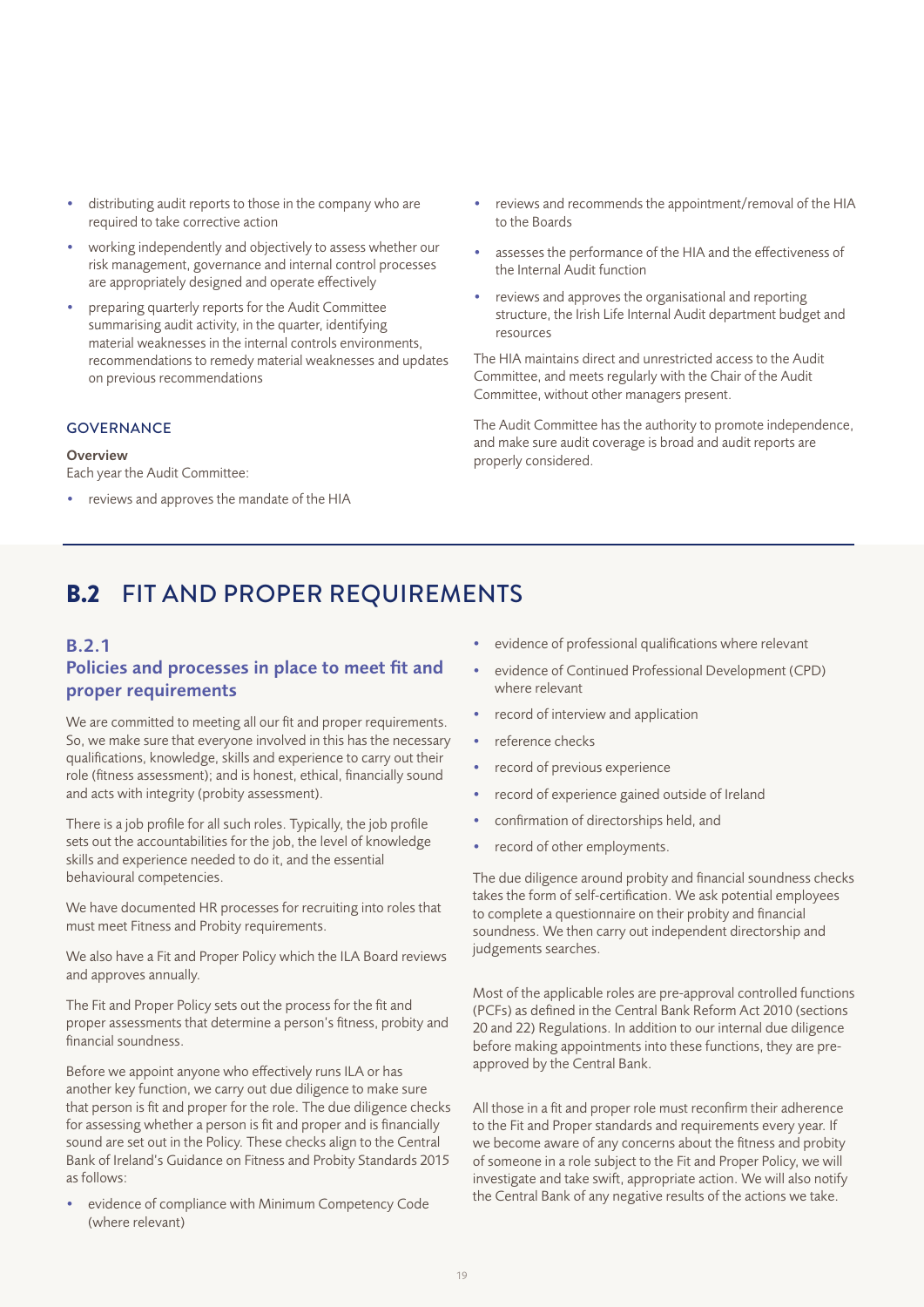- distributing audit reports to those in the company who are required to take corrective action
- working independently and objectively to assess whether our risk management, governance and internal control processes are appropriately designed and operate effectively
- preparing quarterly reports for the Audit Committee summarising audit activity, in the quarter, identifying material weaknesses in the internal controls environments, recommendations to remedy material weaknesses and updates on previous recommendations

## **GOVERNANCE**

#### Overview

Each year the Audit Committee:

• reviews and approves the mandate of the HIA

- reviews and recommends the appointment/removal of the HIA to the Boards
- assesses the performance of the HIA and the effectiveness of the Internal Audit function
- reviews and approves the organisational and reporting structure, the Irish Life Internal Audit department budget and resources

The HIA maintains direct and unrestricted access to the Audit Committee, and meets regularly with the Chair of the Audit Committee, without other managers present.

The Audit Committee has the authority to promote independence, and make sure audit coverage is broad and audit reports are properly considered.

# B.2 FIT AND PROPER REQUIREMENTS

## B.2.1

## Policies and processes in place to meet fit and proper requirements

We are committed to meeting all our fit and proper requirements. So, we make sure that everyone involved in this has the necessary qualifications, knowledge, skills and experience to carry out their role (fitness assessment); and is honest, ethical, financially sound and acts with integrity (probity assessment).

There is a job profile for all such roles. Typically, the job profile sets out the accountabilities for the job, the level of knowledge skills and experience needed to do it, and the essential behavioural competencies.

We have documented HR processes for recruiting into roles that must meet Fitness and Probity requirements.

We also have a Fit and Proper Policy which the ILA Board reviews and approves annually.

The Fit and Proper Policy sets out the process for the fit and proper assessments that determine a person's fitness, probity and financial soundness.

Before we appoint anyone who effectively runs ILA or has another key function, we carry out due diligence to make sure that person is fit and proper for the role. The due diligence checks for assessing whether a person is fit and proper and is financially sound are set out in the Policy. These checks align to the Central Bank of Ireland's Guidance on Fitness and Probity Standards 2015 as follows:

evidence of compliance with Minimum Competency Code (where relevant)

- evidence of professional qualifications where relevant
- evidence of Continued Professional Development (CPD) where relevant
- record of interview and application
- reference checks
- record of previous experience
- record of experience gained outside of Ireland
- confirmation of directorships held, and
- record of other employments.

The due diligence around probity and financial soundness checks takes the form of self-certification. We ask potential employees to complete a questionnaire on their probity and financial soundness. We then carry out independent directorship and judgements searches.

Most of the applicable roles are pre-approval controlled functions (PCFs) as defined in the Central Bank Reform Act 2010 (sections 20 and 22) Regulations. In addition to our internal due diligence before making appointments into these functions, they are preapproved by the Central Bank.

All those in a fit and proper role must reconfirm their adherence to the Fit and Proper standards and requirements every year. If we become aware of any concerns about the fitness and probity of someone in a role subject to the Fit and Proper Policy, we will investigate and take swift, appropriate action. We will also notify the Central Bank of any negative results of the actions we take.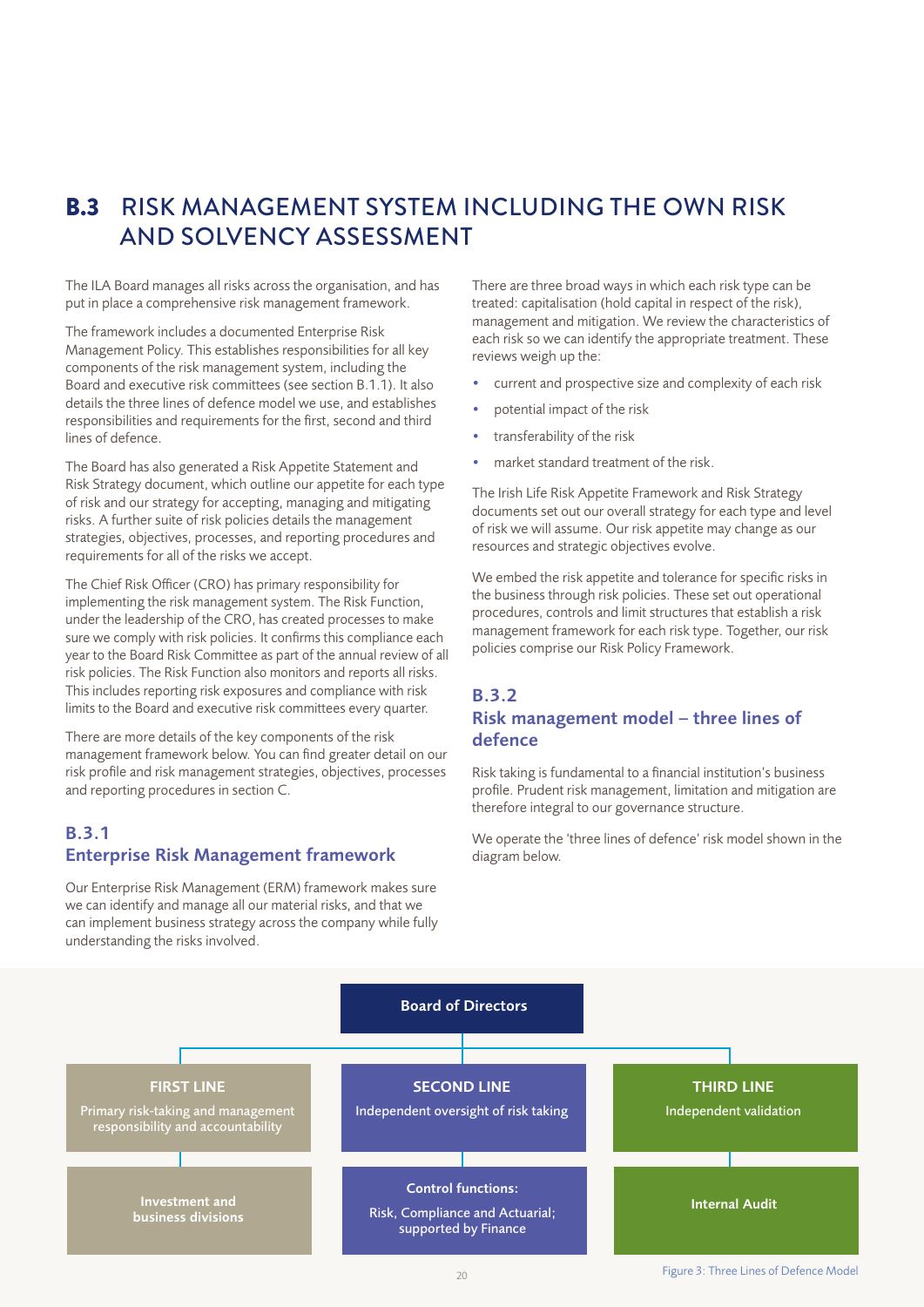# B.3 RISK MANAGEMENT SYSTEM INCLUDING THE OWN RISK AND SOLVENCY ASSESSMENT

The ILA Board manages all risks across the organisation, and has put in place a comprehensive risk management framework.

The framework includes a documented Enterprise Risk Management Policy. This establishes responsibilities for all key components of the risk management system, including the Board and executive risk committees (see section B.1.1). It also details the three lines of defence model we use, and establishes responsibilities and requirements for the first, second and third lines of defence.

The Board has also generated a Risk Appetite Statement and Risk Strategy document, which outline our appetite for each type of risk and our strategy for accepting, managing and mitigating risks. A further suite of risk policies details the management strategies, objectives, processes, and reporting procedures and requirements for all of the risks we accept.

The Chief Risk Officer (CRO) has primary responsibility for implementing the risk management system. The Risk Function, under the leadership of the CRO, has created processes to make sure we comply with risk policies. It confirms this compliance each year to the Board Risk Committee as part of the annual review of all risk policies. The Risk Function also monitors and reports all risks. This includes reporting risk exposures and compliance with risk limits to the Board and executive risk committees every quarter.

There are more details of the key components of the risk management framework below. You can find greater detail on our risk profile and risk management strategies, objectives, processes and reporting procedures in section C.

## B.3.1 Enterprise Risk Management framework

Our Enterprise Risk Management (ERM) framework makes sure we can identify and manage all our material risks, and that we can implement business strategy across the company while fully understanding the risks involved.

There are three broad ways in which each risk type can be treated: capitalisation (hold capital in respect of the risk), management and mitigation. We review the characteristics of each risk so we can identify the appropriate treatment. These reviews weigh up the:

- current and prospective size and complexity of each risk
- potential impact of the risk
- transferability of the risk
- market standard treatment of the risk.

The Irish Life Risk Appetite Framework and Risk Strategy documents set out our overall strategy for each type and level of risk we will assume. Our risk appetite may change as our resources and strategic objectives evolve.

We embed the risk appetite and tolerance for specific risks in the business through risk policies. These set out operational procedures, controls and limit structures that establish a risk management framework for each risk type. Together, our risk policies comprise our Risk Policy Framework.

## B.3.2 Risk management model – three lines of defence

Risk taking is fundamental to a financial institution's business profile. Prudent risk management, limitation and mitigation are therefore integral to our governance structure.

We operate the 'three lines of defence' risk model shown in the diagram below.

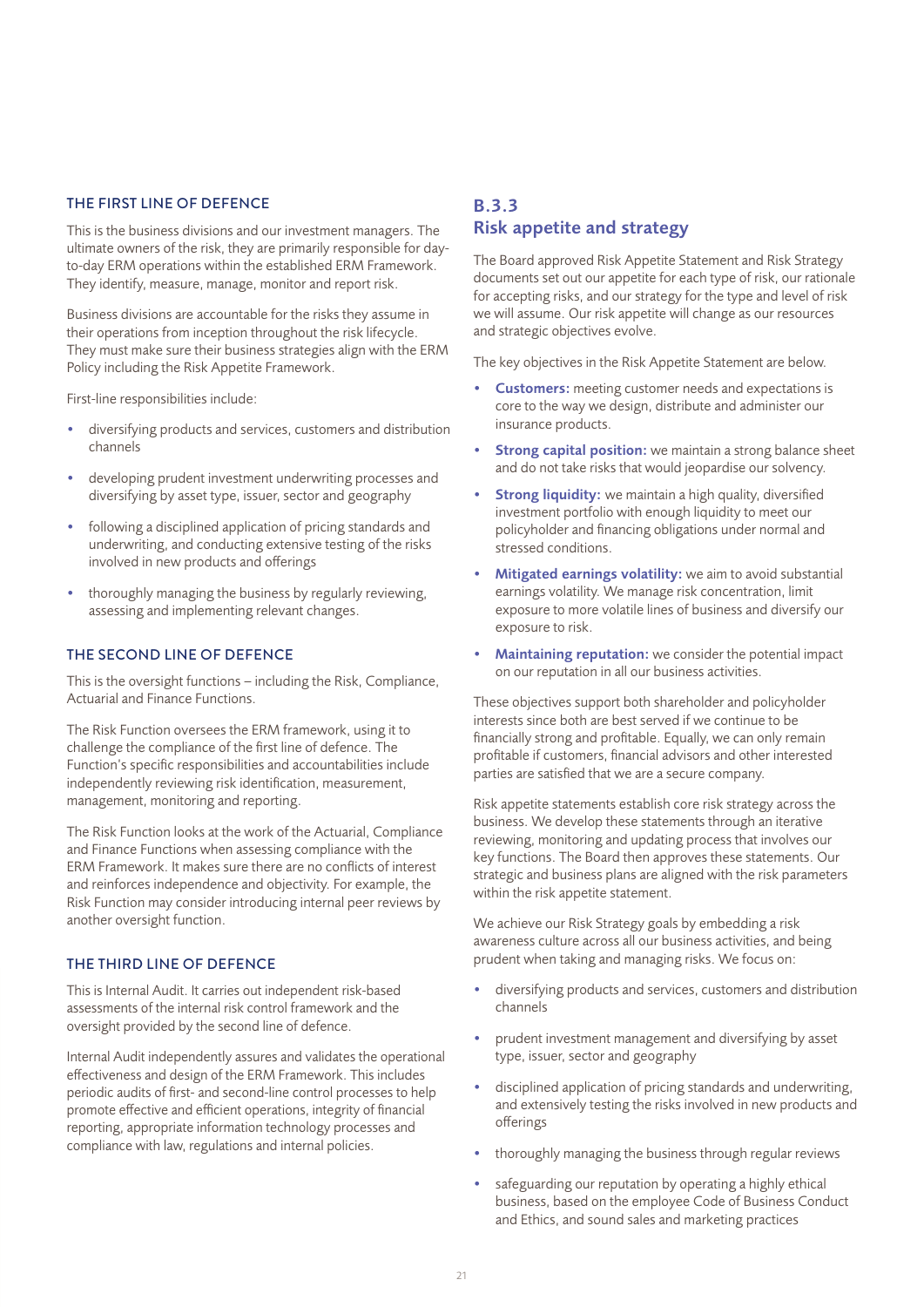## THE FIRST LINE OF DEFENCE

This is the business divisions and our investment managers. The ultimate owners of the risk, they are primarily responsible for dayto-day ERM operations within the established ERM Framework. They identify, measure, manage, monitor and report risk.

Business divisions are accountable for the risks they assume in their operations from inception throughout the risk lifecycle. They must make sure their business strategies align with the ERM Policy including the Risk Appetite Framework.

First-line responsibilities include:

- diversifying products and services, customers and distribution channels
- developing prudent investment underwriting processes and diversifying by asset type, issuer, sector and geography
- following a disciplined application of pricing standards and underwriting, and conducting extensive testing of the risks involved in new products and offerings
- thoroughly managing the business by regularly reviewing, assessing and implementing relevant changes.

## THE SECOND LINE OF DEFENCE

This is the oversight functions – including the Risk, Compliance, Actuarial and Finance Functions.

The Risk Function oversees the ERM framework, using it to challenge the compliance of the first line of defence. The Function's specific responsibilities and accountabilities include independently reviewing risk identification, measurement, management, monitoring and reporting.

The Risk Function looks at the work of the Actuarial, Compliance and Finance Functions when assessing compliance with the ERM Framework. It makes sure there are no conflicts of interest and reinforces independence and objectivity. For example, the Risk Function may consider introducing internal peer reviews by another oversight function.

## THE THIRD LINE OF DEFENCE

This is Internal Audit. It carries out independent risk-based assessments of the internal risk control framework and the oversight provided by the second line of defence.

Internal Audit independently assures and validates the operational effectiveness and design of the ERM Framework. This includes periodic audits of first- and second-line control processes to help promote effective and efficient operations, integrity of financial reporting, appropriate information technology processes and compliance with law, regulations and internal policies.

## B.3.3 Risk appetite and strategy

The Board approved Risk Appetite Statement and Risk Strategy documents set out our appetite for each type of risk, our rationale for accepting risks, and our strategy for the type and level of risk we will assume. Our risk appetite will change as our resources and strategic objectives evolve.

The key objectives in the Risk Appetite Statement are below.

- Customers: meeting customer needs and expectations is core to the way we design, distribute and administer our insurance products.
- **Strong capital position:** we maintain a strong balance sheet and do not take risks that would jeopardise our solvency.
- **Strong liquidity:** we maintain a high quality, diversified investment portfolio with enough liquidity to meet our policyholder and financing obligations under normal and stressed conditions.
- Mitigated earnings volatility: we aim to avoid substantial earnings volatility. We manage risk concentration, limit exposure to more volatile lines of business and diversify our exposure to risk.
- Maintaining reputation: we consider the potential impact on our reputation in all our business activities.

These objectives support both shareholder and policyholder interests since both are best served if we continue to be financially strong and profitable. Equally, we can only remain profitable if customers, financial advisors and other interested parties are satisfied that we are a secure company.

Risk appetite statements establish core risk strategy across the business. We develop these statements through an iterative reviewing, monitoring and updating process that involves our key functions. The Board then approves these statements. Our strategic and business plans are aligned with the risk parameters within the risk appetite statement.

We achieve our Risk Strategy goals by embedding a risk awareness culture across all our business activities, and being prudent when taking and managing risks. We focus on:

- diversifying products and services, customers and distribution channels
- prudent investment management and diversifying by asset type, issuer, sector and geography
- disciplined application of pricing standards and underwriting, and extensively testing the risks involved in new products and offerings
- thoroughly managing the business through regular reviews
- safeguarding our reputation by operating a highly ethical business, based on the employee Code of Business Conduct and Ethics, and sound sales and marketing practices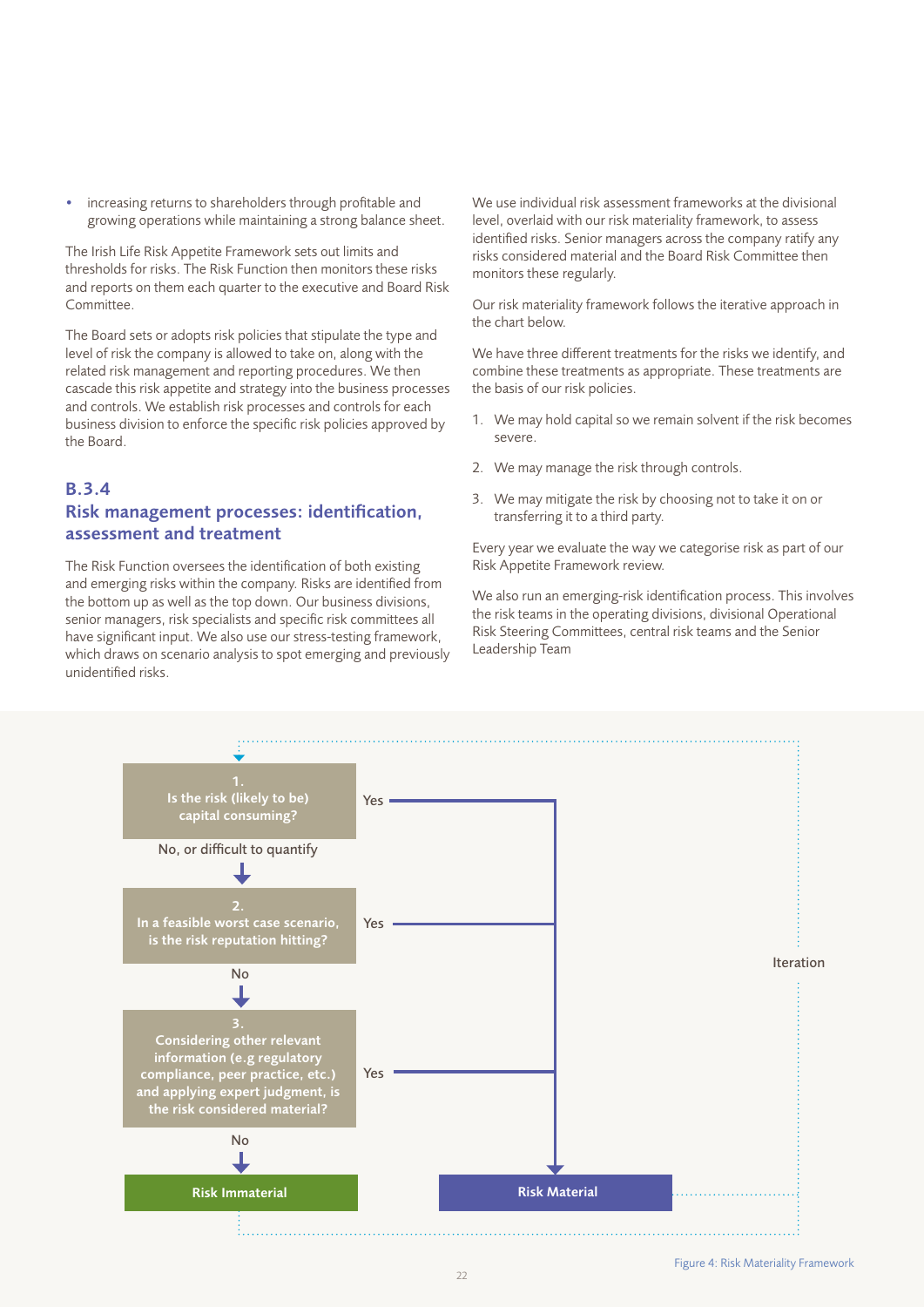• increasing returns to shareholders through profitable and growing operations while maintaining a strong balance sheet.

The Irish Life Risk Appetite Framework sets out limits and thresholds for risks. The Risk Function then monitors these risks and reports on them each quarter to the executive and Board Risk Committee.

The Board sets or adopts risk policies that stipulate the type and level of risk the company is allowed to take on, along with the related risk management and reporting procedures. We then cascade this risk appetite and strategy into the business processes and controls. We establish risk processes and controls for each business division to enforce the specific risk policies approved by the Board.

## B.3.4 Risk management processes: identification, assessment and treatment

The Risk Function oversees the identification of both existing and emerging risks within the company. Risks are identified from the bottom up as well as the top down. Our business divisions, senior managers, risk specialists and specific risk committees all have significant input. We also use our stress-testing framework, which draws on scenario analysis to spot emerging and previously unidentified risks.

We use individual risk assessment frameworks at the divisional level, overlaid with our risk materiality framework, to assess identified risks. Senior managers across the company ratify any risks considered material and the Board Risk Committee then monitors these regularly.

Our risk materiality framework follows the iterative approach in the chart below.

We have three different treatments for the risks we identify, and combine these treatments as appropriate. These treatments are the basis of our risk policies.

- 1. We may hold capital so we remain solvent if the risk becomes severe.
- 2. We may manage the risk through controls.
- 3. We may mitigate the risk by choosing not to take it on or transferring it to a third party.

Every year we evaluate the way we categorise risk as part of our Risk Appetite Framework review.

We also run an emerging-risk identification process. This involves the risk teams in the operating divisions, divisional Operational Risk Steering Committees, central risk teams and the Senior Leadership Team

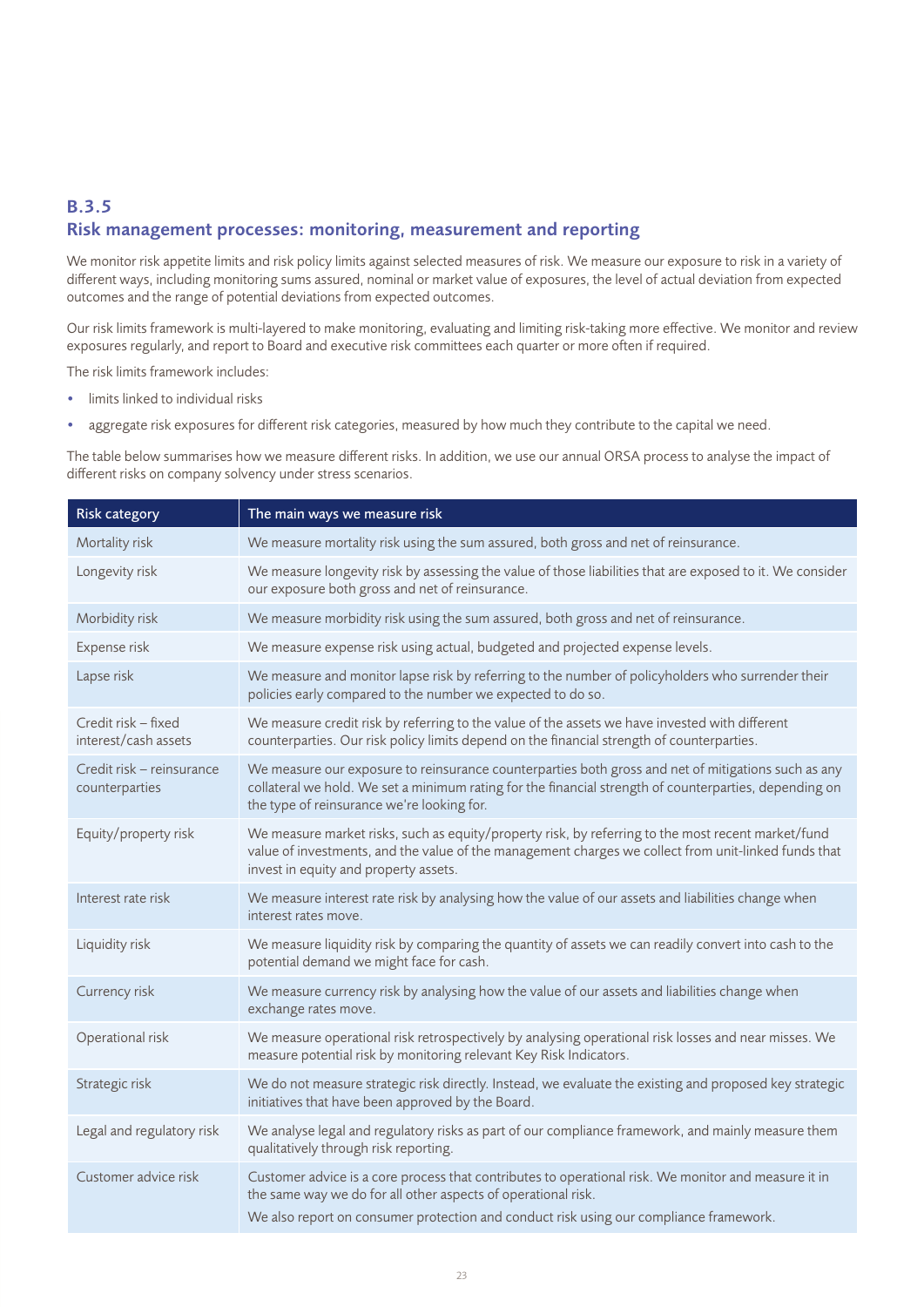## B.3.5 Risk management processes: monitoring, measurement and reporting

We monitor risk appetite limits and risk policy limits against selected measures of risk. We measure our exposure to risk in a variety of different ways, including monitoring sums assured, nominal or market value of exposures, the level of actual deviation from expected outcomes and the range of potential deviations from expected outcomes.

Our risk limits framework is multi-layered to make monitoring, evaluating and limiting risk-taking more effective. We monitor and review exposures regularly, and report to Board and executive risk committees each quarter or more often if required.

The risk limits framework includes:

- limits linked to individual risks
- aggregate risk exposures for different risk categories, measured by how much they contribute to the capital we need.

The table below summarises how we measure different risks. In addition, we use our annual ORSA process to analyse the impact of different risks on company solvency under stress scenarios.

| <b>Risk category</b>                        | The main ways we measure risk                                                                                                                                                                                                                                   |
|---------------------------------------------|-----------------------------------------------------------------------------------------------------------------------------------------------------------------------------------------------------------------------------------------------------------------|
| Mortality risk                              | We measure mortality risk using the sum assured, both gross and net of reinsurance.                                                                                                                                                                             |
| Longevity risk                              | We measure longevity risk by assessing the value of those liabilities that are exposed to it. We consider<br>our exposure both gross and net of reinsurance.                                                                                                    |
| Morbidity risk                              | We measure morbidity risk using the sum assured, both gross and net of reinsurance.                                                                                                                                                                             |
| Expense risk                                | We measure expense risk using actual, budgeted and projected expense levels.                                                                                                                                                                                    |
| Lapse risk                                  | We measure and monitor lapse risk by referring to the number of policyholders who surrender their<br>policies early compared to the number we expected to do so.                                                                                                |
| Credit risk - fixed<br>interest/cash assets | We measure credit risk by referring to the value of the assets we have invested with different<br>counterparties. Our risk policy limits depend on the financial strength of counterparties.                                                                    |
| Credit risk - reinsurance<br>counterparties | We measure our exposure to reinsurance counterparties both gross and net of mitigations such as any<br>collateral we hold. We set a minimum rating for the financial strength of counterparties, depending on<br>the type of reinsurance we're looking for.     |
| Equity/property risk                        | We measure market risks, such as equity/property risk, by referring to the most recent market/fund<br>value of investments, and the value of the management charges we collect from unit-linked funds that<br>invest in equity and property assets.             |
| Interest rate risk                          | We measure interest rate risk by analysing how the value of our assets and liabilities change when<br>interest rates move.                                                                                                                                      |
| Liquidity risk                              | We measure liquidity risk by comparing the quantity of assets we can readily convert into cash to the<br>potential demand we might face for cash.                                                                                                               |
| Currency risk                               | We measure currency risk by analysing how the value of our assets and liabilities change when<br>exchange rates move.                                                                                                                                           |
| Operational risk                            | We measure operational risk retrospectively by analysing operational risk losses and near misses. We<br>measure potential risk by monitoring relevant Key Risk Indicators.                                                                                      |
| Strategic risk                              | We do not measure strategic risk directly. Instead, we evaluate the existing and proposed key strategic<br>initiatives that have been approved by the Board.                                                                                                    |
| Legal and regulatory risk                   | We analyse legal and regulatory risks as part of our compliance framework, and mainly measure them<br>qualitatively through risk reporting.                                                                                                                     |
| Customer advice risk                        | Customer advice is a core process that contributes to operational risk. We monitor and measure it in<br>the same way we do for all other aspects of operational risk.<br>We also report on consumer protection and conduct risk using our compliance framework. |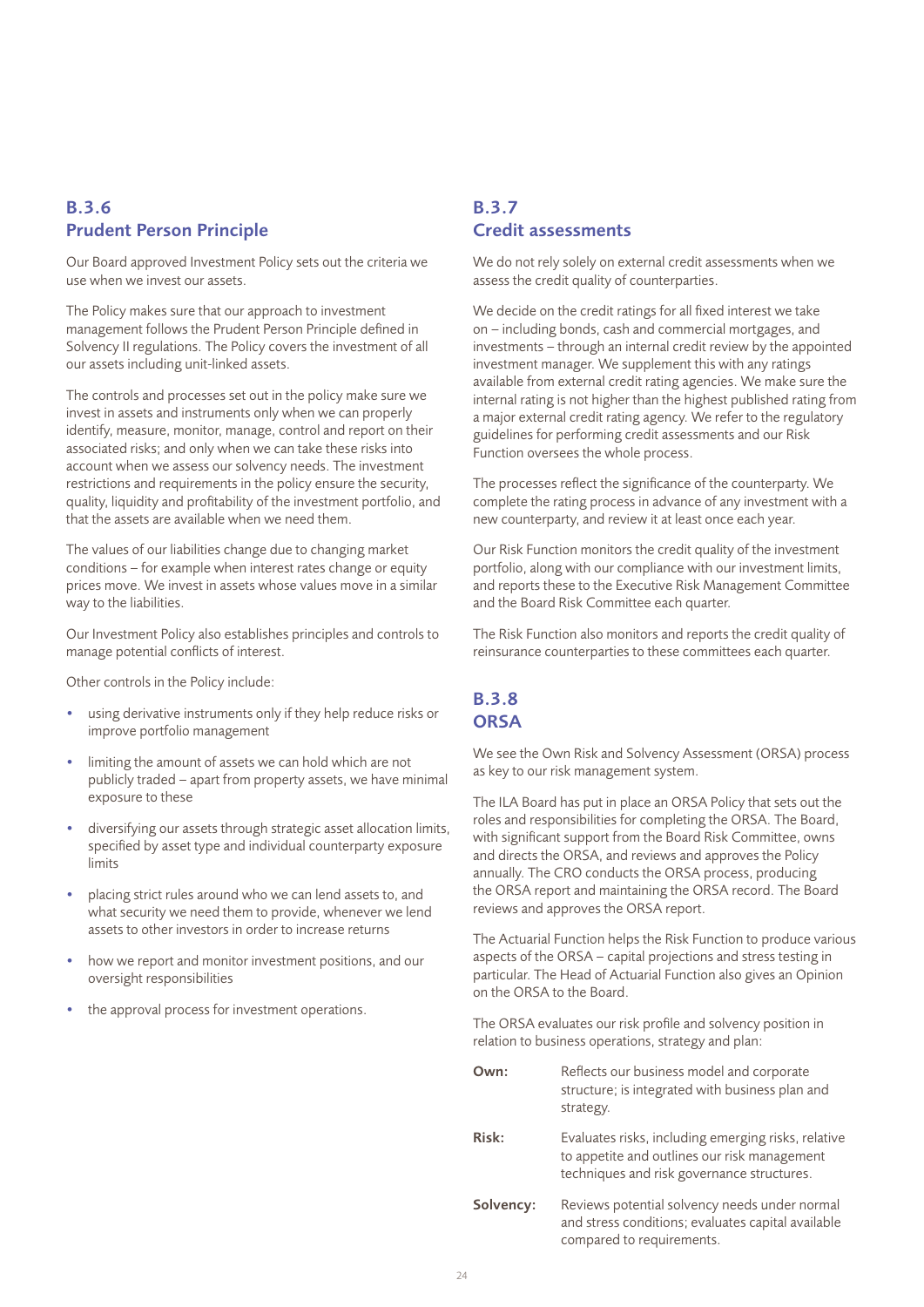## B.3.6 Prudent Person Principle

Our Board approved Investment Policy sets out the criteria we use when we invest our assets.

The Policy makes sure that our approach to investment management follows the Prudent Person Principle defined in Solvency II regulations. The Policy covers the investment of all our assets including unit-linked assets.

The controls and processes set out in the policy make sure we invest in assets and instruments only when we can properly identify, measure, monitor, manage, control and report on their associated risks; and only when we can take these risks into account when we assess our solvency needs. The investment restrictions and requirements in the policy ensure the security, quality, liquidity and profitability of the investment portfolio, and that the assets are available when we need them.

The values of our liabilities change due to changing market conditions – for example when interest rates change or equity prices move. We invest in assets whose values move in a similar way to the liabilities.

Our Investment Policy also establishes principles and controls to manage potential conflicts of interest.

Other controls in the Policy include:

- using derivative instruments only if they help reduce risks or improve portfolio management
- limiting the amount of assets we can hold which are not publicly traded – apart from property assets, we have minimal exposure to these
- diversifying our assets through strategic asset allocation limits, specified by asset type and individual counterparty exposure limits
- placing strict rules around who we can lend assets to, and what security we need them to provide, whenever we lend assets to other investors in order to increase returns
- how we report and monitor investment positions, and our oversight responsibilities
- the approval process for investment operations.

## B.3.7 Credit assessments

We do not rely solely on external credit assessments when we assess the credit quality of counterparties.

We decide on the credit ratings for all fixed interest we take on – including bonds, cash and commercial mortgages, and investments – through an internal credit review by the appointed investment manager. We supplement this with any ratings available from external credit rating agencies. We make sure the internal rating is not higher than the highest published rating from a major external credit rating agency. We refer to the regulatory guidelines for performing credit assessments and our Risk Function oversees the whole process.

The processes reflect the significance of the counterparty. We complete the rating process in advance of any investment with a new counterparty, and review it at least once each year.

Our Risk Function monitors the credit quality of the investment portfolio, along with our compliance with our investment limits, and reports these to the Executive Risk Management Committee and the Board Risk Committee each quarter.

The Risk Function also monitors and reports the credit quality of reinsurance counterparties to these committees each quarter.

## B.3.8 **ORSA**

We see the Own Risk and Solvency Assessment (ORSA) process as key to our risk management system.

The ILA Board has put in place an ORSA Policy that sets out the roles and responsibilities for completing the ORSA. The Board, with significant support from the Board Risk Committee, owns and directs the ORSA, and reviews and approves the Policy annually. The CRO conducts the ORSA process, producing the ORSA report and maintaining the ORSA record. The Board reviews and approves the ORSA report.

The Actuarial Function helps the Risk Function to produce various aspects of the ORSA – capital projections and stress testing in particular. The Head of Actuarial Function also gives an Opinion on the ORSA to the Board.

The ORSA evaluates our risk profile and solvency position in relation to business operations, strategy and plan:

- **Own:** Reflects our business model and corporate structure; is integrated with business plan and strategy.
- Risk: Evaluates risks, including emerging risks, relative to appetite and outlines our risk management techniques and risk governance structures.
- Solvency: Reviews potential solvency needs under normal and stress conditions; evaluates capital available compared to requirements.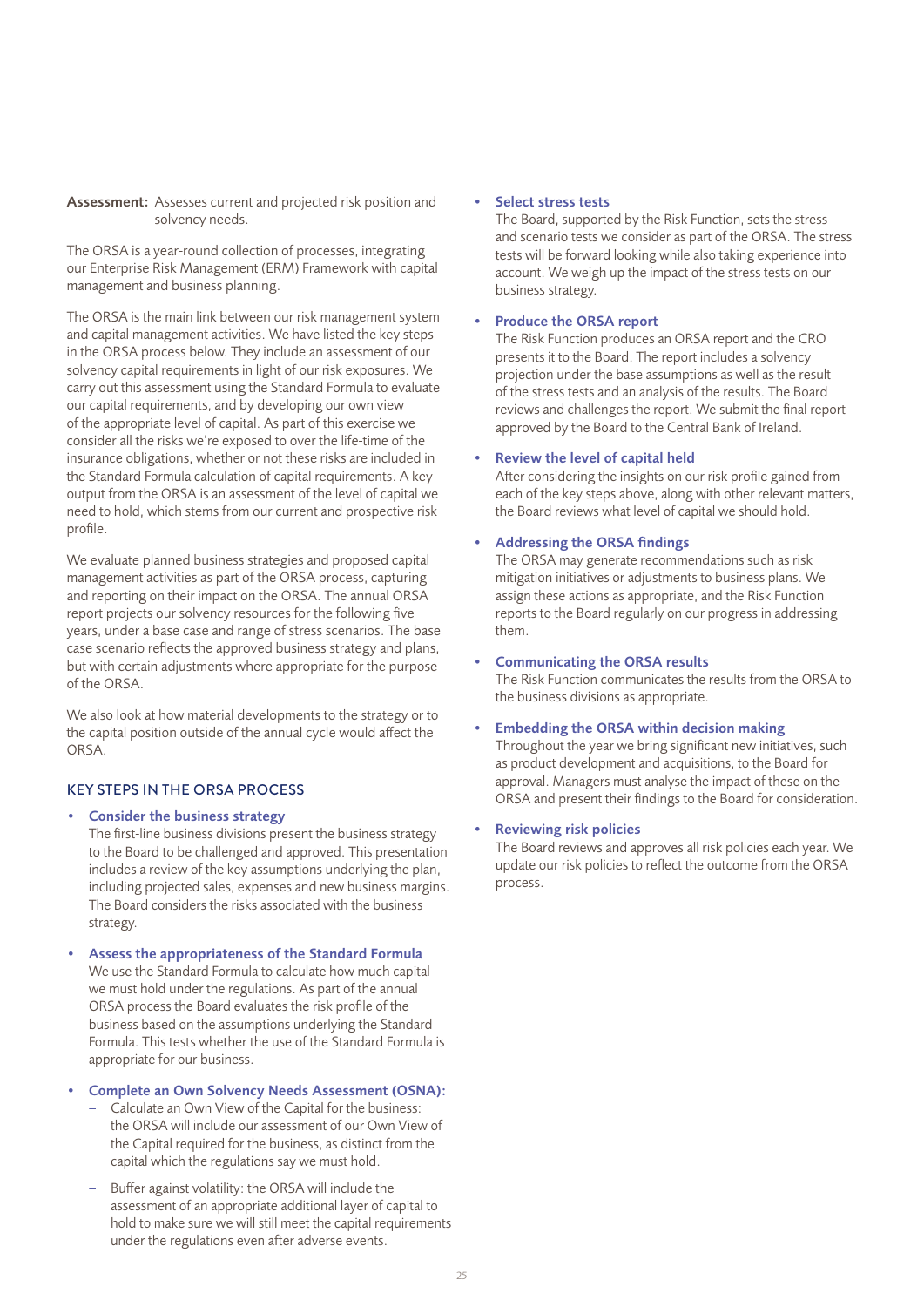Assessment: Assesses current and projected risk position and solvency needs.

The ORSA is a year-round collection of processes, integrating our Enterprise Risk Management (ERM) Framework with capital management and business planning.

The ORSA is the main link between our risk management system and capital management activities. We have listed the key steps in the ORSA process below. They include an assessment of our solvency capital requirements in light of our risk exposures. We carry out this assessment using the Standard Formula to evaluate our capital requirements, and by developing our own view of the appropriate level of capital. As part of this exercise we consider all the risks we're exposed to over the life-time of the insurance obligations, whether or not these risks are included in the Standard Formula calculation of capital requirements. A key output from the ORSA is an assessment of the level of capital we need to hold, which stems from our current and prospective risk profile.

We evaluate planned business strategies and proposed capital management activities as part of the ORSA process, capturing and reporting on their impact on the ORSA. The annual ORSA report projects our solvency resources for the following five years, under a base case and range of stress scenarios. The base case scenario reflects the approved business strategy and plans, but with certain adjustments where appropriate for the purpose of the ORSA.

We also look at how material developments to the strategy or to the capital position outside of the annual cycle would affect the ORSA.

## KEY STEPS IN THE ORSA PROCESS

- Consider the business strategy The first-line business divisions present the business strategy to the Board to be challenged and approved. This presentation includes a review of the key assumptions underlying the plan, including projected sales, expenses and new business margins. The Board considers the risks associated with the business strategy.
- Assess the appropriateness of the Standard Formula We use the Standard Formula to calculate how much capital we must hold under the regulations. As part of the annual ORSA process the Board evaluates the risk profile of the business based on the assumptions underlying the Standard Formula. This tests whether the use of the Standard Formula is appropriate for our business.
- Complete an Own Solvency Needs Assessment (OSNA):
	- Calculate an Own View of the Capital for the business: the ORSA will include our assessment of our Own View of the Capital required for the business, as distinct from the capital which the regulations say we must hold.
	- Buffer against volatility: the ORSA will include the assessment of an appropriate additional layer of capital to hold to make sure we will still meet the capital requirements under the regulations even after adverse events.

#### • Select stress tests

The Board, supported by the Risk Function, sets the stress and scenario tests we consider as part of the ORSA. The stress tests will be forward looking while also taking experience into account. We weigh up the impact of the stress tests on our business strategy.

## • Produce the ORSA report

The Risk Function produces an ORSA report and the CRO presents it to the Board. The report includes a solvency projection under the base assumptions as well as the result of the stress tests and an analysis of the results. The Board reviews and challenges the report. We submit the final report approved by the Board to the Central Bank of Ireland.

#### • Review the level of capital held

After considering the insights on our risk profile gained from each of the key steps above, along with other relevant matters, the Board reviews what level of capital we should hold.

### • Addressing the ORSA findings

The ORSA may generate recommendations such as risk mitigation initiatives or adjustments to business plans. We assign these actions as appropriate, and the Risk Function reports to the Board regularly on our progress in addressing them.

#### • Communicating the ORSA results

The Risk Function communicates the results from the ORSA to the business divisions as appropriate.

## • Embedding the ORSA within decision making

Throughout the year we bring significant new initiatives, such as product development and acquisitions, to the Board for approval. Managers must analyse the impact of these on the ORSA and present their findings to the Board for consideration.

#### **Reviewing risk policies**

The Board reviews and approves all risk policies each year. We update our risk policies to reflect the outcome from the ORSA process.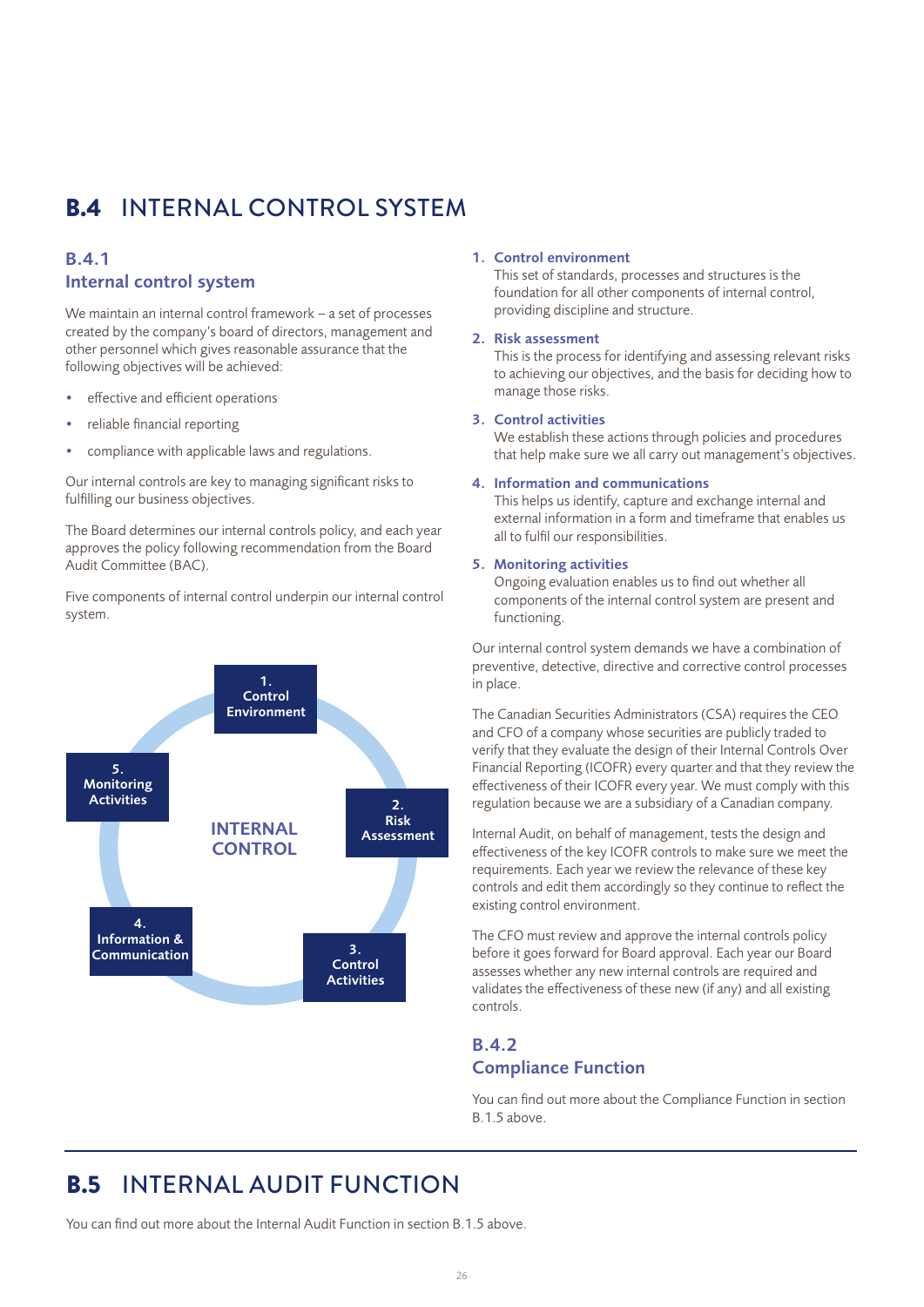# B.4 INTERNAL CONTROL SYSTEM

## B.4.1 Internal control system

We maintain an internal control framework – a set of processes created by the company's board of directors, management and other personnel which gives reasonable assurance that the following objectives will be achieved:

- effective and efficient operations
- reliable financial reporting
- compliance with applicable laws and regulations.

Our internal controls are key to managing significant risks to fulfilling our business objectives.

The Board determines our internal controls policy, and each year approves the policy following recommendation from the Board Audit Committee (BAC).

Five components of internal control underpin our internal control system.



#### 1. Control environment

This set of standards, processes and structures is the foundation for all other components of internal control, providing discipline and structure.

## 2. Risk assessment

This is the process for identifying and assessing relevant risks to achieving our objectives, and the basis for deciding how to manage those risks.

## 3. Control activities

We establish these actions through policies and procedures that help make sure we all carry out management's objectives.

#### 4. Information and communications

This helps us identify, capture and exchange internal and external information in a form and timeframe that enables us all to fulfil our responsibilities.

#### 5. Monitoring activities

Ongoing evaluation enables us to find out whether all components of the internal control system are present and functioning.

Our internal control system demands we have a combination of preventive, detective, directive and corrective control processes in place.

The Canadian Securities Administrators (CSA) requires the CEO and CFO of a company whose securities are publicly traded to verify that they evaluate the design of their Internal Controls Over Financial Reporting (ICOFR) every quarter and that they review the effectiveness of their ICOFR every year. We must comply with this regulation because we are a subsidiary of a Canadian company.

Internal Audit, on behalf of management, tests the design and effectiveness of the key ICOFR controls to make sure we meet the requirements. Each year we review the relevance of these key controls and edit them accordingly so they continue to reflect the existing control environment.

The CFO must review and approve the internal controls policy before it goes forward for Board approval. Each year our Board assesses whether any new internal controls are required and validates the effectiveness of these new (if any) and all existing controls.

## B.4.2 Compliance Function

You can find out more about the Compliance Function in section B.1.5 above.

## B.5 INTERNAL AUDIT FUNCTION

You can find out more about the Internal Audit Function in section B.1.5 above.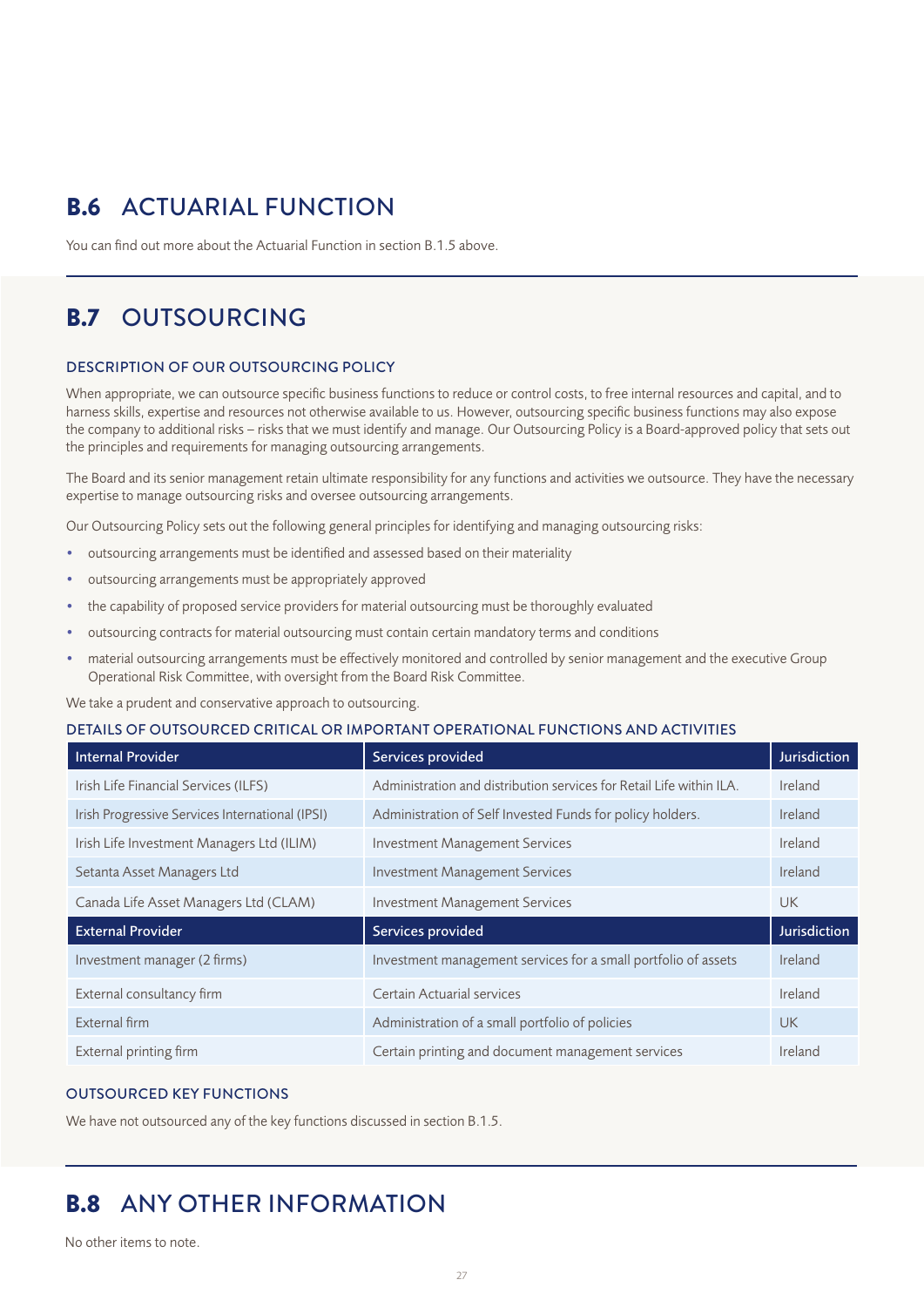# B.6 ACTUARIAL FUNCTION

You can find out more about the Actuarial Function in section B.1.5 above.

# B.7 OUTSOURCING

## DESCRIPTION OF OUR OUTSOURCING POLICY

When appropriate, we can outsource specific business functions to reduce or control costs, to free internal resources and capital, and to harness skills, expertise and resources not otherwise available to us. However, outsourcing specific business functions may also expose the company to additional risks – risks that we must identify and manage. Our Outsourcing Policy is a Board-approved policy that sets out the principles and requirements for managing outsourcing arrangements.

The Board and its senior management retain ultimate responsibility for any functions and activities we outsource. They have the necessary expertise to manage outsourcing risks and oversee outsourcing arrangements.

Our Outsourcing Policy sets out the following general principles for identifying and managing outsourcing risks:

- outsourcing arrangements must be identified and assessed based on their materiality
- outsourcing arrangements must be appropriately approved
- the capability of proposed service providers for material outsourcing must be thoroughly evaluated
- outsourcing contracts for material outsourcing must contain certain mandatory terms and conditions
- material outsourcing arrangements must be effectively monitored and controlled by senior management and the executive Group Operational Risk Committee, with oversight from the Board Risk Committee.

We take a prudent and conservative approach to outsourcing.

## DETAILS OF OUTSOURCED CRITICAL OR IMPORTANT OPERATIONAL FUNCTIONS AND ACTIVITIES

| <b>Internal Provider</b>                        | Services provided                                                    | <b>Jurisdiction</b> |
|-------------------------------------------------|----------------------------------------------------------------------|---------------------|
| Irish Life Financial Services (ILFS)            | Administration and distribution services for Retail Life within ILA. | Ireland             |
| Irish Progressive Services International (IPSI) | Administration of Self Invested Funds for policy holders.            | Ireland             |
| Irish Life Investment Managers Ltd (ILIM)       | <b>Investment Management Services</b>                                | Ireland             |
| Setanta Asset Managers Ltd                      | <b>Investment Management Services</b>                                | Ireland             |
| Canada Life Asset Managers Ltd (CLAM)           | <b>Investment Management Services</b>                                | UK.                 |
| <b>External Provider</b>                        | Services provided                                                    | <b>Jurisdiction</b> |
| Investment manager (2 firms)                    | Investment management services for a small portfolio of assets       | Ireland             |
| External consultancy firm                       | Certain Actuarial services                                           | Ireland             |
| External firm                                   | Administration of a small portfolio of policies                      | <b>UK</b>           |
| External printing firm                          | Certain printing and document management services                    | Ireland             |

## OUTSOURCED KEY FUNCTIONS

We have not outsourced any of the key functions discussed in section B.1.5.

## B.8 ANY OTHER INFORMATION

No other items to note.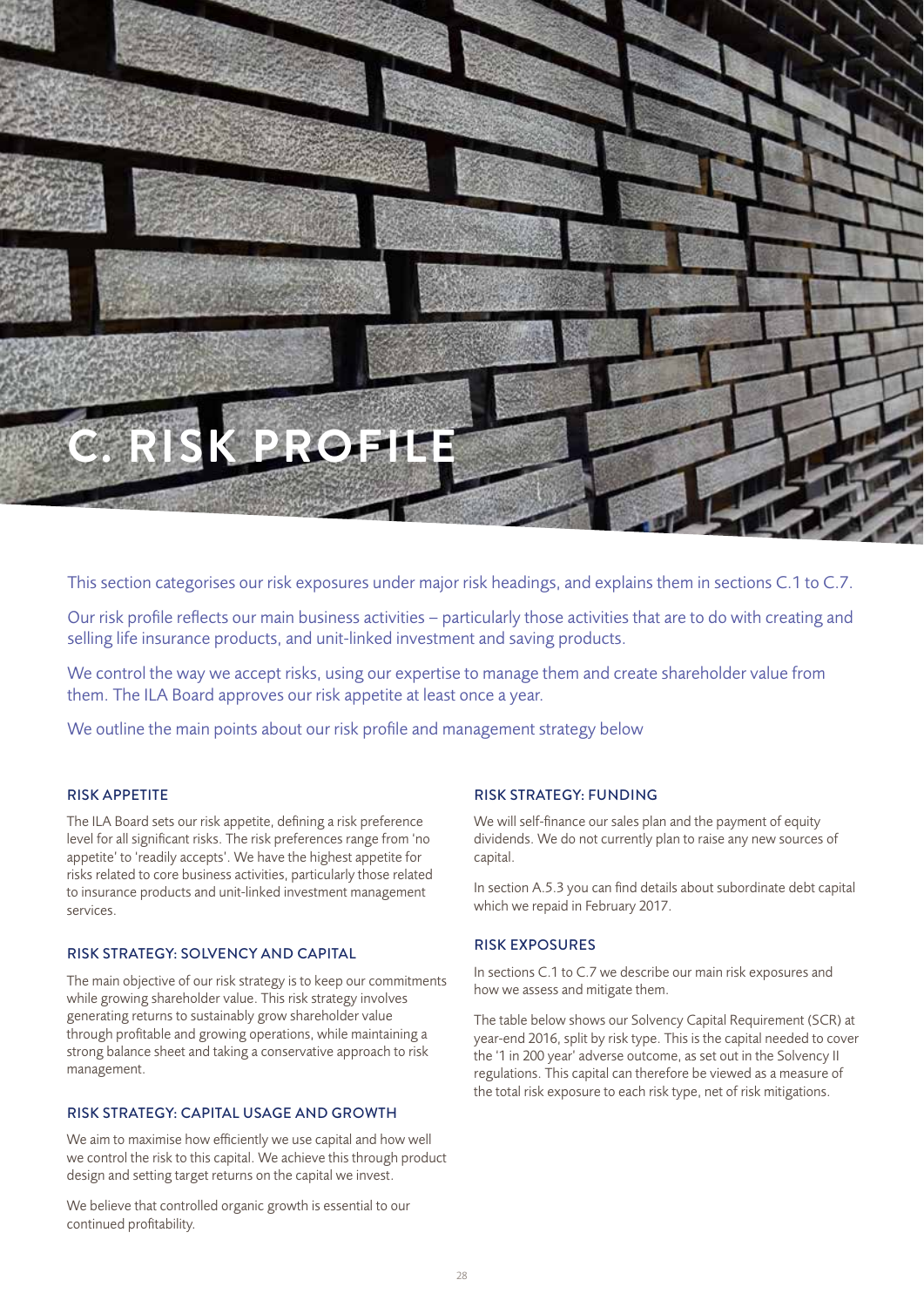

This section categorises our risk exposures under major risk headings, and explains them in sections C.1 to C.7.

Our risk profile reflects our main business activities – particularly those activities that are to do with creating and selling life insurance products, and unit-linked investment and saving products.

We control the way we accept risks, using our expertise to manage them and create shareholder value from them. The ILA Board approves our risk appetite at least once a year.

We outline the main points about our risk profile and management strategy below

## RISK APPETITE

The ILA Board sets our risk appetite, defining a risk preference level for all significant risks. The risk preferences range from 'no appetite' to 'readily accepts'. We have the highest appetite for risks related to core business activities, particularly those related to insurance products and unit-linked investment management services.

## RISK STRATEGY: SOLVENCY AND CAPITAL

The main objective of our risk strategy is to keep our commitments while growing shareholder value. This risk strategy involves generating returns to sustainably grow shareholder value through profitable and growing operations, while maintaining a strong balance sheet and taking a conservative approach to risk management.

## RISK STRATEGY: CAPITAL USAGE AND GROWTH

We aim to maximise how efficiently we use capital and how well we control the risk to this capital. We achieve this through product design and setting target returns on the capital we invest.

We believe that controlled organic growth is essential to our continued profitability.

## RISK STRATEGY: FUNDING

We will self-finance our sales plan and the payment of equity dividends. We do not currently plan to raise any new sources of capital.

In section A.5.3 you can find details about subordinate debt capital which we repaid in February 2017.

## RISK EXPOSURES

In sections C.1 to C.7 we describe our main risk exposures and how we assess and mitigate them.

The table below shows our Solvency Capital Requirement (SCR) at year-end 2016, split by risk type. This is the capital needed to cover the '1 in 200 year' adverse outcome, as set out in the Solvency II regulations. This capital can therefore be viewed as a measure of the total risk exposure to each risk type, net of risk mitigations.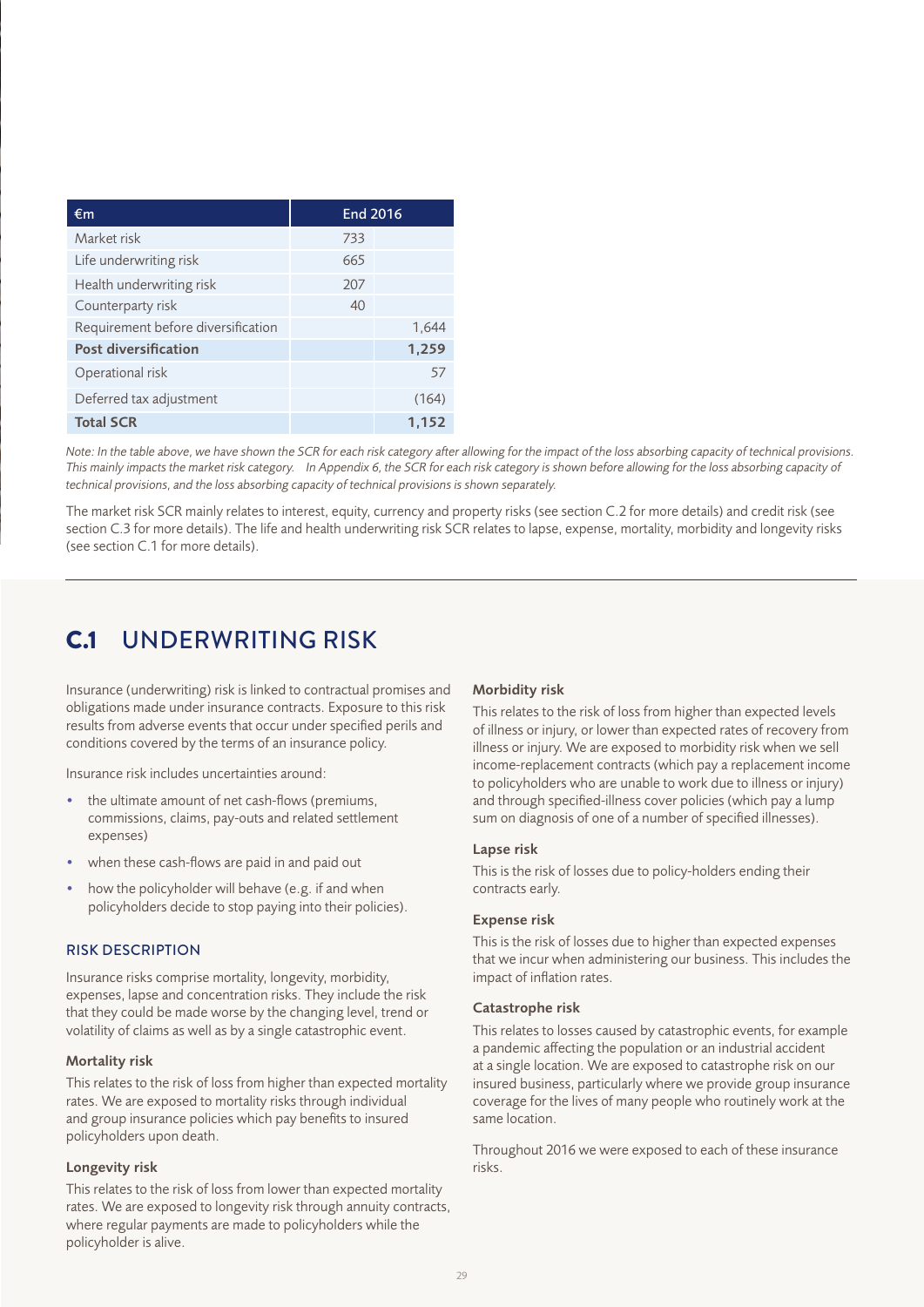| €m                                 | End 2016 |       |
|------------------------------------|----------|-------|
| Market risk                        | 733      |       |
| Life underwriting risk             | 665      |       |
| Health underwriting risk           | 207      |       |
| Counterparty risk                  | 40       |       |
| Requirement before diversification |          | 1,644 |
| <b>Post diversification</b>        |          | 1,259 |
| Operational risk                   |          | 57    |
| Deferred tax adjustment            |          | (164) |
| <b>Total SCR</b>                   |          | 1,152 |

*Note: In the table above, we have shown the SCR for each risk category after allowing for the impact of the loss absorbing capacity of technical provisions.*  This mainly impacts the market risk category. In Appendix 6, the SCR for each risk category is shown before allowing for the loss absorbing capacity of *technical provisions, and the loss absorbing capacity of technical provisions is shown separately.*

The market risk SCR mainly relates to interest, equity, currency and property risks (see section C.2 for more details) and credit risk (see section C.3 for more details). The life and health underwriting risk SCR relates to lapse, expense, mortality, morbidity and longevity risks (see section C.1 for more details).

# C.1 UNDERWRITING RISK

Insurance (underwriting) risk is linked to contractual promises and obligations made under insurance contracts. Exposure to this risk results from adverse events that occur under specified perils and conditions covered by the terms of an insurance policy.

Insurance risk includes uncertainties around:

- the ultimate amount of net cash-flows (premiums, commissions, claims, pay-outs and related settlement expenses)
- when these cash-flows are paid in and paid out
- how the policyholder will behave (e.g. if and when policyholders decide to stop paying into their policies).

## RISK DESCRIPTION

Insurance risks comprise mortality, longevity, morbidity, expenses, lapse and concentration risks. They include the risk that they could be made worse by the changing level, trend or volatility of claims as well as by a single catastrophic event.

## Mortality risk

This relates to the risk of loss from higher than expected mortality rates. We are exposed to mortality risks through individual and group insurance policies which pay benefits to insured policyholders upon death.

## Longevity risk

This relates to the risk of loss from lower than expected mortality rates. We are exposed to longevity risk through annuity contracts, where regular payments are made to policyholders while the policyholder is alive.

## Morbidity risk

This relates to the risk of loss from higher than expected levels of illness or injury, or lower than expected rates of recovery from illness or injury. We are exposed to morbidity risk when we sell income-replacement contracts (which pay a replacement income to policyholders who are unable to work due to illness or injury) and through specified-illness cover policies (which pay a lump sum on diagnosis of one of a number of specified illnesses).

#### Lapse risk

This is the risk of losses due to policy-holders ending their contracts early.

## Expense risk

This is the risk of losses due to higher than expected expenses that we incur when administering our business. This includes the impact of inflation rates.

#### Catastrophe risk

This relates to losses caused by catastrophic events, for example a pandemic affecting the population or an industrial accident at a single location. We are exposed to catastrophe risk on our insured business, particularly where we provide group insurance coverage for the lives of many people who routinely work at the same location.

Throughout 2016 we were exposed to each of these insurance risks.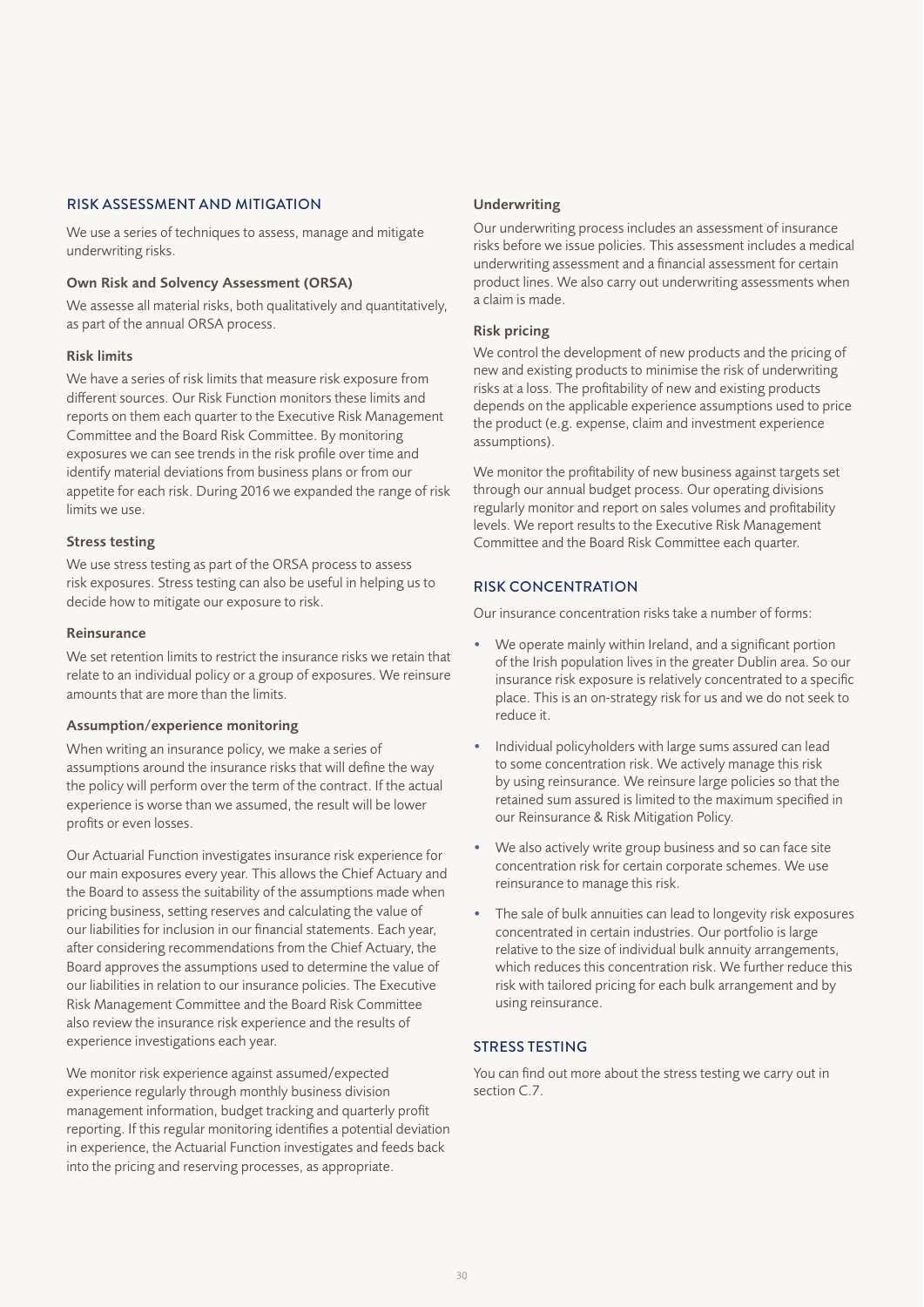### RISK ASSESSMENT AND MITIGATION

We use a series of techniques to assess, manage and mitigate underwriting risks.

#### Own Risk and Solvency Assessment (ORSA)

We assesse all material risks, both qualitatively and quantitatively, as part of the annual ORSA process.

### Risk limits

We have a series of risk limits that measure risk exposure from different sources. Our Risk Function monitors these limits and reports on them each quarter to the Executive Risk Management Committee and the Board Risk Committee. By monitoring exposures we can see trends in the risk profile over time and identify material deviations from business plans or from our appetite for each risk. During 2016 we expanded the range of risk limits we use.

### Stress testing

We use stress testing as part of the ORSA process to assess risk exposures. Stress testing can also be useful in helping us to decide how to mitigate our exposure to risk.

#### Reinsurance

We set retention limits to restrict the insurance risks we retain that relate to an individual policy or a group of exposures. We reinsure amounts that are more than the limits.

## Assumption/experience monitoring

When writing an insurance policy, we make a series of assumptions around the insurance risks that will define the way the policy will perform over the term of the contract. If the actual experience is worse than we assumed, the result will be lower profits or even losses.

Our Actuarial Function investigates insurance risk experience for our main exposures every year. This allows the Chief Actuary and the Board to assess the suitability of the assumptions made when pricing business, setting reserves and calculating the value of our liabilities for inclusion in our financial statements. Each year, after considering recommendations from the Chief Actuary, the Board approves the assumptions used to determine the value of our liabilities in relation to our insurance policies. The Executive Risk Management Committee and the Board Risk Committee also review the insurance risk experience and the results of experience investigations each year.

We monitor risk experience against assumed/expected experience regularly through monthly business division management information, budget tracking and quarterly profit reporting. If this regular monitoring identifies a potential deviation in experience, the Actuarial Function investigates and feeds back into the pricing and reserving processes, as appropriate.

#### Underwriting

Our underwriting process includes an assessment of insurance risks before we issue policies. This assessment includes a medical underwriting assessment and a financial assessment for certain product lines. We also carry out underwriting assessments when a claim is made.

### Risk pricing

We control the development of new products and the pricing of new and existing products to minimise the risk of underwriting risks at a loss. The profitability of new and existing products depends on the applicable experience assumptions used to price the product (e.g. expense, claim and investment experience assumptions).

We monitor the profitability of new business against targets set through our annual budget process. Our operating divisions regularly monitor and report on sales volumes and profitability levels. We report results to the Executive Risk Management Committee and the Board Risk Committee each quarter.

## RISK CONCENTRATION

Our insurance concentration risks take a number of forms:

- We operate mainly within Ireland, and a significant portion of the Irish population lives in the greater Dublin area. So our insurance risk exposure is relatively concentrated to a specific place. This is an on-strategy risk for us and we do not seek to reduce it.
- Individual policyholders with large sums assured can lead to some concentration risk. We actively manage this risk by using reinsurance. We reinsure large policies so that the retained sum assured is limited to the maximum specified in our Reinsurance & Risk Mitigation Policy.
- We also actively write group business and so can face site concentration risk for certain corporate schemes. We use reinsurance to manage this risk.
- The sale of bulk annuities can lead to longevity risk exposures concentrated in certain industries. Our portfolio is large relative to the size of individual bulk annuity arrangements, which reduces this concentration risk. We further reduce this risk with tailored pricing for each bulk arrangement and by using reinsurance.

## STRESS TESTING

You can find out more about the stress testing we carry out in section C.7.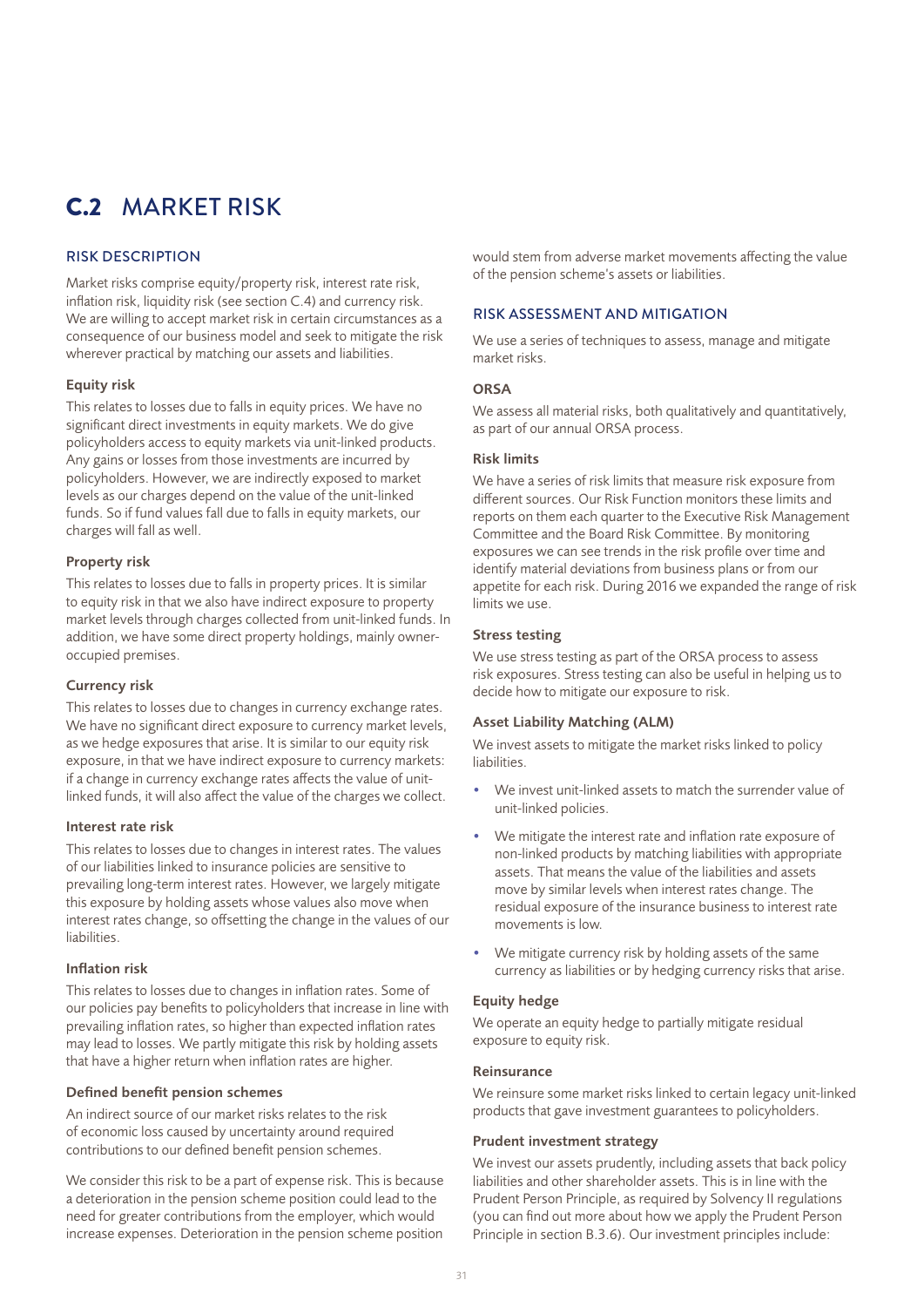# C.2 MARKET RISK

## RISK DESCRIPTION

Market risks comprise equity/property risk, interest rate risk, inflation risk, liquidity risk (see section C.4) and currency risk. We are willing to accept market risk in certain circumstances as a consequence of our business model and seek to mitigate the risk wherever practical by matching our assets and liabilities.

## Equity risk

This relates to losses due to falls in equity prices. We have no significant direct investments in equity markets. We do give policyholders access to equity markets via unit-linked products. Any gains or losses from those investments are incurred by policyholders. However, we are indirectly exposed to market levels as our charges depend on the value of the unit-linked funds. So if fund values fall due to falls in equity markets, our charges will fall as well.

## Property risk

This relates to losses due to falls in property prices. It is similar to equity risk in that we also have indirect exposure to property market levels through charges collected from unit-linked funds. In addition, we have some direct property holdings, mainly owneroccupied premises.

## Currency risk

This relates to losses due to changes in currency exchange rates. We have no significant direct exposure to currency market levels, as we hedge exposures that arise. It is similar to our equity risk exposure, in that we have indirect exposure to currency markets: if a change in currency exchange rates affects the value of unitlinked funds, it will also affect the value of the charges we collect.

## Interest rate risk

This relates to losses due to changes in interest rates. The values of our liabilities linked to insurance policies are sensitive to prevailing long-term interest rates. However, we largely mitigate this exposure by holding assets whose values also move when interest rates change, so offsetting the change in the values of our liabilities.

## Inflation risk

This relates to losses due to changes in inflation rates. Some of our policies pay benefits to policyholders that increase in line with prevailing inflation rates, so higher than expected inflation rates may lead to losses. We partly mitigate this risk by holding assets that have a higher return when inflation rates are higher.

## Defined benefit pension schemes

An indirect source of our market risks relates to the risk of economic loss caused by uncertainty around required contributions to our defined benefit pension schemes.

We consider this risk to be a part of expense risk. This is because a deterioration in the pension scheme position could lead to the need for greater contributions from the employer, which would increase expenses. Deterioration in the pension scheme position

would stem from adverse market movements affecting the value of the pension scheme's assets or liabilities.

## RISK ASSESSMENT AND MITIGATION

We use a series of techniques to assess, manage and mitigate market risks.

## ORSA

We assess all material risks, both qualitatively and quantitatively. as part of our annual ORSA process.

## Risk limits

We have a series of risk limits that measure risk exposure from different sources. Our Risk Function monitors these limits and reports on them each quarter to the Executive Risk Management Committee and the Board Risk Committee. By monitoring exposures we can see trends in the risk profile over time and identify material deviations from business plans or from our appetite for each risk. During 2016 we expanded the range of risk limits we use.

## Stress testing

We use stress testing as part of the ORSA process to assess risk exposures. Stress testing can also be useful in helping us to decide how to mitigate our exposure to risk.

## Asset Liability Matching (ALM)

We invest assets to mitigate the market risks linked to policy liabilities.

- We invest unit-linked assets to match the surrender value of unit-linked policies.
- We mitigate the interest rate and inflation rate exposure of non-linked products by matching liabilities with appropriate assets. That means the value of the liabilities and assets move by similar levels when interest rates change. The residual exposure of the insurance business to interest rate movements is low.
- We mitigate currency risk by holding assets of the same currency as liabilities or by hedging currency risks that arise.

## Equity hedge

We operate an equity hedge to partially mitigate residual exposure to equity risk.

## Reinsurance

We reinsure some market risks linked to certain legacy unit-linked products that gave investment guarantees to policyholders.

## Prudent investment strategy

We invest our assets prudently, including assets that back policy liabilities and other shareholder assets. This is in line with the Prudent Person Principle, as required by Solvency II regulations (you can find out more about how we apply the Prudent Person Principle in section B.3.6). Our investment principles include: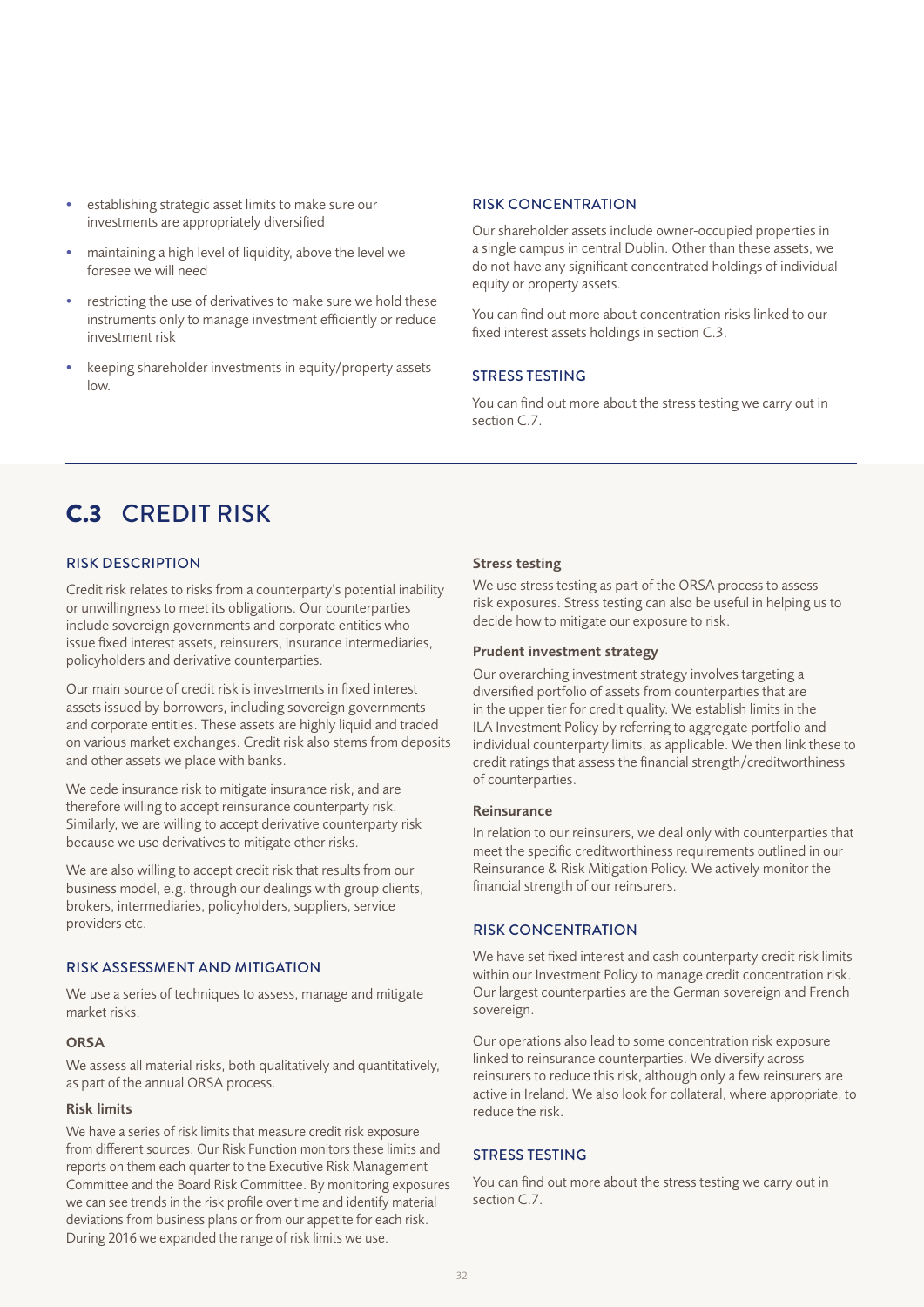- establishing strategic asset limits to make sure our investments are appropriately diversified
- maintaining a high level of liquidity, above the level we foresee we will need
- restricting the use of derivatives to make sure we hold these instruments only to manage investment efficiently or reduce investment risk
- keeping shareholder investments in equity/property assets low.

#### RISK CONCENTRATION

Our shareholder assets include owner-occupied properties in a single campus in central Dublin. Other than these assets, we do not have any significant concentrated holdings of individual equity or property assets.

You can find out more about concentration risks linked to our fixed interest assets holdings in section C.3.

## STRESS TESTING

You can find out more about the stress testing we carry out in section C.7.

# C.3 CREDIT RISK

## RISK DESCRIPTION

Credit risk relates to risks from a counterparty's potential inability or unwillingness to meet its obligations. Our counterparties include sovereign governments and corporate entities who issue fixed interest assets, reinsurers, insurance intermediaries, policyholders and derivative counterparties.

Our main source of credit risk is investments in fixed interest assets issued by borrowers, including sovereign governments and corporate entities. These assets are highly liquid and traded on various market exchanges. Credit risk also stems from deposits and other assets we place with banks.

We cede insurance risk to mitigate insurance risk, and are therefore willing to accept reinsurance counterparty risk. Similarly, we are willing to accept derivative counterparty risk because we use derivatives to mitigate other risks.

We are also willing to accept credit risk that results from our business model, e.g. through our dealings with group clients, brokers, intermediaries, policyholders, suppliers, service providers etc.

## RISK ASSESSMENT AND MITIGATION

We use a series of techniques to assess, manage and mitigate market risks.

## ORSA

We assess all material risks, both qualitatively and quantitatively, as part of the annual ORSA process.

#### Risk limits

We have a series of risk limits that measure credit risk exposure from different sources. Our Risk Function monitors these limits and reports on them each quarter to the Executive Risk Management Committee and the Board Risk Committee. By monitoring exposures we can see trends in the risk profile over time and identify material deviations from business plans or from our appetite for each risk. During 2016 we expanded the range of risk limits we use.

### Stress testing

We use stress testing as part of the ORSA process to assess risk exposures. Stress testing can also be useful in helping us to decide how to mitigate our exposure to risk.

#### Prudent investment strategy

Our overarching investment strategy involves targeting a diversified portfolio of assets from counterparties that are in the upper tier for credit quality. We establish limits in the ILA Investment Policy by referring to aggregate portfolio and individual counterparty limits, as applicable. We then link these to credit ratings that assess the financial strength/creditworthiness of counterparties.

#### Reinsurance

In relation to our reinsurers, we deal only with counterparties that meet the specific creditworthiness requirements outlined in our Reinsurance & Risk Mitigation Policy. We actively monitor the financial strength of our reinsurers.

## RISK CONCENTRATION

We have set fixed interest and cash counterparty credit risk limits within our Investment Policy to manage credit concentration risk. Our largest counterparties are the German sovereign and French sovereign.

Our operations also lead to some concentration risk exposure linked to reinsurance counterparties. We diversify across reinsurers to reduce this risk, although only a few reinsurers are active in Ireland. We also look for collateral, where appropriate, to reduce the risk.

## STRESS TESTING

You can find out more about the stress testing we carry out in section C.7.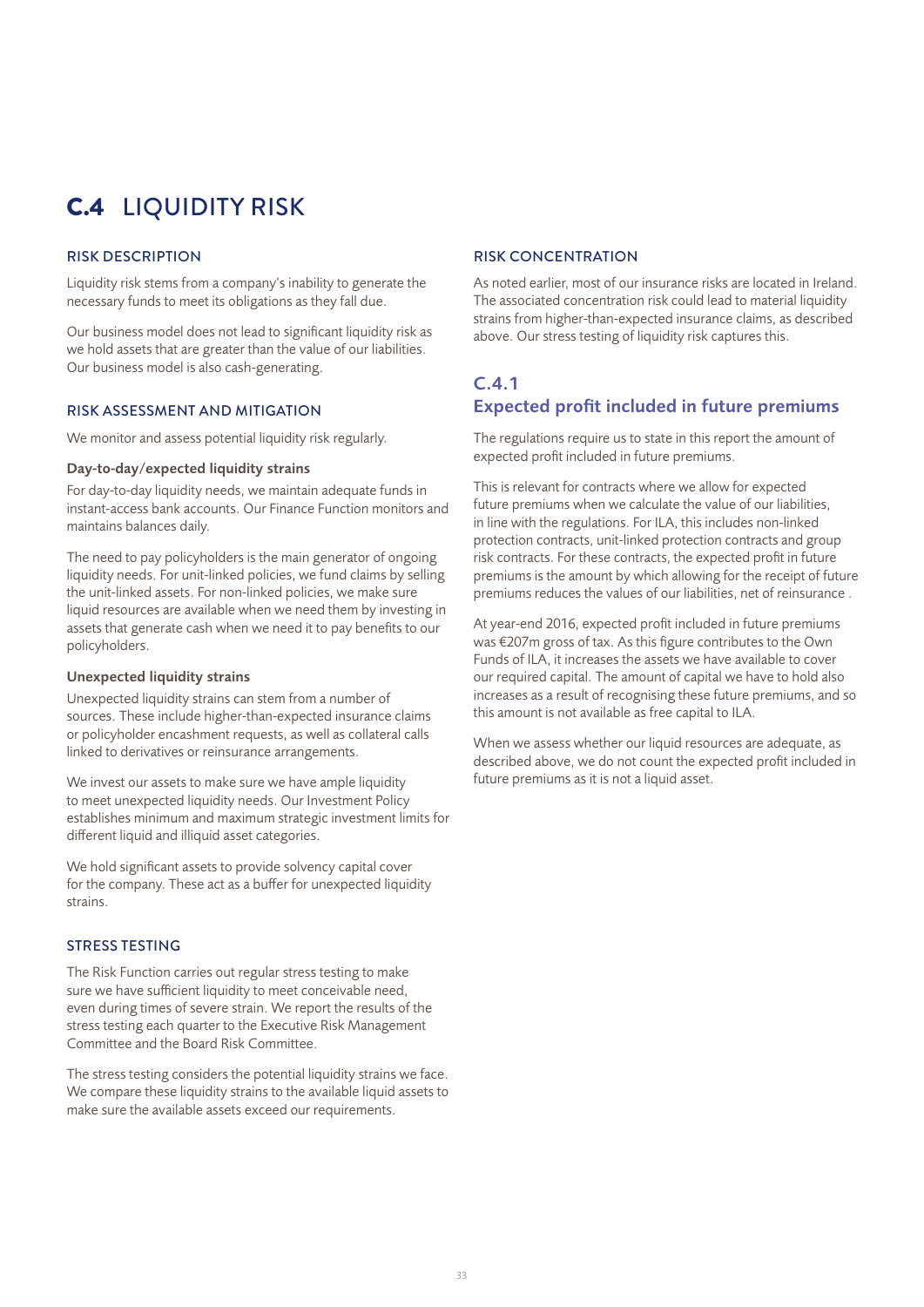# C.4 LIQUIDITY RISK

## RISK DESCRIPTION

Liquidity risk stems from a company's inability to generate the necessary funds to meet its obligations as they fall due.

Our business model does not lead to significant liquidity risk as we hold assets that are greater than the value of our liabilities. Our business model is also cash-generating.

### RISK ASSESSMENT AND MITIGATION

We monitor and assess potential liquidity risk regularly.

## Day-to-day/expected liquidity strains

For day-to-day liquidity needs, we maintain adequate funds in instant-access bank accounts. Our Finance Function monitors and maintains balances daily.

The need to pay policyholders is the main generator of ongoing liquidity needs. For unit-linked policies, we fund claims by selling the unit-linked assets. For non-linked policies, we make sure liquid resources are available when we need them by investing in assets that generate cash when we need it to pay benefits to our policyholders.

## Unexpected liquidity strains

Unexpected liquidity strains can stem from a number of sources. These include higher-than-expected insurance claims or policyholder encashment requests, as well as collateral calls linked to derivatives or reinsurance arrangements.

We invest our assets to make sure we have ample liquidity to meet unexpected liquidity needs. Our Investment Policy establishes minimum and maximum strategic investment limits for different liquid and illiquid asset categories.

We hold significant assets to provide solvency capital cover for the company. These act as a buffer for unexpected liquidity strains.

## STRESS TESTING

The Risk Function carries out regular stress testing to make sure we have sufficient liquidity to meet conceivable need, even during times of severe strain. We report the results of the stress testing each quarter to the Executive Risk Management Committee and the Board Risk Committee.

The stress testing considers the potential liquidity strains we face. We compare these liquidity strains to the available liquid assets to make sure the available assets exceed our requirements.

## RISK CONCENTRATION

As noted earlier, most of our insurance risks are located in Ireland. The associated concentration risk could lead to material liquidity strains from higher-than-expected insurance claims, as described above. Our stress testing of liquidity risk captures this.

## C.4.1

## Expected profit included in future premiums

The regulations require us to state in this report the amount of expected profit included in future premiums.

This is relevant for contracts where we allow for expected future premiums when we calculate the value of our liabilities, in line with the regulations. For ILA, this includes non-linked protection contracts, unit-linked protection contracts and group risk contracts. For these contracts, the expected profit in future premiums is the amount by which allowing for the receipt of future premiums reduces the values of our liabilities, net of reinsurance .

At year-end 2016, expected profit included in future premiums was €207m gross of tax. As this figure contributes to the Own Funds of ILA, it increases the assets we have available to cover our required capital. The amount of capital we have to hold also increases as a result of recognising these future premiums, and so this amount is not available as free capital to ILA.

When we assess whether our liquid resources are adequate, as described above, we do not count the expected profit included in future premiums as it is not a liquid asset.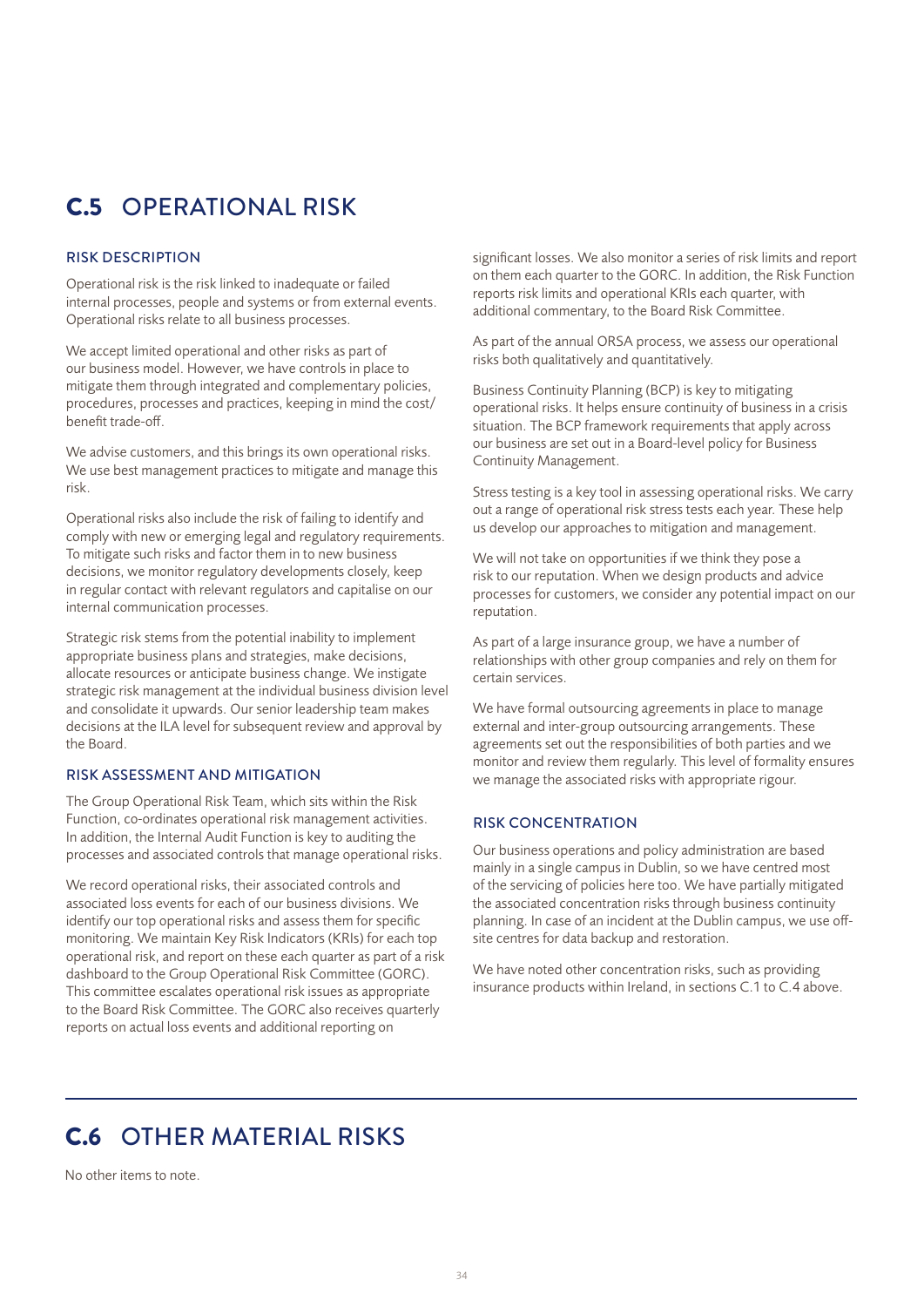# C.5 OPERATIONAL RISK

## RISK DESCRIPTION

Operational risk is the risk linked to inadequate or failed internal processes, people and systems or from external events. Operational risks relate to all business processes.

We accept limited operational and other risks as part of our business model. However, we have controls in place to mitigate them through integrated and complementary policies, procedures, processes and practices, keeping in mind the cost/ benefit trade-off.

We advise customers, and this brings its own operational risks. We use best management practices to mitigate and manage this risk.

Operational risks also include the risk of failing to identify and comply with new or emerging legal and regulatory requirements. To mitigate such risks and factor them in to new business decisions, we monitor regulatory developments closely, keep in regular contact with relevant regulators and capitalise on our internal communication processes.

Strategic risk stems from the potential inability to implement appropriate business plans and strategies, make decisions, allocate resources or anticipate business change. We instigate strategic risk management at the individual business division level and consolidate it upwards. Our senior leadership team makes decisions at the ILA level for subsequent review and approval by the Board.

## RISK ASSESSMENT AND MITIGATION

The Group Operational Risk Team, which sits within the Risk Function, co-ordinates operational risk management activities. In addition, the Internal Audit Function is key to auditing the processes and associated controls that manage operational risks.

We record operational risks, their associated controls and associated loss events for each of our business divisions. We identify our top operational risks and assess them for specific monitoring. We maintain Key Risk Indicators (KRIs) for each top operational risk, and report on these each quarter as part of a risk dashboard to the Group Operational Risk Committee (GORC). This committee escalates operational risk issues as appropriate to the Board Risk Committee. The GORC also receives quarterly reports on actual loss events and additional reporting on

significant losses. We also monitor a series of risk limits and report on them each quarter to the GORC. In addition, the Risk Function reports risk limits and operational KRIs each quarter, with additional commentary, to the Board Risk Committee.

As part of the annual ORSA process, we assess our operational risks both qualitatively and quantitatively.

Business Continuity Planning (BCP) is key to mitigating operational risks. It helps ensure continuity of business in a crisis situation. The BCP framework requirements that apply across our business are set out in a Board-level policy for Business Continuity Management.

Stress testing is a key tool in assessing operational risks. We carry out a range of operational risk stress tests each year. These help us develop our approaches to mitigation and management.

We will not take on opportunities if we think they pose a risk to our reputation. When we design products and advice processes for customers, we consider any potential impact on our reputation.

As part of a large insurance group, we have a number of relationships with other group companies and rely on them for certain services.

We have formal outsourcing agreements in place to manage external and inter-group outsourcing arrangements. These agreements set out the responsibilities of both parties and we monitor and review them regularly. This level of formality ensures we manage the associated risks with appropriate rigour.

## RISK CONCENTRATION

Our business operations and policy administration are based mainly in a single campus in Dublin, so we have centred most of the servicing of policies here too. We have partially mitigated the associated concentration risks through business continuity planning. In case of an incident at the Dublin campus, we use offsite centres for data backup and restoration.

We have noted other concentration risks, such as providing insurance products within Ireland, in sections C.1 to C.4 above.

# C.6 OTHER MATERIAL RISKS

No other items to note.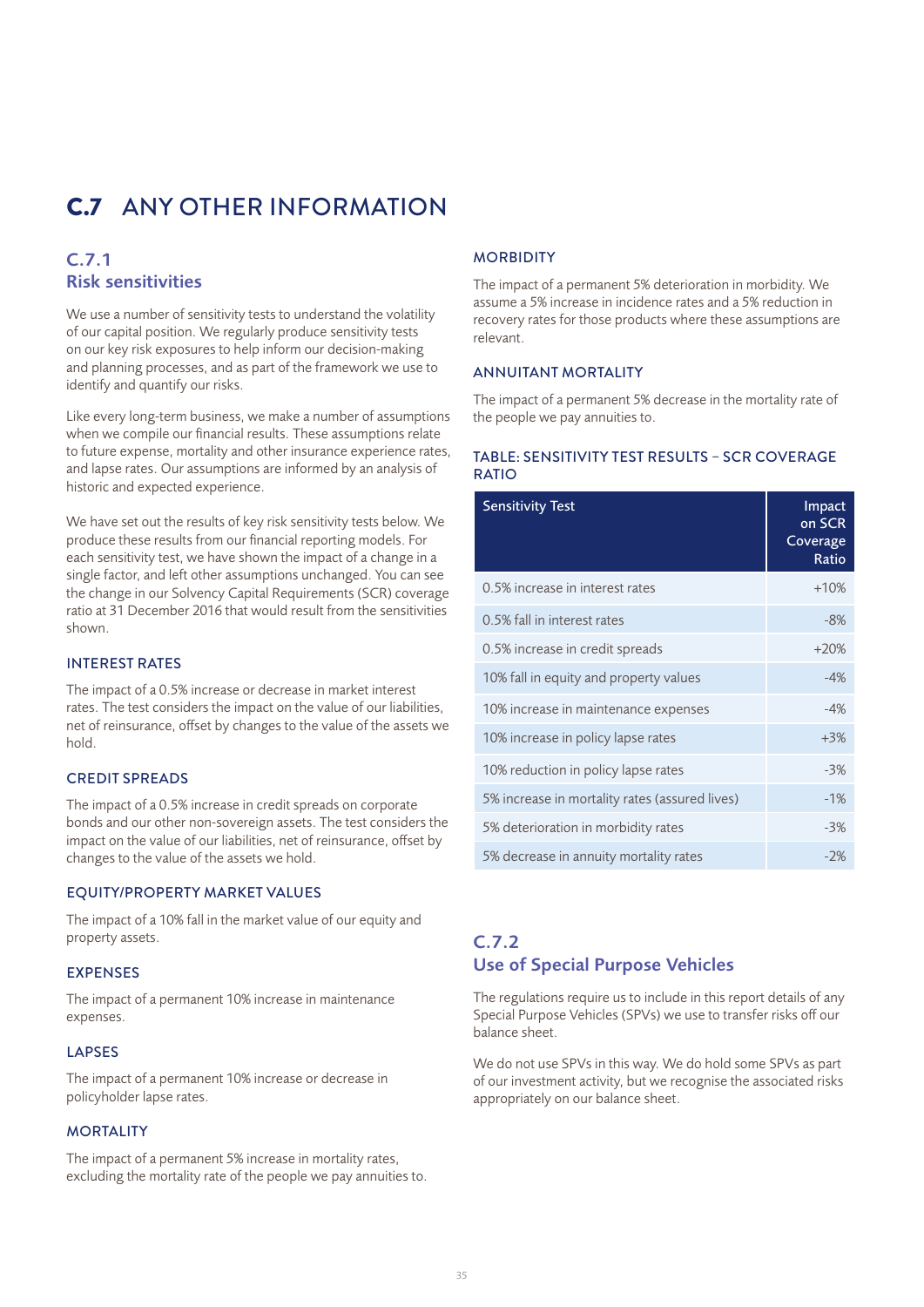# C.7 ANY OTHER INFORMATION

### C.7.1 Risk sensitivities

We use a number of sensitivity tests to understand the volatility of our capital position. We regularly produce sensitivity tests on our key risk exposures to help inform our decision-making and planning processes, and as part of the framework we use to identify and quantify our risks.

Like every long-term business, we make a number of assumptions when we compile our financial results. These assumptions relate to future expense, mortality and other insurance experience rates, and lapse rates. Our assumptions are informed by an analysis of historic and expected experience.

We have set out the results of key risk sensitivity tests below. We produce these results from our financial reporting models. For each sensitivity test, we have shown the impact of a change in a single factor, and left other assumptions unchanged. You can see the change in our Solvency Capital Requirements (SCR) coverage ratio at 31 December 2016 that would result from the sensitivities shown.

#### INTEREST RATES

The impact of a 0.5% increase or decrease in market interest rates. The test considers the impact on the value of our liabilities, net of reinsurance, offset by changes to the value of the assets we hold.

#### CREDIT SPREADS

The impact of a 0.5% increase in credit spreads on corporate bonds and our other non-sovereign assets. The test considers the impact on the value of our liabilities, net of reinsurance, offset by changes to the value of the assets we hold.

#### EQUITY/PROPERTY MARKET VALUES

The impact of a 10% fall in the market value of our equity and property assets.

#### EXPENSES

The impact of a permanent 10% increase in maintenance expenses.

#### LAPSES

The impact of a permanent 10% increase or decrease in policyholder lapse rates.

#### **MORTALITY**

The impact of a permanent 5% increase in mortality rates, excluding the mortality rate of the people we pay annuities to.

#### **MORBIDITY**

The impact of a permanent 5% deterioration in morbidity. We assume a 5% increase in incidence rates and a 5% reduction in recovery rates for those products where these assumptions are relevant.

#### ANNUITANT MORTALITY

The impact of a permanent 5% decrease in the mortality rate of the people we pay annuities to.

### TABLE: SENSITIVITY TEST RESULTS – SCR COVERAGE **RATIO**

| <b>Sensitivity Test</b>                        | Impact<br>on SCR<br>Coverage<br>Ratio |
|------------------------------------------------|---------------------------------------|
| 0.5% increase in interest rates                | $+10%$                                |
| 0.5% fall in interest rates                    | -8%                                   |
| 0.5% increase in credit spreads                | $+20%$                                |
| 10% fall in equity and property values         | $-4%$                                 |
| 10% increase in maintenance expenses           | $-4%$                                 |
| 10% increase in policy lapse rates             | $+3%$                                 |
| 10% reduction in policy lapse rates            | $-3%$                                 |
| 5% increase in mortality rates (assured lives) | $-1%$                                 |
| 5% deterioration in morbidity rates            | $-3%$                                 |
| 5% decrease in annuity mortality rates         | $-2%$                                 |

### C.7.2 Use of Special Purpose Vehicles

The regulations require us to include in this report details of any Special Purpose Vehicles (SPVs) we use to transfer risks off our balance sheet.

We do not use SPVs in this way. We do hold some SPVs as part of our investment activity, but we recognise the associated risks appropriately on our balance sheet.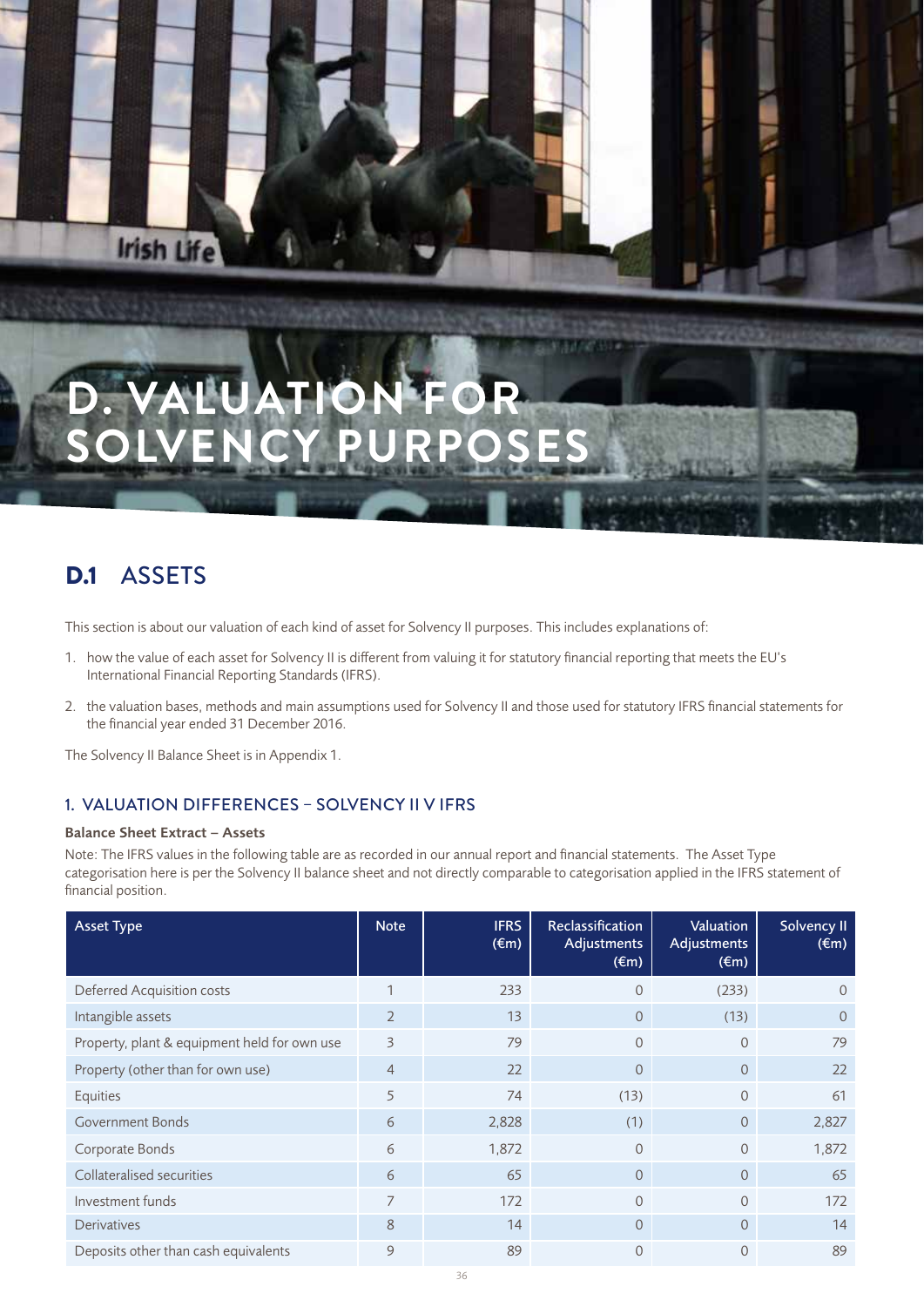# **D. VALUATION FOR SOLVENCY PURPOSES**

# D.1 ASSETS

**Irish Life** 

This section is about our valuation of each kind of asset for Solvency II purposes. This includes explanations of:

- 1. how the value of each asset for Solvency II is different from valuing it for statutory financial reporting that meets the EU's International Financial Reporting Standards (IFRS).
- 2. the valuation bases, methods and main assumptions used for Solvency II and those used for statutory IFRS financial statements for the financial year ended 31 December 2016.

The Solvency II Balance Sheet is in Appendix 1.

### 1. VALUATION DIFFERENCES – SOLVENCY II V IFRS

#### Balance Sheet Extract – Assets

Note: The IFRS values in the following table are as recorded in our annual report and financial statements. The Asset Type categorisation here is per the Solvency II balance sheet and not directly comparable to categorisation applied in the IFRS statement of financial position.

| <b>Asset Type</b>                            | <b>Note</b>    | <b>IFRS</b><br>$(\epsilon m)$ | Reclassification<br><b>Adjustments</b><br>$(\epsilon m)$ | Valuation<br>Adjustments<br>$(\epsilon m)$ | Solvency II<br>$(\epsilon m)$ |
|----------------------------------------------|----------------|-------------------------------|----------------------------------------------------------|--------------------------------------------|-------------------------------|
| Deferred Acquisition costs                   | 1              | 233                           | $\Omega$                                                 | (233)                                      | $\Omega$                      |
| Intangible assets                            | $\overline{2}$ | 13                            | $\overline{0}$                                           | (13)                                       | $\Omega$                      |
| Property, plant & equipment held for own use | 3              | 79                            | $\Omega$                                                 | $\Omega$                                   | 79                            |
| Property (other than for own use)            | $\overline{4}$ | 22                            | $\overline{0}$                                           | $\Omega$                                   | 22                            |
| Equities                                     | 5              | 74                            | (13)                                                     | $\overline{0}$                             | 61                            |
| <b>Government Bonds</b>                      | 6              | 2,828                         | (1)                                                      | $\overline{0}$                             | 2,827                         |
| Corporate Bonds                              | 6              | 1,872                         | $\Omega$                                                 | $\Omega$                                   | 1,872                         |
| Collateralised securities                    | 6              | 65                            | $\Omega$                                                 | $\Omega$                                   | 65                            |
| Investment funds                             | 7              | 172                           | $\Omega$                                                 | $\Omega$                                   | 172                           |
| <b>Derivatives</b>                           | 8              | 14                            | $\overline{0}$                                           | $\Omega$                                   | 14                            |
| Deposits other than cash equivalents         | 9              | 89                            | $\Omega$                                                 | $\Omega$                                   | 89                            |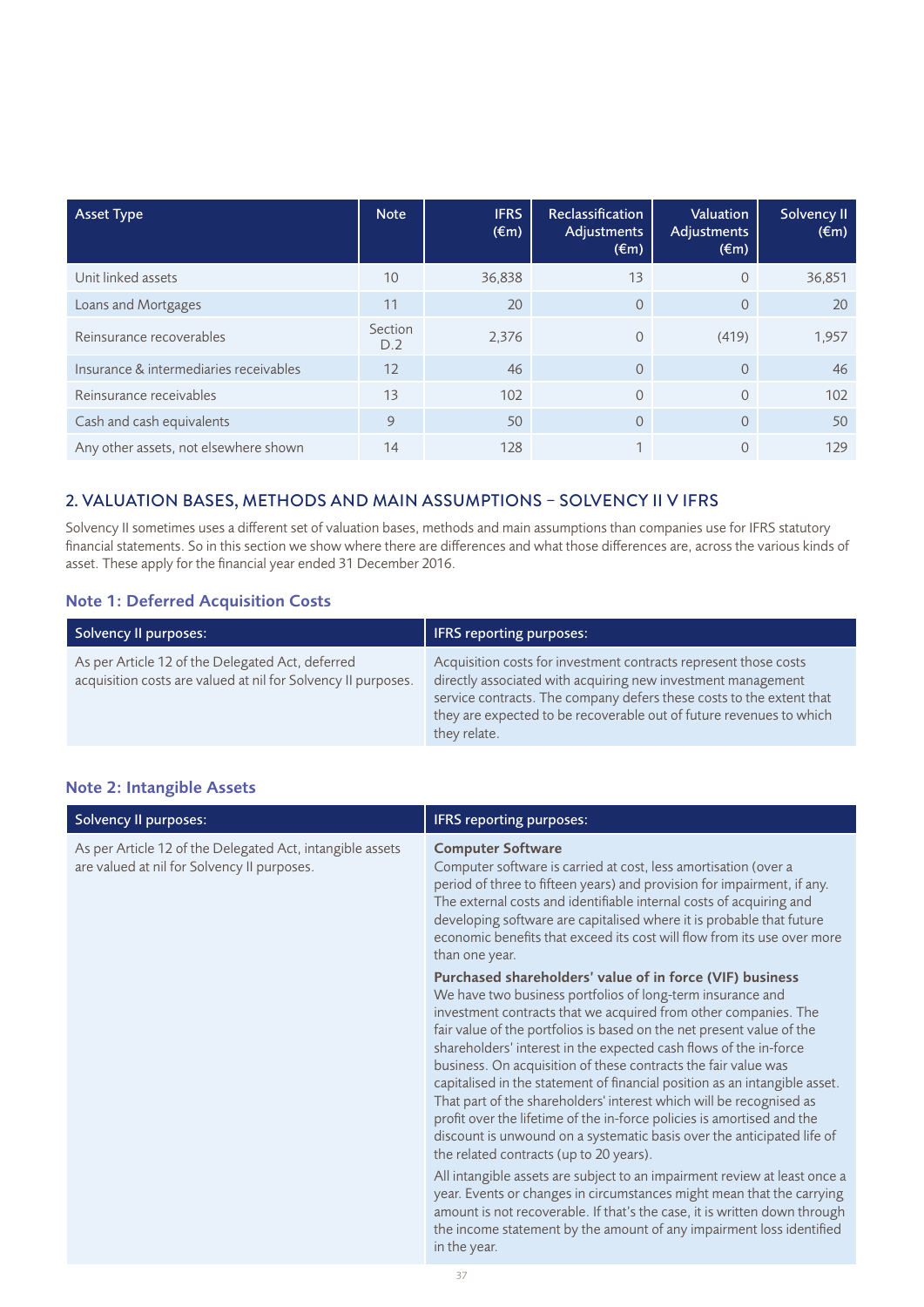| <b>Asset Type</b>                      | <b>Note</b>    | <b>IFRS</b><br>$(\epsilon m)$ | <b>Reclassification</b><br>Adjustments<br>$(\epsilon m)$ | <b>Valuation</b><br>Adjustments<br>$(\epsilon m)$ | Solvency II<br>$(\epsilon m)$ |
|----------------------------------------|----------------|-------------------------------|----------------------------------------------------------|---------------------------------------------------|-------------------------------|
| Unit linked assets                     | 10             | 36,838                        | 13                                                       | $\mathbf{0}$                                      | 36,851                        |
| Loans and Mortgages                    | 11             | 20                            | $\Omega$                                                 | $\overline{0}$                                    | 20                            |
| Reinsurance recoverables               | Section<br>D.2 | 2,376                         | $\Omega$                                                 | (419)                                             | 1,957                         |
| Insurance & intermediaries receivables | 12             | 46                            | $\Omega$                                                 | $\Omega$                                          | 46                            |
| Reinsurance receivables                | 13             | 102                           | $\Omega$                                                 | $\Omega$                                          | 102                           |
| Cash and cash equivalents              | 9              | 50                            | $\Omega$                                                 | $\Omega$                                          | 50                            |
| Any other assets, not elsewhere shown  | 14             | 128                           |                                                          | $\Omega$                                          | 129                           |

### 2. VALUATION BASES, METHODS AND MAIN ASSUMPTIONS – SOLVENCY II V IFRS

Solvency II sometimes uses a different set of valuation bases, methods and main assumptions than companies use for IFRS statutory financial statements. So in this section we show where there are differences and what those differences are, across the various kinds of asset. These apply for the financial year ended 31 December 2016.

### Note 1: Deferred Acquisition Costs

| Solvency II purposes:                                                                                             | <b>IFRS</b> reporting purposes:                                                                                                                                                                                                                                                                 |
|-------------------------------------------------------------------------------------------------------------------|-------------------------------------------------------------------------------------------------------------------------------------------------------------------------------------------------------------------------------------------------------------------------------------------------|
| As per Article 12 of the Delegated Act, deferred<br>acquisition costs are valued at nil for Solvency II purposes. | Acquisition costs for investment contracts represent those costs<br>directly associated with acquiring new investment management<br>service contracts. The company defers these costs to the extent that<br>they are expected to be recoverable out of future revenues to which<br>they relate. |

### Note 2: Intangible Assets

| <b>Solvency II purposes:</b>                                                                             | IFRS reporting purposes:                                                                                                                                                                                                                                                                                                                                                                                                                                                                                                                                                                                                                                                                                                                                      |
|----------------------------------------------------------------------------------------------------------|---------------------------------------------------------------------------------------------------------------------------------------------------------------------------------------------------------------------------------------------------------------------------------------------------------------------------------------------------------------------------------------------------------------------------------------------------------------------------------------------------------------------------------------------------------------------------------------------------------------------------------------------------------------------------------------------------------------------------------------------------------------|
| As per Article 12 of the Delegated Act, intangible assets<br>are valued at nil for Solvency II purposes. | <b>Computer Software</b><br>Computer software is carried at cost, less amortisation (over a<br>period of three to fifteen years) and provision for impairment, if any.<br>The external costs and identifiable internal costs of acquiring and<br>developing software are capitalised where it is probable that future<br>economic benefits that exceed its cost will flow from its use over more<br>than one year.                                                                                                                                                                                                                                                                                                                                            |
|                                                                                                          | Purchased shareholders' value of in force (VIF) business<br>We have two business portfolios of long-term insurance and<br>investment contracts that we acquired from other companies. The<br>fair value of the portfolios is based on the net present value of the<br>shareholders' interest in the expected cash flows of the in-force<br>business. On acquisition of these contracts the fair value was<br>capitalised in the statement of financial position as an intangible asset.<br>That part of the shareholders' interest which will be recognised as<br>profit over the lifetime of the in-force policies is amortised and the<br>discount is unwound on a systematic basis over the anticipated life of<br>the related contracts (up to 20 years). |
|                                                                                                          | All intangible assets are subject to an impairment review at least once a<br>year. Events or changes in circumstances might mean that the carrying<br>amount is not recoverable. If that's the case, it is written down through<br>the income statement by the amount of any impairment loss identified<br>in the year.                                                                                                                                                                                                                                                                                                                                                                                                                                       |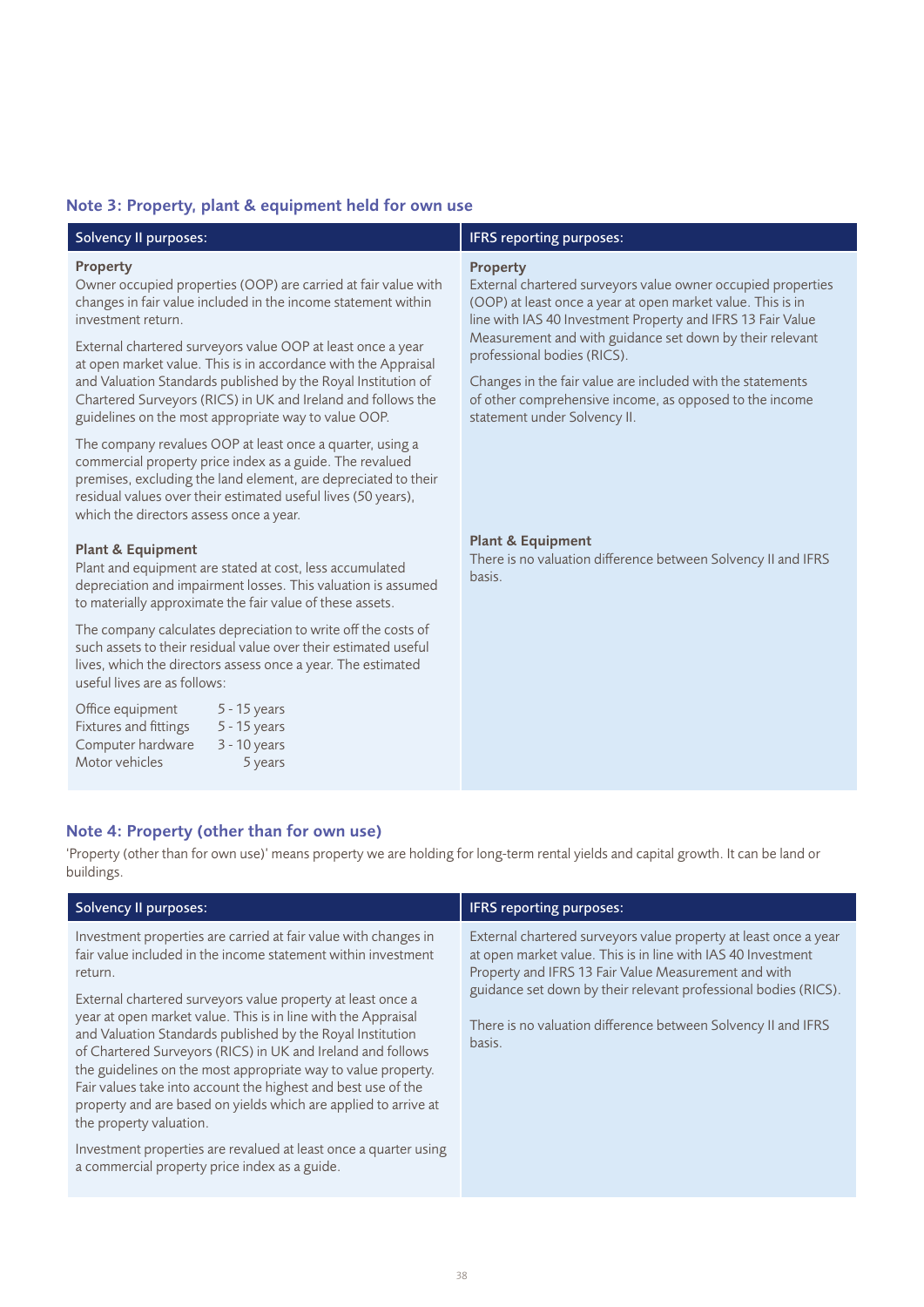### Note 3: Property, plant & equipment held for own use

| <b>Solvency II purposes:</b>                                                                                                                                                                                                                                                                        | IFRS reporting purposes:                                                                                                                                                                                                                                                                                 |
|-----------------------------------------------------------------------------------------------------------------------------------------------------------------------------------------------------------------------------------------------------------------------------------------------------|----------------------------------------------------------------------------------------------------------------------------------------------------------------------------------------------------------------------------------------------------------------------------------------------------------|
| Property<br>Owner occupied properties (OOP) are carried at fair value with<br>changes in fair value included in the income statement within<br>investment return.<br>External chartered surveyors value OOP at least once a year<br>at open market value. This is in accordance with the Appraisal  | <b>Property</b><br>External chartered surveyors value owner occupied properties<br>(OOP) at least once a year at open market value. This is in<br>line with IAS 40 Investment Property and IFRS 13 Fair Value<br>Measurement and with guidance set down by their relevant<br>professional bodies (RICS). |
| and Valuation Standards published by the Royal Institution of<br>Chartered Surveyors (RICS) in UK and Ireland and follows the<br>guidelines on the most appropriate way to value OOP.                                                                                                               | Changes in the fair value are included with the statements<br>of other comprehensive income, as opposed to the income<br>statement under Solvency II.                                                                                                                                                    |
| The company revalues OOP at least once a quarter, using a<br>commercial property price index as a guide. The revalued<br>premises, excluding the land element, are depreciated to their<br>residual values over their estimated useful lives (50 years),<br>which the directors assess once a year. |                                                                                                                                                                                                                                                                                                          |
| <b>Plant &amp; Equipment</b><br>Plant and equipment are stated at cost, less accumulated<br>depreciation and impairment losses. This valuation is assumed<br>to materially approximate the fair value of these assets.                                                                              | <b>Plant &amp; Equipment</b><br>There is no valuation difference between Solvency II and IFRS<br>basis.                                                                                                                                                                                                  |
| The company calculates depreciation to write off the costs of<br>such assets to their residual value over their estimated useful<br>lives, which the directors assess once a year. The estimated<br>useful lives are as follows:                                                                    |                                                                                                                                                                                                                                                                                                          |
| Office equipment<br>5 - 15 years<br><b>Fixtures and fittings</b><br>5 - 15 years                                                                                                                                                                                                                    |                                                                                                                                                                                                                                                                                                          |

| <b>OTTICL CURRISTICITE</b> |          |
|----------------------------|----------|
| Fixtures and fittings      | $5 - 1$  |
| Computer hardware          | $3 - 10$ |
| Motor vehicles             |          |

 $0$  years 5 years

### Note 4: Property (other than for own use)

'Property (other than for own use)' means property we are holding for long-term rental yields and capital growth. It can be land or buildings.

| Solvency II purposes:                                                                                                                                                                                                                                                                                                                                                                                                                                                                                                                                                                                                                                                                                                                                         | <b>IFRS</b> reporting purposes:                                                                                                                                                                                                                                                                                                        |
|---------------------------------------------------------------------------------------------------------------------------------------------------------------------------------------------------------------------------------------------------------------------------------------------------------------------------------------------------------------------------------------------------------------------------------------------------------------------------------------------------------------------------------------------------------------------------------------------------------------------------------------------------------------------------------------------------------------------------------------------------------------|----------------------------------------------------------------------------------------------------------------------------------------------------------------------------------------------------------------------------------------------------------------------------------------------------------------------------------------|
| Investment properties are carried at fair value with changes in<br>fair value included in the income statement within investment<br>return.<br>External chartered surveyors value property at least once a<br>year at open market value. This is in line with the Appraisal<br>and Valuation Standards published by the Royal Institution<br>of Chartered Surveyors (RICS) in UK and Ireland and follows<br>the guidelines on the most appropriate way to value property.<br>Fair values take into account the highest and best use of the<br>property and are based on yields which are applied to arrive at<br>the property valuation.<br>Investment properties are revalued at least once a quarter using<br>a commercial property price index as a guide. | External chartered surveyors value property at least once a year<br>at open market value. This is in line with IAS 40 Investment<br>Property and IFRS 13 Fair Value Measurement and with<br>guidance set down by their relevant professional bodies (RICS).<br>There is no valuation difference between Solvency II and IFRS<br>basis. |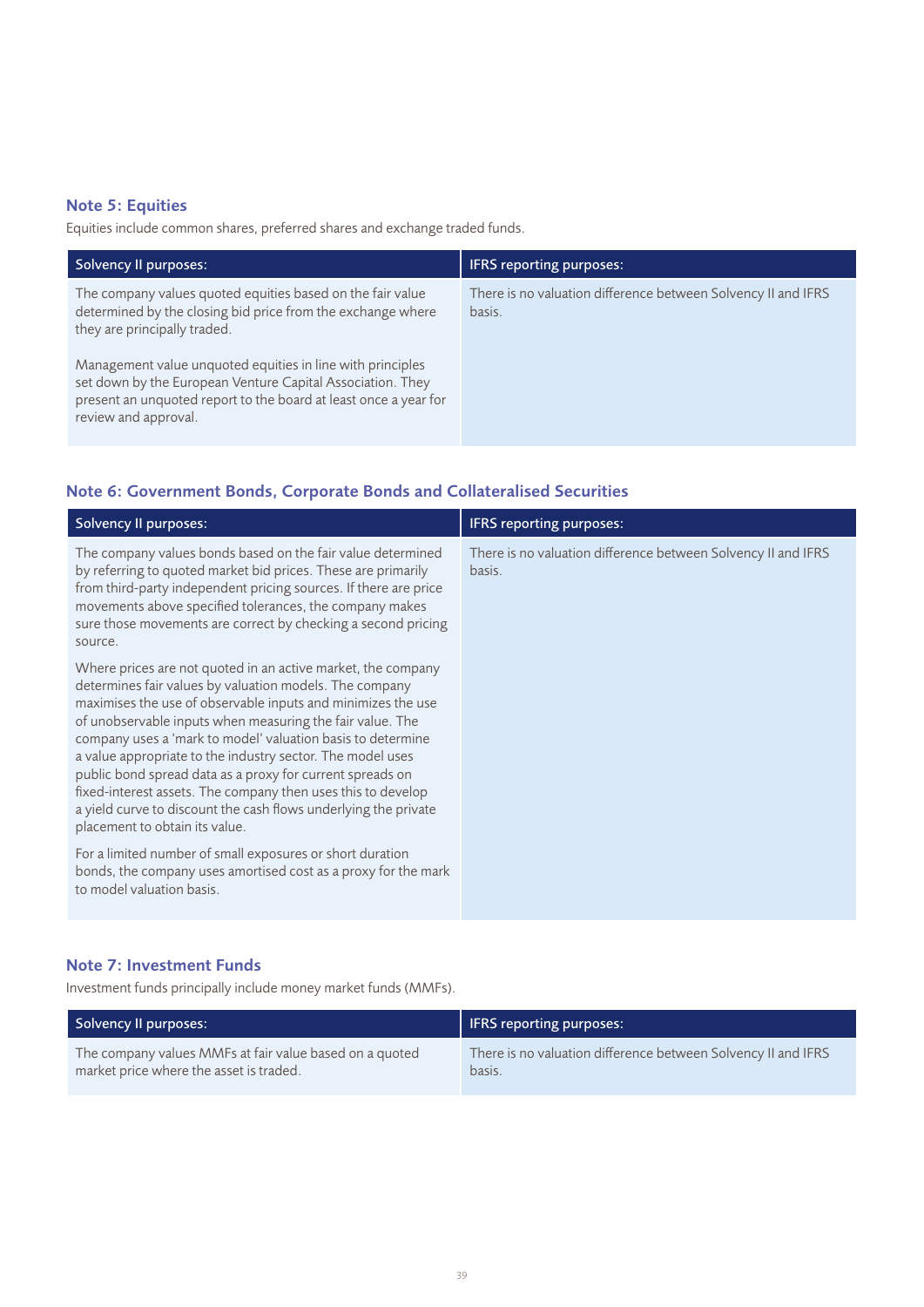### Note 5: Equities

Equities include common shares, preferred shares and exchange traded funds.

| <b>Solvency II purposes:</b>                                                                                                                                                                                         | <b>IFRS</b> reporting purposes:                                         |
|----------------------------------------------------------------------------------------------------------------------------------------------------------------------------------------------------------------------|-------------------------------------------------------------------------|
| The company values quoted equities based on the fair value<br>determined by the closing bid price from the exchange where<br>they are principally traded.                                                            | There is no valuation difference between Solvency II and IFRS<br>basis. |
| Management value unquoted equities in line with principles<br>set down by the European Venture Capital Association. They<br>present an unquoted report to the board at least once a year for<br>review and approval. |                                                                         |

### Note 6: Government Bonds, Corporate Bonds and Collateralised Securities

| <b>Solvency II purposes:</b>                                                                                                                                                                                                                                                                                                                                                                                                                                                                                                                                                                                        | <b>IFRS reporting purposes:</b>                                         |
|---------------------------------------------------------------------------------------------------------------------------------------------------------------------------------------------------------------------------------------------------------------------------------------------------------------------------------------------------------------------------------------------------------------------------------------------------------------------------------------------------------------------------------------------------------------------------------------------------------------------|-------------------------------------------------------------------------|
| The company values bonds based on the fair value determined<br>by referring to quoted market bid prices. These are primarily<br>from third-party independent pricing sources. If there are price<br>movements above specified tolerances, the company makes<br>sure those movements are correct by checking a second pricing<br>source.                                                                                                                                                                                                                                                                             | There is no valuation difference between Solvency II and IFRS<br>basis. |
| Where prices are not quoted in an active market, the company<br>determines fair values by valuation models. The company<br>maximises the use of observable inputs and minimizes the use<br>of unobservable inputs when measuring the fair value. The<br>company uses a 'mark to model' valuation basis to determine<br>a value appropriate to the industry sector. The model uses<br>public bond spread data as a proxy for current spreads on<br>fixed-interest assets. The company then uses this to develop<br>a yield curve to discount the cash flows underlying the private<br>placement to obtain its value. |                                                                         |
| For a limited number of small exposures or short duration<br>bonds, the company uses amortised cost as a proxy for the mark<br>to model valuation basis.                                                                                                                                                                                                                                                                                                                                                                                                                                                            |                                                                         |

### Note 7: Investment Funds

Investment funds principally include money market funds (MMFs).

| Solvency II purposes:                                   | IFRS reporting purposes:                                      |
|---------------------------------------------------------|---------------------------------------------------------------|
| The company values MMFs at fair value based on a quoted | There is no valuation difference between Solvency II and IFRS |
| market price where the asset is traded.                 | basis.                                                        |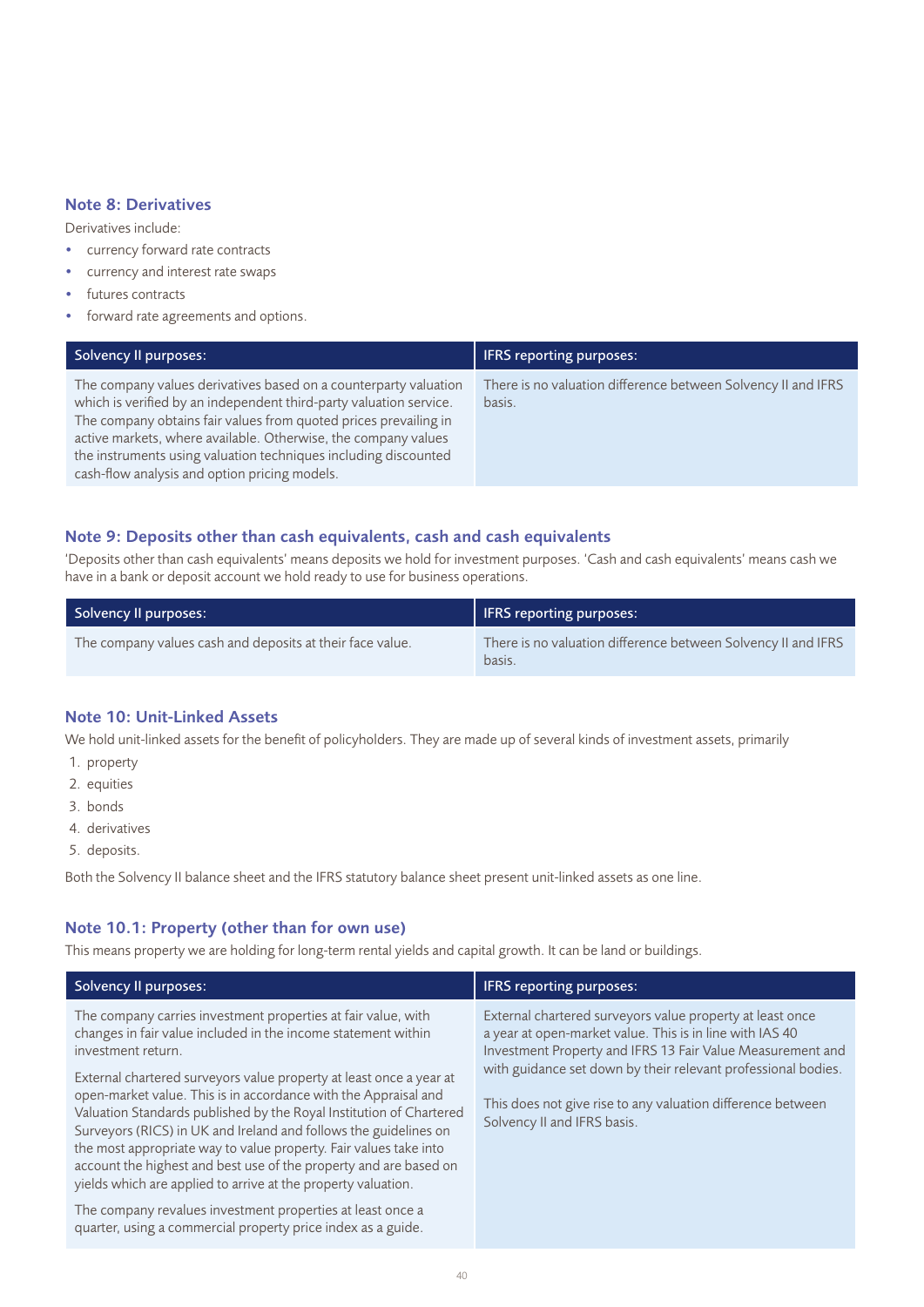#### Note 8: Derivatives

Derivatives include:

- currency forward rate contracts
- currency and interest rate swaps
- futures contracts
- forward rate agreements and options.

| Solvency II purposes:                                                                                                                                                                                                                                                                                                                                                                            | <b>IFRS</b> reporting purposes:                                         |
|--------------------------------------------------------------------------------------------------------------------------------------------------------------------------------------------------------------------------------------------------------------------------------------------------------------------------------------------------------------------------------------------------|-------------------------------------------------------------------------|
| The company values derivatives based on a counterparty valuation<br>which is verified by an independent third-party valuation service.<br>The company obtains fair values from quoted prices prevailing in<br>active markets, where available. Otherwise, the company values<br>the instruments using valuation techniques including discounted<br>cash-flow analysis and option pricing models. | There is no valuation difference between Solvency II and IFRS<br>basis. |

### Note 9: Deposits other than cash equivalents, cash and cash equivalents

'Deposits other than cash equivalents' means deposits we hold for investment purposes. 'Cash and cash equivalents' means cash we have in a bank or deposit account we hold ready to use for business operations.

| Solvency II purposes:                                     | <b>IFRS reporting purposes:</b>                                         |
|-----------------------------------------------------------|-------------------------------------------------------------------------|
| The company values cash and deposits at their face value. | There is no valuation difference between Solvency II and IFRS<br>basis. |

### Note 10: Unit-Linked Assets

We hold unit-linked assets for the benefit of policyholders. They are made up of several kinds of investment assets, primarily

- 1. property
- 2. equities
- 3. bonds
- 4. derivatives
- 5. deposits.

Both the Solvency II balance sheet and the IFRS statutory balance sheet present unit-linked assets as one line.

### Note 10.1: Property (other than for own use)

This means property we are holding for long-term rental yields and capital growth. It can be land or buildings.

| <b>Solvency II purposes:</b>                                                                                                                                                                                                                                                                                                                                                                                                                                                                                                                                                                                                                         | <b>IFRS</b> reporting purposes:                                                                                                                                                                                                                                                                                                                    |
|------------------------------------------------------------------------------------------------------------------------------------------------------------------------------------------------------------------------------------------------------------------------------------------------------------------------------------------------------------------------------------------------------------------------------------------------------------------------------------------------------------------------------------------------------------------------------------------------------------------------------------------------------|----------------------------------------------------------------------------------------------------------------------------------------------------------------------------------------------------------------------------------------------------------------------------------------------------------------------------------------------------|
| The company carries investment properties at fair value, with<br>changes in fair value included in the income statement within<br>investment return.<br>External chartered surveyors value property at least once a year at<br>open-market value. This is in accordance with the Appraisal and<br>Valuation Standards published by the Royal Institution of Chartered<br>Surveyors (RICS) in UK and Ireland and follows the guidelines on<br>the most appropriate way to value property. Fair values take into<br>account the highest and best use of the property and are based on<br>yields which are applied to arrive at the property valuation. | External chartered surveyors value property at least once<br>a year at open-market value. This is in line with IAS 40<br>Investment Property and IFRS 13 Fair Value Measurement and<br>with guidance set down by their relevant professional bodies.<br>This does not give rise to any valuation difference between<br>Solvency II and IFRS basis. |
| The company revalues investment properties at least once a<br>quarter, using a commercial property price index as a guide.                                                                                                                                                                                                                                                                                                                                                                                                                                                                                                                           |                                                                                                                                                                                                                                                                                                                                                    |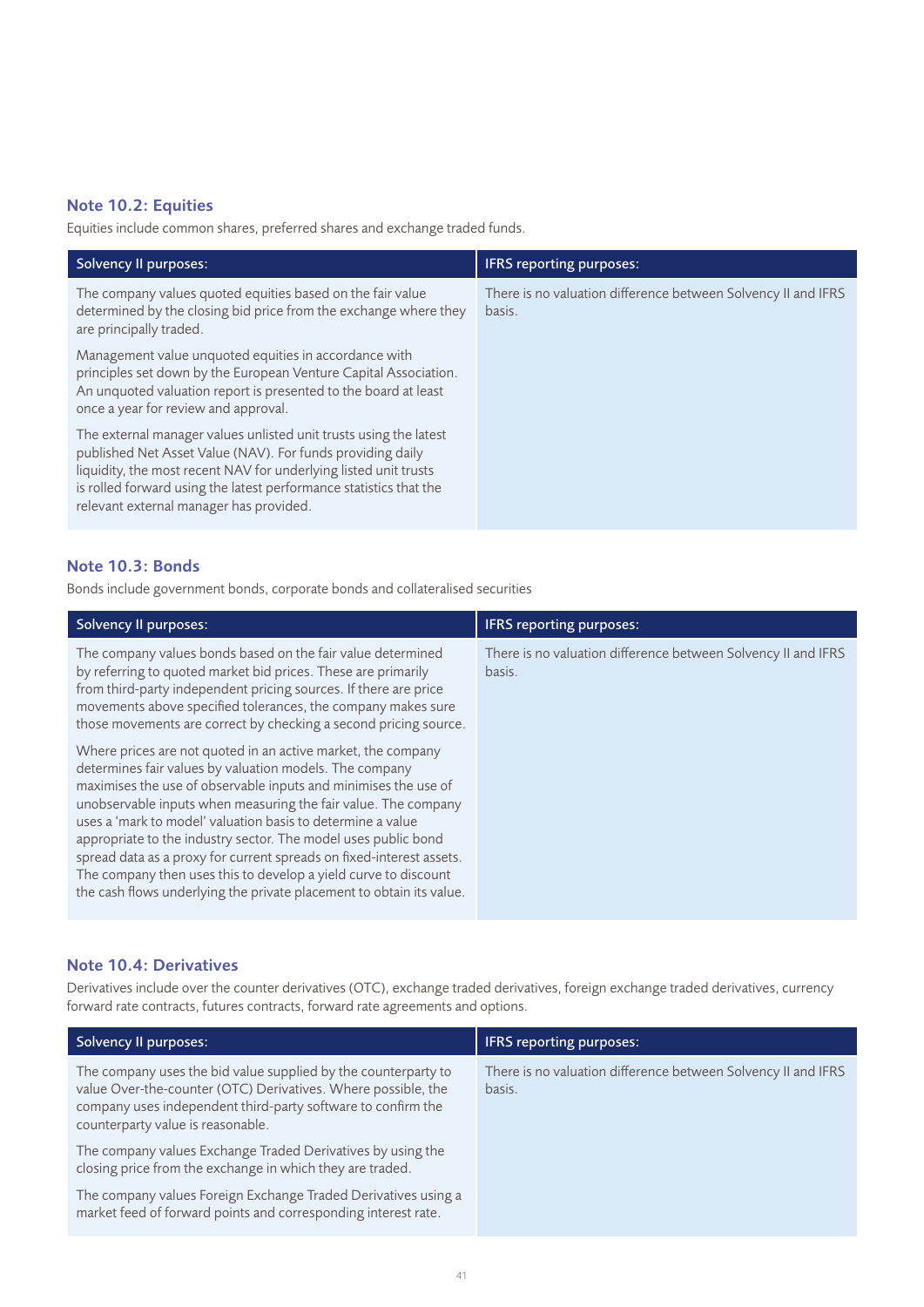### Note 10.2: Equities

Equities include common shares, preferred shares and exchange traded funds.

| Solvency II purposes:                                                                                                                                                                                                                                                                                                | <b>IFRS</b> reporting purposes:                                         |
|----------------------------------------------------------------------------------------------------------------------------------------------------------------------------------------------------------------------------------------------------------------------------------------------------------------------|-------------------------------------------------------------------------|
| The company values quoted equities based on the fair value<br>determined by the closing bid price from the exchange where they<br>are principally traded.                                                                                                                                                            | There is no valuation difference between Solvency II and IFRS<br>basis. |
| Management value unquoted equities in accordance with<br>principles set down by the European Venture Capital Association.<br>An unquoted valuation report is presented to the board at least<br>once a year for review and approval.                                                                                 |                                                                         |
| The external manager values unlisted unit trusts using the latest<br>published Net Asset Value (NAV). For funds providing daily<br>liquidity, the most recent NAV for underlying listed unit trusts<br>is rolled forward using the latest performance statistics that the<br>relevant external manager has provided. |                                                                         |

### Note 10.3: Bonds

Bonds include government bonds, corporate bonds and collateralised securities

| <b>Solvency II purposes:</b>                                                                                                                                                                                                                                                                                                                                                                                                                                                                                                                                                                                     | <b>IFRS</b> reporting purposes:                                         |
|------------------------------------------------------------------------------------------------------------------------------------------------------------------------------------------------------------------------------------------------------------------------------------------------------------------------------------------------------------------------------------------------------------------------------------------------------------------------------------------------------------------------------------------------------------------------------------------------------------------|-------------------------------------------------------------------------|
| The company values bonds based on the fair value determined<br>by referring to quoted market bid prices. These are primarily<br>from third-party independent pricing sources. If there are price<br>movements above specified tolerances, the company makes sure<br>those movements are correct by checking a second pricing source.                                                                                                                                                                                                                                                                             | There is no valuation difference between Solvency II and IFRS<br>basis. |
| Where prices are not quoted in an active market, the company<br>determines fair values by valuation models. The company<br>maximises the use of observable inputs and minimises the use of<br>unobservable inputs when measuring the fair value. The company<br>uses a 'mark to model' valuation basis to determine a value<br>appropriate to the industry sector. The model uses public bond<br>spread data as a proxy for current spreads on fixed-interest assets.<br>The company then uses this to develop a yield curve to discount<br>the cash flows underlying the private placement to obtain its value. |                                                                         |

#### Note 10.4: Derivatives

Derivatives include over the counter derivatives (OTC), exchange traded derivatives, foreign exchange traded derivatives, currency forward rate contracts, futures contracts, forward rate agreements and options.

| Solvency II purposes:                                                                                                                                                                                                                | <b>IFRS</b> reporting purposes:                                         |
|--------------------------------------------------------------------------------------------------------------------------------------------------------------------------------------------------------------------------------------|-------------------------------------------------------------------------|
| The company uses the bid value supplied by the counterparty to<br>value Over-the-counter (OTC) Derivatives. Where possible, the<br>company uses independent third-party software to confirm the<br>counterparty value is reasonable. | There is no valuation difference between Solvency II and IFRS<br>basis. |
| The company values Exchange Traded Derivatives by using the<br>closing price from the exchange in which they are traded.                                                                                                             |                                                                         |
| The company values Foreign Exchange Traded Derivatives using a<br>market feed of forward points and corresponding interest rate.                                                                                                     |                                                                         |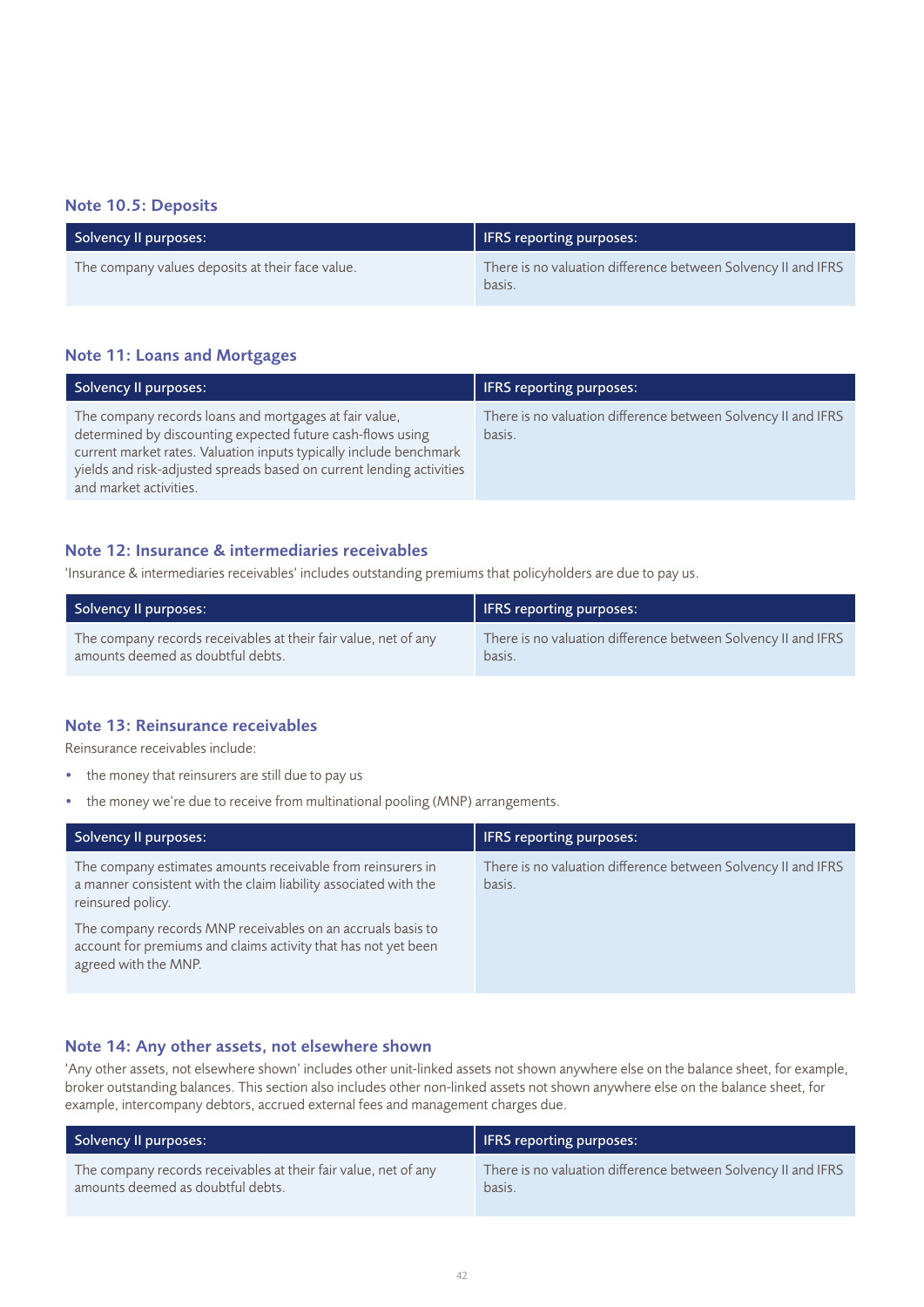### Note 10.5: Deposits

| Solvency II purposes:                            | <b>IFRS</b> reporting purposes:                                         |
|--------------------------------------------------|-------------------------------------------------------------------------|
| The company values deposits at their face value. | There is no valuation difference between Solvency II and IFRS<br>basis. |

### Note 11: Loans and Mortgages

| Solvency Il purposes:                                                                                                                                                                                                                                                                        | <b>IFRS</b> reporting purposes:                                         |
|----------------------------------------------------------------------------------------------------------------------------------------------------------------------------------------------------------------------------------------------------------------------------------------------|-------------------------------------------------------------------------|
| The company records loans and mortgages at fair value,<br>determined by discounting expected future cash-flows using<br>current market rates. Valuation inputs typically include benchmark<br>yields and risk-adjusted spreads based on current lending activities<br>and market activities. | There is no valuation difference between Solvency II and IFRS<br>basis. |

#### Note 12: Insurance & intermediaries receivables

'Insurance & intermediaries receivables' includes outstanding premiums that policyholders are due to pay us.

| Solvency II purposes:                                           | <b>IFRS</b> reporting purposes:                               |  |  |
|-----------------------------------------------------------------|---------------------------------------------------------------|--|--|
| The company records receivables at their fair value, net of any | There is no valuation difference between Solvency II and IFRS |  |  |
| amounts deemed as doubtful debts.                               | basis.                                                        |  |  |

### Note 13: Reinsurance receivables

Reinsurance receivables include:

- the money that reinsurers are still due to pay us
- the money we're due to receive from multinational pooling (MNP) arrangements.

| <b>Solvency II purposes:</b>                                                                                                                          | <b>IFRS</b> reporting purposes:                                         |
|-------------------------------------------------------------------------------------------------------------------------------------------------------|-------------------------------------------------------------------------|
| The company estimates amounts receivable from reinsurers in<br>a manner consistent with the claim liability associated with the<br>reinsured policy.  | There is no valuation difference between Solvency II and IFRS<br>basis. |
| The company records MNP receivables on an accruals basis to<br>account for premiums and claims activity that has not yet been<br>agreed with the MNP. |                                                                         |

### Note 14: Any other assets, not elsewhere shown

'Any other assets, not elsewhere shown' includes other unit-linked assets not shown anywhere else on the balance sheet, for example, broker outstanding balances. This section also includes other non-linked assets not shown anywhere else on the balance sheet, for example, intercompany debtors, accrued external fees and management charges due.

| Solvency II purposes:                                           | <b>IFRS reporting purposes:</b>                               |
|-----------------------------------------------------------------|---------------------------------------------------------------|
| The company records receivables at their fair value, net of any | There is no valuation difference between Solvency II and IFRS |
| amounts deemed as doubtful debts.                               | basis.                                                        |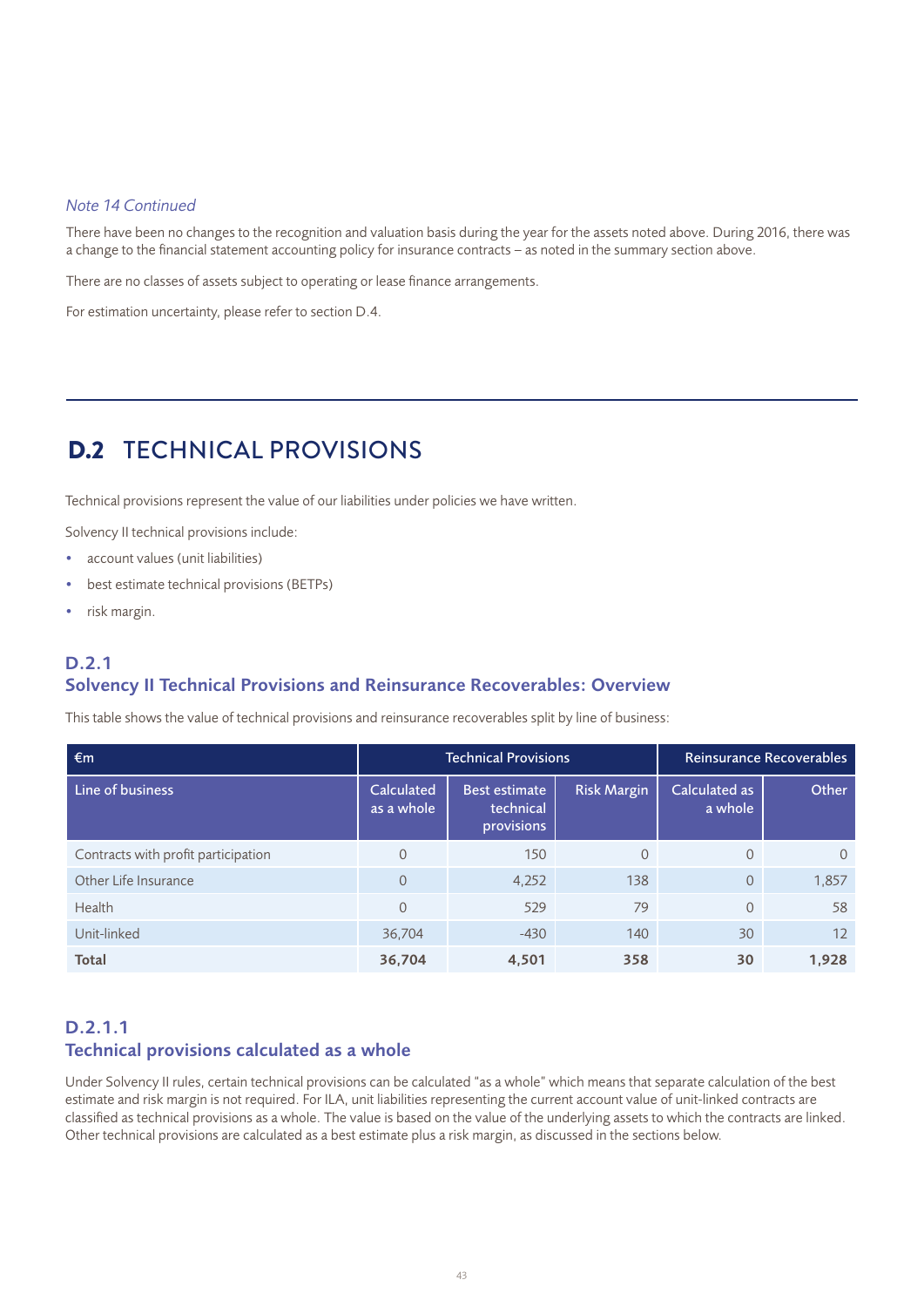#### *Note 14 Continued*

There have been no changes to the recognition and valuation basis during the year for the assets noted above. During 2016, there was a change to the financial statement accounting policy for insurance contracts – as noted in the summary section above.

There are no classes of assets subject to operating or lease finance arrangements.

For estimation uncertainty, please refer to section D.4.

# D.2 TECHNICAL PROVISIONS

Technical provisions represent the value of our liabilities under policies we have written.

Solvency II technical provisions include:

- account values (unit liabilities)
- best estimate technical provisions (BETPs)
- risk margin.

### D.2.1 Solvency II Technical Provisions and Reinsurance Recoverables: Overview

This table shows the value of technical provisions and reinsurance recoverables split by line of business:

| $\epsilon$ m                        | <b>Technical Provisions</b> |                                                 |             | Reinsurance Recoverables |          |  |
|-------------------------------------|-----------------------------|-------------------------------------------------|-------------|--------------------------|----------|--|
| Line of business                    | Calculated<br>as a whole    | <b>Best estimate</b><br>technical<br>provisions | Risk Margin | Calculated as<br>a whole | Other    |  |
| Contracts with profit participation | $\Omega$                    | 150                                             | $\Omega$    |                          | $\Omega$ |  |
| Other Life Insurance                | $\Omega$                    | 4,252                                           | 138         | $\Omega$                 | 1,857    |  |
| Health                              | $\Omega$                    | 529                                             | 79          | $\Omega$                 | 58       |  |
| Unit-linked                         | 36,704                      | $-430$                                          | 140         | 30                       | 12       |  |
| Total                               | 36,704                      | 4,501                                           | 358         | 30                       | 1,928    |  |

### D.2.1.1 Technical provisions calculated as a whole

Under Solvency II rules, certain technical provisions can be calculated "as a whole" which means that separate calculation of the best estimate and risk margin is not required. For ILA, unit liabilities representing the current account value of unit-linked contracts are classified as technical provisions as a whole. The value is based on the value of the underlying assets to which the contracts are linked. Other technical provisions are calculated as a best estimate plus a risk margin, as discussed in the sections below.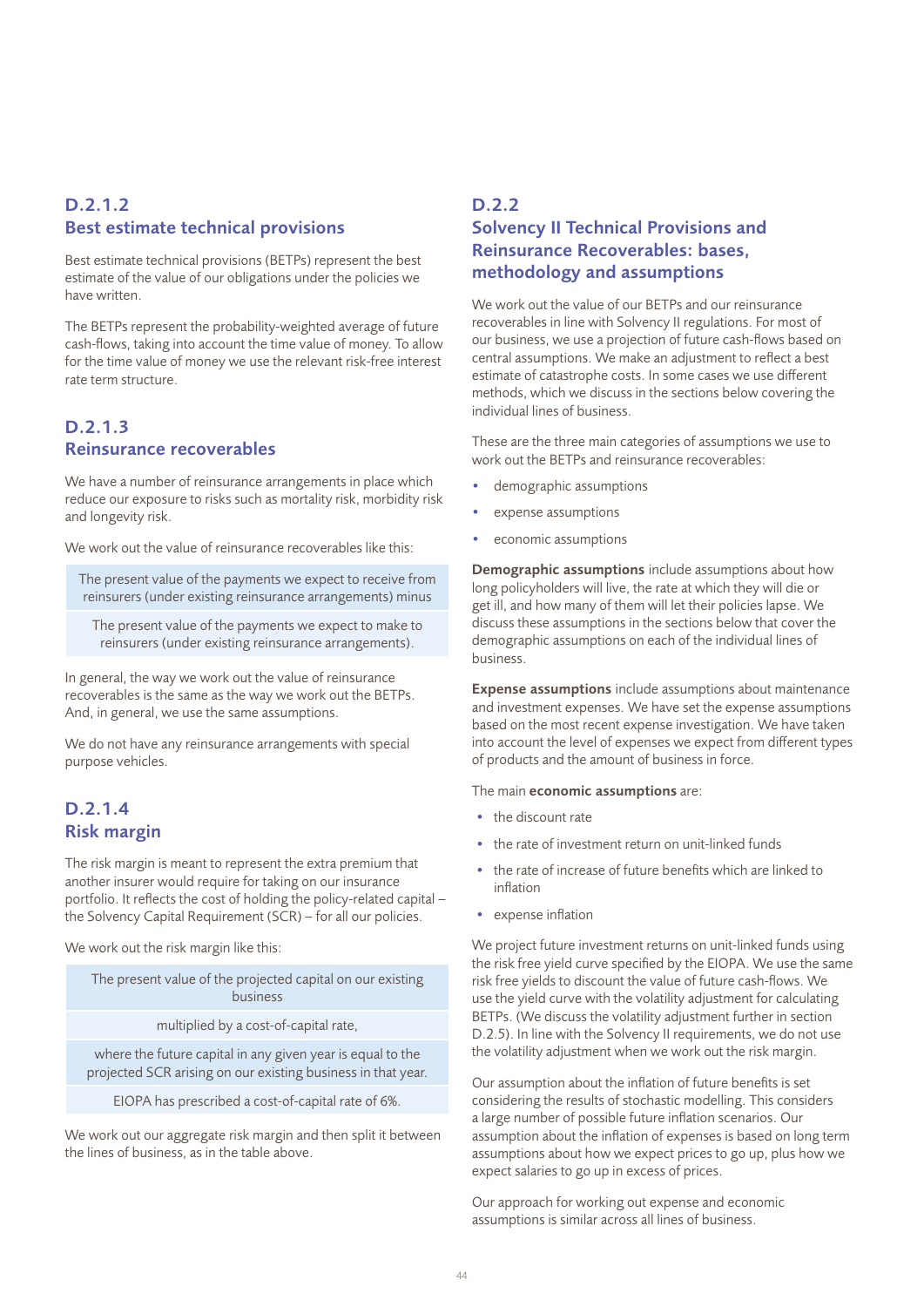### D.2.1.2 Best estimate technical provisions

Best estimate technical provisions (BETPs) represent the best estimate of the value of our obligations under the policies we have written.

The BETPs represent the probability-weighted average of future cash-flows, taking into account the time value of money. To allow for the time value of money we use the relevant risk-free interest rate term structure.

### D.2.1.3 Reinsurance recoverables

We have a number of reinsurance arrangements in place which reduce our exposure to risks such as mortality risk, morbidity risk and longevity risk.

We work out the value of reinsurance recoverables like this:

The present value of the payments we expect to receive from reinsurers (under existing reinsurance arrangements) minus

The present value of the payments we expect to make to reinsurers (under existing reinsurance arrangements).

In general, the way we work out the value of reinsurance recoverables is the same as the way we work out the BETPs. And, in general, we use the same assumptions.

We do not have any reinsurance arrangements with special purpose vehicles.

### D.2.1.4 Risk margin

The risk margin is meant to represent the extra premium that another insurer would require for taking on our insurance portfolio. It reflects the cost of holding the policy-related capital – the Solvency Capital Requirement (SCR) – for all our policies.

We work out the risk margin like this:

| The present value of the projected capital on our existing<br>business |  |
|------------------------------------------------------------------------|--|
| multiplied by a cost-of-capital rate,                                  |  |

where the future capital in any given year is equal to the projected SCR arising on our existing business in that year.

EIOPA has prescribed a cost-of-capital rate of 6%.

We work out our aggregate risk margin and then split it between the lines of business, as in the table above.

### D.2.2 Solvency II Technical Provisions and Reinsurance Recoverables: bases, methodology and assumptions

We work out the value of our BETPs and our reinsurance recoverables in line with Solvency II regulations. For most of our business, we use a projection of future cash-flows based on central assumptions. We make an adjustment to reflect a best estimate of catastrophe costs. In some cases we use different methods, which we discuss in the sections below covering the individual lines of business.

These are the three main categories of assumptions we use to work out the BETPs and reinsurance recoverables:

- demographic assumptions
- expense assumptions
- economic assumptions

Demographic assumptions include assumptions about how long policyholders will live, the rate at which they will die or get ill, and how many of them will let their policies lapse. We discuss these assumptions in the sections below that cover the demographic assumptions on each of the individual lines of business.

Expense assumptions include assumptions about maintenance and investment expenses. We have set the expense assumptions based on the most recent expense investigation. We have taken into account the level of expenses we expect from different types of products and the amount of business in force.

#### The main **economic assumptions** are:

- the discount rate
- the rate of investment return on unit-linked funds
- the rate of increase of future benefits which are linked to inflation
- expense inflation

We project future investment returns on unit-linked funds using the risk free yield curve specified by the EIOPA. We use the same risk free yields to discount the value of future cash-flows. We use the yield curve with the volatility adjustment for calculating BETPs. (We discuss the volatility adjustment further in section D.2.5). In line with the Solvency II requirements, we do not use the volatility adjustment when we work out the risk margin.

Our assumption about the inflation of future benefits is set considering the results of stochastic modelling. This considers a large number of possible future inflation scenarios. Our assumption about the inflation of expenses is based on long term assumptions about how we expect prices to go up, plus how we expect salaries to go up in excess of prices.

Our approach for working out expense and economic assumptions is similar across all lines of business.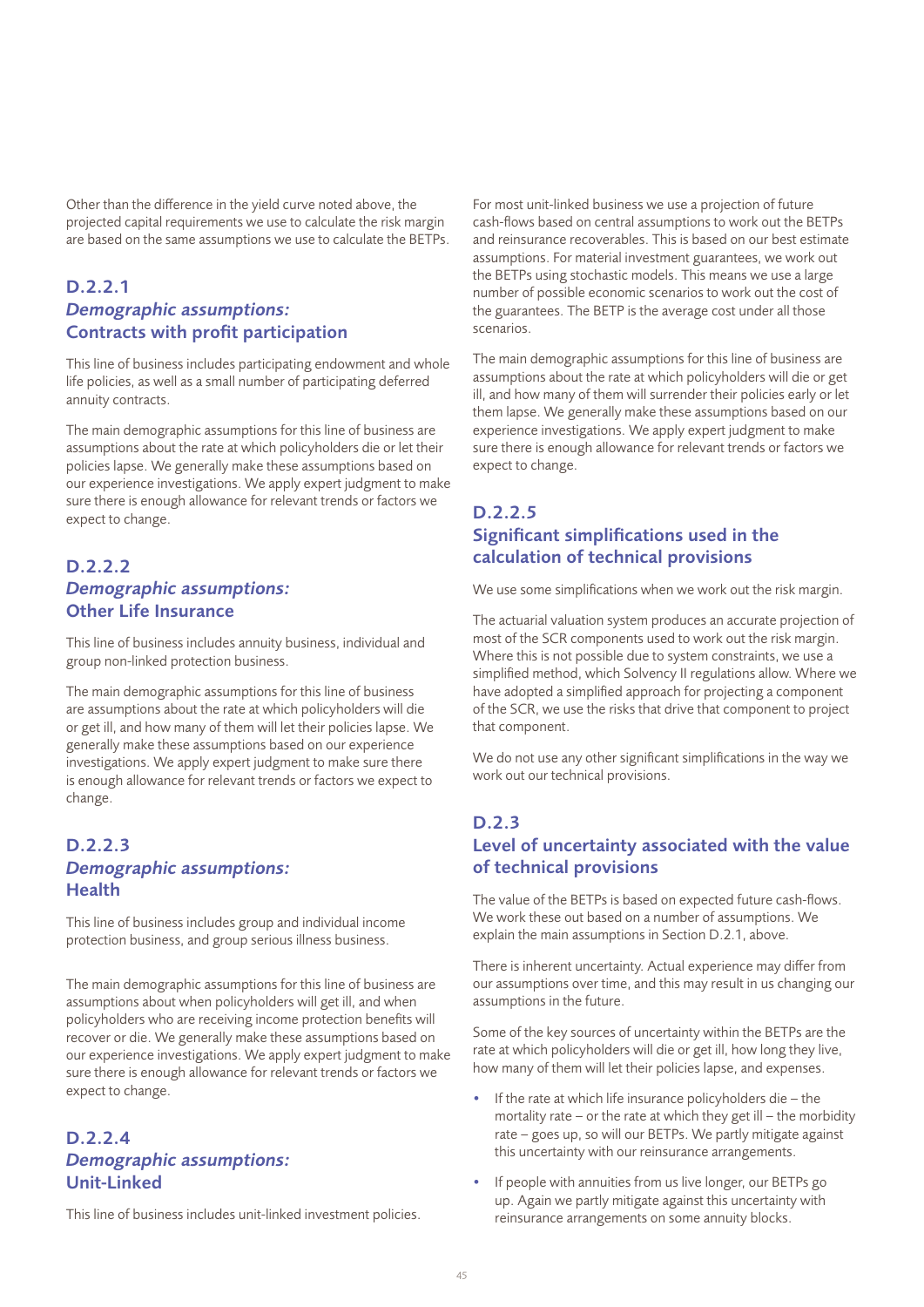Other than the difference in the yield curve noted above, the projected capital requirements we use to calculate the risk margin are based on the same assumptions we use to calculate the BETPs.

### D.2.2.1 *Demographic assumptions:* Contracts with profit participation

This line of business includes participating endowment and whole life policies, as well as a small number of participating deferred annuity contracts.

The main demographic assumptions for this line of business are assumptions about the rate at which policyholders die or let their policies lapse. We generally make these assumptions based on our experience investigations. We apply expert judgment to make sure there is enough allowance for relevant trends or factors we expect to change.

### D.2.2.2 *Demographic assumptions:* Other Life Insurance

This line of business includes annuity business, individual and group non-linked protection business.

The main demographic assumptions for this line of business are assumptions about the rate at which policyholders will die or get ill, and how many of them will let their policies lapse. We generally make these assumptions based on our experience investigations. We apply expert judgment to make sure there is enough allowance for relevant trends or factors we expect to change.

### D.2.2.3 *Demographic assumptions:* Health

This line of business includes group and individual income protection business, and group serious illness business.

The main demographic assumptions for this line of business are assumptions about when policyholders will get ill, and when policyholders who are receiving income protection benefits will recover or die. We generally make these assumptions based on our experience investigations. We apply expert judgment to make sure there is enough allowance for relevant trends or factors we expect to change.

### D.2.2.4 *Demographic assumptions:* Unit-Linked

This line of business includes unit-linked investment policies.

For most unit-linked business we use a projection of future cash-flows based on central assumptions to work out the BETPs and reinsurance recoverables. This is based on our best estimate assumptions. For material investment guarantees, we work out the BETPs using stochastic models. This means we use a large number of possible economic scenarios to work out the cost of the guarantees. The BETP is the average cost under all those scenarios.

The main demographic assumptions for this line of business are assumptions about the rate at which policyholders will die or get ill, and how many of them will surrender their policies early or let them lapse. We generally make these assumptions based on our experience investigations. We apply expert judgment to make sure there is enough allowance for relevant trends or factors we expect to change.

### D.2.2.5 Significant simplifications used in the calculation of technical provisions

We use some simplifications when we work out the risk margin.

The actuarial valuation system produces an accurate projection of most of the SCR components used to work out the risk margin. Where this is not possible due to system constraints, we use a simplified method, which Solvency II regulations allow. Where we have adopted a simplified approach for projecting a component of the SCR, we use the risks that drive that component to project that component.

We do not use any other significant simplifications in the way we work out our technical provisions.

### D.2.3

### Level of uncertainty associated with the value of technical provisions

The value of the BETPs is based on expected future cash-flows. We work these out based on a number of assumptions. We explain the main assumptions in Section D.2.1, above.

There is inherent uncertainty. Actual experience may differ from our assumptions over time, and this may result in us changing our assumptions in the future.

Some of the key sources of uncertainty within the BETPs are the rate at which policyholders will die or get ill, how long they live, how many of them will let their policies lapse, and expenses.

- If the rate at which life insurance policyholders die the mortality rate – or the rate at which they get ill – the morbidity rate – goes up, so will our BETPs. We partly mitigate against this uncertainty with our reinsurance arrangements.
- If people with annuities from us live longer, our BETPs go up. Again we partly mitigate against this uncertainty with reinsurance arrangements on some annuity blocks.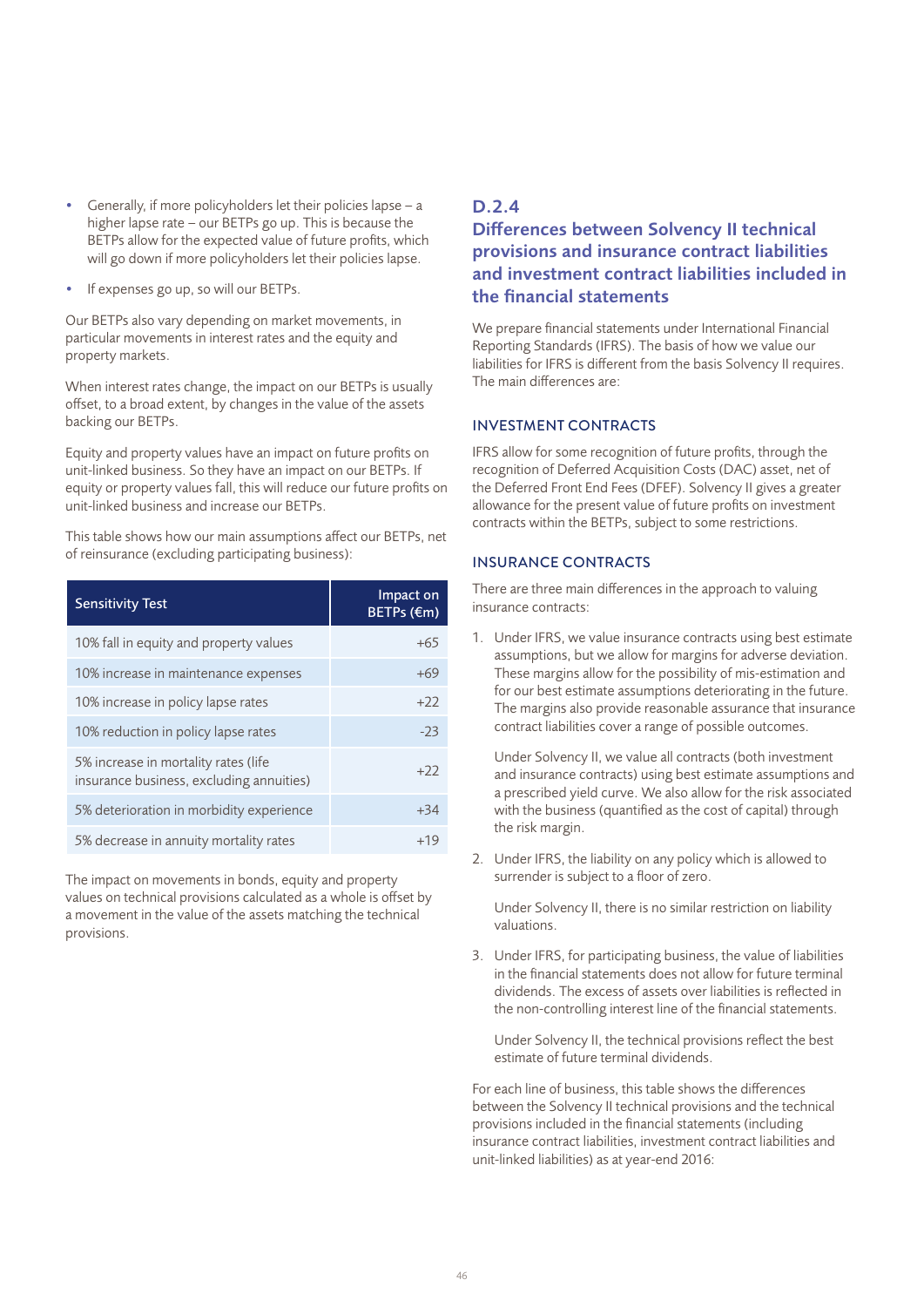- Generally, if more policyholders let their policies lapse a higher lapse rate – our BETPs go up. This is because the BETPs allow for the expected value of future profits, which will go down if more policyholders let their policies lapse.
- If expenses go up, so will our BETPs.

Our BETPs also vary depending on market movements, in particular movements in interest rates and the equity and property markets.

When interest rates change, the impact on our BETPs is usually offset, to a broad extent, by changes in the value of the assets backing our BETPs.

Equity and property values have an impact on future profits on unit-linked business. So they have an impact on our BETPs. If equity or property values fall, this will reduce our future profits on unit-linked business and increase our BETPs.

This table shows how our main assumptions affect our BETPs, net of reinsurance (excluding participating business):

| <b>Sensitivity Test</b>                                                          | Impact on<br>BETPs (€m) |
|----------------------------------------------------------------------------------|-------------------------|
| 10% fall in equity and property values                                           | +65                     |
| 10% increase in maintenance expenses                                             | +69                     |
| 10% increase in policy lapse rates                                               | $+22$                   |
| 10% reduction in policy lapse rates                                              | $-23$                   |
| 5% increase in mortality rates (life<br>insurance business, excluding annuities) | $+22$                   |
| 5% deterioration in morbidity experience                                         | $+34$                   |
| 5% decrease in annuity mortality rates                                           | $+19$                   |

The impact on movements in bonds, equity and property values on technical provisions calculated as a whole is offset by a movement in the value of the assets matching the technical provisions.

### D.2.4

### Differences between Solvency II technical provisions and insurance contract liabilities and investment contract liabilities included in the financial statements

We prepare financial statements under International Financial Reporting Standards (IFRS). The basis of how we value our liabilities for IFRS is different from the basis Solvency II requires. The main differences are:

#### INVESTMENT CONTRACTS

IFRS allow for some recognition of future profits, through the recognition of Deferred Acquisition Costs (DAC) asset, net of the Deferred Front End Fees (DFEF). Solvency II gives a greater allowance for the present value of future profits on investment contracts within the BETPs, subject to some restrictions.

#### INSURANCE CONTRACTS

There are three main differences in the approach to valuing insurance contracts:

1. Under IFRS, we value insurance contracts using best estimate assumptions, but we allow for margins for adverse deviation. These margins allow for the possibility of mis-estimation and for our best estimate assumptions deteriorating in the future. The margins also provide reasonable assurance that insurance contract liabilities cover a range of possible outcomes.

Under Solvency II, we value all contracts (both investment and insurance contracts) using best estimate assumptions and a prescribed yield curve. We also allow for the risk associated with the business (quantified as the cost of capital) through the risk margin.

2. Under IFRS, the liability on any policy which is allowed to surrender is subject to a floor of zero.

Under Solvency II, there is no similar restriction on liability valuations.

3. Under IFRS, for participating business, the value of liabilities in the financial statements does not allow for future terminal dividends. The excess of assets over liabilities is reflected in the non-controlling interest line of the financial statements.

Under Solvency II, the technical provisions reflect the best estimate of future terminal dividends.

For each line of business, this table shows the differences between the Solvency II technical provisions and the technical provisions included in the financial statements (including insurance contract liabilities, investment contract liabilities and unit-linked liabilities) as at year-end 2016: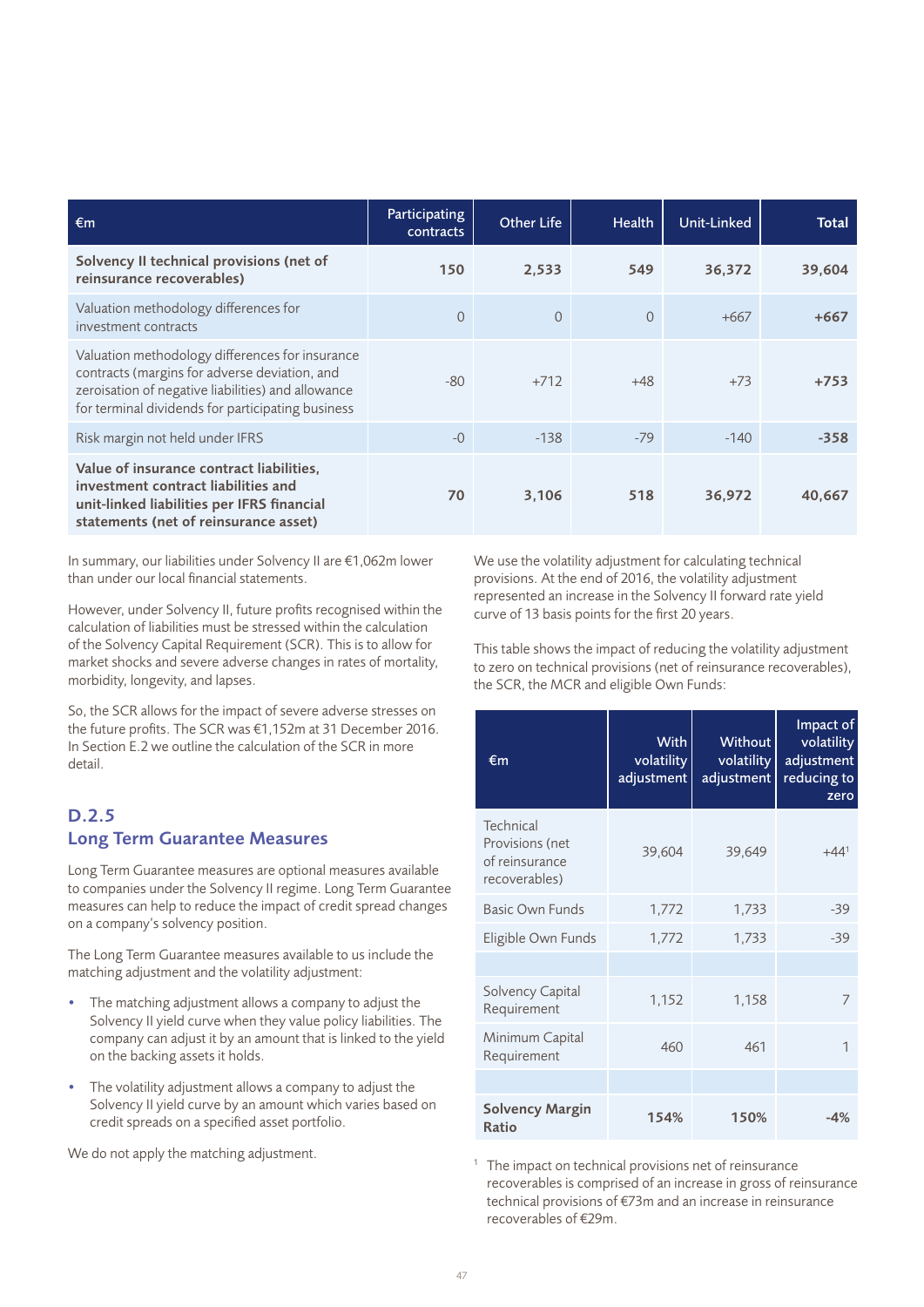| $\epsilon$ m                                                                                                                                                                                                | Participating<br>contracts | <b>Other Life</b> | <b>Health</b> | Unit-Linked | Total  |
|-------------------------------------------------------------------------------------------------------------------------------------------------------------------------------------------------------------|----------------------------|-------------------|---------------|-------------|--------|
| Solvency II technical provisions (net of<br>reinsurance recoverables)                                                                                                                                       | 150                        | 2.533             | 549           | 36,372      | 39,604 |
| Valuation methodology differences for<br>investment contracts                                                                                                                                               | $\Omega$                   | $\Omega$          | $\Omega$      | $+667$      | $+667$ |
| Valuation methodology differences for insurance<br>contracts (margins for adverse deviation, and<br>zeroisation of negative liabilities) and allowance<br>for terminal dividends for participating business | $-80$                      | $+712$            | $+48$         | $+73$       | $+753$ |
| Risk margin not held under IFRS                                                                                                                                                                             | $-0$                       | $-138$            | $-79$         | $-140$      | $-358$ |
| Value of insurance contract liabilities,<br>investment contract liabilities and<br>unit-linked liabilities per IFRS financial<br>statements (net of reinsurance asset)                                      | 70                         | 3,106             | 518           | 36,972      | 40,667 |

In summary, our liabilities under Solvency II are €1,062m lower than under our local financial statements.

However, under Solvency II, future profits recognised within the calculation of liabilities must be stressed within the calculation of the Solvency Capital Requirement (SCR). This is to allow for market shocks and severe adverse changes in rates of mortality, morbidity, longevity, and lapses.

So, the SCR allows for the impact of severe adverse stresses on the future profits. The SCR was €1,152m at 31 December 2016. In Section E.2 we outline the calculation of the SCR in more detail.

### D.2.5 Long Term Guarantee Measures

Long Term Guarantee measures are optional measures available to companies under the Solvency II regime. Long Term Guarantee measures can help to reduce the impact of credit spread changes on a company's solvency position.

The Long Term Guarantee measures available to us include the matching adjustment and the volatility adjustment:

- The matching adjustment allows a company to adjust the Solvency II yield curve when they value policy liabilities. The company can adjust it by an amount that is linked to the yield on the backing assets it holds.
- The volatility adjustment allows a company to adjust the Solvency II yield curve by an amount which varies based on credit spreads on a specified asset portfolio.

We do not apply the matching adjustment.

We use the volatility adjustment for calculating technical provisions. At the end of 2016, the volatility adjustment represented an increase in the Solvency II forward rate yield curve of 13 basis points for the first 20 years.

This table shows the impact of reducing the volatility adjustment to zero on technical provisions (net of reinsurance recoverables), the SCR, the MCR and eligible Own Funds:

| €m                                                                     | <b>With</b><br>volatility<br>adjustment | Without<br>volatility<br>adjustment | Impact of<br>volatility<br>adjustment<br>reducing to<br>zero |
|------------------------------------------------------------------------|-----------------------------------------|-------------------------------------|--------------------------------------------------------------|
| <b>Technical</b><br>Provisions (net<br>of reinsurance<br>recoverables) | 39,604                                  | 39,649                              | $+44^{1}$                                                    |
| <b>Basic Own Funds</b>                                                 | 1,772                                   | 1,733                               | $-39$                                                        |
| Eligible Own Funds                                                     | 1,772                                   | 1,733                               | $-39$                                                        |
|                                                                        |                                         |                                     |                                                              |
| Solvency Capital<br>Requirement                                        | 1,152                                   | 1,158                               | 7                                                            |
| Minimum Capital<br>Requirement                                         | 460                                     | 461                                 | 1                                                            |
|                                                                        |                                         |                                     |                                                              |
| <b>Solvency Margin</b><br><b>Ratio</b>                                 | 154%                                    | 150%                                | -4%                                                          |

 $1$  The impact on technical provisions net of reinsurance recoverables is comprised of an increase in gross of reinsurance technical provisions of €73m and an increase in reinsurance recoverables of €29m.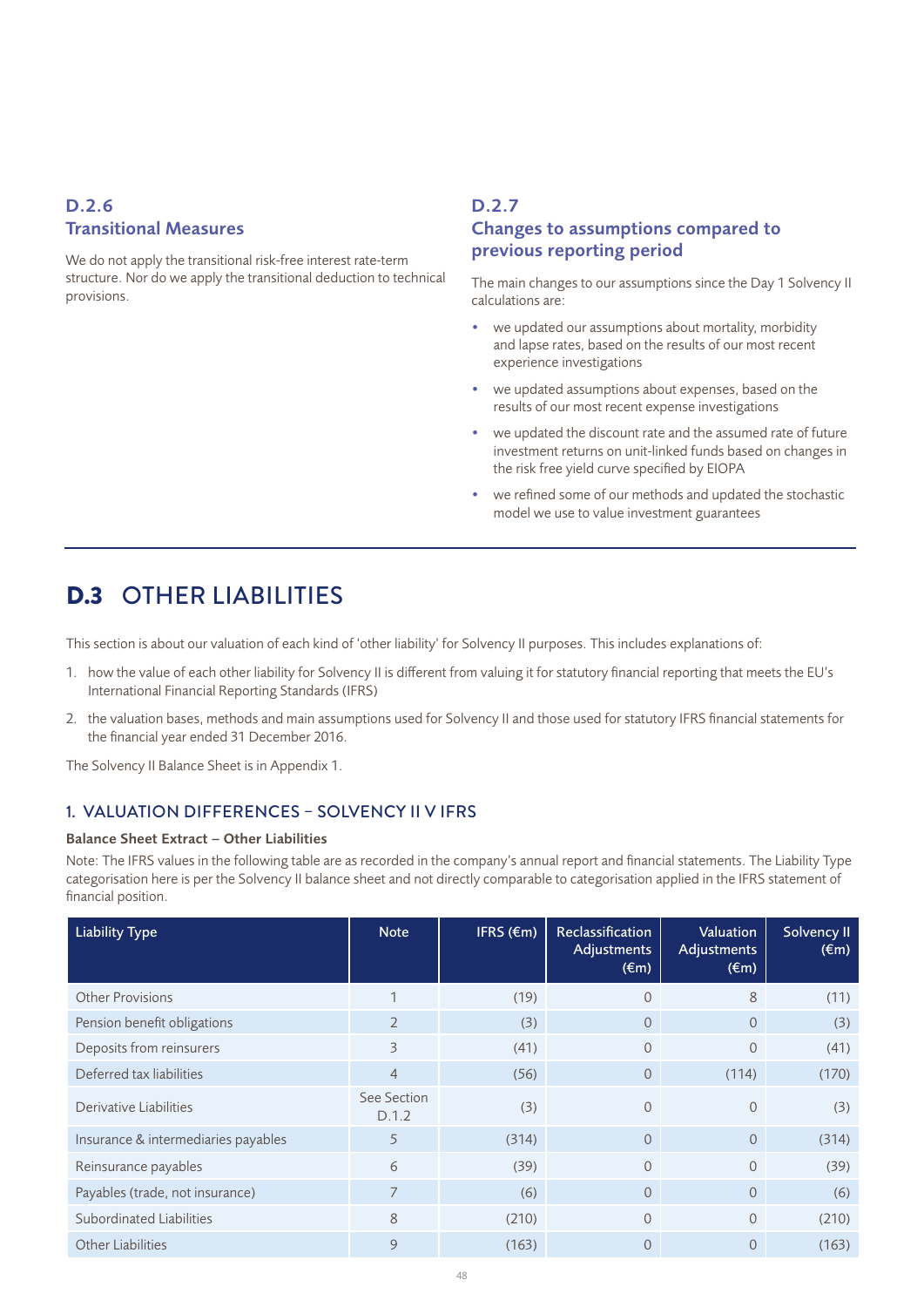### D.2.6 Transitional Measures

We do not apply the transitional risk-free interest rate-term structure. Nor do we apply the transitional deduction to technical provisions.

### D.2.7 Changes to assumptions compared to previous reporting period

The main changes to our assumptions since the Day 1 Solvency II calculations are:

- we updated our assumptions about mortality, morbidity and lapse rates, based on the results of our most recent experience investigations
- we updated assumptions about expenses, based on the results of our most recent expense investigations
- we updated the discount rate and the assumed rate of future investment returns on unit-linked funds based on changes in the risk free yield curve specified by EIOPA
- we refined some of our methods and updated the stochastic model we use to value investment guarantees

# D.3 OTHER LIABILITIES

This section is about our valuation of each kind of 'other liability' for Solvency II purposes. This includes explanations of:

- 1. how the value of each other liability for Solvency II is different from valuing it for statutory financial reporting that meets the EU's International Financial Reporting Standards (IFRS)
- 2. the valuation bases, methods and main assumptions used for Solvency II and those used for statutory IFRS financial statements for the financial year ended 31 December 2016.

The Solvency II Balance Sheet is in Appendix 1.

### 1. VALUATION DIFFERENCES – SOLVENCY II V IFRS

#### Balance Sheet Extract – Other Liabilities

Note: The IFRS values in the following table are as recorded in the company's annual report and financial statements. The Liability Type categorisation here is per the Solvency II balance sheet and not directly comparable to categorisation applied in the IFRS statement of financial position.

| <b>Liability Type</b>               | <b>Note</b>          | IFRS $(\epsilon m)$ | Reclassification<br>Adjustments<br>$(\epsilon m)$ | Valuation<br>Adjustments<br>$(\epsilon m)$ | Solvency II<br>$(\epsilon m)$ |
|-------------------------------------|----------------------|---------------------|---------------------------------------------------|--------------------------------------------|-------------------------------|
| <b>Other Provisions</b>             |                      | (19)                | 0                                                 | 8                                          | (11)                          |
| Pension benefit obligations         | $\overline{2}$       | (3)                 | $\Omega$                                          | $\Omega$                                   | (3)                           |
| Deposits from reinsurers            | 3                    | (41)                | $\Omega$                                          | $\Omega$                                   | (41)                          |
| Deferred tax liabilities            | $\overline{4}$       | (56)                | $\overline{0}$                                    | (114)                                      | (170)                         |
| Derivative Liabilities              | See Section<br>D.1.2 | (3)                 | $\overline{0}$                                    | $\Omega$                                   | (3)                           |
| Insurance & intermediaries payables | 5                    | (314)               | $\Omega$                                          | $\Omega$                                   | (314)                         |
| Reinsurance payables                | 6                    | (39)                | $\Omega$                                          | $\Omega$                                   | (39)                          |
| Payables (trade, not insurance)     | 7                    | (6)                 | $\Omega$                                          | $\Omega$                                   | (6)                           |
| Subordinated Liabilities            | 8                    | (210)               | $\Omega$                                          | $\overline{0}$                             | (210)                         |
| <b>Other Liabilities</b>            | 9                    | (163)               | 0                                                 | $\Omega$                                   | (163)                         |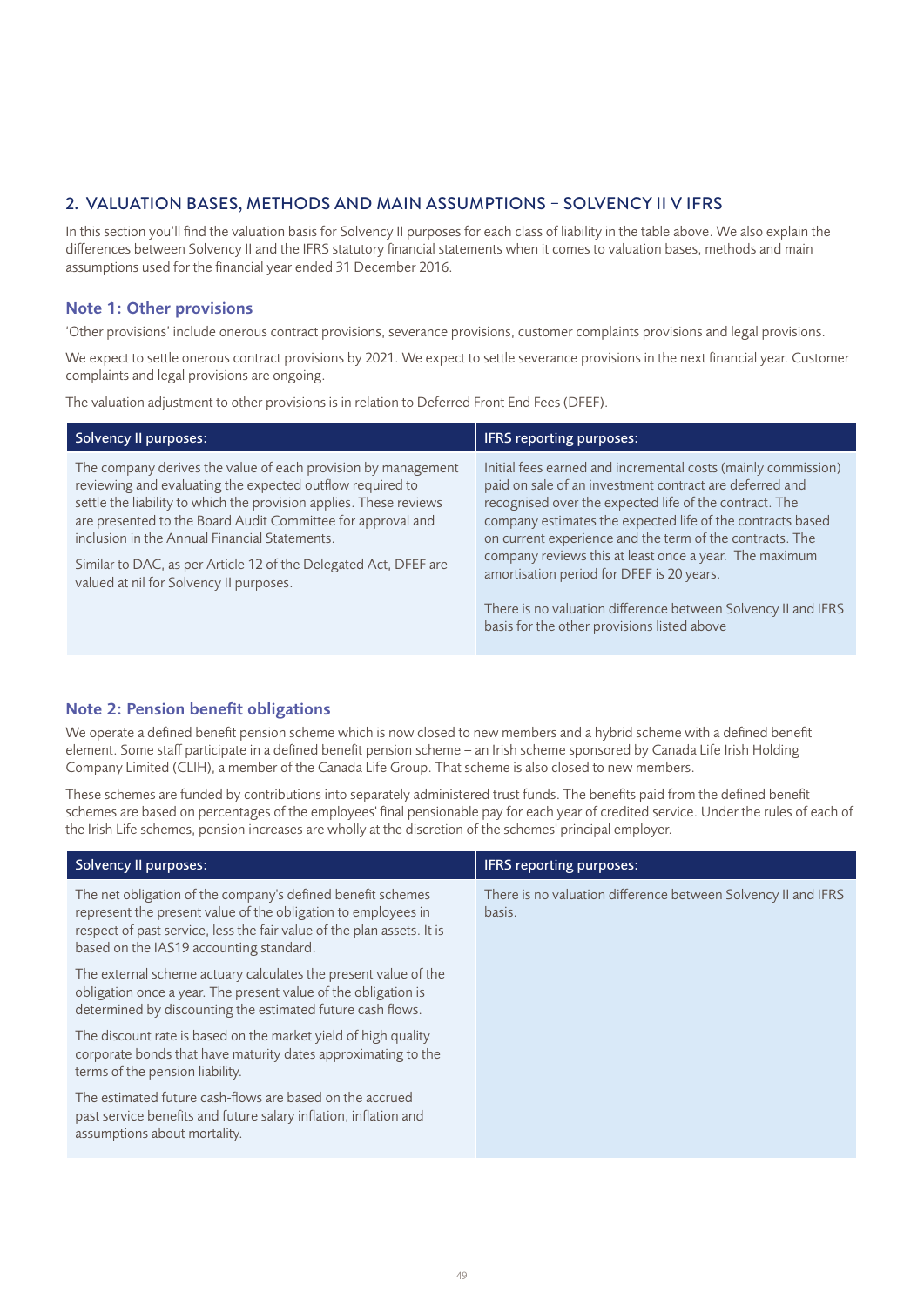### 2. VALUATION BASES, METHODS AND MAIN ASSUMPTIONS – SOLVENCY II V IFRS

In this section you'll find the valuation basis for Solvency II purposes for each class of liability in the table above. We also explain the differences between Solvency II and the IFRS statutory financial statements when it comes to valuation bases, methods and main assumptions used for the financial year ended 31 December 2016.

### Note 1: Other provisions

'Other provisions' include onerous contract provisions, severance provisions, customer complaints provisions and legal provisions.

We expect to settle onerous contract provisions by 2021. We expect to settle severance provisions in the next financial year. Customer complaints and legal provisions are ongoing.

The valuation adjustment to other provisions is in relation to Deferred Front End Fees (DFEF).

| Solvency II purposes:                                                                                                                                                                                                                                                                                                                                                                                                           | <b>IFRS</b> reporting purposes:                                                                                                                                                                                                                                                                                                                                                                                     |
|---------------------------------------------------------------------------------------------------------------------------------------------------------------------------------------------------------------------------------------------------------------------------------------------------------------------------------------------------------------------------------------------------------------------------------|---------------------------------------------------------------------------------------------------------------------------------------------------------------------------------------------------------------------------------------------------------------------------------------------------------------------------------------------------------------------------------------------------------------------|
| The company derives the value of each provision by management<br>reviewing and evaluating the expected outflow required to<br>settle the liability to which the provision applies. These reviews<br>are presented to the Board Audit Committee for approval and<br>inclusion in the Annual Financial Statements.<br>Similar to DAC, as per Article 12 of the Delegated Act, DFEF are<br>valued at nil for Solvency II purposes. | Initial fees earned and incremental costs (mainly commission)<br>paid on sale of an investment contract are deferred and<br>recognised over the expected life of the contract. The<br>company estimates the expected life of the contracts based<br>on current experience and the term of the contracts. The<br>company reviews this at least once a year. The maximum<br>amortisation period for DFEF is 20 years. |
|                                                                                                                                                                                                                                                                                                                                                                                                                                 | There is no valuation difference between Solvency II and IFRS<br>basis for the other provisions listed above                                                                                                                                                                                                                                                                                                        |

### Note 2: Pension benefit obligations

We operate a defined benefit pension scheme which is now closed to new members and a hybrid scheme with a defined benefit element. Some staff participate in a defined benefit pension scheme – an Irish scheme sponsored by Canada Life Irish Holding Company Limited (CLIH), a member of the Canada Life Group. That scheme is also closed to new members.

These schemes are funded by contributions into separately administered trust funds. The benefits paid from the defined benefit schemes are based on percentages of the employees' final pensionable pay for each year of credited service. Under the rules of each of the Irish Life schemes, pension increases are wholly at the discretion of the schemes' principal employer.

| Solvency II purposes:                                                                                                                                                                                                                             | IFRS reporting purposes:                                                |
|---------------------------------------------------------------------------------------------------------------------------------------------------------------------------------------------------------------------------------------------------|-------------------------------------------------------------------------|
| The net obligation of the company's defined benefit schemes<br>represent the present value of the obligation to employees in<br>respect of past service, less the fair value of the plan assets. It is<br>based on the IAS19 accounting standard. | There is no valuation difference between Solvency II and IFRS<br>basis. |
| The external scheme actuary calculates the present value of the<br>obligation once a year. The present value of the obligation is<br>determined by discounting the estimated future cash flows.                                                   |                                                                         |
| The discount rate is based on the market yield of high quality<br>corporate bonds that have maturity dates approximating to the<br>terms of the pension liability.                                                                                |                                                                         |
| The estimated future cash-flows are based on the accrued<br>past service benefits and future salary inflation, inflation and<br>assumptions about mortality.                                                                                      |                                                                         |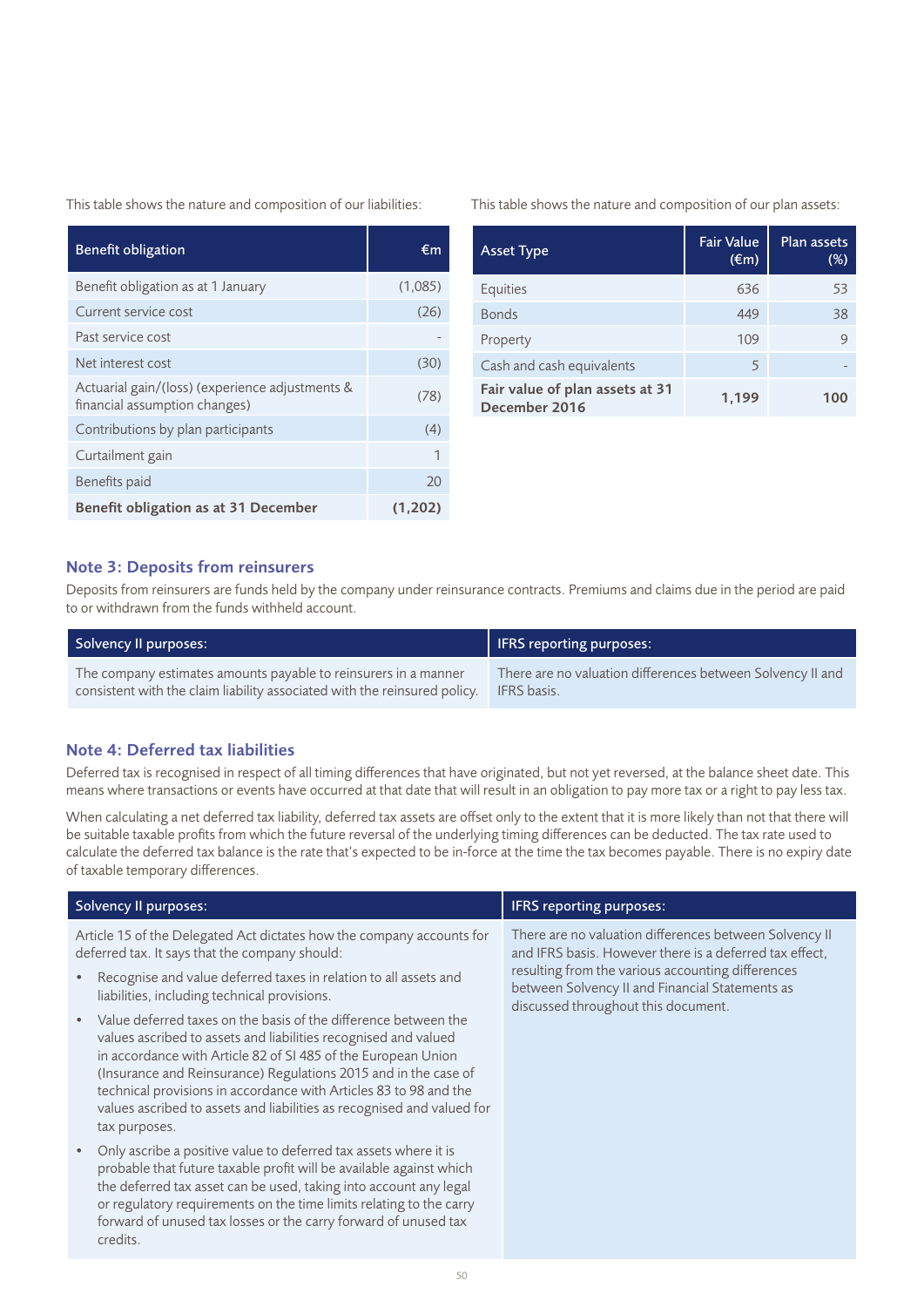This table shows the nature and composition of our liabilities:

| <b>Benefit obligation</b>                                                        | €m      |
|----------------------------------------------------------------------------------|---------|
| Benefit obligation as at 1 January                                               | (1,085) |
| Current service cost                                                             | (26)    |
| Past service cost                                                                |         |
| Net interest cost                                                                | (30)    |
| Actuarial gain/(loss) (experience adjustments &<br>financial assumption changes) | (78)    |
| Contributions by plan participants                                               | (4)     |
| Curtailment gain                                                                 | 1       |
| Benefits paid                                                                    | 20      |
| Benefit obligation as at 31 December                                             | (1,202) |

This table shows the nature and composition of our plan assets:

| <b>Asset Type</b>                                | <b>Fair Value</b><br>$(\epsilon m)$ | Plan assets<br>(%) |
|--------------------------------------------------|-------------------------------------|--------------------|
| Equities                                         | 636                                 | 53                 |
| <b>Bonds</b>                                     | 449                                 | 38                 |
| Property                                         | 109                                 | $\mathsf{Q}$       |
| Cash and cash equivalents                        | 5                                   |                    |
| Fair value of plan assets at 31<br>December 2016 | 1,199                               | 100                |

#### Note 3: Deposits from reinsurers

Deposits from reinsurers are funds held by the company under reinsurance contracts. Premiums and claims due in the period are paid to or withdrawn from the funds withheld account.

| Solvency II purposes:                                                     | IFRS reporting purposes:                                   |
|---------------------------------------------------------------------------|------------------------------------------------------------|
| The company estimates amounts payable to reinsurers in a manner           | There are no valuation differences between Solvency II and |
| consistent with the claim liability associated with the reinsured policy. | <b>IFRS</b> basis.                                         |

### Note 4: Deferred tax liabilities

Deferred tax is recognised in respect of all timing differences that have originated, but not yet reversed, at the balance sheet date. This means where transactions or events have occurred at that date that will result in an obligation to pay more tax or a right to pay less tax.

When calculating a net deferred tax liability, deferred tax assets are offset only to the extent that it is more likely than not that there will be suitable taxable profits from which the future reversal of the underlying timing differences can be deducted. The tax rate used to calculate the deferred tax balance is the rate that's expected to be in-force at the time the tax becomes payable. There is no expiry date of taxable temporary differences.

| <b>Solvency II purposes:</b>                                                                                                                                                                                                                                                                                                                                                                                                                        | IFRS reporting purposes:                                                                                                                    |
|-----------------------------------------------------------------------------------------------------------------------------------------------------------------------------------------------------------------------------------------------------------------------------------------------------------------------------------------------------------------------------------------------------------------------------------------------------|---------------------------------------------------------------------------------------------------------------------------------------------|
| Article 15 of the Delegated Act dictates how the company accounts for<br>deferred tax. It says that the company should:                                                                                                                                                                                                                                                                                                                             | There are no valuation differences between Solvency II<br>and IFRS basis. However there is a deferred tax effect,                           |
| Recognise and value deferred taxes in relation to all assets and<br>liabilities, including technical provisions.                                                                                                                                                                                                                                                                                                                                    | resulting from the various accounting differences<br>between Solvency II and Financial Statements as<br>discussed throughout this document. |
| Value deferred taxes on the basis of the difference between the<br>$\bullet$<br>values ascribed to assets and liabilities recognised and valued<br>in accordance with Article 82 of SI 485 of the European Union<br>(Insurance and Reinsurance) Regulations 2015 and in the case of<br>technical provisions in accordance with Articles 83 to 98 and the<br>values ascribed to assets and liabilities as recognised and valued for<br>tax purposes. |                                                                                                                                             |
| Only ascribe a positive value to deferred tax assets where it is<br>$\bullet$<br>probable that future taxable profit will be available against which<br>the deferred tax asset can be used, taking into account any legal<br>or regulatory requirements on the time limits relating to the carry<br>forward of unused tax losses or the carry forward of unused tax<br>credits.                                                                     |                                                                                                                                             |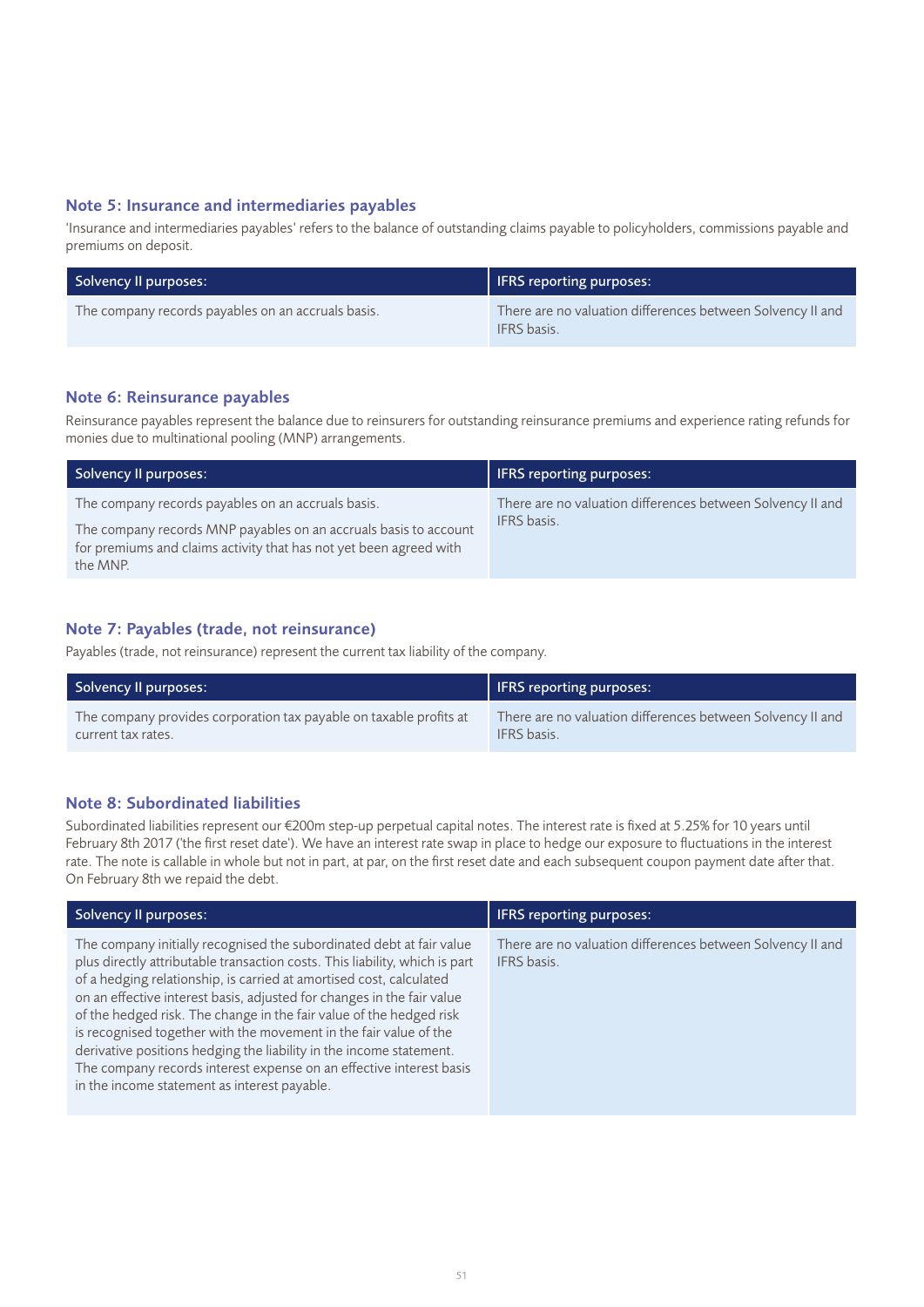#### Note 5: Insurance and intermediaries payables

'Insurance and intermediaries payables' refers to the balance of outstanding claims payable to policyholders, commissions payable and premiums on deposit.

| Solvency II purposes:                              | <b>IFRS</b> reporting purposes:                                                  |
|----------------------------------------------------|----------------------------------------------------------------------------------|
| The company records payables on an accruals basis. | There are no valuation differences between Solvency II and<br><b>IFRS</b> basis. |

### Note 6: Reinsurance payables

Reinsurance payables represent the balance due to reinsurers for outstanding reinsurance premiums and experience rating refunds for monies due to multinational pooling (MNP) arrangements.

| Solvency II purposes:                                                                                                                                                                                    | <b>IFRS</b> reporting purposes:                                                  |
|----------------------------------------------------------------------------------------------------------------------------------------------------------------------------------------------------------|----------------------------------------------------------------------------------|
| The company records payables on an accruals basis.<br>The company records MNP payables on an accruals basis to account<br>for premiums and claims activity that has not yet been agreed with<br>the MNP. | There are no valuation differences between Solvency II and<br><b>IFRS</b> basis. |

### Note 7: Payables (trade, not reinsurance)

Payables (trade, not reinsurance) represent the current tax liability of the company.

| Solvency II purposes:                                              | <b>IFRS</b> reporting purposes:                            |
|--------------------------------------------------------------------|------------------------------------------------------------|
| The company provides corporation tax payable on taxable profits at | There are no valuation differences between Solvency II and |
| current tax rates.                                                 | <b>IFRS</b> basis.                                         |

### Note 8: Subordinated liabilities

Subordinated liabilities represent our €200m step-up perpetual capital notes. The interest rate is fixed at 5.25% for 10 years until February 8th 2017 ('the first reset date'). We have an interest rate swap in place to hedge our exposure to fluctuations in the interest rate. The note is callable in whole but not in part, at par, on the first reset date and each subsequent coupon payment date after that. On February 8th we repaid the debt.

| Solvency II purposes:                                                                                                                                                                                                                                                                                                                                                                                                                                                                                                                                                                                                                          | <b>IFRS</b> reporting purposes:                                                  |
|------------------------------------------------------------------------------------------------------------------------------------------------------------------------------------------------------------------------------------------------------------------------------------------------------------------------------------------------------------------------------------------------------------------------------------------------------------------------------------------------------------------------------------------------------------------------------------------------------------------------------------------------|----------------------------------------------------------------------------------|
| The company initially recognised the subordinated debt at fair value<br>plus directly attributable transaction costs. This liability, which is part<br>of a hedging relationship, is carried at amortised cost, calculated<br>on an effective interest basis, adjusted for changes in the fair value<br>of the hedged risk. The change in the fair value of the hedged risk<br>is recognised together with the movement in the fair value of the<br>derivative positions hedging the liability in the income statement.<br>The company records interest expense on an effective interest basis<br>in the income statement as interest payable. | There are no valuation differences between Solvency II and<br><b>IFRS</b> basis. |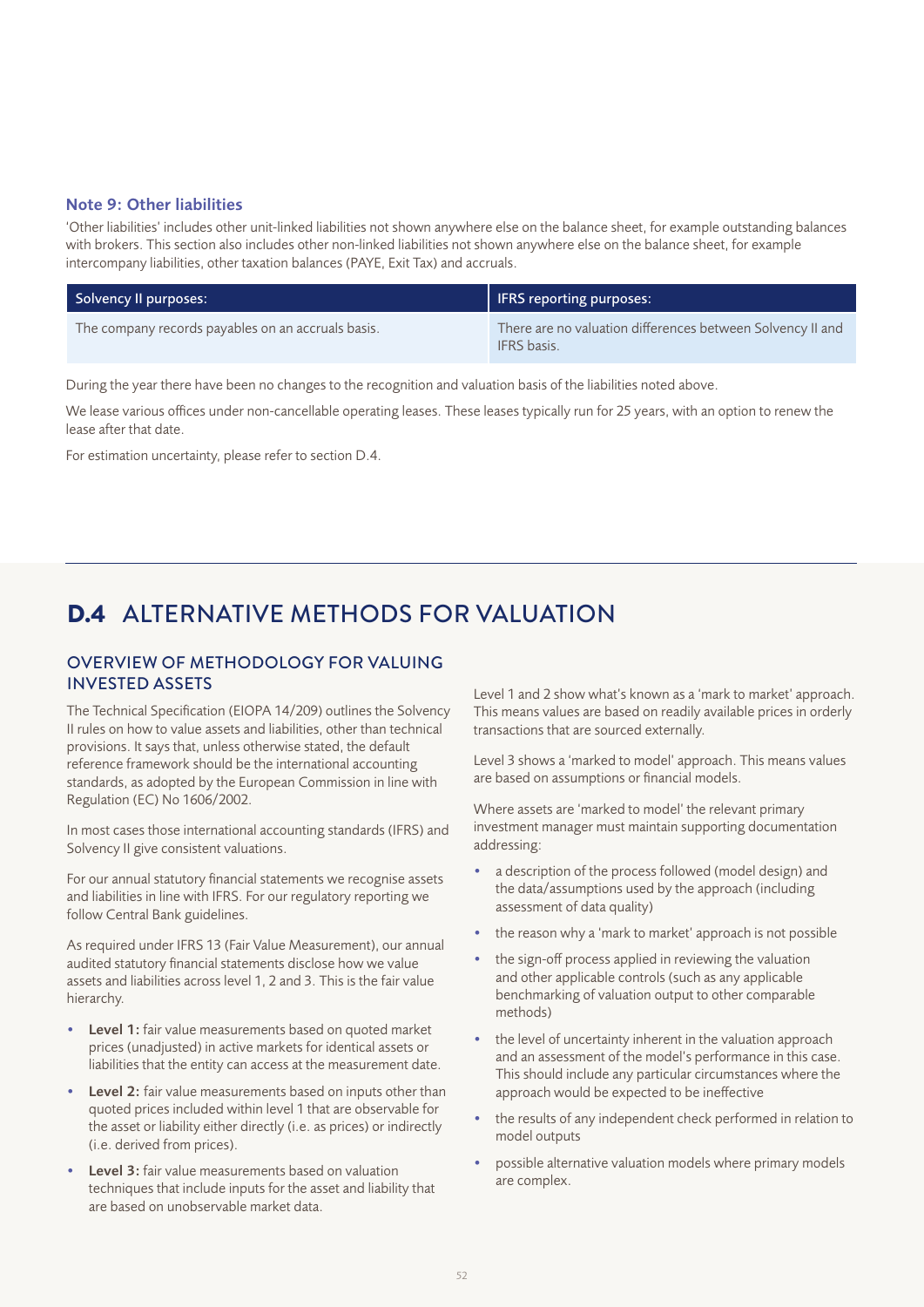### Note 9: Other liabilities

'Other liabilities' includes other unit-linked liabilities not shown anywhere else on the balance sheet, for example outstanding balances with brokers. This section also includes other non-linked liabilities not shown anywhere else on the balance sheet, for example intercompany liabilities, other taxation balances (PAYE, Exit Tax) and accruals.

| Solvency Il purposes:                              | IFRS reporting purposes:                                                         |
|----------------------------------------------------|----------------------------------------------------------------------------------|
| The company records payables on an accruals basis. | There are no valuation differences between Solvency II and<br><b>IFRS</b> basis. |

During the year there have been no changes to the recognition and valuation basis of the liabilities noted above.

We lease various offices under non-cancellable operating leases. These leases typically run for 25 years, with an option to renew the lease after that date.

For estimation uncertainty, please refer to section D.4.

# D.4 ALTERNATIVE METHODS FOR VALUATION

### OVERVIEW OF METHODOLOGY FOR VALUING INVESTED ASSETS

The Technical Specification (EIOPA 14/209) outlines the Solvency II rules on how to value assets and liabilities, other than technical provisions. It says that, unless otherwise stated, the default reference framework should be the international accounting standards, as adopted by the European Commission in line with Regulation (EC) No 1606/2002.

In most cases those international accounting standards (IFRS) and Solvency II give consistent valuations.

For our annual statutory financial statements we recognise assets and liabilities in line with IFRS. For our regulatory reporting we follow Central Bank guidelines.

As required under IFRS 13 (Fair Value Measurement), our annual audited statutory financial statements disclose how we value assets and liabilities across level 1, 2 and 3. This is the fair value hierarchy.

- Level 1: fair value measurements based on quoted market prices (unadjusted) in active markets for identical assets or liabilities that the entity can access at the measurement date.
- Level 2: fair value measurements based on inputs other than quoted prices included within level 1 that are observable for the asset or liability either directly (i.e. as prices) or indirectly (i.e. derived from prices).
- Level 3: fair value measurements based on valuation techniques that include inputs for the asset and liability that are based on unobservable market data.

Level 1 and 2 show what's known as a 'mark to market' approach. This means values are based on readily available prices in orderly transactions that are sourced externally.

Level 3 shows a 'marked to model' approach. This means values are based on assumptions or financial models.

Where assets are 'marked to model' the relevant primary investment manager must maintain supporting documentation addressing:

- a description of the process followed (model design) and the data/assumptions used by the approach (including assessment of data quality)
- the reason why a 'mark to market' approach is not possible
- the sign-off process applied in reviewing the valuation and other applicable controls (such as any applicable benchmarking of valuation output to other comparable methods)
- the level of uncertainty inherent in the valuation approach and an assessment of the model's performance in this case. This should include any particular circumstances where the approach would be expected to be ineffective
- the results of any independent check performed in relation to model outputs
- possible alternative valuation models where primary models are complex.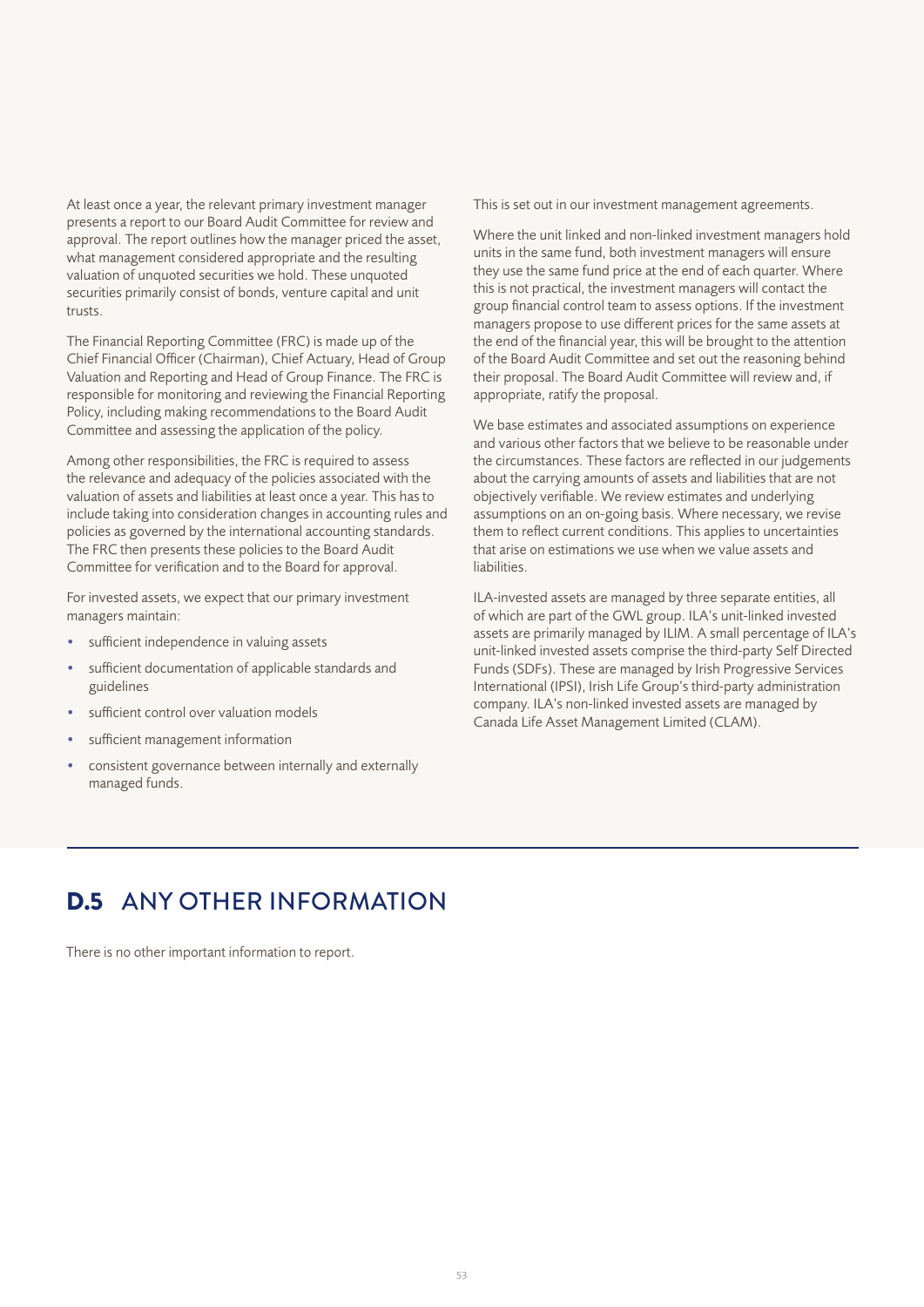At least once a year, the relevant primary investment manager presents a report to our Board Audit Committee for review and approval. The report outlines how the manager priced the asset, what management considered appropriate and the resulting valuation of unquoted securities we hold. These unquoted securities primarily consist of bonds, venture capital and unit trusts.

The Financial Reporting Committee (FRC) is made up of the Chief Financial Officer (Chairman), Chief Actuary, Head of Group Valuation and Reporting and Head of Group Finance. The FRC is responsible for monitoring and reviewing the Financial Reporting Policy, including making recommendations to the Board Audit Committee and assessing the application of the policy.

Among other responsibilities, the FRC is required to assess the relevance and adequacy of the policies associated with the valuation of assets and liabilities at least once a year. This has to include taking into consideration changes in accounting rules and policies as governed by the international accounting standards. The FRC then presents these policies to the Board Audit Committee for verification and to the Board for approval.

For invested assets, we expect that our primary investment managers maintain:

- sufficient independence in valuing assets
- sufficient documentation of applicable standards and guidelines
- sufficient control over valuation models
- sufficient management information
- consistent governance between internally and externally managed funds.

This is set out in our investment management agreements.

Where the unit linked and non-linked investment managers hold units in the same fund, both investment managers will ensure they use the same fund price at the end of each quarter. Where this is not practical, the investment managers will contact the group financial control team to assess options. If the investment managers propose to use different prices for the same assets at the end of the financial year, this will be brought to the attention of the Board Audit Committee and set out the reasoning behind their proposal. The Board Audit Committee will review and, if appropriate, ratify the proposal.

We base estimates and associated assumptions on experience and various other factors that we believe to be reasonable under the circumstances. These factors are reflected in our judgements about the carrying amounts of assets and liabilities that are not objectively verifiable. We review estimates and underlying assumptions on an on-going basis. Where necessary, we revise them to reflect current conditions. This applies to uncertainties that arise on estimations we use when we value assets and liabilities.

ILA-invested assets are managed by three separate entities, all of which are part of the GWL group. ILA's unit-linked invested assets are primarily managed by ILIM. A small percentage of ILA's unit-linked invested assets comprise the third-party Self Directed Funds (SDFs). These are managed by Irish Progressive Services International (IPSI), Irish Life Group's third-party administration company. ILA's non-linked invested assets are managed by Canada Life Asset Management Limited (CLAM).

# D.5 ANY OTHER INFORMATION

There is no other important information to report.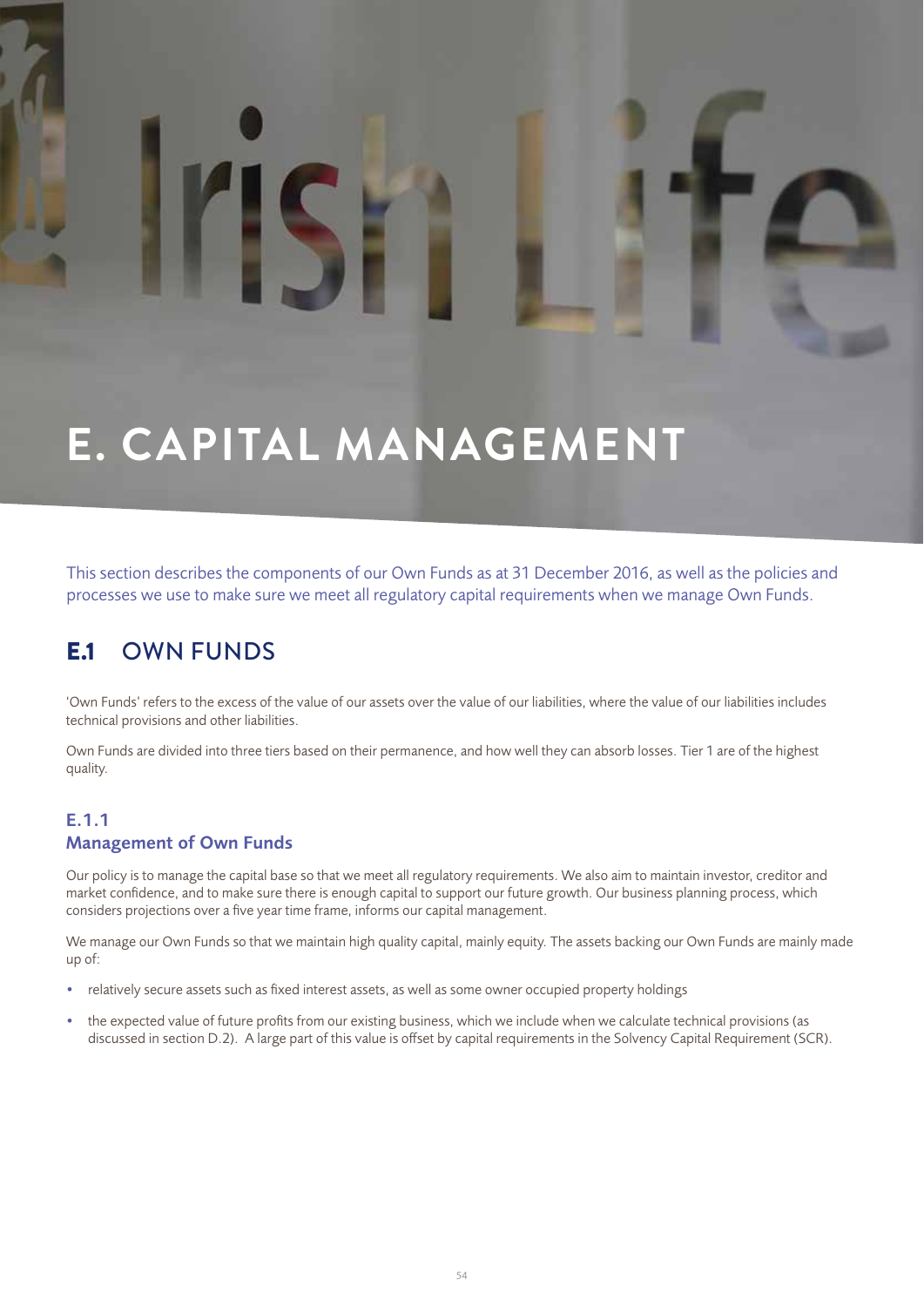# **E. CAPITAL MANAGEMENT**

This section describes the components of our Own Funds as at 31 December 2016, as well as the policies and processes we use to make sure we meet all regulatory capital requirements when we manage Own Funds.

# E.1 OWN FUNDS

'Own Funds' refers to the excess of the value of our assets over the value of our liabilities, where the value of our liabilities includes technical provisions and other liabilities.

Own Funds are divided into three tiers based on their permanence, and how well they can absorb losses. Tier 1 are of the highest quality.

### E.1.1 Management of Own Funds

Our policy is to manage the capital base so that we meet all regulatory requirements. We also aim to maintain investor, creditor and market confidence, and to make sure there is enough capital to support our future growth. Our business planning process, which considers projections over a five year time frame, informs our capital management.

We manage our Own Funds so that we maintain high quality capital, mainly equity. The assets backing our Own Funds are mainly made up of:

- relatively secure assets such as fixed interest assets, as well as some owner occupied property holdings
- the expected value of future profits from our existing business, which we include when we calculate technical provisions (as discussed in section D.2). A large part of this value is offset by capital requirements in the Solvency Capital Requirement (SCR).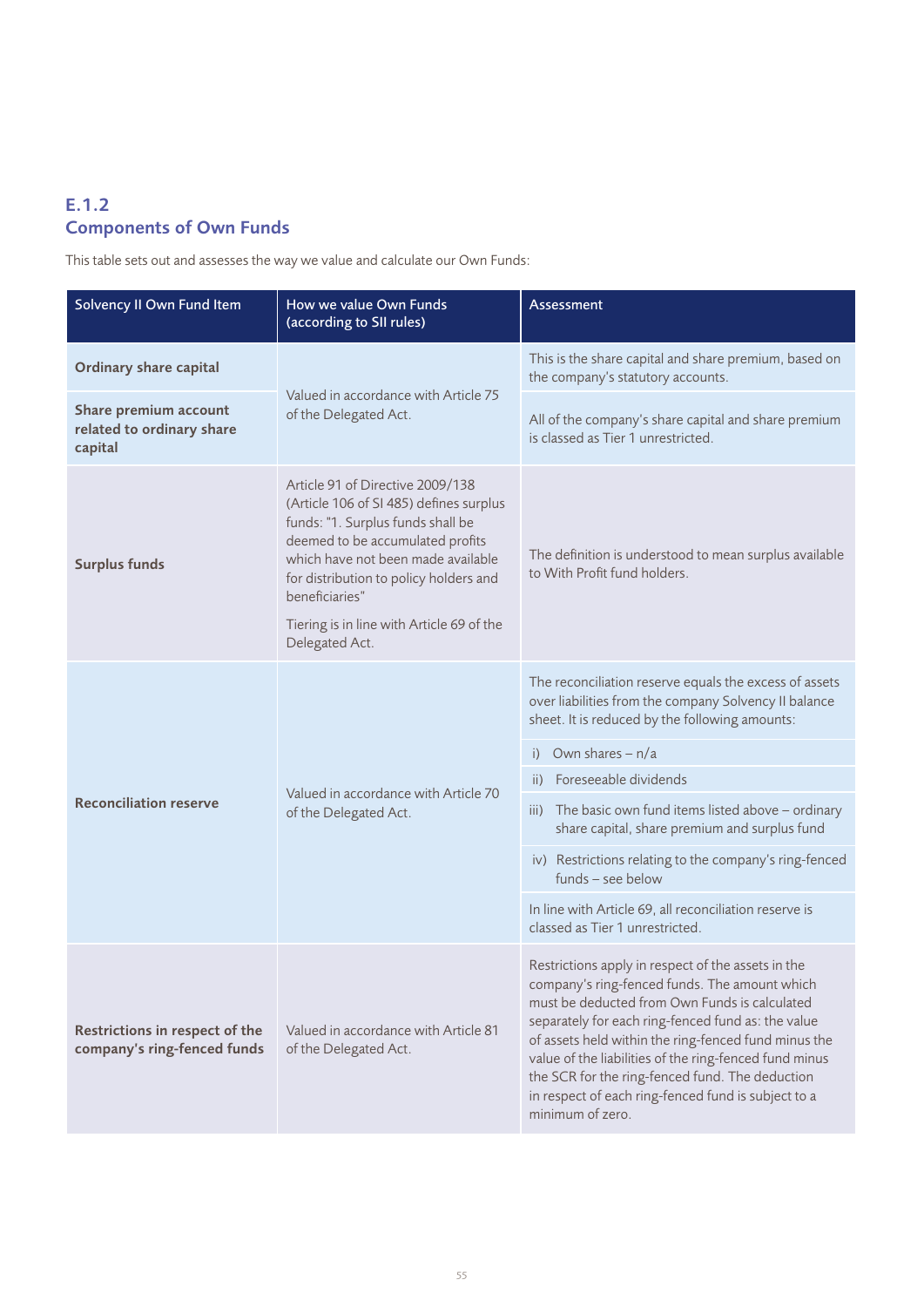### E.1.2 Components of Own Funds

This table sets out and assesses the way we value and calculate our Own Funds:

| Solvency II Own Fund Item                                     | How we value Own Funds<br>(according to SII rules)                                                                                                                                                                                                     | Assessment                                                                                                                                                                                                                                                                                                                                                                                                                                                 |  |
|---------------------------------------------------------------|--------------------------------------------------------------------------------------------------------------------------------------------------------------------------------------------------------------------------------------------------------|------------------------------------------------------------------------------------------------------------------------------------------------------------------------------------------------------------------------------------------------------------------------------------------------------------------------------------------------------------------------------------------------------------------------------------------------------------|--|
| <b>Ordinary share capital</b>                                 |                                                                                                                                                                                                                                                        | This is the share capital and share premium, based on<br>the company's statutory accounts.                                                                                                                                                                                                                                                                                                                                                                 |  |
| Share premium account<br>related to ordinary share<br>capital | Valued in accordance with Article 75<br>of the Delegated Act.                                                                                                                                                                                          | All of the company's share capital and share premium<br>is classed as Tier 1 unrestricted.                                                                                                                                                                                                                                                                                                                                                                 |  |
| <b>Surplus funds</b>                                          | Article 91 of Directive 2009/138<br>(Article 106 of SI 485) defines surplus<br>funds: "1. Surplus funds shall be<br>deemed to be accumulated profits<br>which have not been made available<br>for distribution to policy holders and<br>beneficiaries" | The definition is understood to mean surplus available<br>to With Profit fund holders.                                                                                                                                                                                                                                                                                                                                                                     |  |
|                                                               | Tiering is in line with Article 69 of the<br>Delegated Act.                                                                                                                                                                                            |                                                                                                                                                                                                                                                                                                                                                                                                                                                            |  |
|                                                               |                                                                                                                                                                                                                                                        | The reconciliation reserve equals the excess of assets<br>over liabilities from the company Solvency II balance<br>sheet. It is reduced by the following amounts:                                                                                                                                                                                                                                                                                          |  |
|                                                               |                                                                                                                                                                                                                                                        | Own shares $- n/a$<br>i)                                                                                                                                                                                                                                                                                                                                                                                                                                   |  |
|                                                               | Valued in accordance with Article 70                                                                                                                                                                                                                   | Foreseeable dividends<br>ii)                                                                                                                                                                                                                                                                                                                                                                                                                               |  |
| <b>Reconciliation reserve</b>                                 | of the Delegated Act.                                                                                                                                                                                                                                  | iii) The basic own fund items listed above - ordinary<br>share capital, share premium and surplus fund                                                                                                                                                                                                                                                                                                                                                     |  |
|                                                               |                                                                                                                                                                                                                                                        | iv) Restrictions relating to the company's ring-fenced<br>funds - see below                                                                                                                                                                                                                                                                                                                                                                                |  |
|                                                               |                                                                                                                                                                                                                                                        | In line with Article 69, all reconciliation reserve is<br>classed as Tier 1 unrestricted.                                                                                                                                                                                                                                                                                                                                                                  |  |
| Restrictions in respect of the<br>company's ring-fenced funds | Valued in accordance with Article 81<br>of the Delegated Act.                                                                                                                                                                                          | Restrictions apply in respect of the assets in the<br>company's ring-fenced funds. The amount which<br>must be deducted from Own Funds is calculated<br>separately for each ring-fenced fund as: the value<br>of assets held within the ring-fenced fund minus the<br>value of the liabilities of the ring-fenced fund minus<br>the SCR for the ring-fenced fund. The deduction<br>in respect of each ring-fenced fund is subject to a<br>minimum of zero. |  |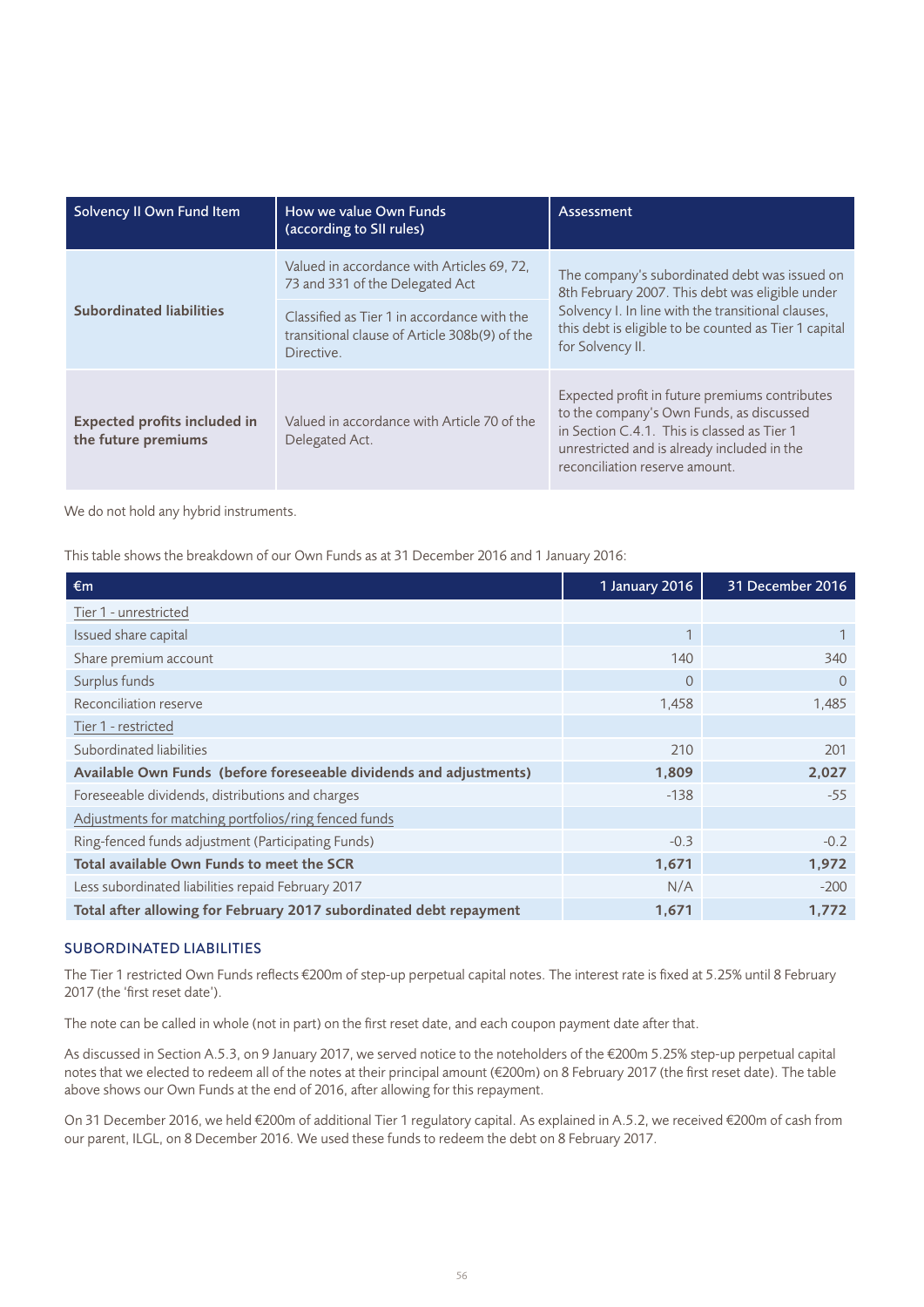| Solvency II Own Fund Item                                  | How we value Own Funds<br>(according to SII rules)                                                         | Assessment                                                                                                                                                                                                                          |  |
|------------------------------------------------------------|------------------------------------------------------------------------------------------------------------|-------------------------------------------------------------------------------------------------------------------------------------------------------------------------------------------------------------------------------------|--|
|                                                            | Valued in accordance with Articles 69, 72.<br>73 and 331 of the Delegated Act                              | The company's subordinated debt was issued on<br>8th February 2007. This debt was eligible under<br>Solvency I. In line with the transitional clauses,<br>this debt is eligible to be counted as Tier 1 capital<br>for Solvency II. |  |
| <b>Subordinated liabilities</b>                            | Classified as Tier 1 in accordance with the<br>transitional clause of Article 308b(9) of the<br>Directive. |                                                                                                                                                                                                                                     |  |
| <b>Expected profits included in</b><br>the future premiums | Valued in accordance with Article 70 of the<br>Delegated Act.                                              | Expected profit in future premiums contributes<br>to the company's Own Funds, as discussed<br>in Section C.4.1. This is classed as Tier 1<br>unrestricted and is already included in the<br>reconciliation reserve amount.          |  |

We do not hold any hybrid instruments.

This table shows the breakdown of our Own Funds as at 31 December 2016 and 1 January 2016:

| €m                                                                 | 1 January 2016 | 31 December 2016 |
|--------------------------------------------------------------------|----------------|------------------|
| Tier 1 - unrestricted                                              |                |                  |
| Issued share capital                                               | 1              |                  |
| Share premium account                                              | 140            | 340              |
| Surplus funds                                                      | $\overline{0}$ | $\Omega$         |
| Reconciliation reserve                                             | 1,458          | 1,485            |
| Tier 1 - restricted                                                |                |                  |
| Subordinated liabilities                                           | 210            | 201              |
| Available Own Funds (before foreseeable dividends and adjustments) | 1,809          | 2,027            |
| Foreseeable dividends, distributions and charges                   | $-138$         | $-55$            |
| Adjustments for matching portfolios/ring fenced funds              |                |                  |
| Ring-fenced funds adjustment (Participating Funds)                 | $-0.3$         | $-0.2$           |
| Total available Own Funds to meet the SCR                          | 1,671          | 1,972            |
| Less subordinated liabilities repaid February 2017                 | N/A            | $-200$           |
| Total after allowing for February 2017 subordinated debt repayment | 1,671          | 1,772            |

#### SUBORDINATED LIABILITIES

The Tier 1 restricted Own Funds reflects €200m of step-up perpetual capital notes. The interest rate is fixed at 5.25% until 8 February 2017 (the 'first reset date').

The note can be called in whole (not in part) on the first reset date, and each coupon payment date after that.

As discussed in Section A.5.3, on 9 January 2017, we served notice to the noteholders of the €200m 5.25% step-up perpetual capital notes that we elected to redeem all of the notes at their principal amount (€200m) on 8 February 2017 (the first reset date). The table above shows our Own Funds at the end of 2016, after allowing for this repayment.

On 31 December 2016, we held €200m of additional Tier 1 regulatory capital. As explained in A.5.2, we received €200m of cash from our parent, ILGL, on 8 December 2016. We used these funds to redeem the debt on 8 February 2017.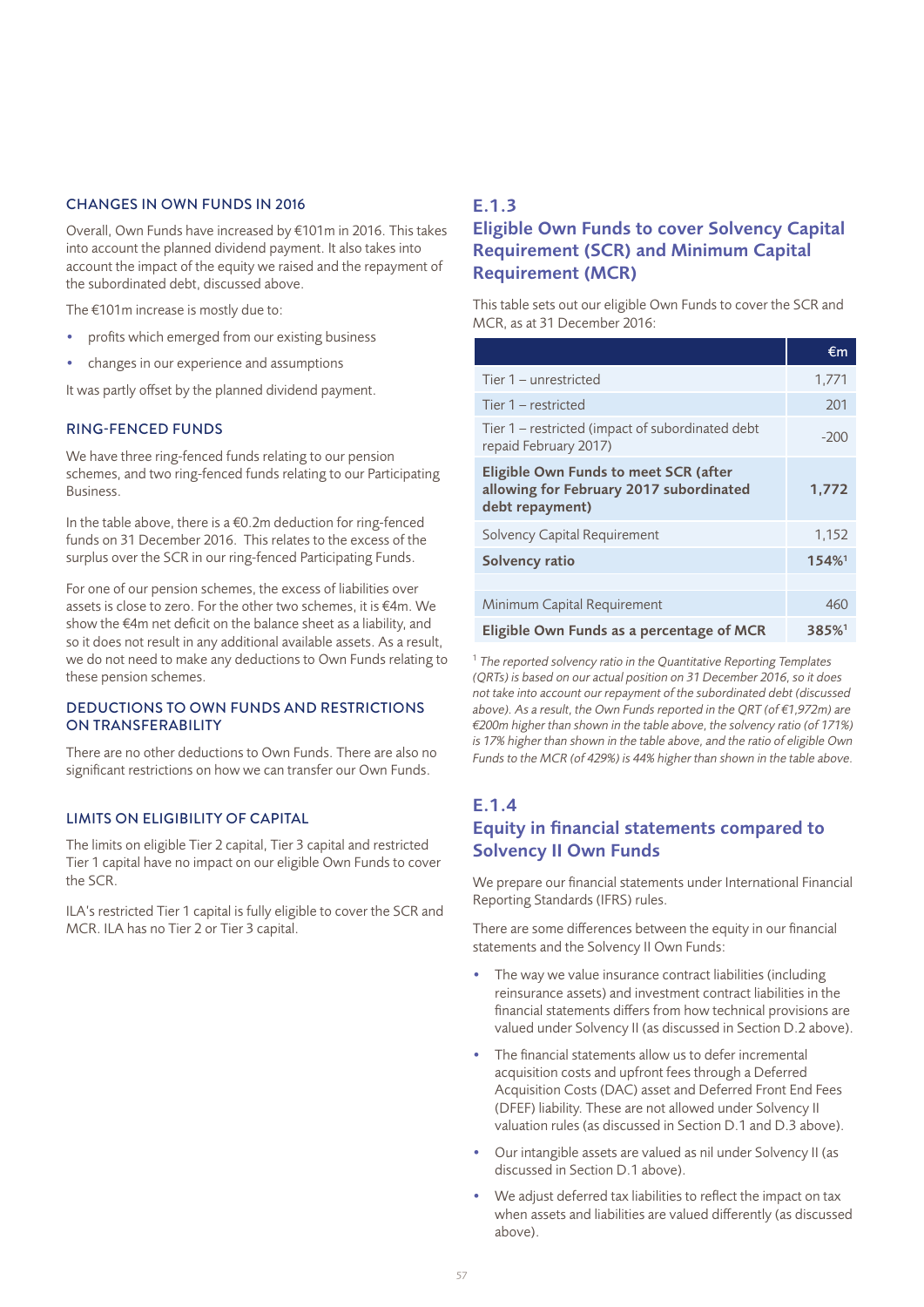#### CHANGES IN OWN FUNDS IN 2016

Overall, Own Funds have increased by €101m in 2016. This takes into account the planned dividend payment. It also takes into account the impact of the equity we raised and the repayment of the subordinated debt, discussed above.

The €101m increase is mostly due to:

- profits which emerged from our existing business
- changes in our experience and assumptions

It was partly offset by the planned dividend payment.

#### RING-FENCED FUNDS

We have three ring-fenced funds relating to our pension schemes, and two ring-fenced funds relating to our Participating Business.

In the table above, there is a  $€0.2m$  deduction for ring-fenced funds on 31 December 2016. This relates to the excess of the surplus over the SCR in our ring-fenced Participating Funds.

For one of our pension schemes, the excess of liabilities over assets is close to zero. For the other two schemes, it is €4m. We show the €4m net deficit on the balance sheet as a liability, and so it does not result in any additional available assets. As a result, we do not need to make any deductions to Own Funds relating to these pension schemes.

#### DEDUCTIONS TO OWN FUNDS AND RESTRICTIONS ON TRANSFERABILITY

There are no other deductions to Own Funds. There are also no significant restrictions on how we can transfer our Own Funds.

#### LIMITS ON ELIGIBILITY OF CAPITAL

The limits on eligible Tier 2 capital, Tier 3 capital and restricted Tier 1 capital have no impact on our eligible Own Funds to cover the SCR.

ILA's restricted Tier 1 capital is fully eligible to cover the SCR and MCR. ILA has no Tier 2 or Tier 3 capital.

#### E.1.3

### Eligible Own Funds to cover Solvency Capital Requirement (SCR) and Minimum Capital Requirement (MCR)

This table sets out our eligible Own Funds to cover the SCR and MCR, as at 31 December 2016:

|                                                                                                     | €m                   |
|-----------------------------------------------------------------------------------------------------|----------------------|
| Tier 1 - unrestricted                                                                               | 1,771                |
| Tier 1 - restricted                                                                                 | 201                  |
| Tier 1 – restricted (impact of subordinated debt<br>repaid February 2017)                           | $-200$               |
| Eligible Own Funds to meet SCR (after<br>allowing for February 2017 subordinated<br>debt repayment) | 1,772                |
| Solvency Capital Requirement                                                                        | 1,152                |
| Solvency ratio                                                                                      | $154\%$ <sup>1</sup> |
|                                                                                                     |                      |
| Minimum Capital Requirement                                                                         | 460                  |
| Eligible Own Funds as a percentage of MCR                                                           | 385%                 |

<sup>1</sup> *The reported solvency ratio in the Quantitative Reporting Templates (QRTs) is based on our actual position on 31 December 2016, so it does not take into account our repayment of the subordinated debt (discussed above). As a result, the Own Funds reported in the QRT (of €1,972m) are €200m higher than shown in the table above, the solvency ratio (of 171%) is 17% higher than shown in the table above, and the ratio of eligible Own Funds to the MCR (of 429%) is 44% higher than shown in the table above.* 

### E.1.4

### Equity in financial statements compared to Solvency II Own Funds

We prepare our financial statements under International Financial Reporting Standards (IFRS) rules.

There are some differences between the equity in our financial statements and the Solvency II Own Funds:

- The way we value insurance contract liabilities (including reinsurance assets) and investment contract liabilities in the financial statements differs from how technical provisions are valued under Solvency II (as discussed in Section D.2 above).
- The financial statements allow us to defer incremental acquisition costs and upfront fees through a Deferred Acquisition Costs (DAC) asset and Deferred Front End Fees (DFEF) liability. These are not allowed under Solvency II valuation rules (as discussed in Section D.1 and D.3 above).
- Our intangible assets are valued as nil under Solvency II (as discussed in Section D.1 above).
- We adjust deferred tax liabilities to reflect the impact on tax when assets and liabilities are valued differently (as discussed above).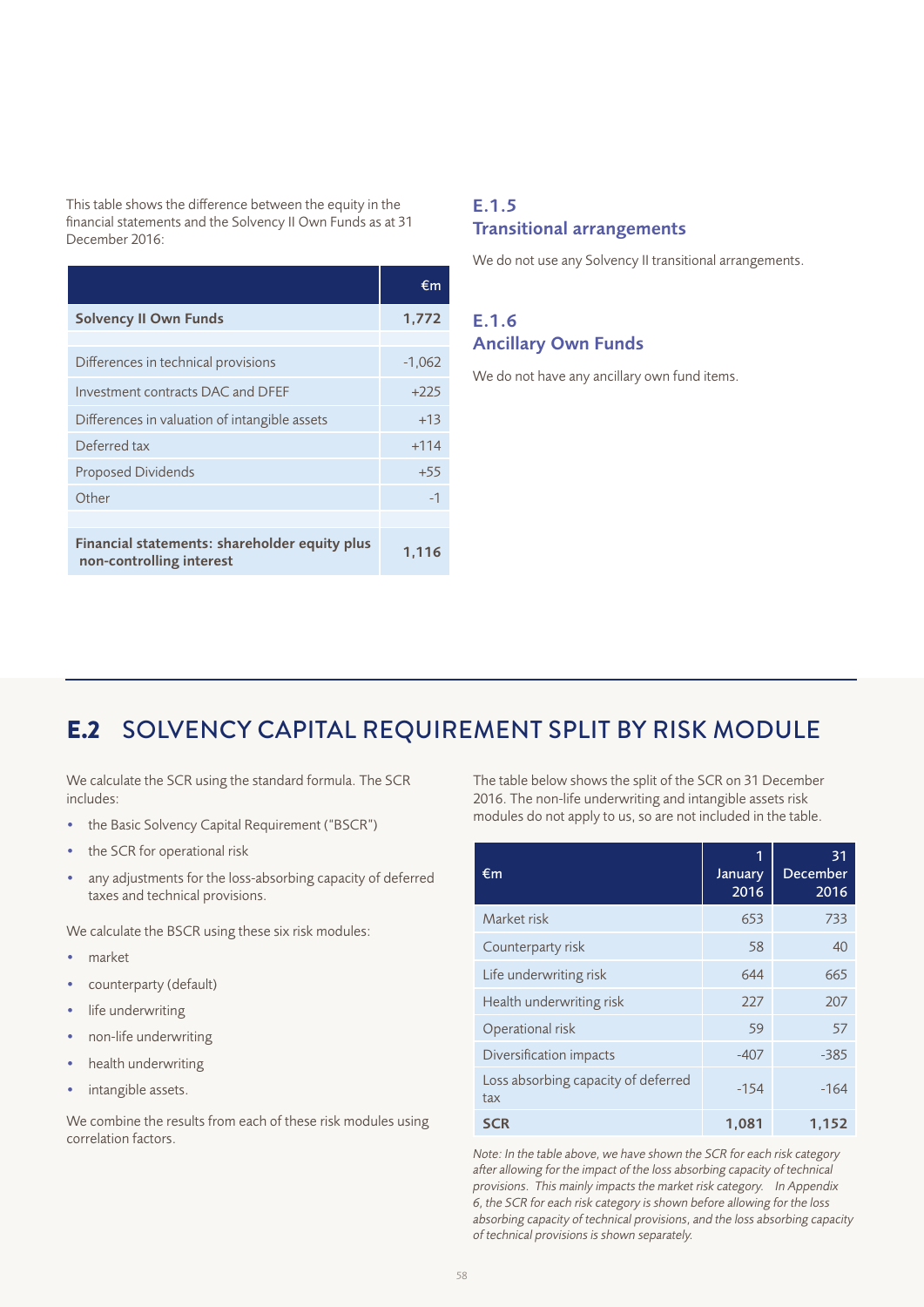This table shows the difference between the equity in the financial statements and the Solvency II Own Funds as at 31 December 2016:

|                                                                           | €m       |
|---------------------------------------------------------------------------|----------|
| <b>Solvency II Own Funds</b>                                              | 1,772    |
|                                                                           |          |
| Differences in technical provisions                                       | $-1,062$ |
| Investment contracts DAC and DFEF                                         | $+225$   |
| Differences in valuation of intangible assets                             | $+13$    |
| Deferred tax                                                              | $+114$   |
| <b>Proposed Dividends</b>                                                 | $+55$    |
| Other                                                                     | $-1$     |
|                                                                           |          |
| Financial statements: shareholder equity plus<br>non-controlling interest | 1.116    |

### E.1.5 Transitional arrangements

We do not use any Solvency II transitional arrangements.

### E.1.6 Ancillary Own Funds

We do not have any ancillary own fund items.

# E.2 SOLVENCY CAPITAL REQUIREMENT SPLIT BY RISK MODULE

We calculate the SCR using the standard formula. The SCR includes:

- the Basic Solvency Capital Requirement ("BSCR")
- the SCR for operational risk
- any adjustments for the loss-absorbing capacity of deferred taxes and technical provisions.

We calculate the BSCR using these six risk modules:

- market
- counterparty (default)
- life underwriting
- non-life underwriting
- health underwriting
- intangible assets.

We combine the results from each of these risk modules using correlation factors.

The table below shows the split of the SCR on 31 December 2016. The non-life underwriting and intangible assets risk modules do not apply to us, so are not included in the table.

| €m                                         | 1<br>January<br>2016 | 31<br>December<br>2016 |
|--------------------------------------------|----------------------|------------------------|
| Market risk                                | 653                  | 733                    |
| Counterparty risk                          | 58                   | 40                     |
| Life underwriting risk                     | 644                  | 665                    |
| Health underwriting risk                   | 227                  | 207                    |
| Operational risk                           | 59                   | 57                     |
| Diversification impacts                    | $-407$               | -385                   |
| Loss absorbing capacity of deferred<br>tax | $-154$               | $-164$                 |
| <b>SCR</b>                                 | 1,081                | 1,152                  |

*Note: In the table above, we have shown the SCR for each risk category after allowing for the impact of the loss absorbing capacity of technical provisions. This mainly impacts the market risk category. In Appendix 6, the SCR for each risk category is shown before allowing for the loss absorbing capacity of technical provisions, and the loss absorbing capacity of technical provisions is shown separately.*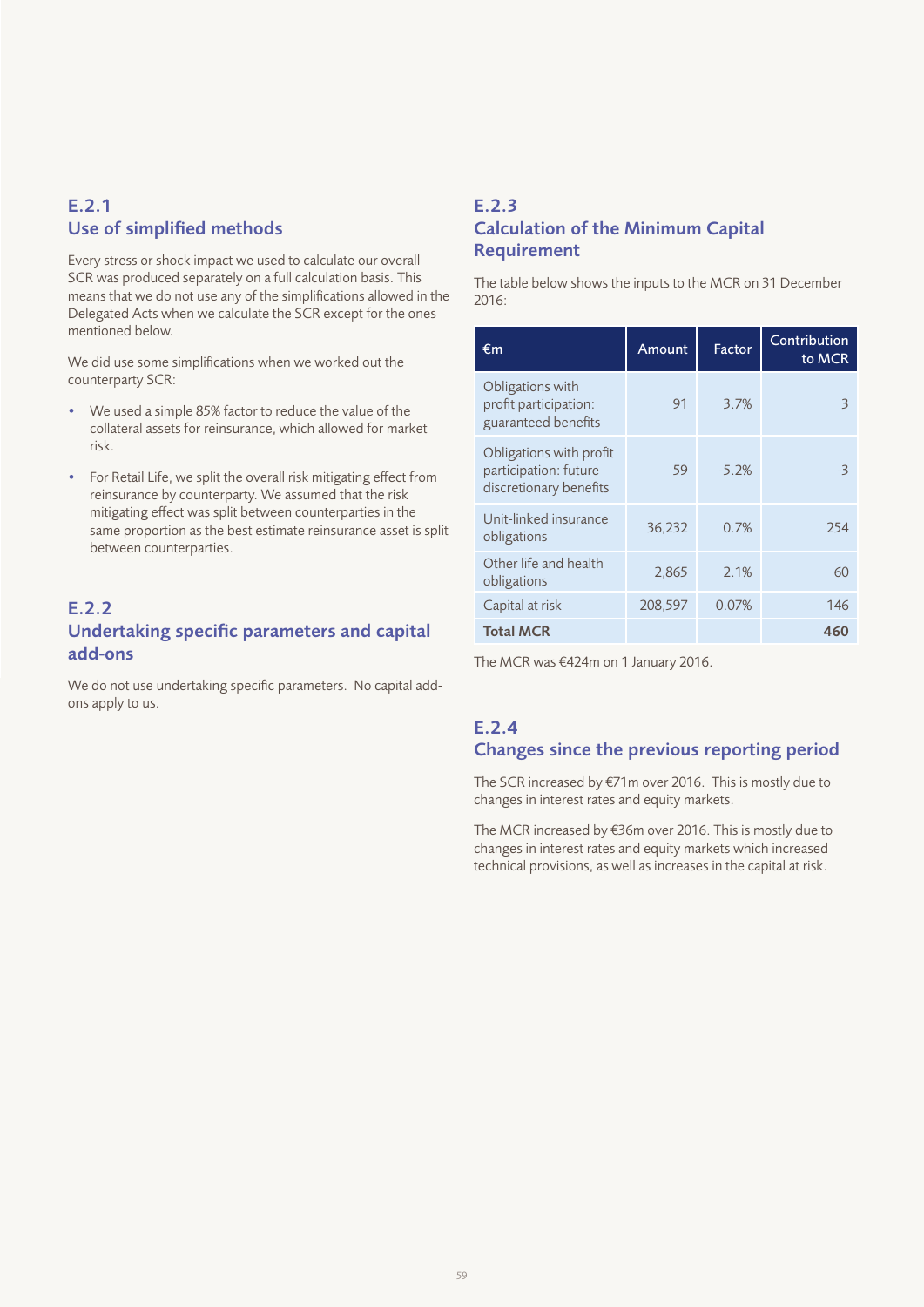### E.2.1 Use of simplified methods

Every stress or shock impact we used to calculate our overall SCR was produced separately on a full calculation basis. This means that we do not use any of the simplifications allowed in the Delegated Acts when we calculate the SCR except for the ones mentioned below.

We did use some simplifications when we worked out the counterparty SCR:

- We used a simple 85% factor to reduce the value of the collateral assets for reinsurance, which allowed for market risk.
- For Retail Life, we split the overall risk mitigating effect from reinsurance by counterparty. We assumed that the risk mitigating effect was split between counterparties in the same proportion as the best estimate reinsurance asset is split between counterparties.

### E.2.2 Undertaking specific parameters and capital add-ons

We do not use undertaking specific parameters. No capital addons apply to us.

### E.2.3 Calculation of the Minimum Capital Requirement

The table below shows the inputs to the MCR on 31 December 2016:

| €m                                                                         | Amount  | Factor  | Contribution<br>to MCR |
|----------------------------------------------------------------------------|---------|---------|------------------------|
| Obligations with<br>profit participation:<br>guaranteed benefits           | 91      | 3.7%    | Β                      |
| Obligations with profit<br>participation: future<br>discretionary benefits | 59      | $-5.2%$ | -3                     |
| Unit-linked insurance<br>obligations                                       | 36,232  | 0.7%    | 254                    |
| Other life and health<br>obligations                                       | 2,865   | 2.1%    | 60                     |
| Capital at risk                                                            | 208,597 | 0.07%   | 146                    |
| <b>Total MCR</b>                                                           |         |         | 460                    |

The MCR was €424m on 1 January 2016.

### E.2.4 Changes since the previous reporting period

The SCR increased by €71m over 2016. This is mostly due to changes in interest rates and equity markets.

The MCR increased by €36m over 2016. This is mostly due to changes in interest rates and equity markets which increased technical provisions, as well as increases in the capital at risk.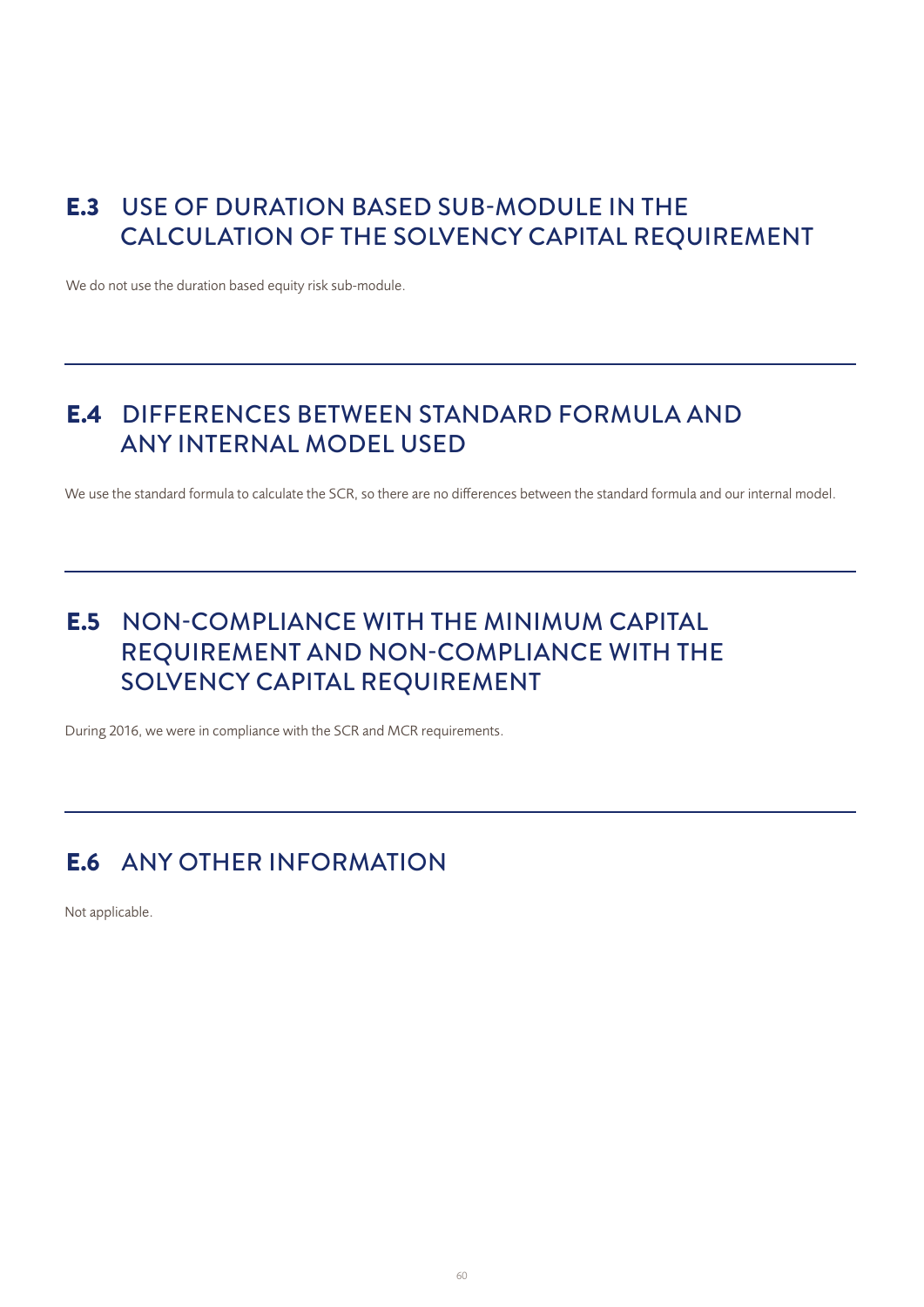# E.3 USE OF DURATION BASED SUB-MODULE IN THE CALCULATION OF THE SOLVENCY CAPITAL REQUIREMENT

We do not use the duration based equity risk sub-module.

# E.4 DIFFERENCES BETWEEN STANDARD FORMULA AND ANY INTERNAL MODEL USED

We use the standard formula to calculate the SCR, so there are no differences between the standard formula and our internal model.

# E.5 NON-COMPLIANCE WITH THE MINIMUM CAPITAL REQUIREMENT AND NON-COMPLIANCE WITH THE SOLVENCY CAPITAL REQUIREMENT

During 2016, we were in compliance with the SCR and MCR requirements.

# E.6 ANY OTHER INFORMATION

Not applicable.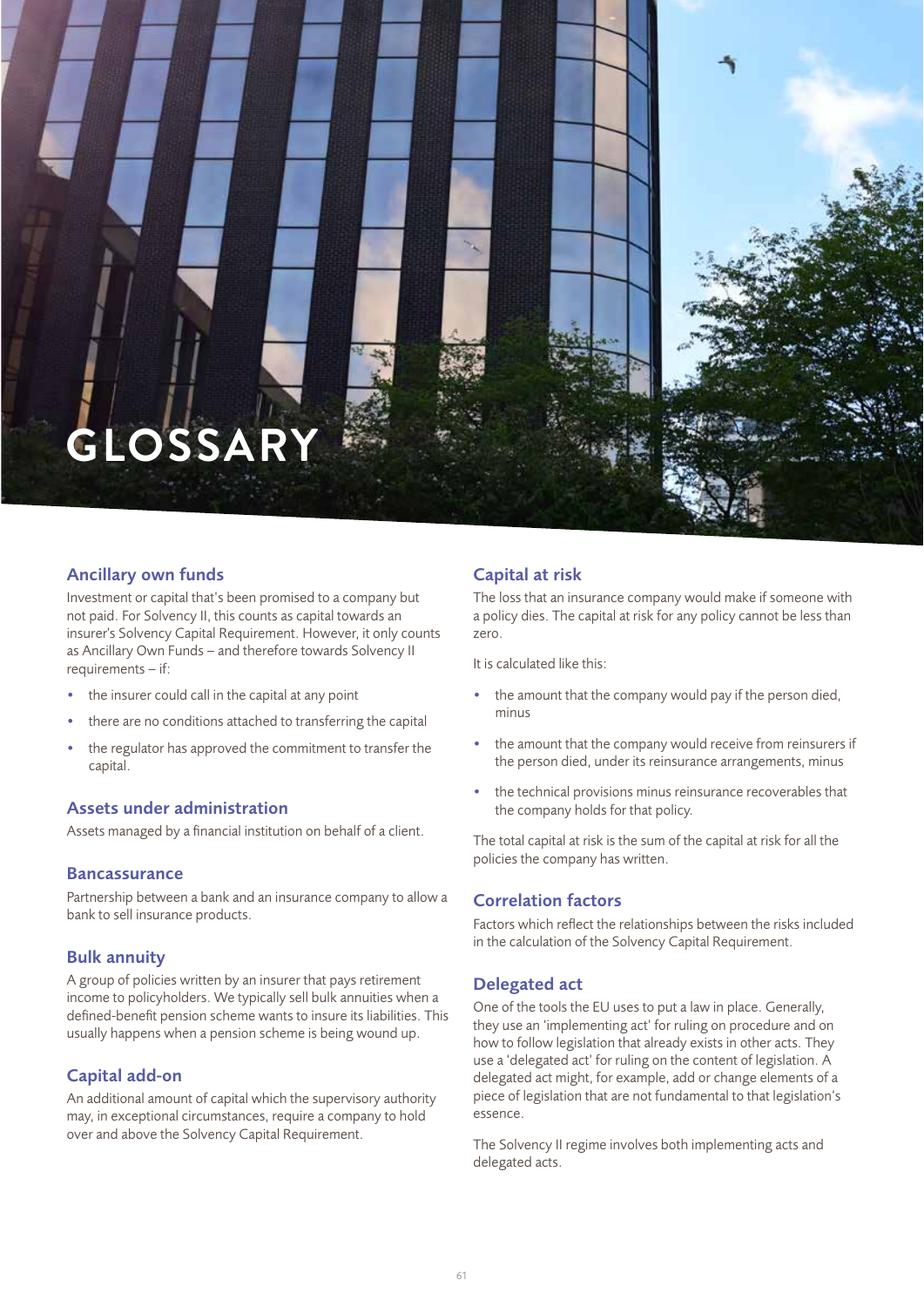

### Ancillary own funds

Investment or capital that's been promised to a company but not paid. For Solvency II, this counts as capital towards an insurer's Solvency Capital Requirement. However, it only counts as Ancillary Own Funds – and therefore towards Solvency II requirements – if:

- the insurer could call in the capital at any point
- there are no conditions attached to transferring the capital
- the regulator has approved the commitment to transfer the capital.

#### Assets under administration

Assets managed by a financial institution on behalf of a client.

#### **Bancassurance**

Partnership between a bank and an insurance company to allow a bank to sell insurance products.

#### Bulk annuity

A group of policies written by an insurer that pays retirement income to policyholders. We typically sell bulk annuities when a defined-benefit pension scheme wants to insure its liabilities. This usually happens when a pension scheme is being wound up.

### Capital add-on

An additional amount of capital which the supervisory authority may, in exceptional circumstances, require a company to hold over and above the Solvency Capital Requirement.

#### Capital at risk

The loss that an insurance company would make if someone with a policy dies. The capital at risk for any policy cannot be less than zero.

It is calculated like this:

- the amount that the company would pay if the person died, minus
- the amount that the company would receive from reinsurers if the person died, under its reinsurance arrangements, minus
- the technical provisions minus reinsurance recoverables that the company holds for that policy.

The total capital at risk is the sum of the capital at risk for all the policies the company has written.

#### Correlation factors

Factors which reflect the relationships between the risks included in the calculation of the Solvency Capital Requirement.

#### Delegated act

One of the tools the EU uses to put a law in place. Generally, they use an 'implementing act' for ruling on procedure and on how to follow legislation that already exists in other acts. They use a 'delegated act' for ruling on the content of legislation. A delegated act might, for example, add or change elements of a piece of legislation that are not fundamental to that legislation's essence.

The Solvency II regime involves both implementing acts and delegated acts.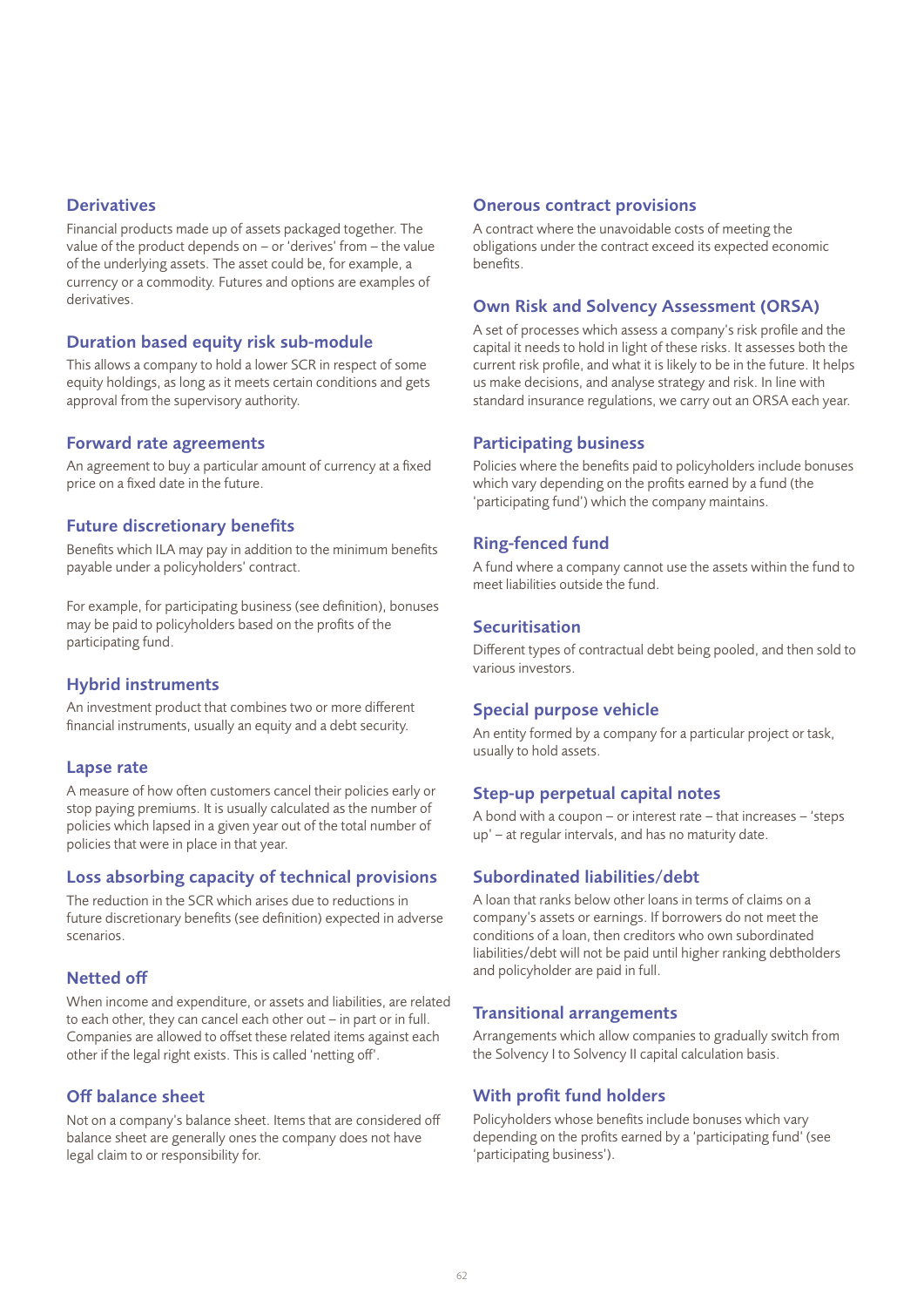#### **Derivatives**

Financial products made up of assets packaged together. The value of the product depends on – or 'derives' from – the value of the underlying assets. The asset could be, for example, a currency or a commodity. Futures and options are examples of derivatives.

#### Duration based equity risk sub-module

This allows a company to hold a lower SCR in respect of some equity holdings, as long as it meets certain conditions and gets approval from the supervisory authority.

#### Forward rate agreements

An agreement to buy a particular amount of currency at a fixed price on a fixed date in the future.

### Future discretionary benefits

Benefits which ILA may pay in addition to the minimum benefits payable under a policyholders' contract.

For example, for participating business (see definition), bonuses may be paid to policyholders based on the profits of the participating fund.

#### Hybrid instruments

An investment product that combines two or more different financial instruments, usually an equity and a debt security.

#### Lapse rate

A measure of how often customers cancel their policies early or stop paying premiums. It is usually calculated as the number of policies which lapsed in a given year out of the total number of policies that were in place in that year.

### Loss absorbing capacity of technical provisions

The reduction in the SCR which arises due to reductions in future discretionary benefits (see definition) expected in adverse scenarios.

### Netted off

When income and expenditure, or assets and liabilities, are related to each other, they can cancel each other out – in part or in full. Companies are allowed to offset these related items against each other if the legal right exists. This is called 'netting off'.

### Off balance sheet

Not on a company's balance sheet. Items that are considered off balance sheet are generally ones the company does not have legal claim to or responsibility for.

#### Onerous contract provisions

A contract where the unavoidable costs of meeting the obligations under the contract exceed its expected economic benefits.

#### Own Risk and Solvency Assessment (ORSA)

A set of processes which assess a company's risk profile and the capital it needs to hold in light of these risks. It assesses both the current risk profile, and what it is likely to be in the future. It helps us make decisions, and analyse strategy and risk. In line with standard insurance regulations, we carry out an ORSA each year.

### Participating business

Policies where the benefits paid to policyholders include bonuses which vary depending on the profits earned by a fund (the 'participating fund') which the company maintains.

### Ring-fenced fund

A fund where a company cannot use the assets within the fund to meet liabilities outside the fund.

#### **Securitisation**

Different types of contractual debt being pooled, and then sold to various investors.

#### Special purpose vehicle

An entity formed by a company for a particular project or task, usually to hold assets.

#### Step-up perpetual capital notes

A bond with a coupon – or interest rate – that increases – 'steps up' – at regular intervals, and has no maturity date.

### Subordinated liabilities/debt

A loan that ranks below other loans in terms of claims on a company's assets or earnings. If borrowers do not meet the conditions of a loan, then creditors who own subordinated liabilities/debt will not be paid until higher ranking debtholders and policyholder are paid in full.

#### Transitional arrangements

Arrangements which allow companies to gradually switch from the Solvency I to Solvency II capital calculation basis.

### With profit fund holders

Policyholders whose benefits include bonuses which vary depending on the profits earned by a 'participating fund' (see 'participating business').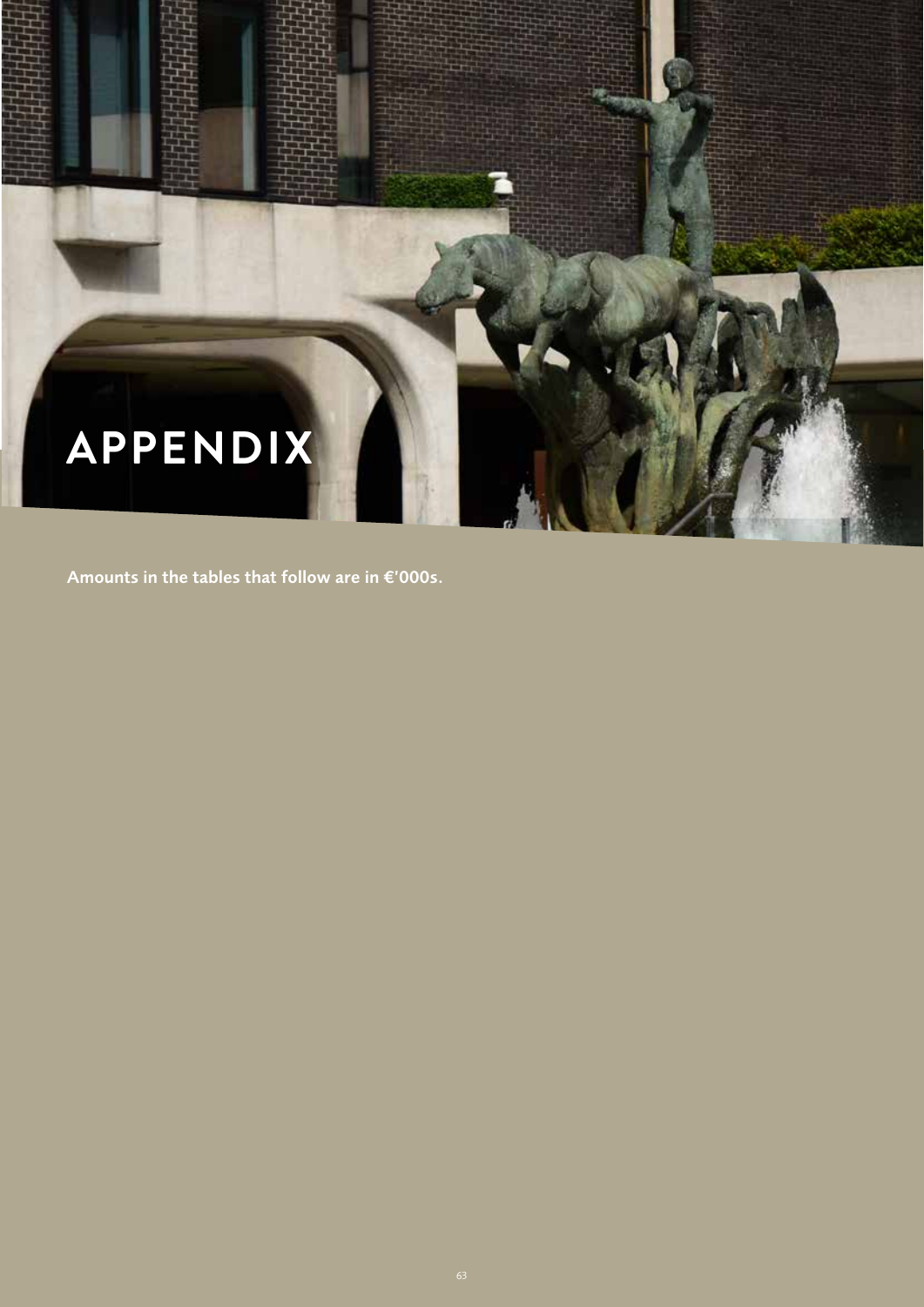

Amounts in the tables that follow are in €'000s.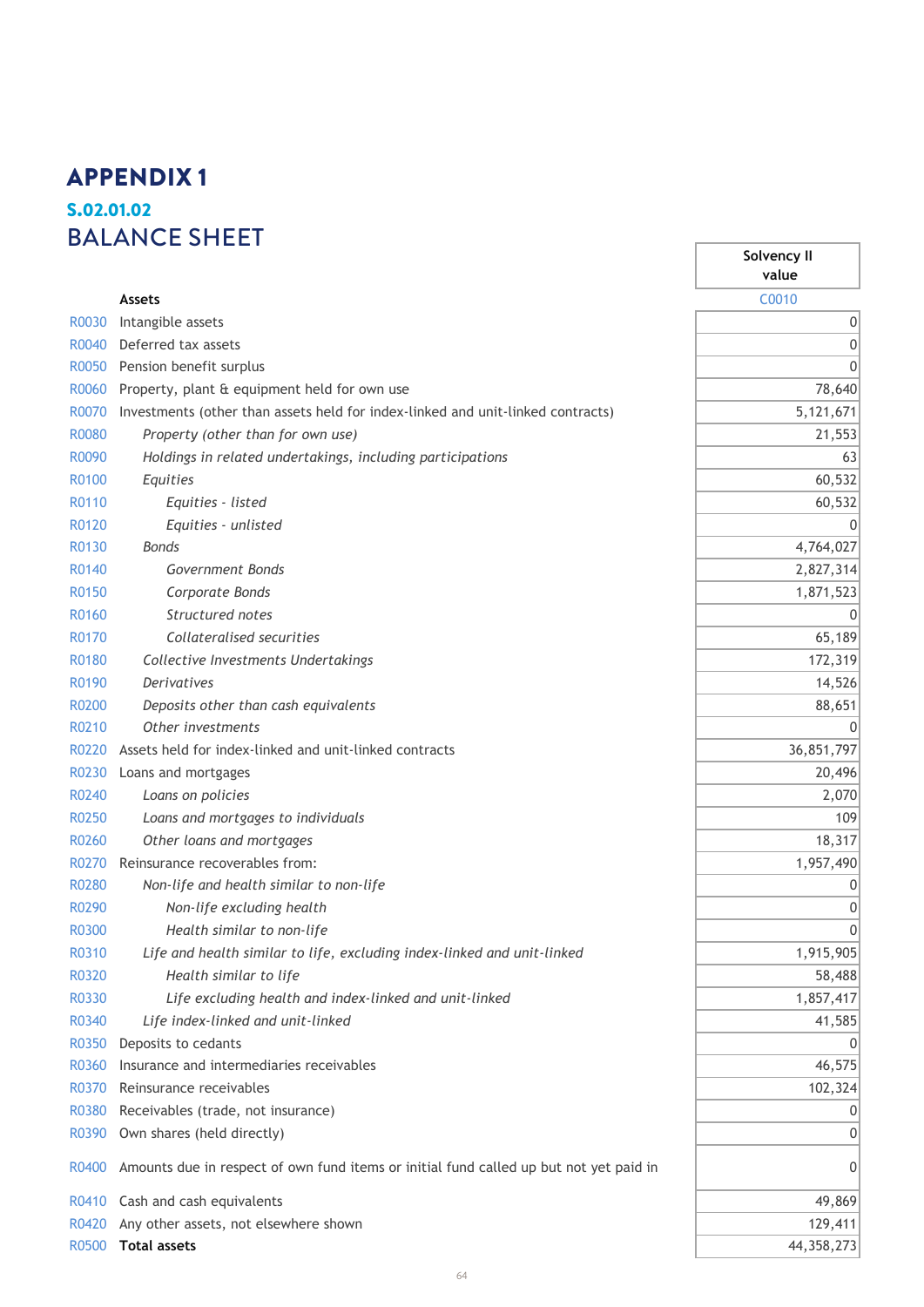# **S.02.01.02** S.02.01.02 **Balance sheet** BALANCE SHEETAPPENDIX 1

|              | <b>Assets</b>                                                                          | C0010        |
|--------------|----------------------------------------------------------------------------------------|--------------|
| R0030        | Intangible assets                                                                      | С            |
| R0040        | Deferred tax assets                                                                    | C            |
| R0050        | Pension benefit surplus                                                                | C            |
| R0060        | Property, plant & equipment held for own use                                           | 78,640       |
| R0070        | Investments (other than assets held for index-linked and unit-linked contracts)        | 5,121,671    |
| <b>R0080</b> | Property (other than for own use)                                                      | 21,553       |
| R0090        | Holdings in related undertakings, including participations                             | 63           |
| R0100        | Equities                                                                               | 60,532       |
| R0110        | Equities - listed                                                                      | 60,532       |
| R0120        | Equities - unlisted                                                                    | C            |
| R0130        | Bonds                                                                                  | 4,764,027    |
| R0140        | Government Bonds                                                                       | 2,827,314    |
| R0150        | Corporate Bonds                                                                        | 1,871,523    |
| R0160        | Structured notes                                                                       | C            |
| R0170        | Collateralised securities                                                              | 65,189       |
| R0180        | Collective Investments Undertakings                                                    | 172,319      |
| R0190        | <b>Derivatives</b>                                                                     | 14,526       |
| R0200        | Deposits other than cash equivalents                                                   | 88,651       |
| R0210        | Other investments                                                                      | C            |
| R0220        | Assets held for index-linked and unit-linked contracts                                 | 36,851,797   |
| R0230        | Loans and mortgages                                                                    | 20,496       |
| R0240        | Loans on policies                                                                      | 2,070        |
| R0250        | Loans and mortgages to individuals                                                     | 109          |
| R0260        | Other loans and mortgages                                                              | 18,317       |
| R0270        | Reinsurance recoverables from:                                                         | 1,957,490    |
| R0280        | Non-life and health similar to non-life                                                | С            |
| R0290        | Non-life excluding health                                                              | C            |
| <b>R0300</b> | Health similar to non-life                                                             | C            |
| R0310        | Life and health similar to life, excluding index-linked and unit-linked                | 1,915,905    |
| R0320        | Health similar to life                                                                 | 58,488       |
| R0330        | Life excluding health and index-linked and unit-linked                                 | 1,857,417    |
| R0340        | Life index-linked and unit-linked                                                      | 41,585       |
| R0350        | Deposits to cedants                                                                    | C            |
| R0360        | Insurance and intermediaries receivables                                               | 46,575       |
| R0370        | Reinsurance receivables                                                                | 102,324      |
| R0380        | Receivables (trade, not insurance)                                                     | C            |
| R0390        | Own shares (held directly)                                                             | C            |
| R0400        | Amounts due in respect of own fund items or initial fund called up but not yet paid in | C            |
| R0410        | Cash and cash equivalents                                                              | 49,869       |
| R0420        | Any other assets, not elsewhere shown                                                  | 129,411      |
| R0500        | <b>Total assets</b>                                                                    | 44, 358, 273 |

**Solvency II value**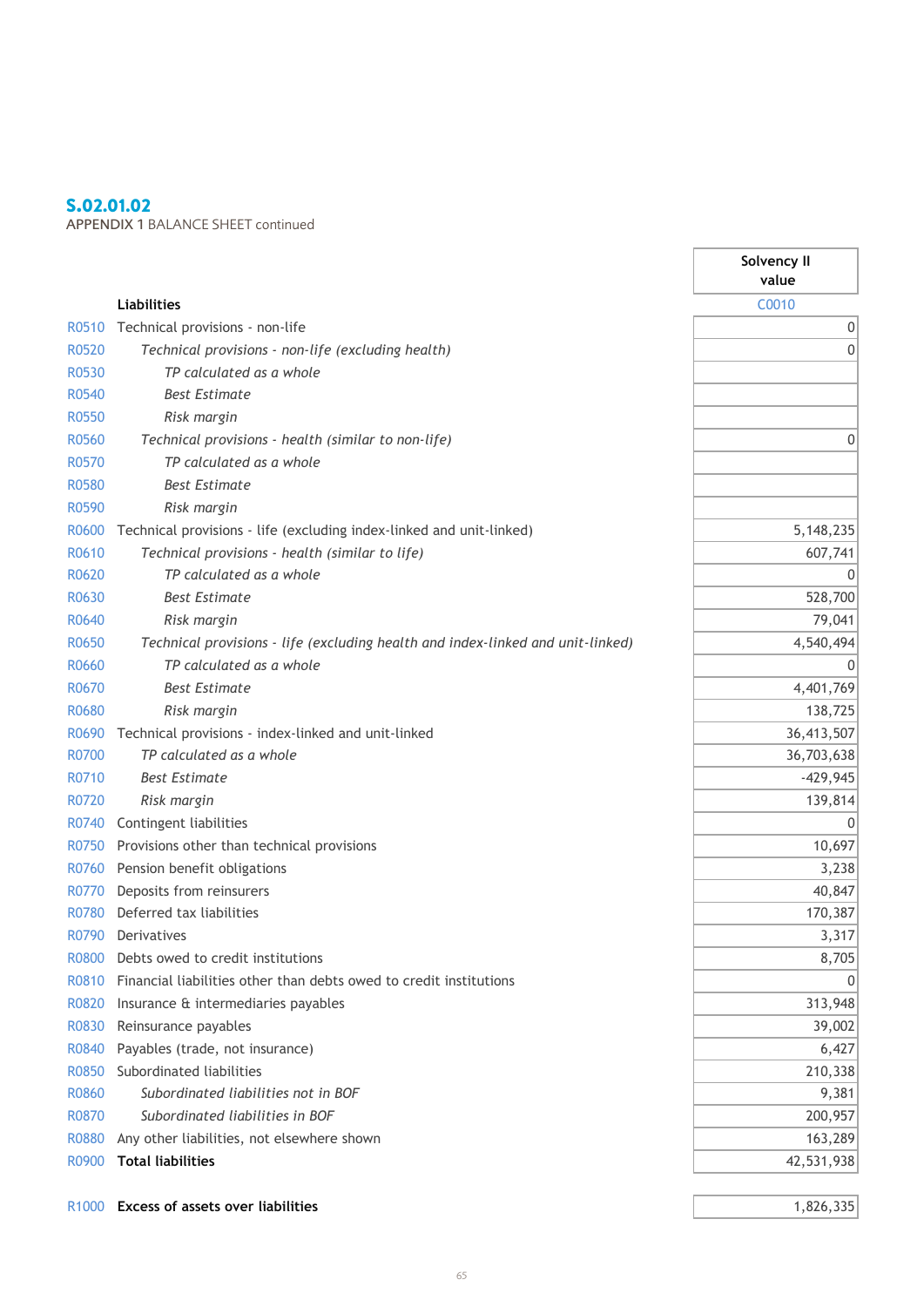### S.02.01.02

APPENDIX 1 BALANCE SHEET continued **Balance sheet**

|              |                                                                                 | Solvency II<br>value |
|--------------|---------------------------------------------------------------------------------|----------------------|
|              | <b>Liabilities</b>                                                              | C0010                |
| R0510        | Technical provisions - non-life                                                 | $\boldsymbol{0}$     |
| R0520        | Technical provisions - non-life (excluding health)                              | $\mathbf{0}$         |
| R0530        | TP calculated as a whole                                                        |                      |
| R0540        | <b>Best Estimate</b>                                                            |                      |
| R0550        | Risk margin                                                                     |                      |
| R0560        | Technical provisions - health (similar to non-life)                             | $\mathbf 0$          |
| R0570        | TP calculated as a whole                                                        |                      |
| R0580        | <b>Best Estimate</b>                                                            |                      |
| R0590        | Risk margin                                                                     |                      |
| R0600        | Technical provisions - life (excluding index-linked and unit-linked)            | 5,148,235            |
| R0610        | Technical provisions - health (similar to life)                                 | 607,741              |
| R0620        | TP calculated as a whole                                                        | $\Omega$             |
| R0630        | <b>Best Estimate</b>                                                            | 528,700              |
| R0640        | Risk margin                                                                     | 79,041               |
| R0650        | Technical provisions - life (excluding health and index-linked and unit-linked) | 4,540,494            |
| R0660        | TP calculated as a whole                                                        |                      |
| R0670        | <b>Best Estimate</b>                                                            | 4,401,769            |
| R0680        | Risk margin                                                                     | 138,725              |
| R0690        | Technical provisions - index-linked and unit-linked                             | 36,413,507           |
| R0700        | TP calculated as a whole                                                        | 36,703,638           |
| R0710        | <b>Best Estimate</b>                                                            | $-429,945$           |
| R0720        | Risk margin                                                                     | 139,814              |
| R0740        | Contingent liabilities                                                          | 0                    |
| R0750        | Provisions other than technical provisions                                      | 10,697               |
| R0760        | Pension benefit obligations                                                     | 3,238                |
| R0770        | Deposits from reinsurers                                                        | 40,847               |
| R0780        | Deferred tax liabilities                                                        | 170,387              |
| R0790        | Derivatives                                                                     | 3,317                |
| R0800        | Debts owed to credit institutions                                               | 8,705                |
| R0810        | Financial liabilities other than debts owed to credit institutions              | 0                    |
| R0820        | Insurance & intermediaries payables                                             | 313,948              |
| R0830        | Reinsurance payables                                                            | 39,002               |
| R0840        | Payables (trade, not insurance)                                                 | 6,427                |
| <b>R0850</b> | Subordinated liabilities                                                        | 210,338              |
| <b>R0860</b> | Subordinated liabilities not in BOF                                             | 9,381                |
| R0870        | Subordinated liabilities in BOF                                                 | 200,957              |
| R0880        | Any other liabilities, not elsewhere shown                                      | 163,289              |
| R0900        | <b>Total liabilities</b>                                                        | 42,531,938           |
|              |                                                                                 |                      |

R1000 **Excess of assets over liabilities** 1,826,335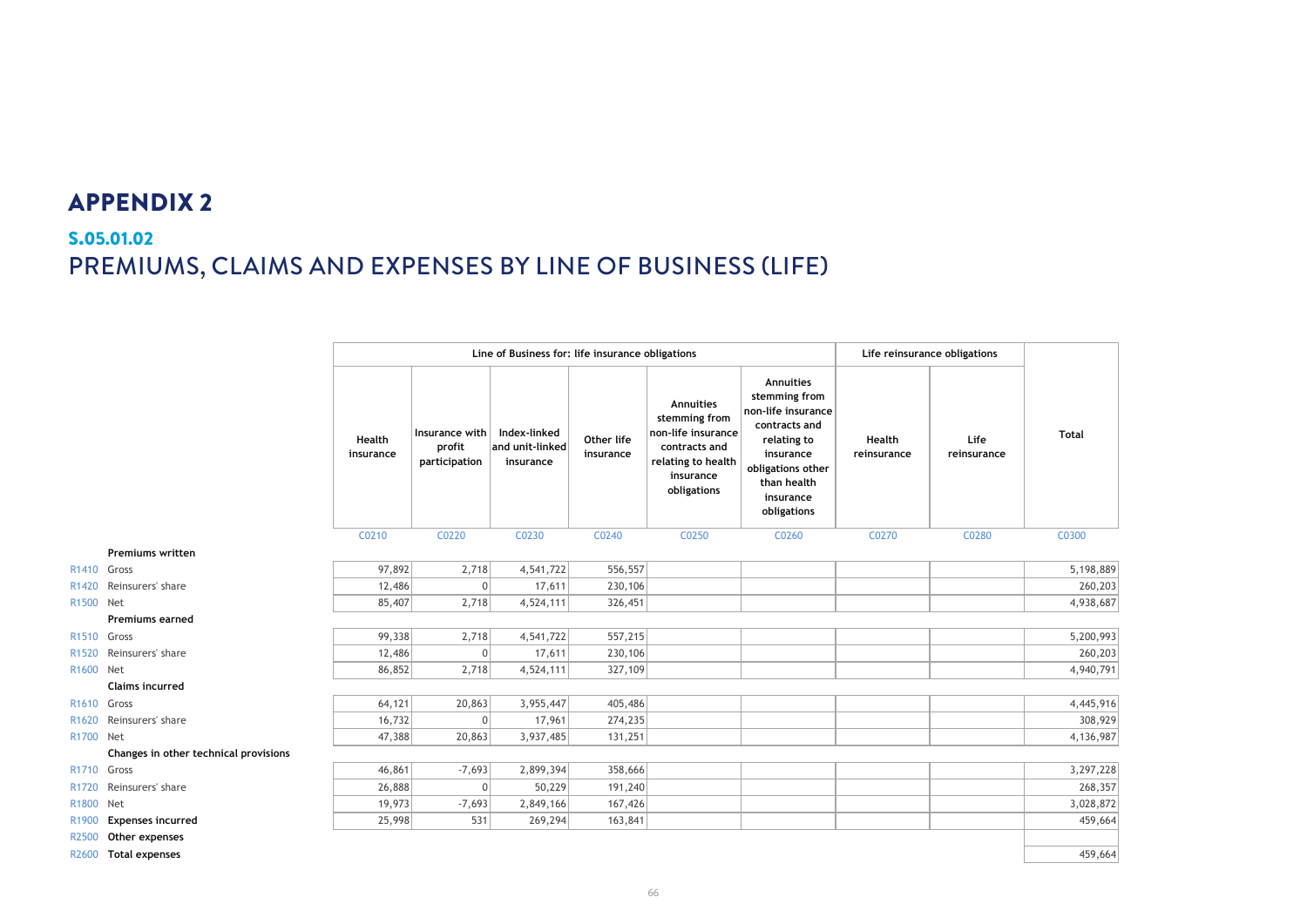# S.05.01.02 PREMIUMS, CLAIMS AND EXPENSES BY LINE OF BUSINESS (LIFE) **S.05.01.02 Premiums, claims and expenses by line of business**

|                   |                                       | Line of Business for: life insurance obligations |                                           |                                              |                         | Life reinsurance obligations                                                                                        |                                                                                                                                                               |                       |                     |              |
|-------------------|---------------------------------------|--------------------------------------------------|-------------------------------------------|----------------------------------------------|-------------------------|---------------------------------------------------------------------------------------------------------------------|---------------------------------------------------------------------------------------------------------------------------------------------------------------|-----------------------|---------------------|--------------|
|                   |                                       | Health<br>insurance                              | Insurance with<br>profit<br>participation | Index-linked<br>and unit-linked<br>insurance | Other life<br>insurance | Annuities<br>stemming from<br>non-life insurance<br>contracts and<br>relating to health<br>insurance<br>obligations | Annuities<br>stemming from<br>non-life insurance<br>contracts and<br>relating to<br>insurance<br>obligations other<br>than health<br>insurance<br>obligations | Health<br>reinsurance | Life<br>reinsurance | <b>Total</b> |
|                   |                                       | C0210                                            | C0220                                     | C0230                                        | C0240                   | C0250                                                                                                               | C0260                                                                                                                                                         | C0270                 | C0280               | C0300        |
|                   | <b>Premiums written</b>               |                                                  |                                           |                                              |                         |                                                                                                                     |                                                                                                                                                               |                       |                     |              |
| R1410 Gross       |                                       | 97,892                                           | 2,718                                     | 4,541,722                                    | 556,557                 |                                                                                                                     |                                                                                                                                                               |                       |                     | 5,198,889    |
|                   | R1420 Reinsurers' share               | 12,486                                           | 0                                         | 17,611                                       | 230,106                 |                                                                                                                     |                                                                                                                                                               |                       |                     | 260,203      |
| R1500 Net         |                                       | 85,407                                           | 2,718                                     | 4,524,111                                    | 326,451                 |                                                                                                                     |                                                                                                                                                               |                       |                     | 4,938,687    |
|                   | <b>Premiums earned</b>                |                                                  |                                           |                                              |                         |                                                                                                                     |                                                                                                                                                               |                       |                     |              |
| R1510 Gross       |                                       | 99,338                                           | 2,718                                     | 4,541,722                                    | 557,215                 |                                                                                                                     |                                                                                                                                                               |                       |                     | 5,200,993    |
| R <sub>1520</sub> | Reinsurers' share                     | 12,486                                           | 0                                         | 17,611                                       | 230,106                 |                                                                                                                     |                                                                                                                                                               |                       |                     | 260,203      |
| R1600 Net         |                                       | 86,852                                           | 2,718                                     | 4,524,111                                    | 327,109                 |                                                                                                                     |                                                                                                                                                               |                       |                     | 4,940,791    |
|                   | <b>Claims incurred</b>                |                                                  |                                           |                                              |                         |                                                                                                                     |                                                                                                                                                               |                       |                     |              |
| R1610 Gross       |                                       | 64,121                                           | 20,863                                    | 3,955,447                                    | 405,486                 |                                                                                                                     |                                                                                                                                                               |                       |                     | 4,445,916    |
|                   | R1620 Reinsurers' share               | 16,732                                           | 0                                         | 17,961                                       | 274,235                 |                                                                                                                     |                                                                                                                                                               |                       |                     | 308,929      |
| R1700 Net         |                                       | 47,388                                           | 20,863                                    | 3,937,485                                    | 131,251                 |                                                                                                                     |                                                                                                                                                               |                       |                     | 4,136,987    |
|                   | Changes in other technical provisions |                                                  |                                           |                                              |                         |                                                                                                                     |                                                                                                                                                               |                       |                     |              |
| R1710 Gross       |                                       | 46,861                                           | $-7,693$                                  | 2,899,394                                    | 358,666                 |                                                                                                                     |                                                                                                                                                               |                       |                     | 3,297,228    |
| R <sub>1720</sub> | Reinsurers' share                     | 26,888                                           | 0                                         | 50,229                                       | 191,240                 |                                                                                                                     |                                                                                                                                                               |                       |                     | 268,357      |
| R1800             | Net                                   | 19,973                                           | $-7,693$                                  | 2,849,166                                    | 167,426                 |                                                                                                                     |                                                                                                                                                               |                       |                     | 3,028,872    |
| R1900             | <b>Expenses incurred</b>              | 25,998                                           | 531                                       | 269,294                                      | 163,841                 |                                                                                                                     |                                                                                                                                                               |                       |                     | 459,664      |
| R2500             | Other expenses                        |                                                  |                                           |                                              |                         |                                                                                                                     |                                                                                                                                                               |                       |                     |              |
| R2600             | <b>Total expenses</b>                 |                                                  |                                           |                                              |                         |                                                                                                                     |                                                                                                                                                               |                       |                     | 459,664      |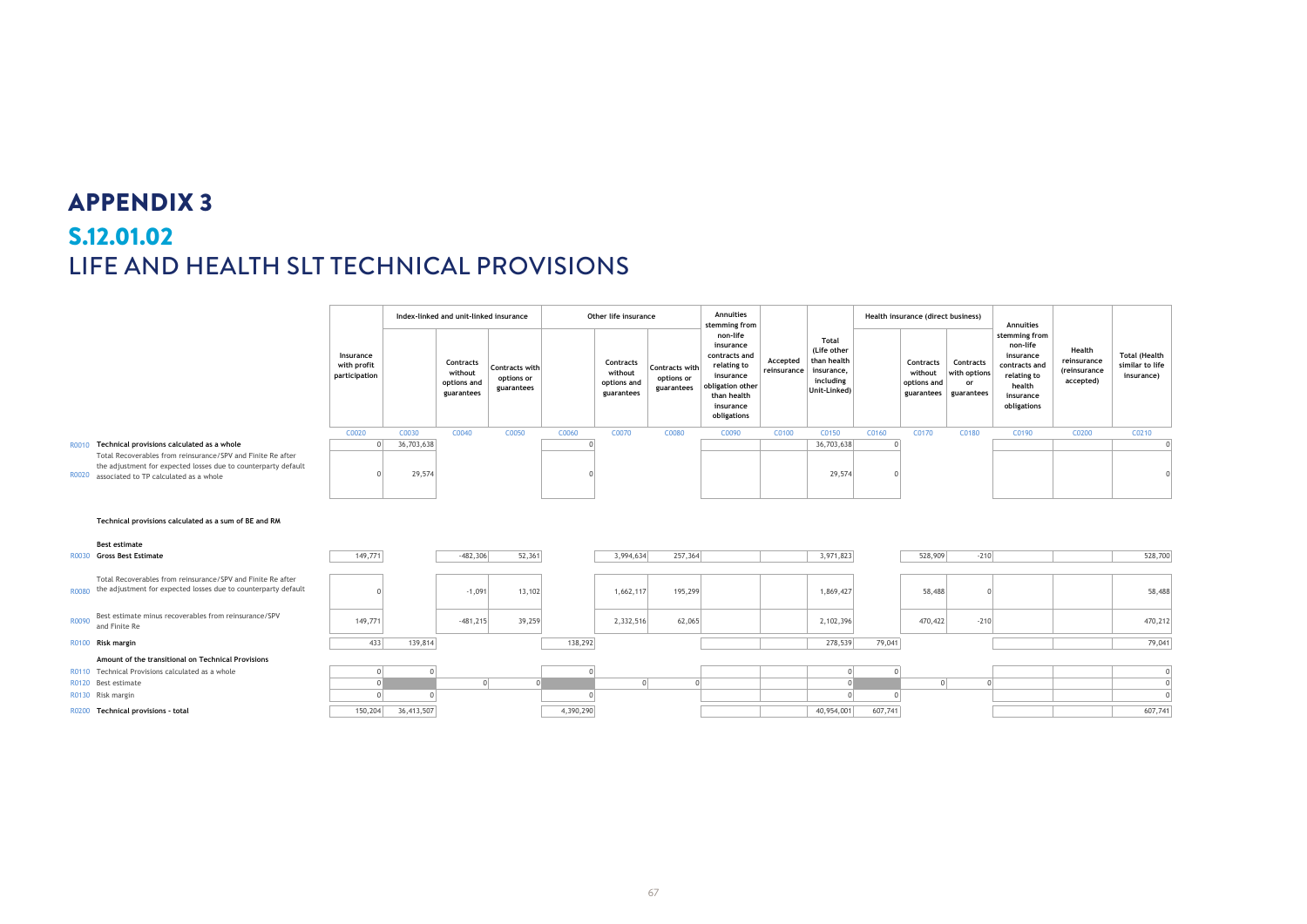# S.12.01.02 **S.12.01.02** LIFE AND HEALTH SLT TECHNICAL PROVISIONS **Life and Health SLT Technical Provisions**

|       |                                                                                                                               |                                           |            | Index-linked and unit-linked insurance            |                                            |           | Other life insurance                              |                                                   | Annuities<br>stemming from                                                                                                        |                         |                                                                                |         | Health insurance (direct business)  |                                                          | Annuities                                                                                                    |                                                    |                                                       |
|-------|-------------------------------------------------------------------------------------------------------------------------------|-------------------------------------------|------------|---------------------------------------------------|--------------------------------------------|-----------|---------------------------------------------------|---------------------------------------------------|-----------------------------------------------------------------------------------------------------------------------------------|-------------------------|--------------------------------------------------------------------------------|---------|-------------------------------------|----------------------------------------------------------|--------------------------------------------------------------------------------------------------------------|----------------------------------------------------|-------------------------------------------------------|
|       |                                                                                                                               | Insurance<br>with profit<br>participation |            | Contracts<br>without<br>options and<br>guarantees | Contracts with<br>options or<br>guarantees |           | Contracts<br>without<br>options and<br>guarantees | <b>Contracts with</b><br>options or<br>guarantees | non-life<br>insurance<br>contracts and<br>relating to<br>insurance<br>obligation other<br>than health<br>insurance<br>obligations | Accepted<br>reinsurance | Total<br>(Life other<br>than health<br>insurance,<br>including<br>Unit-Linked) |         | Contracts<br>without<br>options and | Contracts<br>with options<br>or<br>guarantees guarantees | stemming from<br>non-life<br>insurance<br>contracts and<br>relating to<br>health<br>insurance<br>obligations | Health<br>reinsurance<br>(reinsurance<br>accepted) | <b>Total (Health</b><br>similar to life<br>insurance) |
|       |                                                                                                                               | C0020                                     | C0030      | C0040                                             | C0050                                      | C0060     | C0070                                             | C0080                                             | C0090                                                                                                                             | C0100                   | C0150                                                                          | C0160   | C0170                               | C0180                                                    | C0190                                                                                                        | C0200                                              | C0210                                                 |
|       | R0010 Technical provisions calculated as a whole<br>Total Recoverables from reinsurance/SPV and Finite Re after               | $\Omega$                                  | 36,703,638 |                                                   |                                            |           |                                                   |                                                   |                                                                                                                                   |                         | 36,703,638                                                                     |         |                                     |                                                          |                                                                                                              |                                                    | $\mathbf{0}$                                          |
| R0020 | the adjustment for expected losses due to counterparty default<br>associated to TP calculated as a whole                      |                                           | 29,574     |                                                   |                                            |           |                                                   |                                                   |                                                                                                                                   |                         | 29,574                                                                         |         |                                     |                                                          |                                                                                                              |                                                    |                                                       |
|       | Technical provisions calculated as a sum of BE and RM<br><b>Best estimate</b>                                                 |                                           |            |                                                   |                                            |           |                                                   |                                                   |                                                                                                                                   |                         |                                                                                |         |                                     |                                                          |                                                                                                              |                                                    |                                                       |
|       | R0030 Gross Best Estimate                                                                                                     | 149,771                                   |            | $-482,306$                                        | 52,361                                     |           | 3,994,634                                         | 257,364                                           |                                                                                                                                   |                         | 3,971,823                                                                      |         | 528,909                             | $-210$                                                   |                                                                                                              |                                                    | 528,700                                               |
|       |                                                                                                                               |                                           |            |                                                   |                                            |           |                                                   |                                                   |                                                                                                                                   |                         |                                                                                |         |                                     |                                                          |                                                                                                              |                                                    |                                                       |
| R0080 | Total Recoverables from reinsurance/SPV and Finite Re after<br>the adjustment for expected losses due to counterparty default |                                           |            | $-1,091$                                          | 13,102                                     |           | 1,662,117                                         | 195,299                                           |                                                                                                                                   |                         | 1,869,427                                                                      |         | 58,488                              |                                                          |                                                                                                              |                                                    | 58,488                                                |
| R0090 | Best estimate minus recoverables from reinsurance/SPV<br>and Finite Re                                                        | 149,771                                   |            | $-481,215$                                        | 39,259                                     |           | 2,332,516                                         | 62,065                                            |                                                                                                                                   |                         | 2,102,396                                                                      |         | 470,422                             | $-210$                                                   |                                                                                                              |                                                    | 470,212                                               |
|       | R0100 Risk margin                                                                                                             | 433                                       | 139,814    |                                                   |                                            | 138,292   |                                                   |                                                   |                                                                                                                                   |                         | 278,539                                                                        | 79,041  |                                     |                                                          |                                                                                                              |                                                    | 79,041                                                |
|       | Amount of the transitional on Technical Provisions                                                                            |                                           |            |                                                   |                                            |           |                                                   |                                                   |                                                                                                                                   |                         |                                                                                |         |                                     |                                                          |                                                                                                              |                                                    |                                                       |
|       | R0110 Technical Provisions calculated as a whole                                                                              |                                           |            |                                                   |                                            |           |                                                   |                                                   |                                                                                                                                   |                         |                                                                                |         |                                     |                                                          |                                                                                                              |                                                    | $\sqrt{ }$                                            |
|       | R0120 Best estimate                                                                                                           | $\Omega$                                  |            | 0                                                 | $\Omega$                                   |           | 0                                                 | $\Omega$                                          |                                                                                                                                   |                         | $\Omega$                                                                       |         | $\Omega$                            | $\Omega$                                                 |                                                                                                              |                                                    | $\mathbf 0$                                           |
|       | R0130 Risk margin                                                                                                             |                                           |            |                                                   |                                            |           |                                                   |                                                   |                                                                                                                                   |                         |                                                                                |         |                                     |                                                          |                                                                                                              |                                                    | $\sqrt{2}$                                            |
|       | R0200 Technical provisions - total                                                                                            | 150,204                                   | 36,413,507 |                                                   |                                            | 4,390,290 |                                                   |                                                   |                                                                                                                                   |                         | 40,954,001                                                                     | 607,741 |                                     |                                                          |                                                                                                              |                                                    | 607,741                                               |
|       |                                                                                                                               |                                           |            |                                                   |                                            |           |                                                   |                                                   |                                                                                                                                   |                         |                                                                                |         |                                     |                                                          |                                                                                                              |                                                    |                                                       |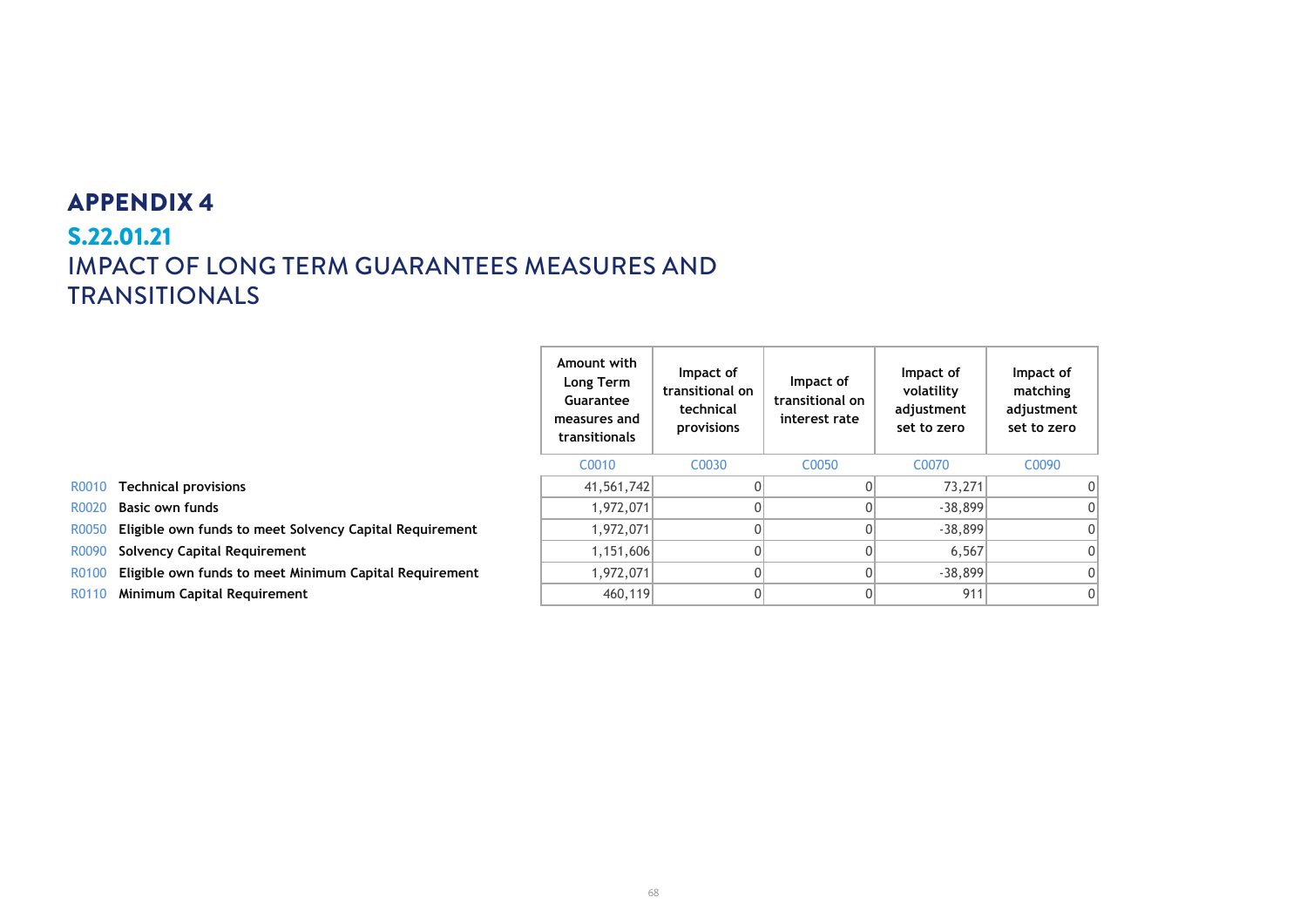# S.22.01.21 **S.22.01.21 IMPACT OF LONG TERM GUARANTEES MEASURES AND** TRANSITIONALS

|                     | Amount with<br>Long Term<br>Guarantee<br>measures and<br>transitionals | Impact of<br>transitional on<br>technical<br>provisions | Impact of<br>transitional on<br>interest rate | Impact of<br>volatility<br>adjustment<br>set to zero | Impact of<br>matching<br>adjustment<br>set to zero |
|---------------------|------------------------------------------------------------------------|---------------------------------------------------------|-----------------------------------------------|------------------------------------------------------|----------------------------------------------------|
|                     | C0010                                                                  | C <sub>0030</sub>                                       | C <sub>0050</sub>                             | C <sub>0070</sub>                                    | C0090                                              |
|                     | 41,561,742                                                             |                                                         | 0                                             | 73,271                                               | 0                                                  |
|                     | 1,972,071                                                              |                                                         | 0                                             | $-38,899$                                            | 0                                                  |
| Capital Requirement | 1,972,071                                                              |                                                         | 0                                             | $-38,899$                                            | 0                                                  |
|                     | 1,151,606                                                              | 0                                                       | 0                                             | 6,567                                                | 0                                                  |
| Capital Requirement | 1,972,071                                                              | 0                                                       | $\Omega$                                      | $-38,899$                                            | 0                                                  |
|                     | 460,119                                                                |                                                         | 0                                             | 911                                                  | 0                                                  |

- **R0010 Technical provisions**
- R0020 **Basic own funds**
- R0050 **Eligible own funds to meet Solvency C**
- R0090 Solvency Capital Requirement
- **R0100 Eligible own funds to meet Minimum 0**
- R0110 Minimum Capital Requirement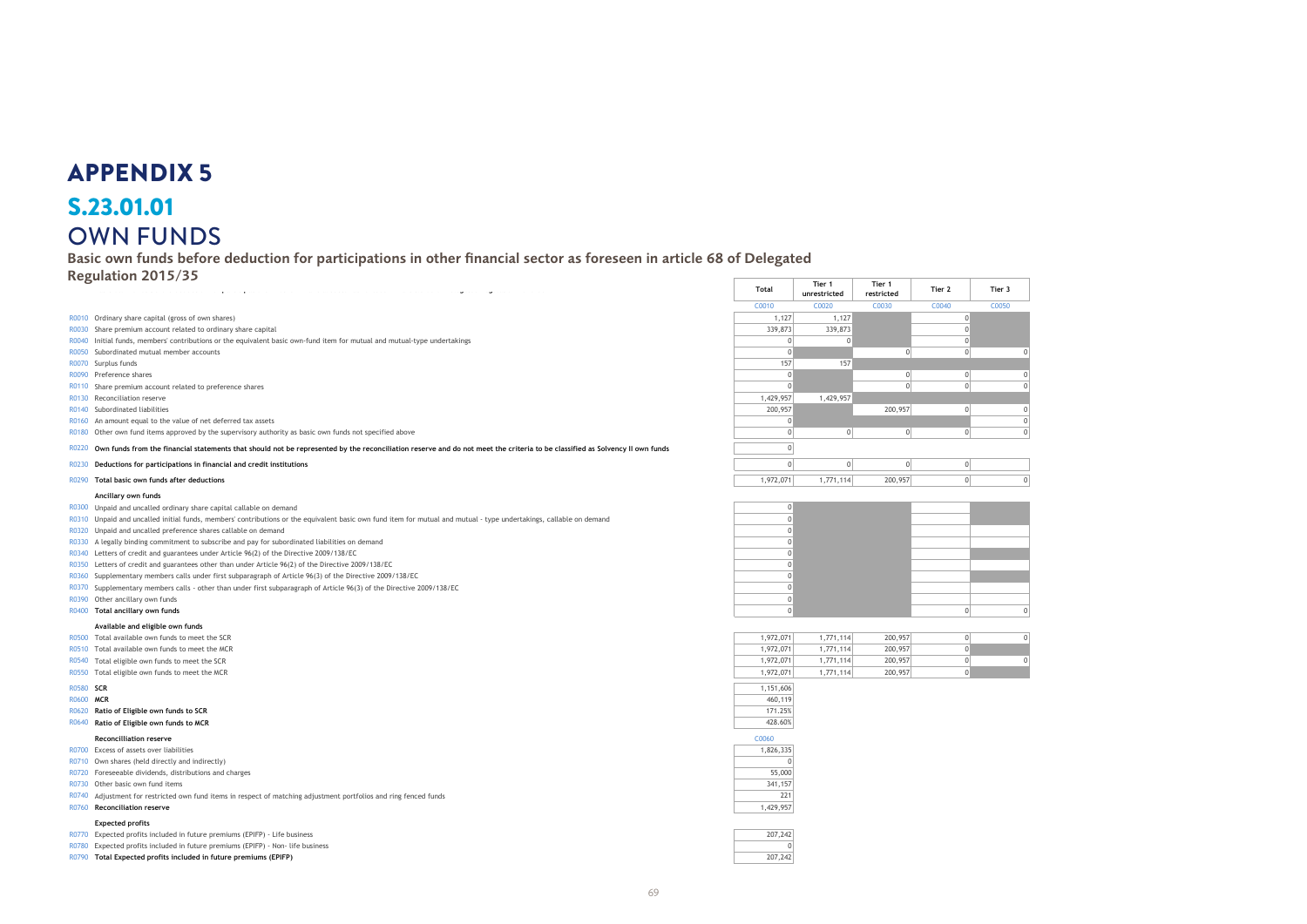### **S.23.01.01** OWN FUNDS S.23.01.01

**Own Funds** Basic own funds before deduction for participations in other financial sector as foreseen in article 68 of Delegated

Regulation 2015/35

- R0010 Ordinary share capital (gross of own shares)
- R0030 Share premium account related to ordinary share capital
- R0040 Initial funds, members' contributions or the equivalent basic own-fund item for mutual and mutual-type undertakings
- R0050 Subordinated mutual member accounts
- 
- 
- 
- R0130 Reconciliation reserve
- 
- 
- R0180 Other own fund items approved by the supervisory authority as basic own funds not specified above

#### **Ancillary own funds**

- R0300 Unpaid and uncalled ordinary share capital callable on demand
- R0310 Unpaid and uncalled initial funds, members' contributions or the equivalent basic own fund item for mutual and mutual type undertakings, callable on demand
- R0320 Unpaid and uncalled preference shares callable on demand
- R0330 A legally binding commitment to subscribe and pay for subordinated liabilities on demand
- R0340 Letters of credit and guarantees under Article 96(2) of the Directive 2009/138/EC
- R0350 Letters of credit and guarantees other than under Article 96(2) of the Directive 2009/138/EC
- R0360 Supplementary members calls under first subparagraph of Article 96(3) of the Directive 2009/138/EC 0
- R0370 Supplementary members calls other than under first subparagraph of Article 96(3) of the Directive 2009/138/EC 0
- R0390 Other ancillary own funds<br>R0400 **Total ancillary own funds**
- 

#### **Available and eligible own funds**

- 
- R0510 Total available own funds to meet the MCR
- 
- $R0550$  Total eligible own funds to meet the MCR

| R0580 | <b>SCR</b> |
|-------|------------|
|       |            |

- 
- **R0620 Ratio of Eligible own funds to SCR**
- **R0640 Ratio of Eligible own funds to MCR**

#### **Reconcilliation reserve** C0060

- R0700 Excess of assets over liabilities
- R0710 Own shares (held directly and indirectly)
- R0720 Foreseeable dividends, distributions and charges
- R0730 Other basic own fund items
- R0740 Adjustment for restricted own fund items in respect of matching adjustment portfolios and ring fenced funds 221 R0760 **Reconciliation reserve** 1,429,957

#### **Expected profits**

R0770 Expected profits included in future premiums (EPIFP) - Life business

R0780 Expected profits included in future premiums (EPIFP) - Non- life business

**R0790 Total Expected profits included in future premiums (EPIFP)** 

| $\sim$                                                                                                                                                                            | Total           | Tier 1<br>unrestricted | Tier 1<br>restricted | Tier 2 | Tier 3 |  |
|-----------------------------------------------------------------------------------------------------------------------------------------------------------------------------------|-----------------|------------------------|----------------------|--------|--------|--|
|                                                                                                                                                                                   | C0010           | C0020                  | C0030                | C0040  | C0050  |  |
| R0010 Ordinary share capital (gross of own shares)                                                                                                                                | 1,127           | 1,127                  |                      |        |        |  |
| R0030 Share premium account related to ordinary share capital                                                                                                                     | 339,873         | 339,873                |                      |        |        |  |
| R0040 Initial funds, members' contributions or the equivalent basic own-fund item for mutual and mutual-type undertakings                                                         |                 |                        |                      |        |        |  |
| R0050 Subordinated mutual member accounts                                                                                                                                         |                 |                        |                      |        |        |  |
| R0070 Surplus funds                                                                                                                                                               | 15 <sup>2</sup> | 157                    |                      |        |        |  |
| R0090 Preference shares                                                                                                                                                           |                 |                        |                      |        |        |  |
| R0110 Share premium account related to preference shares                                                                                                                          |                 |                        |                      |        |        |  |
| R0130 Reconciliation reserve                                                                                                                                                      | 1,429,957       | 1,429,957              |                      |        |        |  |
| R0140 Subordinated liabilities                                                                                                                                                    | 200,957         |                        | 200,957              |        |        |  |
| R0160 An amount equal to the value of net deferred tax assets                                                                                                                     |                 |                        |                      |        |        |  |
| R0180 Other own fund items approved by the supervisory authority as basic own funds not specified above                                                                           |                 |                        |                      |        |        |  |
| R0220 Own funds from the financial statements that should not be represented by the reconciliation reserve and do not meet the criteria to be classified as Solvency II own funds |                 |                        |                      |        |        |  |
| R0230 Deductions for participations in financial and credit institutions                                                                                                          |                 |                        |                      |        |        |  |
| R0290 Total basic own funds after deductions                                                                                                                                      | 1,972,071       | 1,771,114              | 200,957              |        |        |  |

| R0300 Unpaid and uncalled ordinary share capital callable on demand                                                                                                 |  |  |
|---------------------------------------------------------------------------------------------------------------------------------------------------------------------|--|--|
| R0310 Unpaid and uncalled initial funds, members' contributions or the equivalent basic own fund item for mutual and mutual - type undertakings, callable on demand |  |  |
| R0320 Unpaid and uncalled preference shares callable on demand                                                                                                      |  |  |
| R0330 A legally binding commitment to subscribe and pay for subordinated liabilities on demand                                                                      |  |  |
| R0340 Letters of credit and guarantees under Article 96(2) of the Directive 2009/138/EC                                                                             |  |  |
| R0350 Letters of credit and guarantees other than under Article 96(2) of the Directive 2009/138/EC                                                                  |  |  |
| R0360 Supplementary members calls under first subparagraph of Article 96(3) of the Directive 2009/138/EC                                                            |  |  |
| R0370 Supplementary members calls - other than under first subparagraph of Article 96(3) of the Directive 2009/138/EC                                               |  |  |
| R0390 Other ancillary own funds                                                                                                                                     |  |  |
| R0400 Total ancillary own funds                                                                                                                                     |  |  |
|                                                                                                                                                                     |  |  |

| R0500 Total available own funds to meet the SCR | 1.972.071 | 1.771.114 | 200,957 |  |
|-------------------------------------------------|-----------|-----------|---------|--|
| R0510 Total available own funds to meet the MCR | 1.972.071 | .771.114  | 200,957 |  |
| R0540 Total eligible own funds to meet the SCR  | 1.972.071 | 1.771.114 | 200,957 |  |
| R0550 Total eligible own funds to meet the MCR  | 1,972,071 | 1.771.114 | 200,957 |  |
|                                                 |           |           |         |  |

| R0580 SCR |                                          | .151.606 |
|-----------|------------------------------------------|----------|
| R0600 MCR |                                          | 460,119  |
|           | R0620 Ratio of Eligible own funds to SCR | 171.25%  |
|           | R0640 Ratio of Eligible own funds to MCR | 428.60%  |

| C <sub>0060</sub> |
|-------------------|
| 1.826.335         |
|                   |
| 55,000            |
| 341,157           |

| 207.24 |  |
|--------|--|
|        |  |
| ד הכ   |  |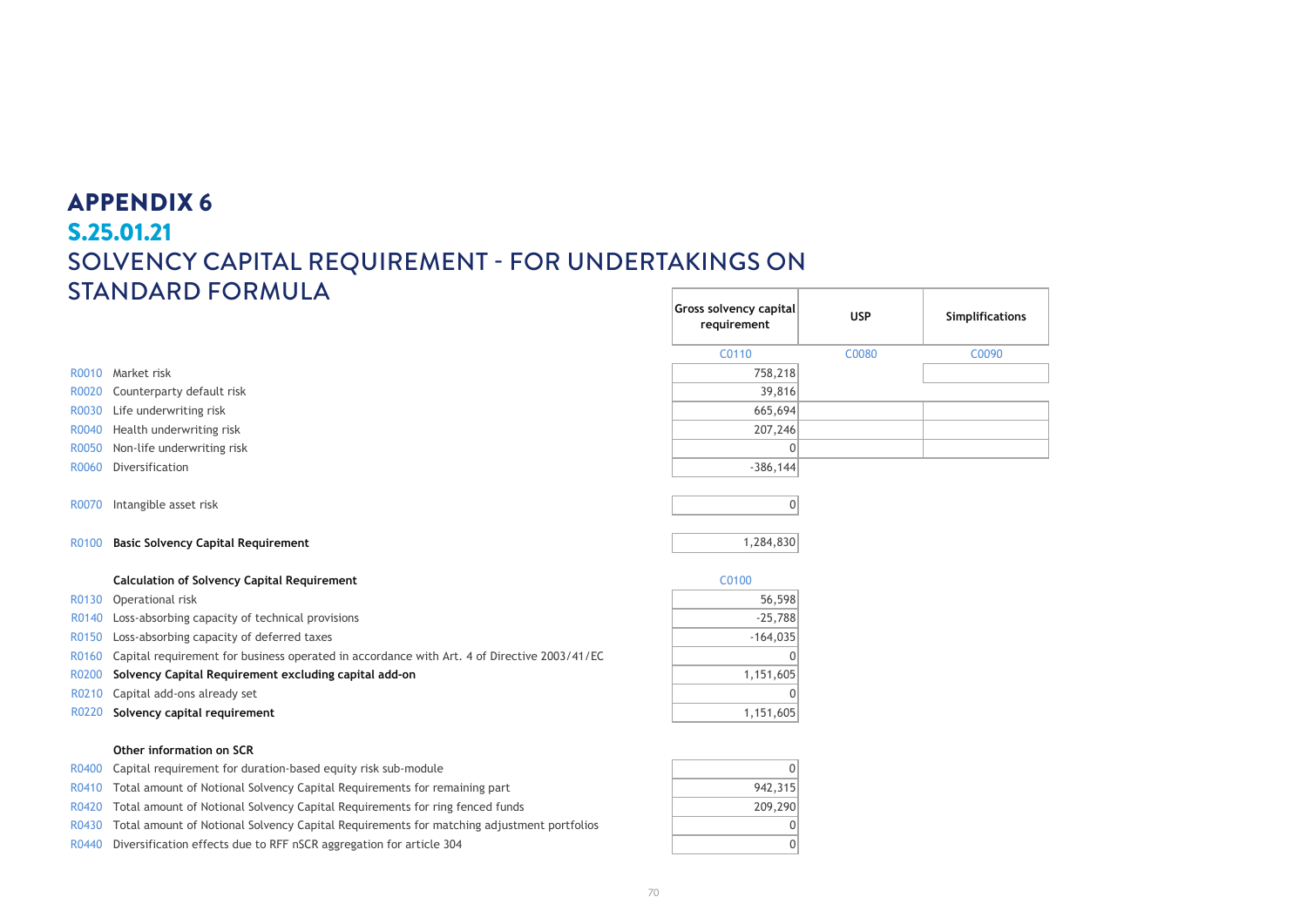### APPENDIX 6 **S.25.01.21** S.25.01.21 SOLVENCY CAPITAL REQUIREMENT - FOR UNDERTAKINGS ON STANDARD FORMULA **Solvency Capital Requirement - for undertakings on Standard Formula**

|                |                                                                                             | Gross solvency capital<br>requirement | <b>USP</b> | Simplifications |
|----------------|---------------------------------------------------------------------------------------------|---------------------------------------|------------|-----------------|
|                |                                                                                             | C0110                                 | C0080      | C0090           |
|                | R0010 Market risk                                                                           | 758,218                               |            |                 |
| R0020          | Counterparty default risk                                                                   | 39,816                                |            |                 |
| R0030          | Life underwriting risk                                                                      | 665,694                               |            |                 |
| R0040          | Health underwriting risk                                                                    | 207,246                               |            |                 |
| R0050          | Non-life underwriting risk                                                                  | $\Omega$                              |            |                 |
| R0060          | Diversification                                                                             | $-386, 144$                           |            |                 |
| R0070<br>R0100 | Intangible asset risk<br><b>Basic Solvency Capital Requirement</b>                          | $\Omega$<br>1,284,830                 |            |                 |
|                | <b>Calculation of Solvency Capital Requirement</b>                                          | C0100                                 |            |                 |
| R0130          | Operational risk                                                                            | 56,598                                |            |                 |
| R0140          | Loss-absorbing capacity of technical provisions                                             | $-25,788$                             |            |                 |
| R0150          | Loss-absorbing capacity of deferred taxes                                                   | $-164,035$                            |            |                 |
| R0160          | Capital requirement for business operated in accordance with Art. 4 of Directive 2003/41/EC |                                       |            |                 |
| R0200          | Solvency Capital Requirement excluding capital add-on                                       | 1,151,605                             |            |                 |
| R0210          | Capital add-ons already set                                                                 |                                       |            |                 |
| R0220          | Solvency capital requirement                                                                | 1,151,605                             |            |                 |
|                |                                                                                             |                                       |            |                 |

### R0400 Capital requirement for duration-based equity risk sub-module 0 R0410 Total amount of Notional Solvency Capital Requirements for remaining part 942,315 R0420 Total amount of Notional Solvency Capital Requirements for ring fenced funds 209,290 R0430 Total amount of Notional Solvency Capital Requirements for matching adjustment portfolios  $\vert$  0 R0440 Diversification effects due to RFF nSCR aggregation for article 304  $\boxed{0}$

**Other information on SCR**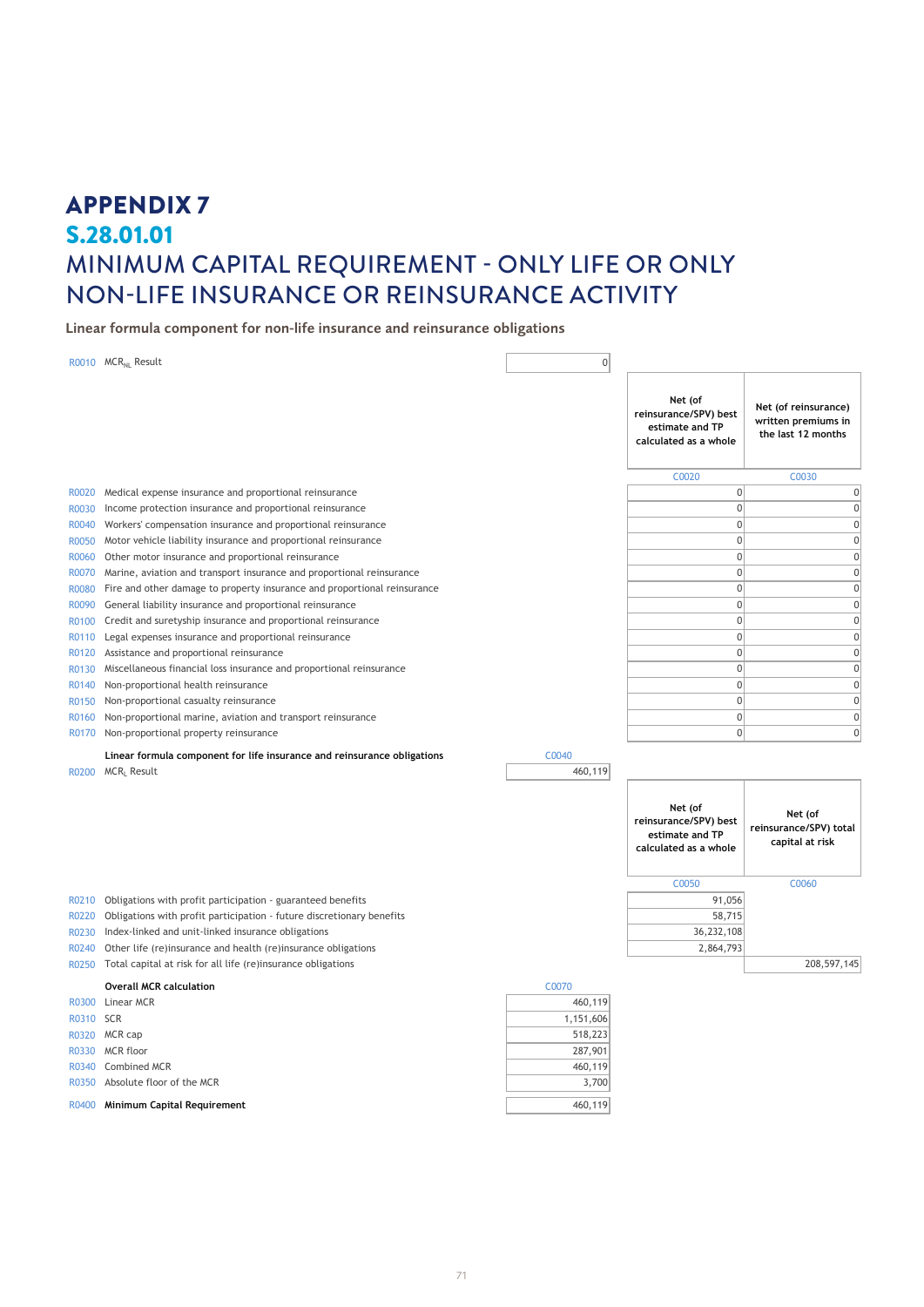## APPENDIX 7 S.28.01.01 MINIMUM CAPITAL REQUIREMENT - ONLY LIFE OR ONLY **S.28.01.01** NON-LIFE INSURANCE OR REINSURANCE ACTIVITY **Minimum Capital Requirement - Only life or only non-life insurance or reinsurance activity**

Linear formula component for non-life insurance and reinsurance obligations

|       | R0010 MCR <sub>NL</sub> Result                                           | $\mathbf{0}$ |                                                                              |                                                                   |
|-------|--------------------------------------------------------------------------|--------------|------------------------------------------------------------------------------|-------------------------------------------------------------------|
|       |                                                                          |              | Net (of<br>reinsurance/SPV) best<br>estimate and TP<br>calculated as a whole | Net (of reinsurance)<br>written premiums in<br>the last 12 months |
|       |                                                                          |              | C0020                                                                        | C0030                                                             |
| R0020 | Medical expense insurance and proportional reinsurance                   |              | $\mathbf 0$                                                                  | $\boldsymbol{0}$                                                  |
| R0030 | Income protection insurance and proportional reinsurance                 |              | $\mathbf{0}$                                                                 | $\mathbf 0$                                                       |
| R0040 | Workers' compensation insurance and proportional reinsurance             |              | $\mathbf{0}$                                                                 | $\boldsymbol{0}$                                                  |
| R0050 | Motor vehicle liability insurance and proportional reinsurance           |              | $\mathbf{0}$                                                                 | $\boldsymbol{0}$                                                  |
| R0060 | Other motor insurance and proportional reinsurance                       |              | $\mathbf{0}$                                                                 | $\mathbf 0$                                                       |
| R0070 | Marine, aviation and transport insurance and proportional reinsurance    |              | $\mathbf 0$                                                                  | $\mathbf{0}$                                                      |
| R0080 | Fire and other damage to property insurance and proportional reinsurance |              | $\mathbf{0}$                                                                 | $\mathbf{0}$                                                      |
| R0090 | General liability insurance and proportional reinsurance                 |              | $\mathbf 0$                                                                  | $\boldsymbol{0}$                                                  |
| R0100 | Credit and suretyship insurance and proportional reinsurance             |              | $\mathbf{0}$                                                                 | $\boldsymbol{0}$                                                  |
| R0110 | Legal expenses insurance and proportional reinsurance                    |              | $\mathbf 0$                                                                  | $\boldsymbol{0}$                                                  |
| R0120 | Assistance and proportional reinsurance                                  |              | $\mathbf 0$                                                                  | $\mathbf{0}$                                                      |
| R0130 | Miscellaneous financial loss insurance and proportional reinsurance      |              | $\mathbf{0}$                                                                 | $\mathbf 0$                                                       |
| R0140 | Non-proportional health reinsurance                                      |              | $\mathbf 0$                                                                  | $\boldsymbol{0}$                                                  |
| R0150 | Non-proportional casualty reinsurance                                    |              | $\mathbf{0}$                                                                 | $\mathbf 0$                                                       |
| R0160 | Non-proportional marine, aviation and transport reinsurance              |              | $\mathbf{0}$                                                                 | $\mathbf{0}$                                                      |
| R0170 | Non-proportional property reinsurance                                    |              | $\mathbf{0}$                                                                 | $\boldsymbol{0}$                                                  |
|       | Linear formula component for life insurance and reinsurance obligations  | C0040        |                                                                              |                                                                   |
|       | R0200 MCRL Result                                                        | 460,119      |                                                                              |                                                                   |
|       |                                                                          |              |                                                                              |                                                                   |
|       |                                                                          |              | Net (of<br>reinsurance/SPV) best<br>estimate and TP<br>calculated as a whole | Net (of<br>reinsurance/SPV) total<br>capital at risk              |
|       |                                                                          |              | C0050                                                                        | C0060                                                             |
| R0210 | Obligations with profit participation - guaranteed benefits              |              | 91,056                                                                       |                                                                   |
| R0220 | Obligations with profit participation - future discretionary benefits    |              | 58,715                                                                       |                                                                   |
| R0230 | Index-linked and unit-linked insurance obligations                       |              | 36,232,108                                                                   |                                                                   |
| R0240 | Other life (re)insurance and health (re)insurance obligations            |              | 2,864,793                                                                    |                                                                   |
| R0250 | Total capital at risk for all life (re)insurance obligations             |              |                                                                              | 208, 597, 145                                                     |
|       | <b>Overall MCR calculation</b>                                           | C0070        |                                                                              |                                                                   |
| R0300 | Linear MCR                                                               | 460,119      |                                                                              |                                                                   |
| R0310 | <b>SCR</b>                                                               | 1,151,606    |                                                                              |                                                                   |
|       | R0320 MCR cap                                                            | 518,223      |                                                                              |                                                                   |
| R0330 | MCR floor                                                                | 287,901      |                                                                              |                                                                   |
| R0340 | Combined MCR                                                             | 460,119      |                                                                              |                                                                   |
| R0350 | Absolute floor of the MCR                                                | 3,700        |                                                                              |                                                                   |
|       |                                                                          |              |                                                                              |                                                                   |
|       | R0400 Minimum Capital Requirement                                        | 460,119      |                                                                              |                                                                   |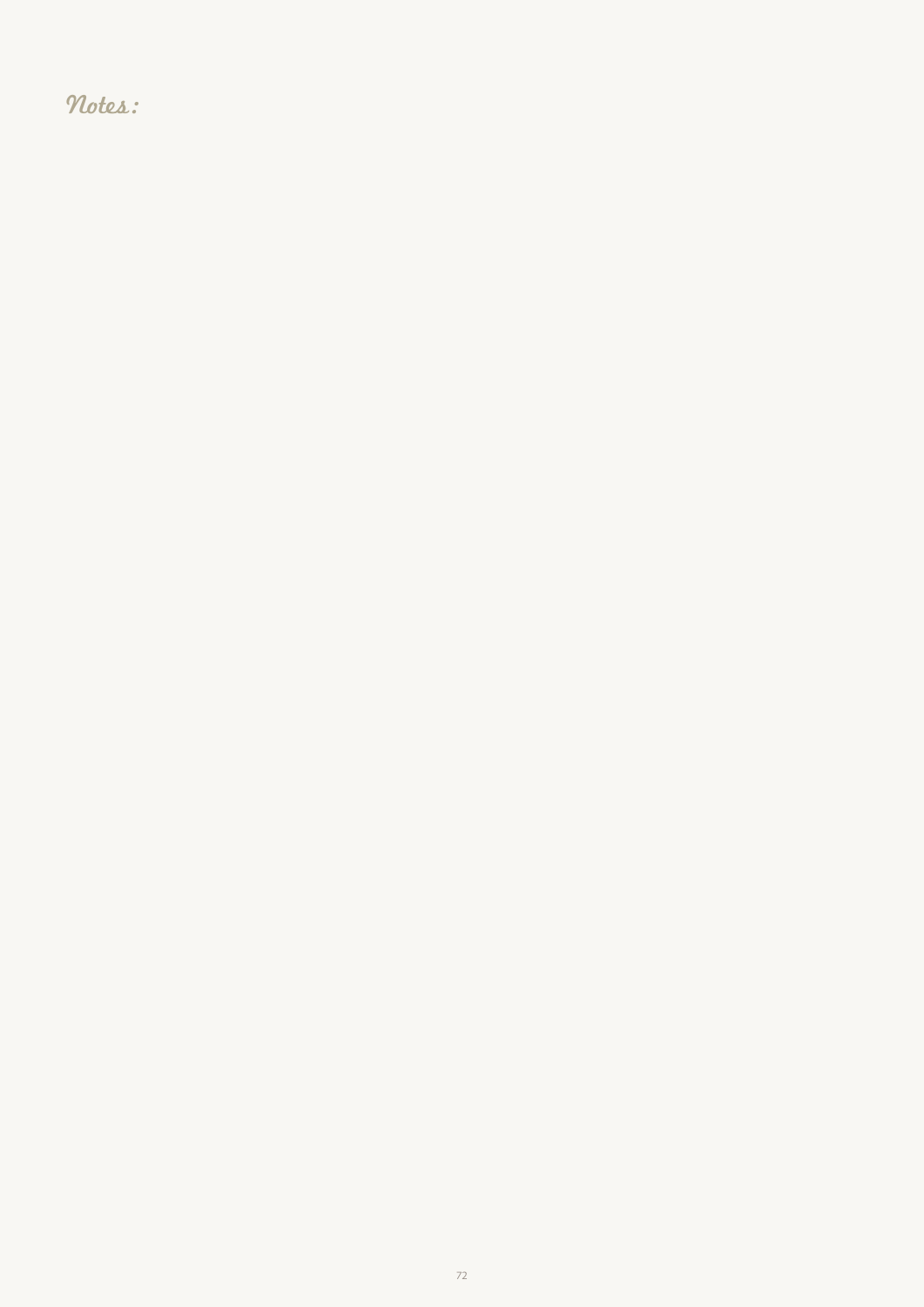Notes: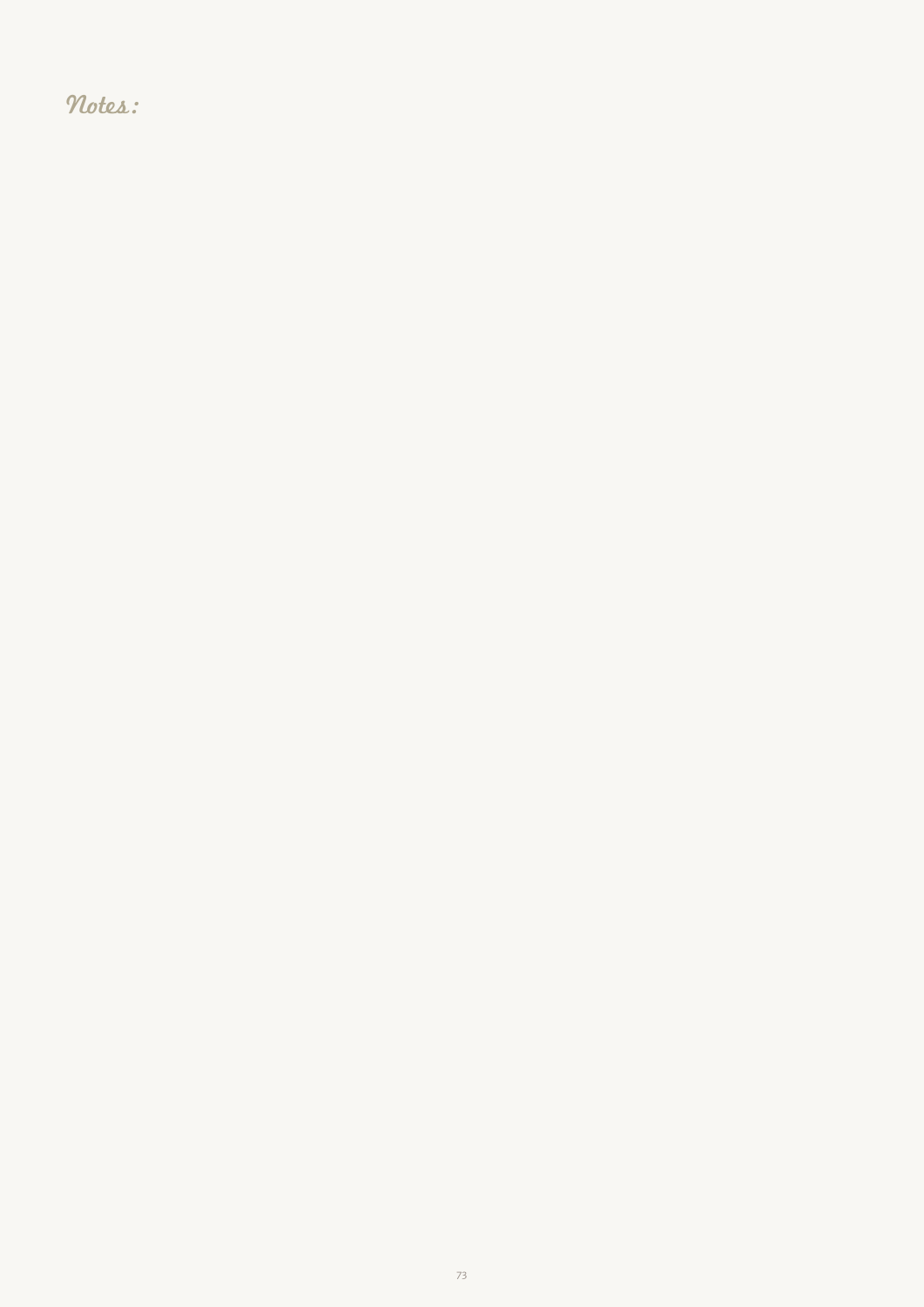Notes: